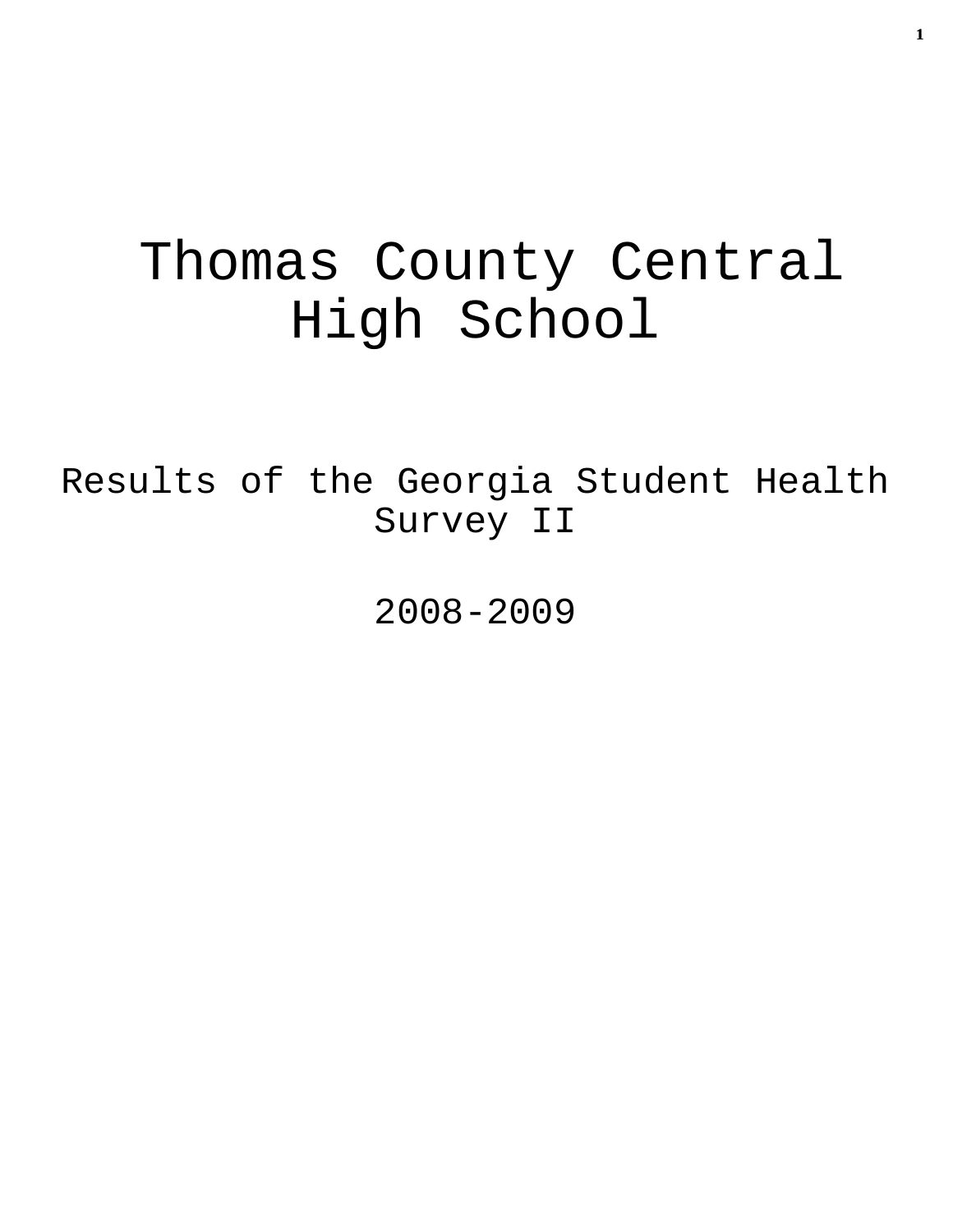# Thomas County Central High School

Results of the Georgia Student Health Survey II

2008-2009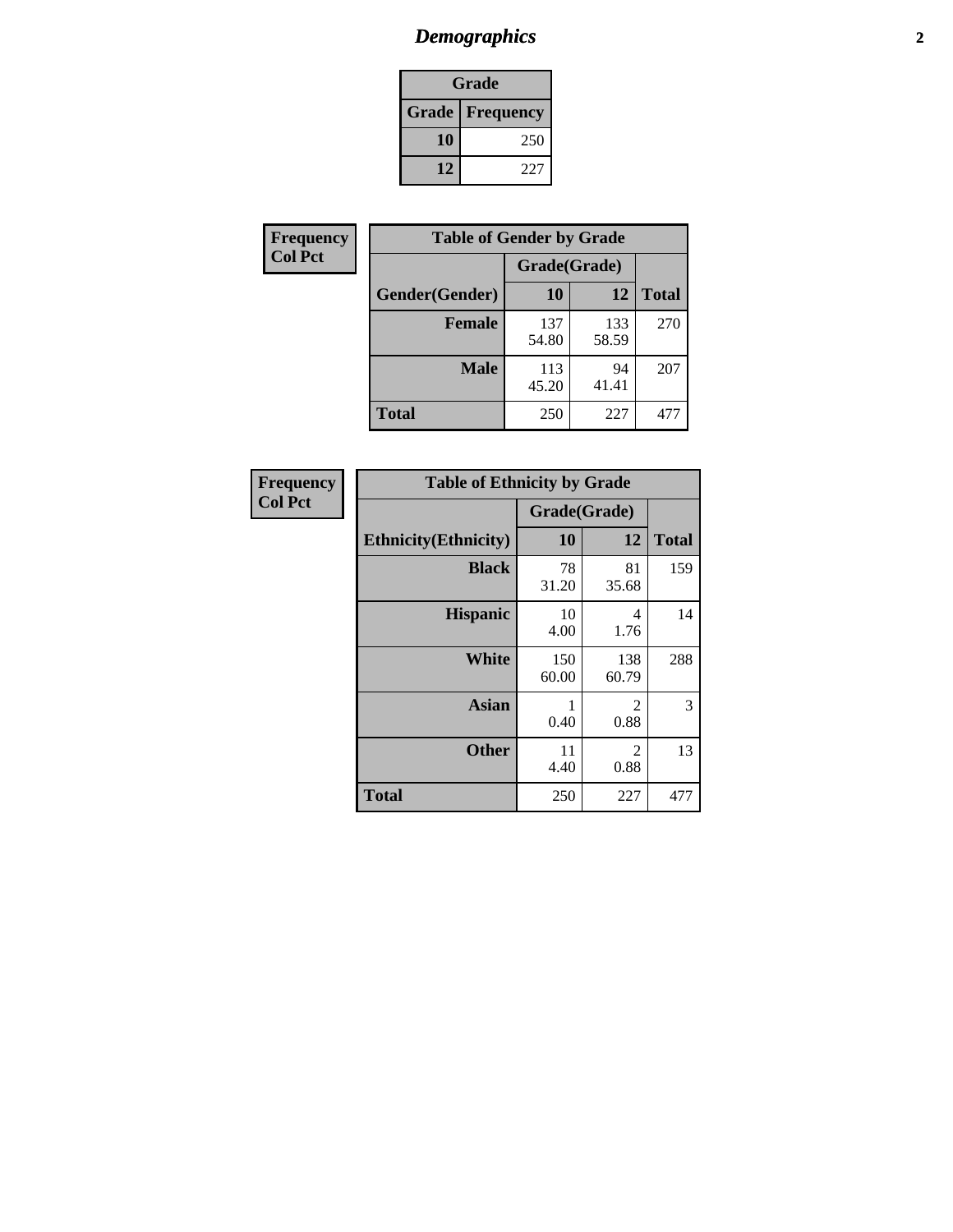# *Demographics* **2**

| Grade                    |     |  |  |  |
|--------------------------|-----|--|--|--|
| <b>Grade   Frequency</b> |     |  |  |  |
| 10                       | 250 |  |  |  |
| 12                       | 227 |  |  |  |

| Frequency      | <b>Table of Gender by Grade</b> |              |              |              |  |  |
|----------------|---------------------------------|--------------|--------------|--------------|--|--|
| <b>Col Pct</b> |                                 | Grade(Grade) |              |              |  |  |
|                | Gender(Gender)                  | 10           | 12           | <b>Total</b> |  |  |
|                | <b>Female</b>                   | 137<br>54.80 | 133<br>58.59 | 270          |  |  |
|                | <b>Male</b>                     | 113<br>45.20 | 94<br>41.41  | 207          |  |  |
|                | <b>Total</b>                    | 250          | 227          | 477          |  |  |

| <b>Frequency</b><br>Col Pct |
|-----------------------------|

| <b>Table of Ethnicity by Grade</b> |              |              |              |  |  |  |
|------------------------------------|--------------|--------------|--------------|--|--|--|
|                                    | Grade(Grade) |              |              |  |  |  |
| <b>Ethnicity</b> (Ethnicity)       | 10           | 12           | <b>Total</b> |  |  |  |
| <b>Black</b>                       | 78<br>31.20  | 81<br>35.68  | 159          |  |  |  |
| <b>Hispanic</b>                    | 10<br>4.00   | 4<br>1.76    | 14           |  |  |  |
| White                              | 150<br>60.00 | 138<br>60.79 | 288          |  |  |  |
| <b>Asian</b>                       | 1<br>0.40    | 2<br>0.88    | 3            |  |  |  |
| <b>Other</b>                       | 11<br>4.40   | 2<br>0.88    | 13           |  |  |  |
| <b>Total</b>                       | 250          | 227          | 477          |  |  |  |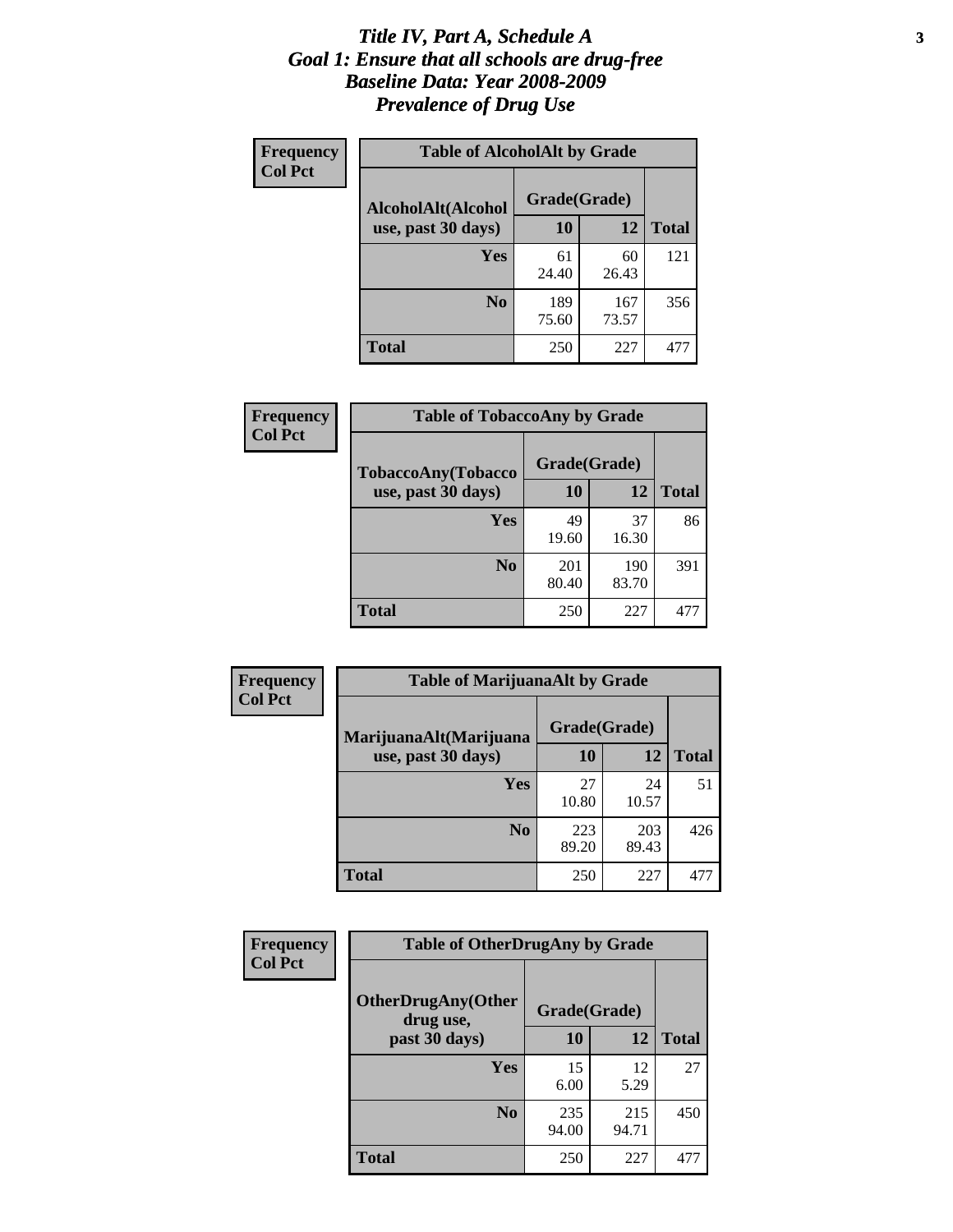#### *Title IV, Part A, Schedule A* **3** *Goal 1: Ensure that all schools are drug-free Baseline Data: Year 2008-2009 Prevalence of Drug Use*

| Frequency<br><b>Col Pct</b> | <b>Table of AlcoholAlt by Grade</b> |              |              |              |  |  |
|-----------------------------|-------------------------------------|--------------|--------------|--------------|--|--|
|                             | AlcoholAlt(Alcohol                  | Grade(Grade) |              |              |  |  |
|                             | use, past 30 days)                  | 10           | 12           | <b>Total</b> |  |  |
|                             | Yes                                 | 61<br>24.40  | 60<br>26.43  | 121          |  |  |
|                             | N <sub>0</sub>                      | 189<br>75.60 | 167<br>73.57 | 356          |  |  |
|                             | <b>Total</b>                        | 250          | 227          | 477          |  |  |

| Frequency<br><b>Col Pct</b> | <b>Table of TobaccoAny by Grade</b> |              |              |              |  |  |
|-----------------------------|-------------------------------------|--------------|--------------|--------------|--|--|
|                             | <b>TobaccoAny(Tobacco</b>           | Grade(Grade) |              |              |  |  |
|                             | use, past 30 days)                  | 10           | 12           | <b>Total</b> |  |  |
|                             | Yes                                 | 49<br>19.60  | 37<br>16.30  | 86           |  |  |
|                             | N <sub>0</sub>                      | 201<br>80.40 | 190<br>83.70 | 391          |  |  |
|                             | <b>Total</b>                        | 250          | 227          | 477          |  |  |

| Frequency<br><b>Col Pct</b> | <b>Table of MarijuanaAlt by Grade</b> |              |              |              |  |  |
|-----------------------------|---------------------------------------|--------------|--------------|--------------|--|--|
|                             | MarijuanaAlt(Marijuana                | Grade(Grade) |              |              |  |  |
|                             | use, past 30 days)                    | <b>10</b>    | 12           | <b>Total</b> |  |  |
|                             | <b>Yes</b>                            | 27<br>10.80  | 24<br>10.57  | 51           |  |  |
|                             | N <sub>0</sub>                        | 223<br>89.20 | 203<br>89.43 | 426          |  |  |
|                             | <b>Total</b>                          | 250          | 227          | 477          |  |  |

| <b>Frequency</b> | <b>Table of OtherDrugAny by Grade</b>                  |              |              |              |  |  |
|------------------|--------------------------------------------------------|--------------|--------------|--------------|--|--|
| <b>Col Pct</b>   | <b>OtherDrugAny(Other</b><br>Grade(Grade)<br>drug use, |              |              |              |  |  |
|                  | past 30 days)                                          | 10           | 12           | <b>Total</b> |  |  |
|                  | Yes                                                    | 15<br>6.00   | 12<br>5.29   | 27           |  |  |
|                  | N <sub>0</sub>                                         | 235<br>94.00 | 215<br>94.71 | 450          |  |  |
|                  | <b>Total</b>                                           | 250          | 227          | 477          |  |  |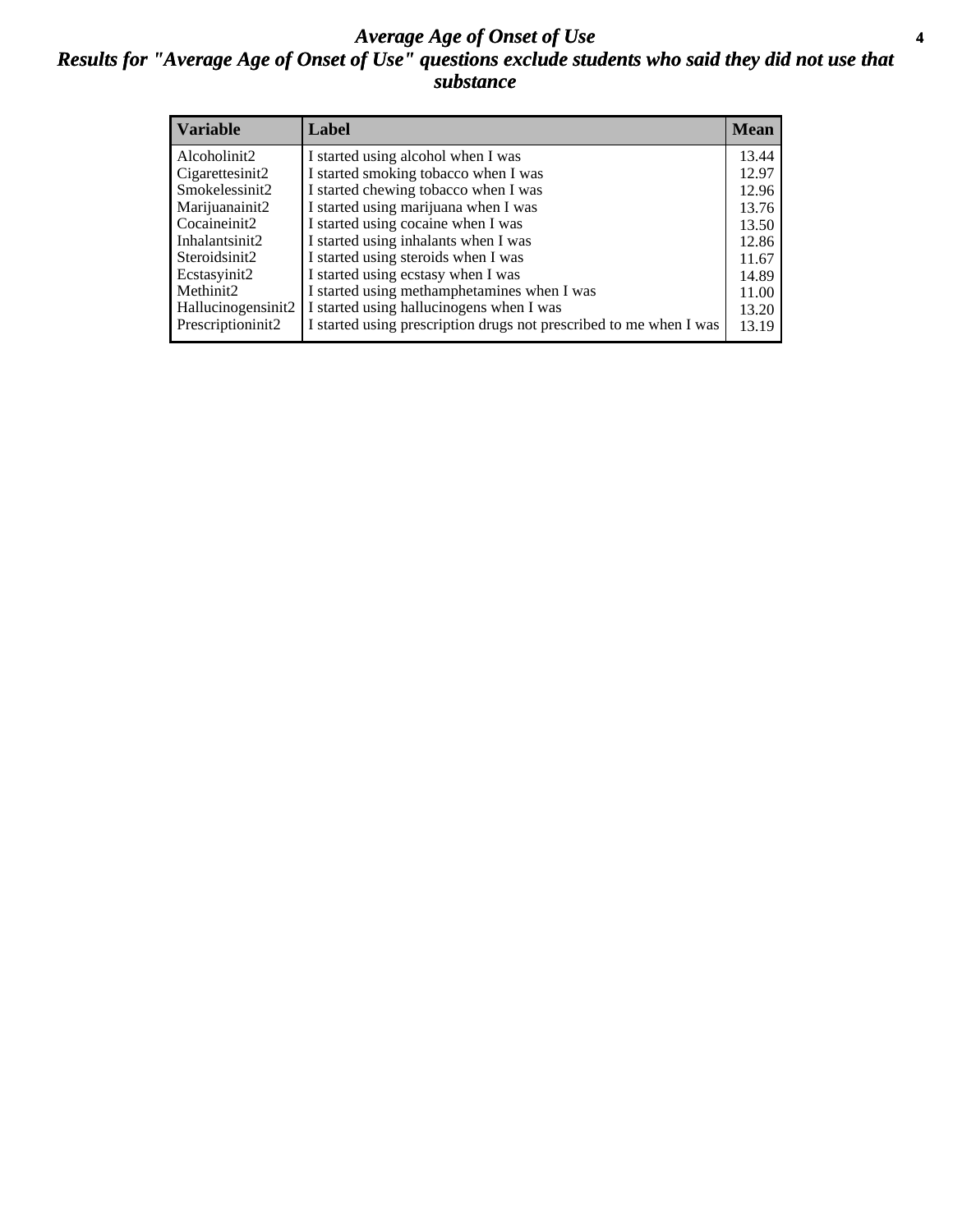#### *Average Age of Onset of Use* **4** *Results for "Average Age of Onset of Use" questions exclude students who said they did not use that substance*

| <b>Variable</b>    | Label                                                              | <b>Mean</b> |
|--------------------|--------------------------------------------------------------------|-------------|
| Alcoholinit2       | I started using alcohol when I was                                 | 13.44       |
| Cigarettesinit2    | I started smoking tobacco when I was                               | 12.97       |
| Smokelessinit2     | I started chewing tobacco when I was                               | 12.96       |
| Marijuanainit2     | I started using marijuana when I was                               | 13.76       |
| Cocaineinit2       | I started using cocaine when I was                                 | 13.50       |
| Inhalantsinit2     | I started using inhalants when I was                               | 12.86       |
| Steroidsinit2      | I started using steroids when I was                                | 11.67       |
| Ecstasyinit2       | I started using ecstasy when I was                                 | 14.89       |
| Methinit2          | I started using methamphetamines when I was                        | 11.00       |
| Hallucinogensinit2 | I started using hallucinogens when I was                           | 13.20       |
| Prescriptioninit2  | I started using prescription drugs not prescribed to me when I was | 13.19       |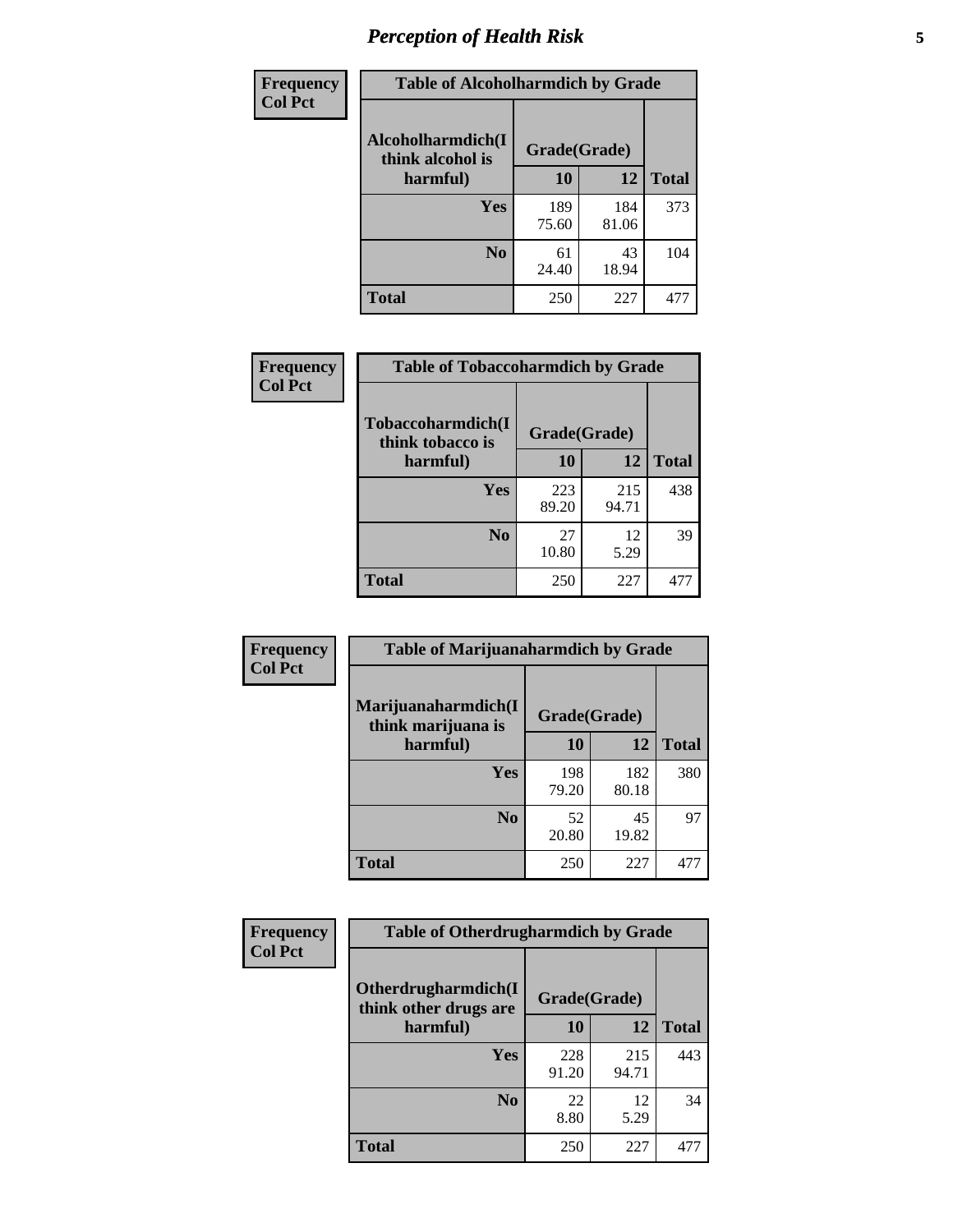# *Perception of Health Risk* **5**

| <b>Frequency</b> | <b>Table of Alcoholharmdich by Grade</b> |              |              |              |  |
|------------------|------------------------------------------|--------------|--------------|--------------|--|
| <b>Col Pct</b>   | Alcoholharmdich(I<br>think alcohol is    | Grade(Grade) |              |              |  |
|                  | harmful)                                 | 10           | 12           | <b>Total</b> |  |
|                  | <b>Yes</b>                               | 189<br>75.60 | 184<br>81.06 | 373          |  |
|                  | N <sub>0</sub>                           | 61<br>24.40  | 43<br>18.94  | 104          |  |
|                  | <b>Total</b>                             | 250          | 227          | 477          |  |

| <b>Frequency</b> | <b>Table of Tobaccoharmdich by Grade</b> |              |              |              |  |
|------------------|------------------------------------------|--------------|--------------|--------------|--|
| <b>Col Pct</b>   | Tobaccoharmdich(I<br>think tobacco is    | Grade(Grade) |              |              |  |
|                  | harmful)                                 | 10           | 12           | <b>Total</b> |  |
|                  | <b>Yes</b>                               | 223<br>89.20 | 215<br>94.71 | 438          |  |
|                  | N <sub>0</sub>                           | 27<br>10.80  | 12<br>5.29   | 39           |  |
|                  | <b>Total</b>                             | 250          | 227          | 477          |  |

| Frequency      | <b>Table of Marijuanaharmdich by Grade</b>                |              |              |              |  |  |
|----------------|-----------------------------------------------------------|--------------|--------------|--------------|--|--|
| <b>Col Pct</b> | Marijuanaharmdich(I<br>Grade(Grade)<br>think marijuana is |              |              |              |  |  |
|                | harmful)                                                  | 10           | 12           | <b>Total</b> |  |  |
|                | Yes                                                       | 198<br>79.20 | 182<br>80.18 | 380          |  |  |
|                | N <sub>0</sub>                                            | 52<br>20.80  | 45<br>19.82  | 97           |  |  |
|                | <b>Total</b>                                              | 250          | 227          | 477          |  |  |

| <b>Frequency</b> | <b>Table of Otherdrugharmdich by Grade</b>                   |              |              |              |  |  |  |  |
|------------------|--------------------------------------------------------------|--------------|--------------|--------------|--|--|--|--|
| <b>Col Pct</b>   | Otherdrugharmdich(I<br>Grade(Grade)<br>think other drugs are |              |              |              |  |  |  |  |
|                  | harmful)                                                     | 10           | 12           | <b>Total</b> |  |  |  |  |
|                  | <b>Yes</b>                                                   | 228<br>91.20 | 215<br>94.71 | 443          |  |  |  |  |
|                  | N <sub>0</sub>                                               | 22<br>8.80   | 12<br>5.29   | 34           |  |  |  |  |
|                  | <b>Total</b>                                                 | 250          | 227          | 477          |  |  |  |  |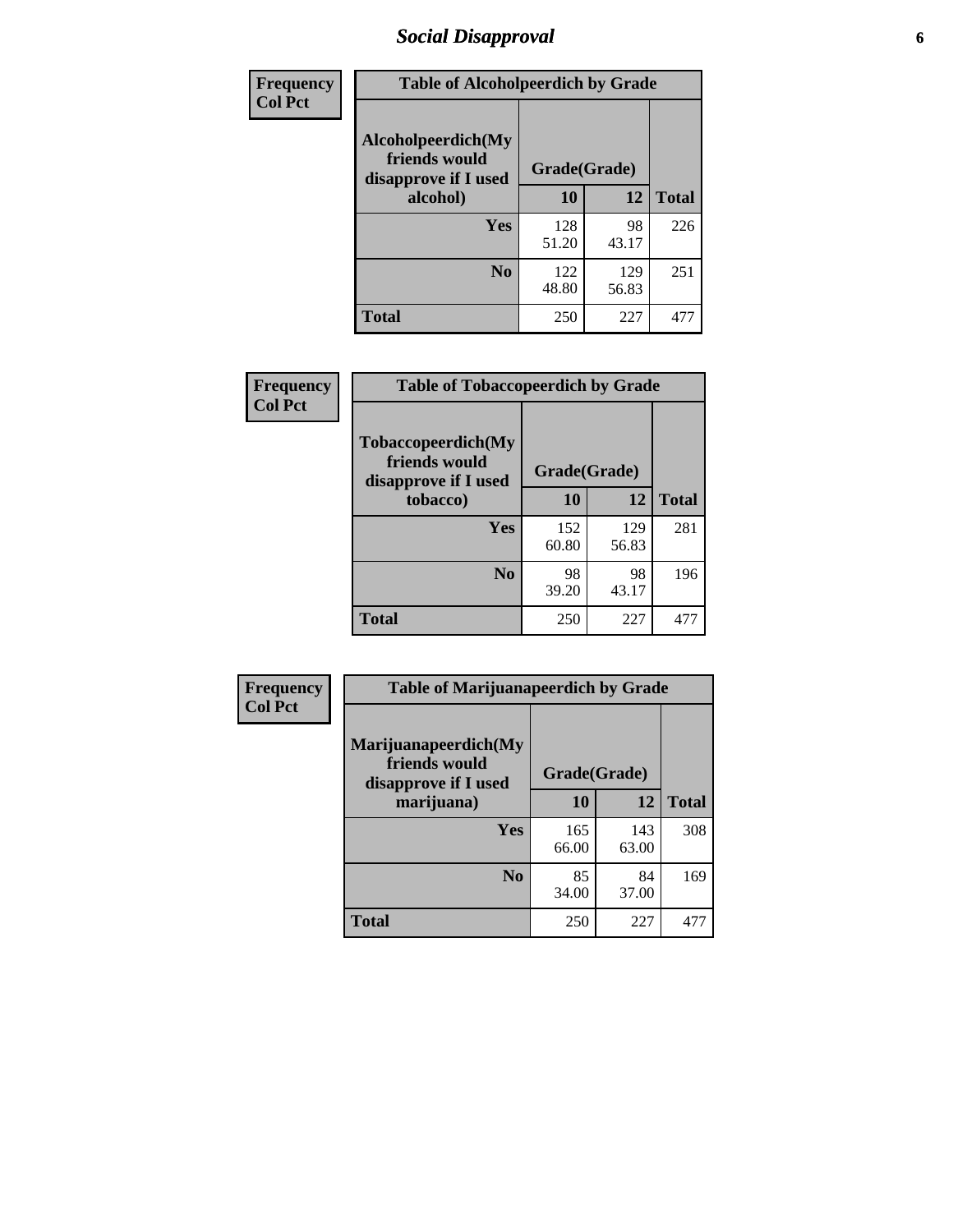# *Social Disapproval* **6**

| Frequency      | <b>Table of Alcoholpeerdich by Grade</b>                    |              |              |     |
|----------------|-------------------------------------------------------------|--------------|--------------|-----|
| <b>Col Pct</b> | Alcoholpeerdich(My<br>friends would<br>disapprove if I used | Grade(Grade) |              |     |
|                | alcohol)                                                    | 10           | <b>Total</b> |     |
|                | <b>Yes</b>                                                  | 128<br>51.20 | 98<br>43.17  | 226 |
|                | N <sub>0</sub>                                              | 122<br>48.80 | 129<br>56.83 | 251 |
|                | <b>Total</b>                                                | 250          | 227          | 477 |

| <b>Frequency</b> |
|------------------|
| <b>Col Pct</b>   |

| <b>Table of Tobaccopeerdich by Grade</b>                           |              |              |              |  |  |  |  |
|--------------------------------------------------------------------|--------------|--------------|--------------|--|--|--|--|
| <b>Tobaccopeerdich(My</b><br>friends would<br>disapprove if I used | Grade(Grade) |              |              |  |  |  |  |
| tobacco)                                                           | 10           | 12           | <b>Total</b> |  |  |  |  |
| Yes                                                                | 152<br>60.80 | 129<br>56.83 | 281          |  |  |  |  |
| N <sub>0</sub>                                                     | 98<br>39.20  | 98<br>43.17  | 196          |  |  |  |  |
| <b>Total</b>                                                       | 250          | 227          |              |  |  |  |  |

| Frequency      | <b>Table of Marijuanapeerdich by Grade</b>                    |              |              |              |  |  |  |  |
|----------------|---------------------------------------------------------------|--------------|--------------|--------------|--|--|--|--|
| <b>Col Pct</b> | Marijuanapeerdich(My<br>friends would<br>disapprove if I used | Grade(Grade) |              |              |  |  |  |  |
|                | marijuana)                                                    | 10           | 12           | <b>Total</b> |  |  |  |  |
|                | <b>Yes</b>                                                    | 165<br>66.00 | 143<br>63.00 | 308          |  |  |  |  |
|                | N <sub>0</sub>                                                | 85<br>34.00  | 84<br>37.00  | 169          |  |  |  |  |
|                | <b>Total</b>                                                  | 250          | 227          | 477          |  |  |  |  |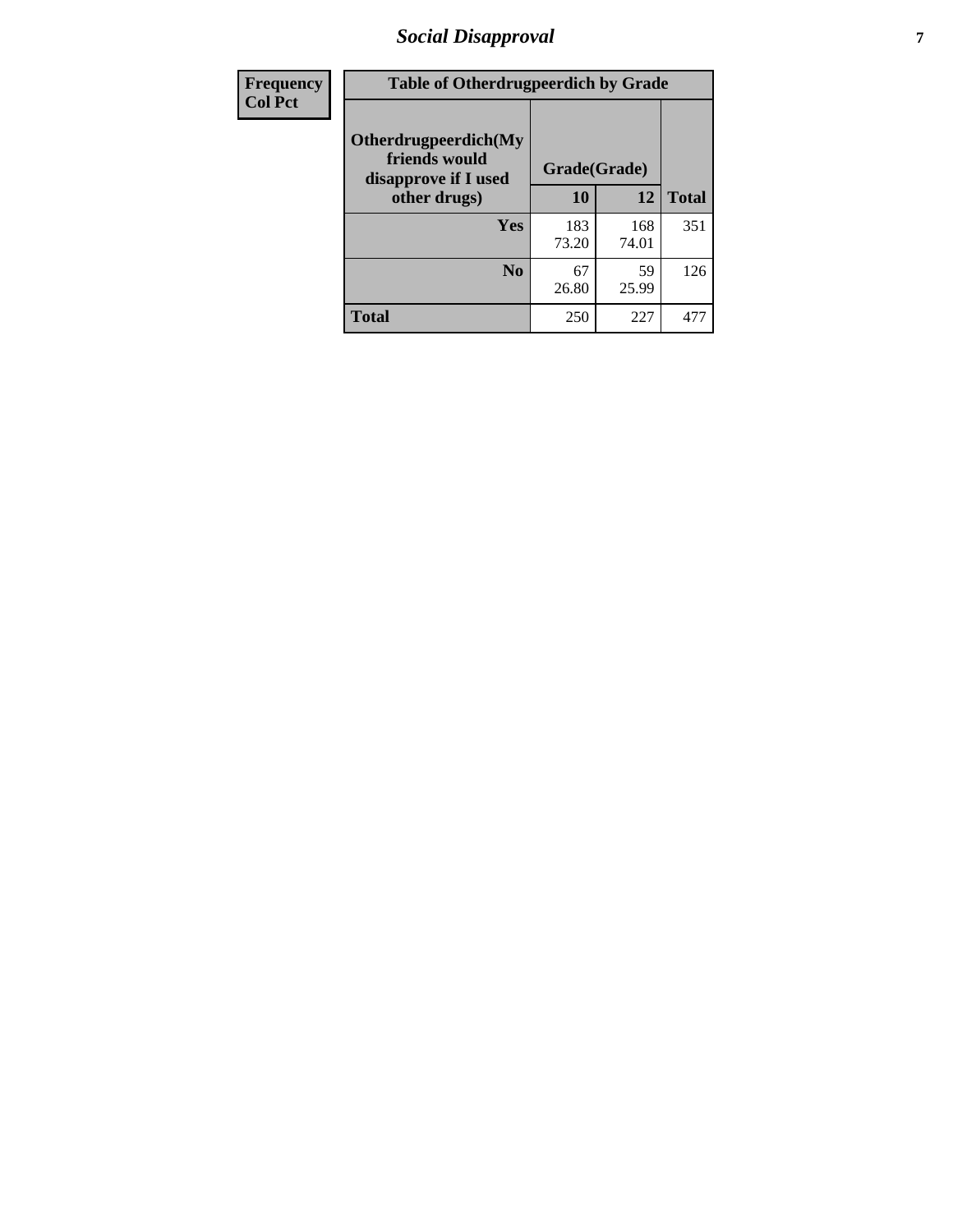# *Social Disapproval* **7**

| Frequency      | <b>Table of Otherdrugpeerdich by Grade</b>                    |              |              |              |  |  |  |  |
|----------------|---------------------------------------------------------------|--------------|--------------|--------------|--|--|--|--|
| <b>Col Pct</b> | Otherdrugpeerdich(My<br>friends would<br>disapprove if I used |              | Grade(Grade) |              |  |  |  |  |
|                | other drugs)                                                  | 10           | 12           | <b>Total</b> |  |  |  |  |
|                | Yes                                                           | 183<br>73.20 | 168<br>74.01 | 351          |  |  |  |  |
|                | N <sub>0</sub>                                                | 67<br>26.80  | 59<br>25.99  | 126          |  |  |  |  |
|                | <b>Total</b>                                                  | 250          | 227          | 477          |  |  |  |  |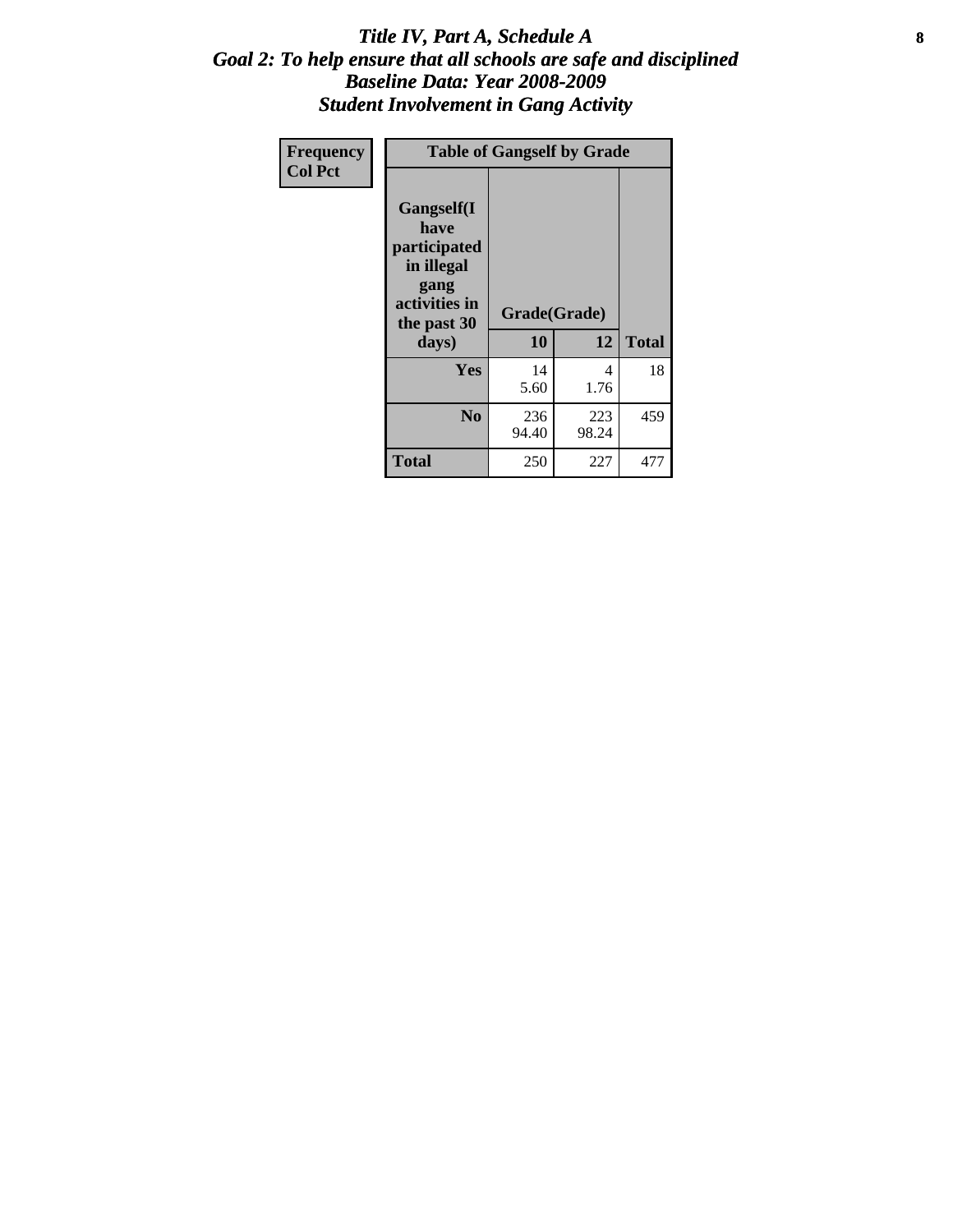#### Title IV, Part A, Schedule A **8** *Goal 2: To help ensure that all schools are safe and disciplined Baseline Data: Year 2008-2009 Student Involvement in Gang Activity*

| Frequency      |                                                                                                   | <b>Table of Gangself by Grade</b> |              |              |
|----------------|---------------------------------------------------------------------------------------------------|-----------------------------------|--------------|--------------|
| <b>Col Pct</b> | Gangself(I<br>have<br>participated<br>in illegal<br>gang<br>activities in<br>the past 30<br>days) | Grade(Grade)<br>10                | 12           | <b>Total</b> |
|                | Yes                                                                                               | 14<br>5.60                        | 4<br>1.76    | 18           |
|                | N <sub>0</sub>                                                                                    | 236<br>94.40                      | 223<br>98.24 | 459          |
|                | <b>Total</b>                                                                                      | 250                               | 227          | 477          |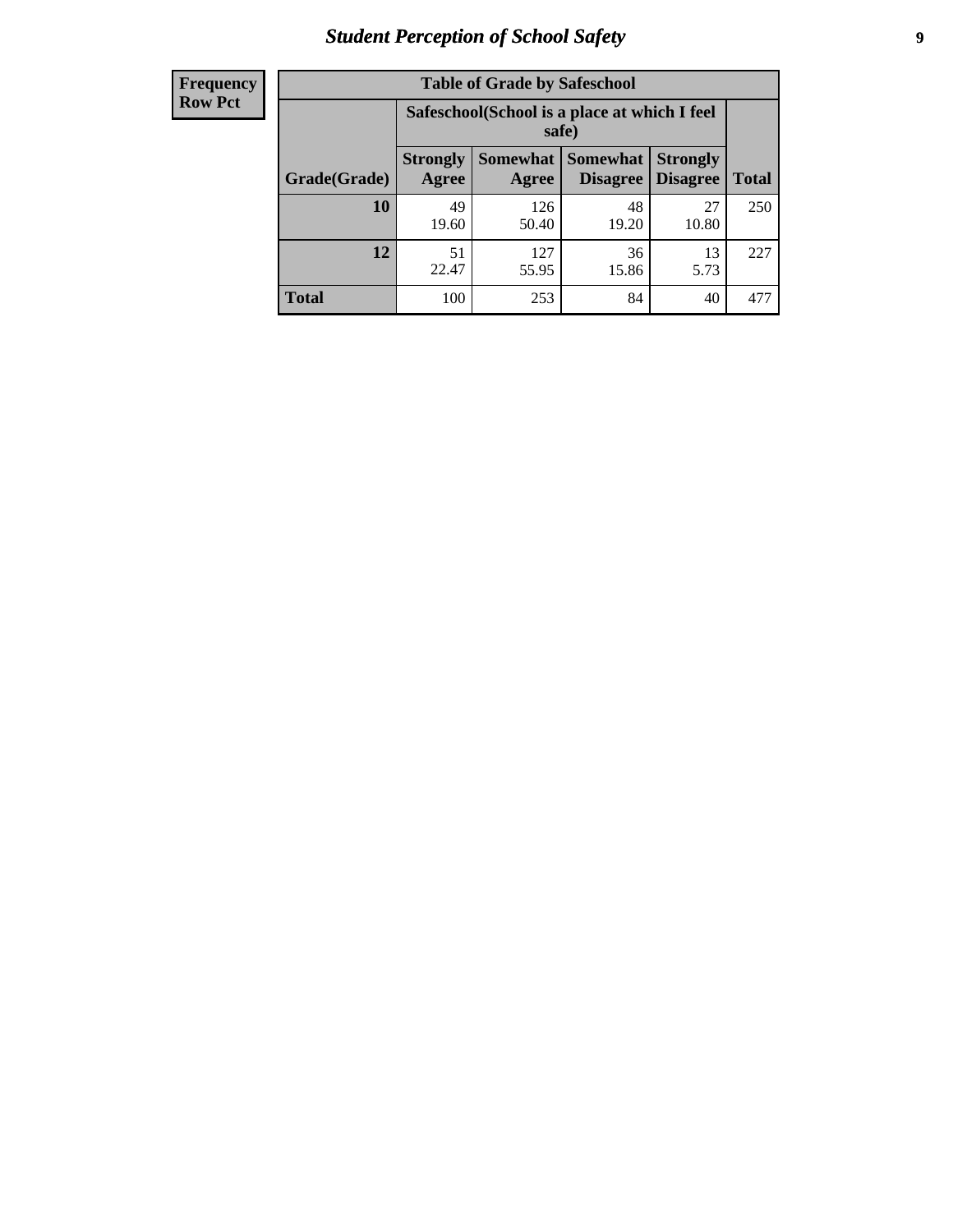# *Student Perception of School Safety* **9**

| <b>Frequency</b><br>Row Pct |
|-----------------------------|
|                             |

| <b>Table of Grade by Safeschool</b> |                          |                                                        |                      |                                    |              |  |  |
|-------------------------------------|--------------------------|--------------------------------------------------------|----------------------|------------------------------------|--------------|--|--|
|                                     |                          | Safeschool (School is a place at which I feel<br>safe) |                      |                                    |              |  |  |
| Grade(Grade)                        | <b>Strongly</b><br>Agree | Somewhat  <br>Agree                                    | Somewhat<br>Disagree | <b>Strongly</b><br><b>Disagree</b> | <b>Total</b> |  |  |
| 10                                  | 49<br>19.60              | 126<br>50.40                                           | 48<br>19.20          | 27<br>10.80                        | 250          |  |  |
| 12                                  | 51<br>22.47              | 127<br>55.95                                           | 36<br>15.86          | 13<br>5.73                         | 227          |  |  |
| <b>Total</b>                        | 100                      | 253                                                    | 84                   | 40                                 | 477          |  |  |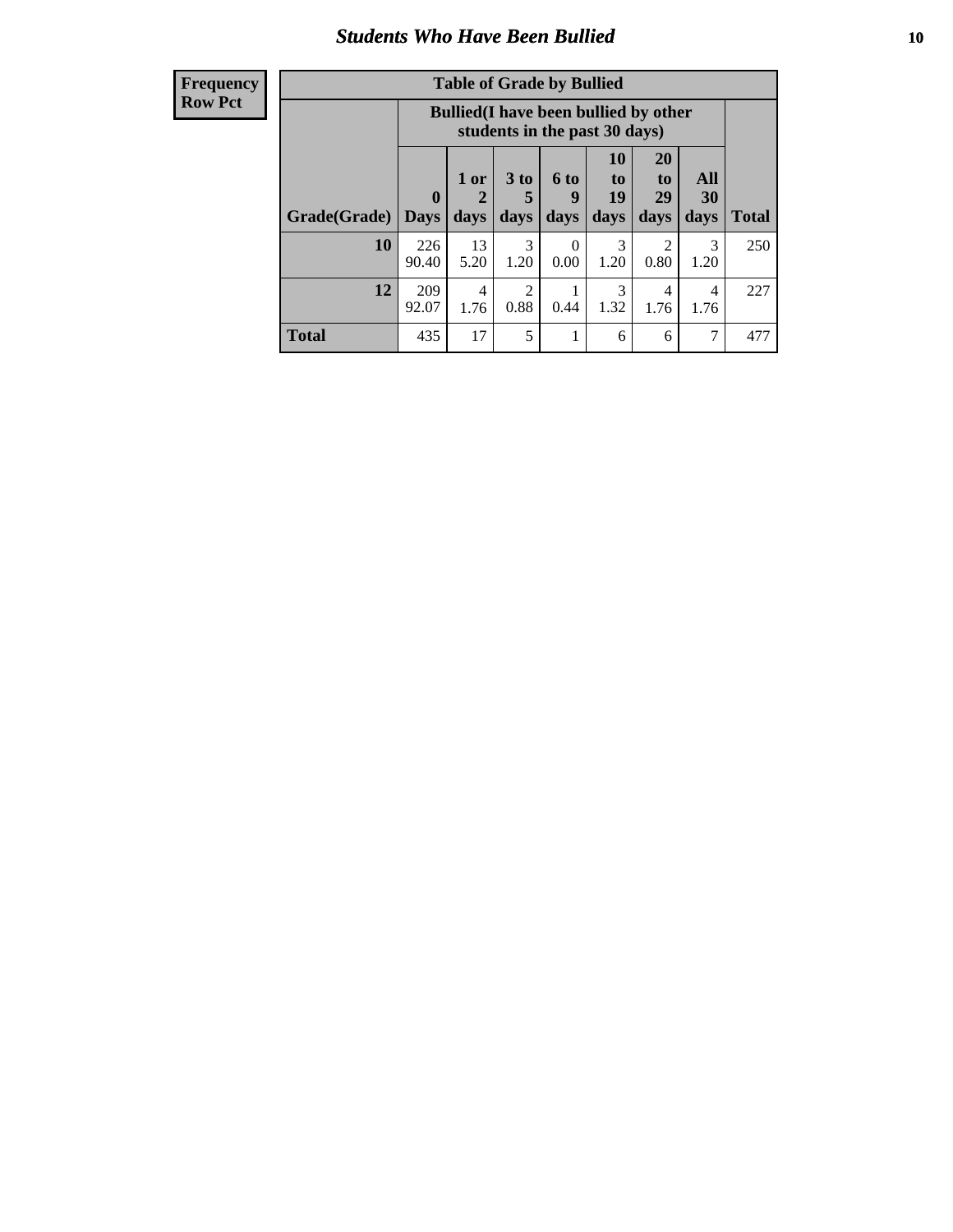#### *Students Who Have Been Bullied* **10**

| <b>Frequency</b> |
|------------------|
| Row Pct          |

| <b>Table of Grade by Bullied</b> |                             |                                                                               |                              |                   |                        |                               |                   |              |
|----------------------------------|-----------------------------|-------------------------------------------------------------------------------|------------------------------|-------------------|------------------------|-------------------------------|-------------------|--------------|
|                                  |                             | <b>Bullied</b> (I have been bullied by other<br>students in the past 30 days) |                              |                   |                        |                               |                   |              |
| Grade(Grade)                     | $\mathbf{0}$<br><b>Days</b> | 1 or<br>2<br>days                                                             | 3 <sub>to</sub><br>5<br>days | 6 to<br>9<br>days | 10<br>to<br>19<br>days | <b>20</b><br>to<br>29<br>days | All<br>30<br>days | <b>Total</b> |
| 10                               | 226<br>90.40                | 13<br>5.20                                                                    | 3<br>1.20                    | $\Omega$<br>0.00  | 3<br>1.20              | 2<br>0.80                     | 3<br>1.20         | 250          |
| 12                               | 209<br>92.07                | 4<br>1.76                                                                     | $\mathfrak{D}$<br>0.88       | 0.44              | 3<br>1.32              | 4<br>1.76                     | 4<br>1.76         | 227          |
| <b>Total</b>                     | 435                         | 17                                                                            | 5                            |                   | 6                      | 6                             | 7                 | 477          |

 $\blacksquare$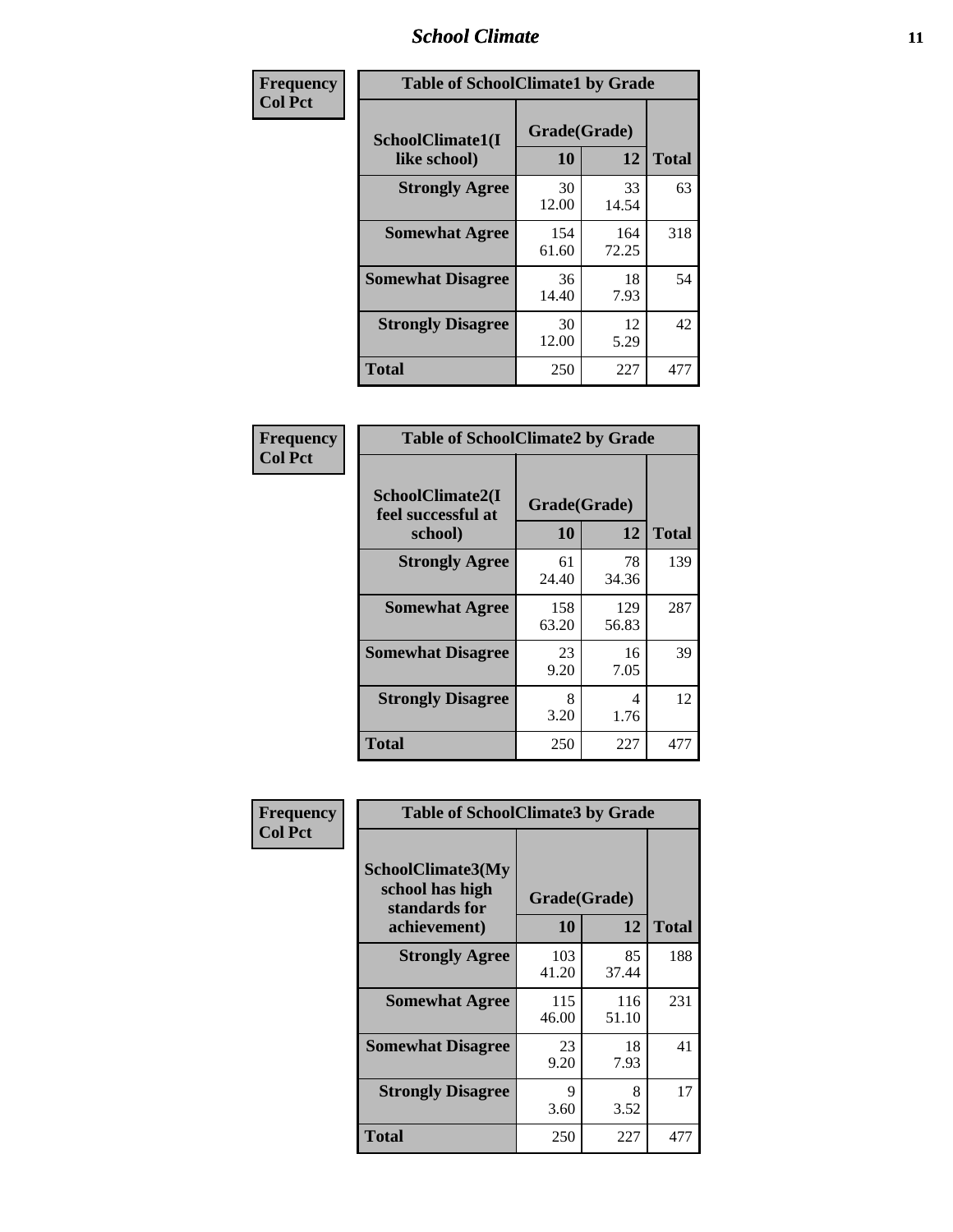### *School Climate* **11**

| Frequency      | <b>Table of SchoolClimate1 by Grade</b> |                    |              |              |  |  |  |
|----------------|-----------------------------------------|--------------------|--------------|--------------|--|--|--|
| <b>Col Pct</b> | SchoolClimate1(I<br>like school)        | Grade(Grade)<br>10 | 12           | <b>Total</b> |  |  |  |
|                | <b>Strongly Agree</b>                   | 30<br>12.00        | 33<br>14.54  | 63           |  |  |  |
|                | <b>Somewhat Agree</b>                   | 154<br>61.60       | 164<br>72.25 | 318          |  |  |  |
|                | <b>Somewhat Disagree</b>                | 36<br>14.40        | 18<br>7.93   | 54           |  |  |  |
|                | <b>Strongly Disagree</b>                | 30<br>12.00        | 12<br>5.29   | 42           |  |  |  |
|                | <b>Total</b>                            | 250                | 227          | 477          |  |  |  |

| <b>Frequency</b> |  |
|------------------|--|
| <b>Col Pct</b>   |  |

| <b>Table of SchoolClimate2 by Grade</b>           |              |                    |              |  |
|---------------------------------------------------|--------------|--------------------|--------------|--|
| SchoolClimate2(I<br>feel successful at<br>school) | 10           | Grade(Grade)<br>12 | <b>Total</b> |  |
| <b>Strongly Agree</b>                             | 61<br>24.40  | 78<br>34.36        | 139          |  |
| <b>Somewhat Agree</b>                             | 158<br>63.20 | 129<br>56.83       | 287          |  |
| <b>Somewhat Disagree</b>                          | 23<br>9.20   | 16<br>7.05         | 39           |  |
| <b>Strongly Disagree</b>                          | 8<br>3.20    | 4<br>1.76          | 12           |  |
| <b>Total</b>                                      | 250          | 227                | 477          |  |

| Frequency      | <b>Table of SchoolClimate3 by Grade</b>                      |              |              |              |
|----------------|--------------------------------------------------------------|--------------|--------------|--------------|
| <b>Col Pct</b> | <b>SchoolClimate3(My</b><br>school has high<br>standards for | Grade(Grade) |              |              |
|                | achievement)                                                 | 10           | 12           | <b>Total</b> |
|                | <b>Strongly Agree</b>                                        | 103<br>41.20 | 85<br>37.44  | 188          |
|                | <b>Somewhat Agree</b>                                        | 115<br>46.00 | 116<br>51.10 | 231          |
|                | <b>Somewhat Disagree</b>                                     | 23<br>9.20   | 18<br>7.93   | 41           |
|                | <b>Strongly Disagree</b>                                     | 9<br>3.60    | 8<br>3.52    | 17           |
|                | Total                                                        | 250          | 227          | 477          |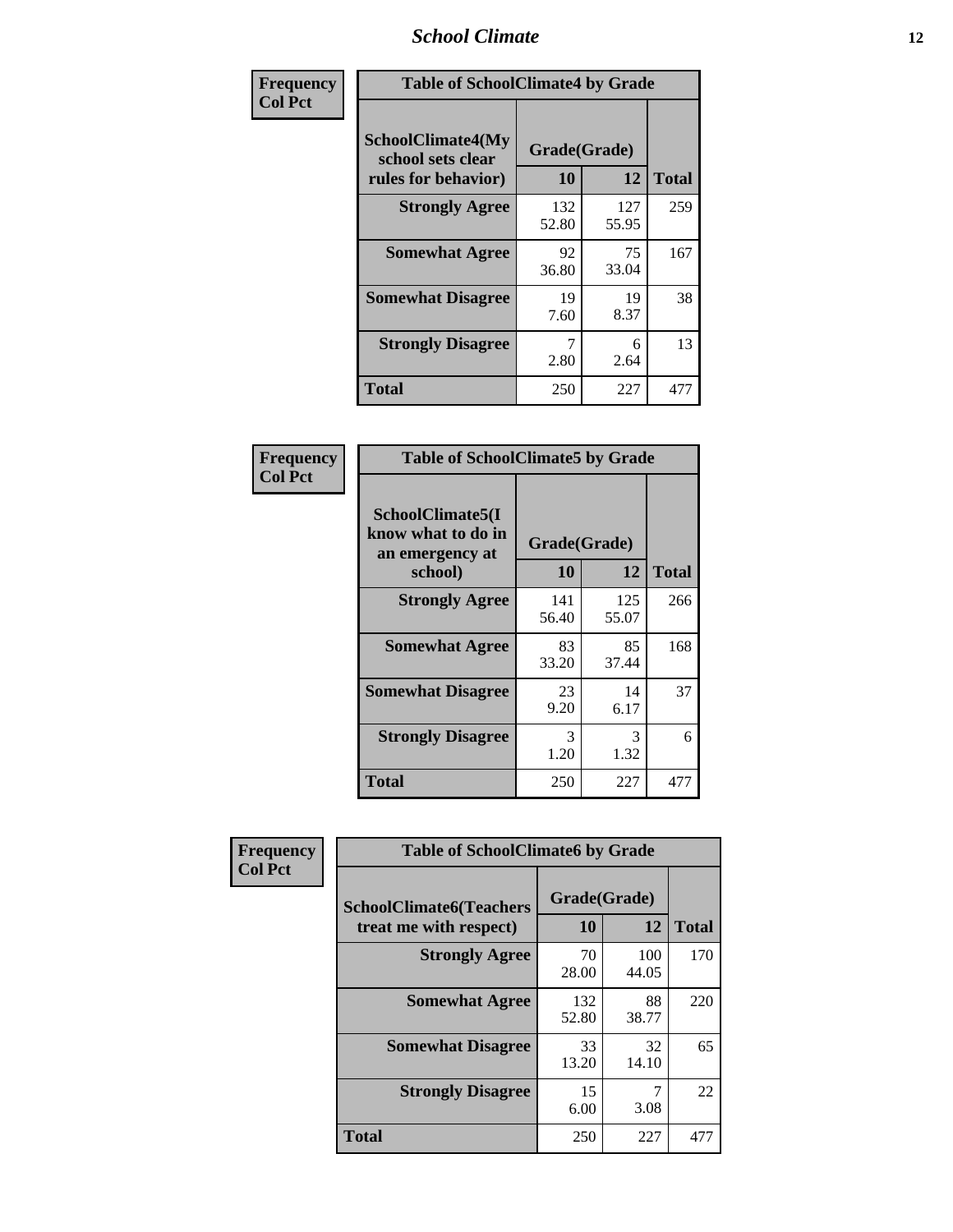### *School Climate* **12**

| Frequency      | <b>Table of SchoolClimate4 by Grade</b>                       |                    |              |              |
|----------------|---------------------------------------------------------------|--------------------|--------------|--------------|
| <b>Col Pct</b> | SchoolClimate4(My<br>school sets clear<br>rules for behavior) | Grade(Grade)<br>10 | 12           | <b>Total</b> |
|                | <b>Strongly Agree</b>                                         | 132<br>52.80       | 127<br>55.95 | 259          |
|                | <b>Somewhat Agree</b>                                         | 92<br>36.80        | 75<br>33.04  | 167          |
|                | <b>Somewhat Disagree</b>                                      | 19<br>7.60         | 19<br>8.37   | 38           |
|                | <b>Strongly Disagree</b>                                      | 7<br>2.80          | 6<br>2.64    | 13           |
|                | Total                                                         | 250                | 227          | 477          |

| <b>Table of SchoolClimate5 by Grade</b>                   |              |              |              |  |
|-----------------------------------------------------------|--------------|--------------|--------------|--|
| SchoolClimate5(I<br>know what to do in<br>an emergency at |              |              |              |  |
| school)                                                   | 10           | 12           | <b>Total</b> |  |
| <b>Strongly Agree</b>                                     | 141<br>56.40 | 125<br>55.07 | 266          |  |
| <b>Somewhat Agree</b>                                     | 83<br>33.20  | 85<br>37.44  | 168          |  |
| <b>Somewhat Disagree</b>                                  | 23<br>9.20   | 14<br>6.17   | 37           |  |
| <b>Strongly Disagree</b>                                  | 3<br>1.20    | 3<br>1.32    | 6            |  |
| <b>Total</b>                                              | 250          | 227          | 477          |  |

| Frequency      | <b>Table of SchoolClimate6 by Grade</b>                  |                    |              |              |  |
|----------------|----------------------------------------------------------|--------------------|--------------|--------------|--|
| <b>Col Pct</b> | <b>SchoolClimate6(Teachers</b><br>treat me with respect) | Grade(Grade)<br>10 | 12           | <b>Total</b> |  |
|                | <b>Strongly Agree</b>                                    | 70<br>28.00        | 100<br>44.05 | 170          |  |
|                | <b>Somewhat Agree</b>                                    | 132<br>52.80       | 88<br>38.77  | 220          |  |
|                | <b>Somewhat Disagree</b>                                 | 33<br>13.20        | 32<br>14.10  | 65           |  |
|                | <b>Strongly Disagree</b>                                 | 15<br>6.00         | 3.08         | 22           |  |
|                | <b>Total</b>                                             | 250                | 227          | 477          |  |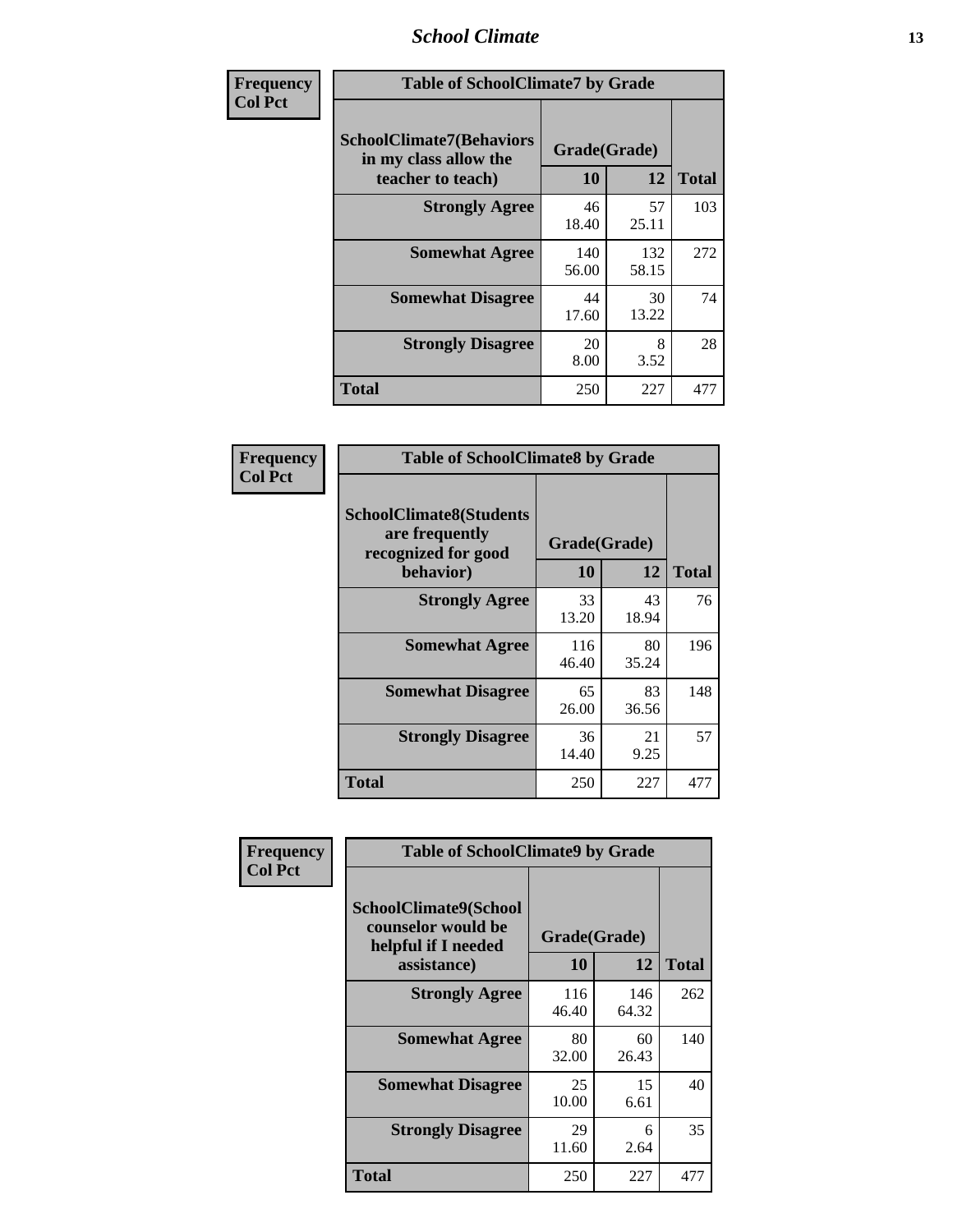### *School Climate* **13**

| Frequency      | <b>Table of SchoolClimate7 by Grade</b>                                       |                           |              |              |  |
|----------------|-------------------------------------------------------------------------------|---------------------------|--------------|--------------|--|
| <b>Col Pct</b> | <b>SchoolClimate7(Behaviors</b><br>in my class allow the<br>teacher to teach) | Grade(Grade)<br><b>10</b> | 12           | <b>Total</b> |  |
|                | <b>Strongly Agree</b>                                                         | 46<br>18.40               | 57<br>25.11  | 103          |  |
|                | <b>Somewhat Agree</b>                                                         | 140<br>56.00              | 132<br>58.15 | 272          |  |
|                | <b>Somewhat Disagree</b>                                                      | 44<br>17.60               | 30<br>13.22  | 74           |  |
|                | <b>Strongly Disagree</b>                                                      | 20<br>8.00                | 8<br>3.52    | 28           |  |
|                | <b>Total</b>                                                                  | 250                       | 227          | 477          |  |

| Frequency      | <b>Table of SchoolClimate8 by Grade</b>                                 |                    |             |              |  |
|----------------|-------------------------------------------------------------------------|--------------------|-------------|--------------|--|
| <b>Col Pct</b> | <b>SchoolClimate8(Students</b><br>are frequently<br>recognized for good | Grade(Grade)<br>10 | 12          |              |  |
|                | behavior)                                                               |                    |             | <b>Total</b> |  |
|                | <b>Strongly Agree</b>                                                   | 33<br>13.20        | 43<br>18.94 | 76           |  |
|                | <b>Somewhat Agree</b>                                                   | 116<br>46.40       | 80<br>35.24 | 196          |  |
|                | <b>Somewhat Disagree</b>                                                | 65<br>26.00        | 83<br>36.56 | 148          |  |
|                | <b>Strongly Disagree</b>                                                | 36<br>14.40        | 21<br>9.25  | 57           |  |
|                | <b>Total</b>                                                            | 250                | 227         | 477          |  |

| Frequency      | <b>Table of SchoolClimate9 by Grade</b>                                           |                    |              |              |  |
|----------------|-----------------------------------------------------------------------------------|--------------------|--------------|--------------|--|
| <b>Col Pct</b> | SchoolClimate9(School<br>counselor would be<br>helpful if I needed<br>assistance) | Grade(Grade)<br>10 | 12           | <b>Total</b> |  |
|                | <b>Strongly Agree</b>                                                             | 116<br>46.40       | 146<br>64.32 | 262          |  |
|                | <b>Somewhat Agree</b>                                                             | 80<br>32.00        | 60<br>26.43  | 140          |  |
|                | <b>Somewhat Disagree</b>                                                          | 25<br>10.00        | 15<br>6.61   | 40           |  |
|                | <b>Strongly Disagree</b>                                                          | 29<br>11.60        | 6<br>2.64    | 35           |  |
|                | Total                                                                             | 250                | 227          | 477          |  |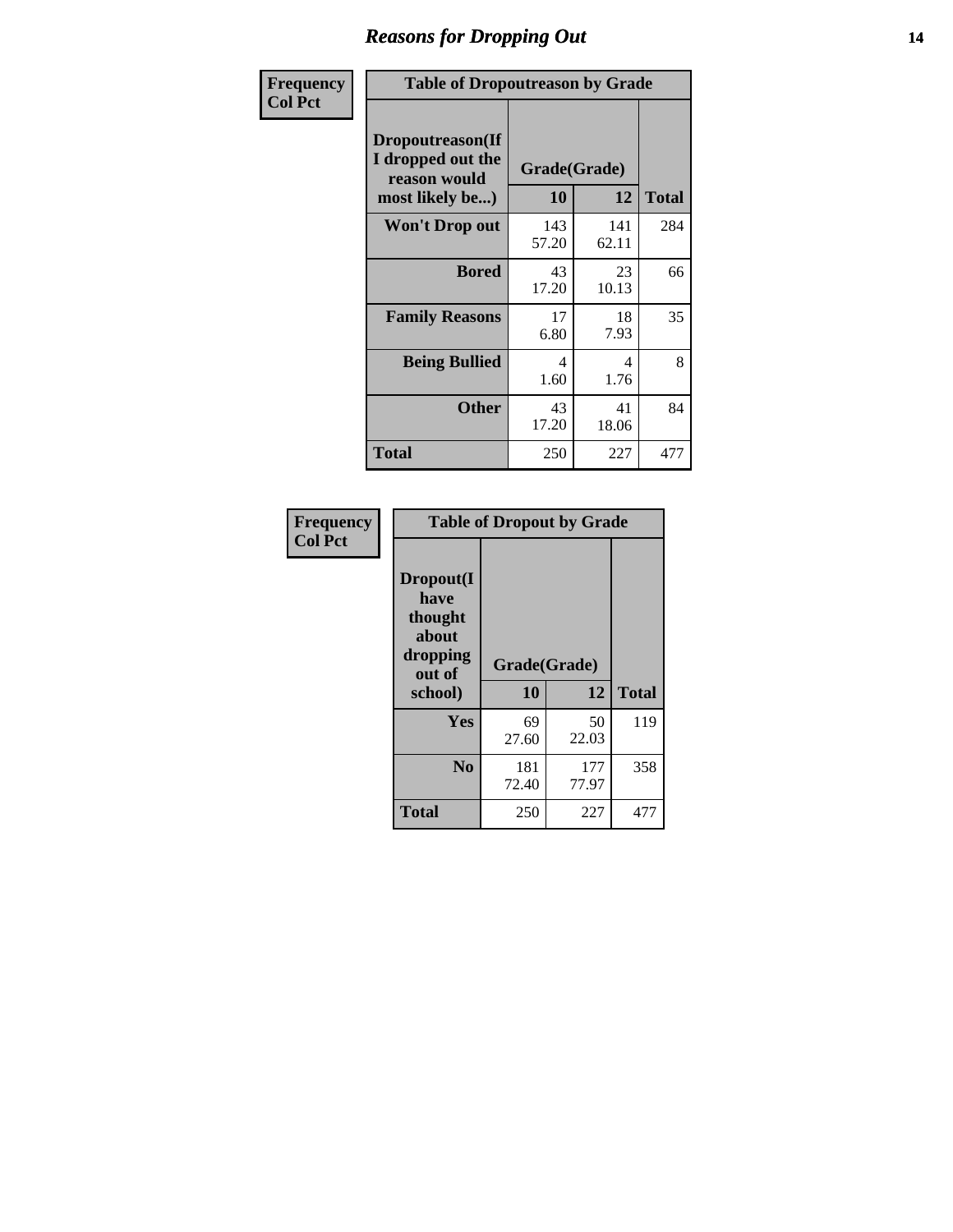### *Reasons for Dropping Out* **14**

| Frequency<br><b>Col Pct</b> | <b>Table of Dropoutreason by Grade</b>                                   |                    |              |              |
|-----------------------------|--------------------------------------------------------------------------|--------------------|--------------|--------------|
|                             | Dropoutreason(If<br>I dropped out the<br>reason would<br>most likely be) | Grade(Grade)<br>10 | 12           | <b>Total</b> |
|                             | <b>Won't Drop out</b>                                                    | 143<br>57.20       | 141<br>62.11 | 284          |
|                             | <b>Bored</b>                                                             | 43<br>17.20        | 23<br>10.13  | 66           |
|                             | <b>Family Reasons</b>                                                    | 17<br>6.80         | 18<br>7.93   | 35           |
|                             | <b>Being Bullied</b>                                                     | 4<br>1.60          | 4<br>1.76    | 8            |
|                             | <b>Other</b>                                                             | 43<br>17.20        | 41<br>18.06  | 84           |
|                             | Total                                                                    | 250                | 227          | 477          |

| Frequency      | <b>Table of Dropout by Grade</b>                            |              |              |              |  |  |
|----------------|-------------------------------------------------------------|--------------|--------------|--------------|--|--|
| <b>Col Pct</b> | Dropout(I<br>have<br>thought<br>about<br>dropping<br>out of | Grade(Grade) |              |              |  |  |
|                | school)                                                     | 10           | 12           | <b>Total</b> |  |  |
|                | Yes                                                         | 69<br>27.60  | 50<br>22.03  | 119          |  |  |
|                | N <sub>0</sub>                                              | 181<br>72.40 | 177<br>77.97 | 358          |  |  |
|                | <b>Total</b>                                                | 250          | 227          | 477          |  |  |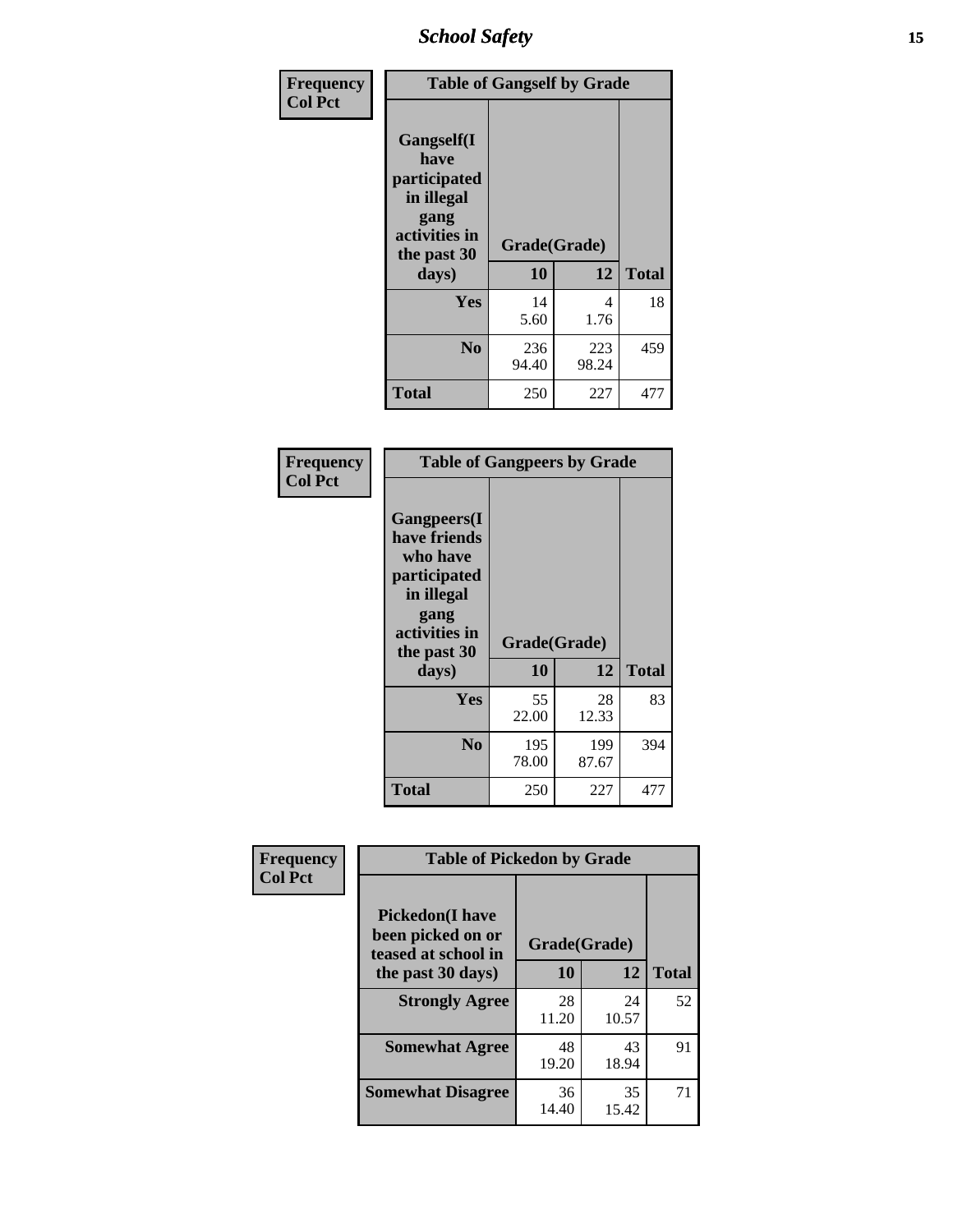*School Safety* **15**

| Frequency      | <b>Table of Gangself by Grade</b>                                                                 |                    |              |              |
|----------------|---------------------------------------------------------------------------------------------------|--------------------|--------------|--------------|
| <b>Col Pct</b> | Gangself(I<br>have<br>participated<br>in illegal<br>gang<br>activities in<br>the past 30<br>days) | Grade(Grade)<br>10 | 12           | <b>Total</b> |
|                | Yes                                                                                               | 14<br>5.60         | 4<br>1.76    | 18           |
|                | N <sub>0</sub>                                                                                    | 236<br>94.40       | 223<br>98.24 | 459          |
|                | <b>Total</b>                                                                                      | 250                | 227          | 477          |

| Frequency<br><b>Col Pct</b> | <b>Table of Gangpeers by Grade</b>                                                                                     |                    |              |              |  |  |  |  |  |  |
|-----------------------------|------------------------------------------------------------------------------------------------------------------------|--------------------|--------------|--------------|--|--|--|--|--|--|
|                             | Gangpeers(I<br>have friends<br>who have<br>participated<br>in illegal<br>gang<br>activities in<br>the past 30<br>days) | Grade(Grade)<br>10 | 12           | <b>Total</b> |  |  |  |  |  |  |
|                             | Yes                                                                                                                    | 55<br>22.00        | 28<br>12.33  | 83           |  |  |  |  |  |  |
|                             | N <sub>0</sub>                                                                                                         | 195<br>78.00       | 199<br>87.67 | 394          |  |  |  |  |  |  |
|                             | Total                                                                                                                  | 250                | 227          | 477          |  |  |  |  |  |  |

| Frequency      | <b>Table of Pickedon by Grade</b>                                                       |             |             |              |  |  |  |  |  |
|----------------|-----------------------------------------------------------------------------------------|-------------|-------------|--------------|--|--|--|--|--|
| <b>Col Pct</b> | <b>Pickedon(I have</b><br>been picked on or<br>teased at school in<br>the past 30 days) |             |             |              |  |  |  |  |  |
|                |                                                                                         |             | 12          | <b>Total</b> |  |  |  |  |  |
|                | <b>Strongly Agree</b>                                                                   | 28<br>11.20 | 24<br>10.57 | 52           |  |  |  |  |  |
|                | <b>Somewhat Agree</b>                                                                   | 48<br>19.20 | 43<br>18.94 | 91           |  |  |  |  |  |
|                | <b>Somewhat Disagree</b>                                                                | 36<br>14.40 | 35<br>15.42 | 71           |  |  |  |  |  |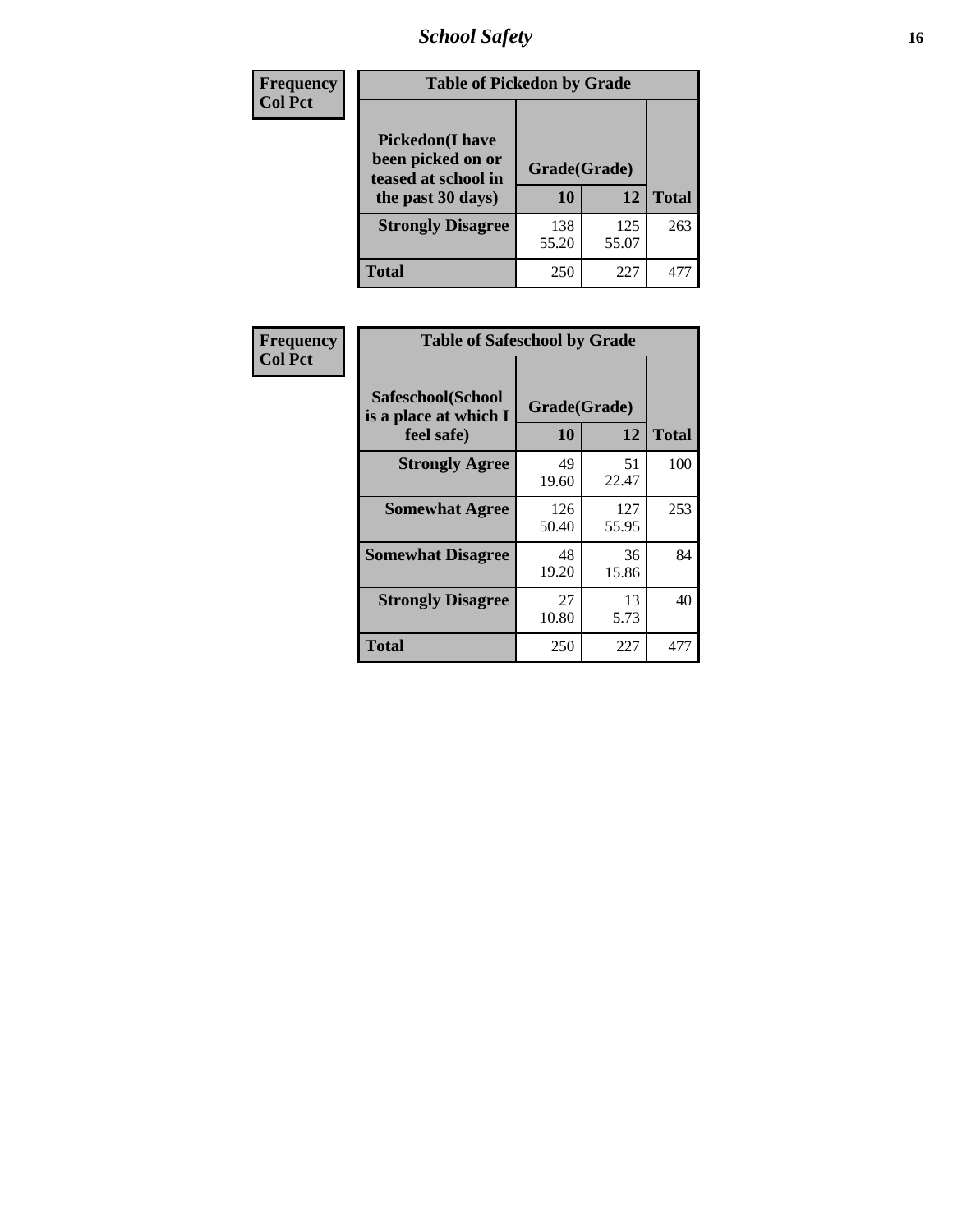# *School Safety* **16**

| Frequency      | <b>Table of Pickedon by Grade</b>                                                                                   |                    |              |              |  |  |  |  |  |
|----------------|---------------------------------------------------------------------------------------------------------------------|--------------------|--------------|--------------|--|--|--|--|--|
| <b>Col Pct</b> | <b>Pickedon(I have</b><br>been picked on or<br>teased at school in<br>the past 30 days)<br><b>Strongly Disagree</b> | Grade(Grade)<br>10 | 12           | <b>Total</b> |  |  |  |  |  |
|                |                                                                                                                     | 138<br>55.20       | 125<br>55.07 | 263          |  |  |  |  |  |
|                | Total                                                                                                               | 250                | 227          | 47           |  |  |  |  |  |

| Frequency      |                                                          | <b>Table of Safeschool by Grade</b> |              |     |  |  |  |  |  |  |  |
|----------------|----------------------------------------------------------|-------------------------------------|--------------|-----|--|--|--|--|--|--|--|
| <b>Col Pct</b> | Safeschool(School<br>is a place at which I<br>feel safe) | Grade(Grade)<br>10                  | <b>Total</b> |     |  |  |  |  |  |  |  |
|                | <b>Strongly Agree</b>                                    | 49<br>19.60                         | 51<br>22.47  | 100 |  |  |  |  |  |  |  |
|                | <b>Somewhat Agree</b>                                    | 126<br>50.40                        | 127<br>55.95 | 253 |  |  |  |  |  |  |  |
|                | <b>Somewhat Disagree</b>                                 | 48<br>19.20                         | 36<br>15.86  | 84  |  |  |  |  |  |  |  |
|                | <b>Strongly Disagree</b>                                 | 27<br>10.80                         | 13<br>5.73   | 40  |  |  |  |  |  |  |  |
|                | <b>Total</b>                                             | 250                                 | 227          | 477 |  |  |  |  |  |  |  |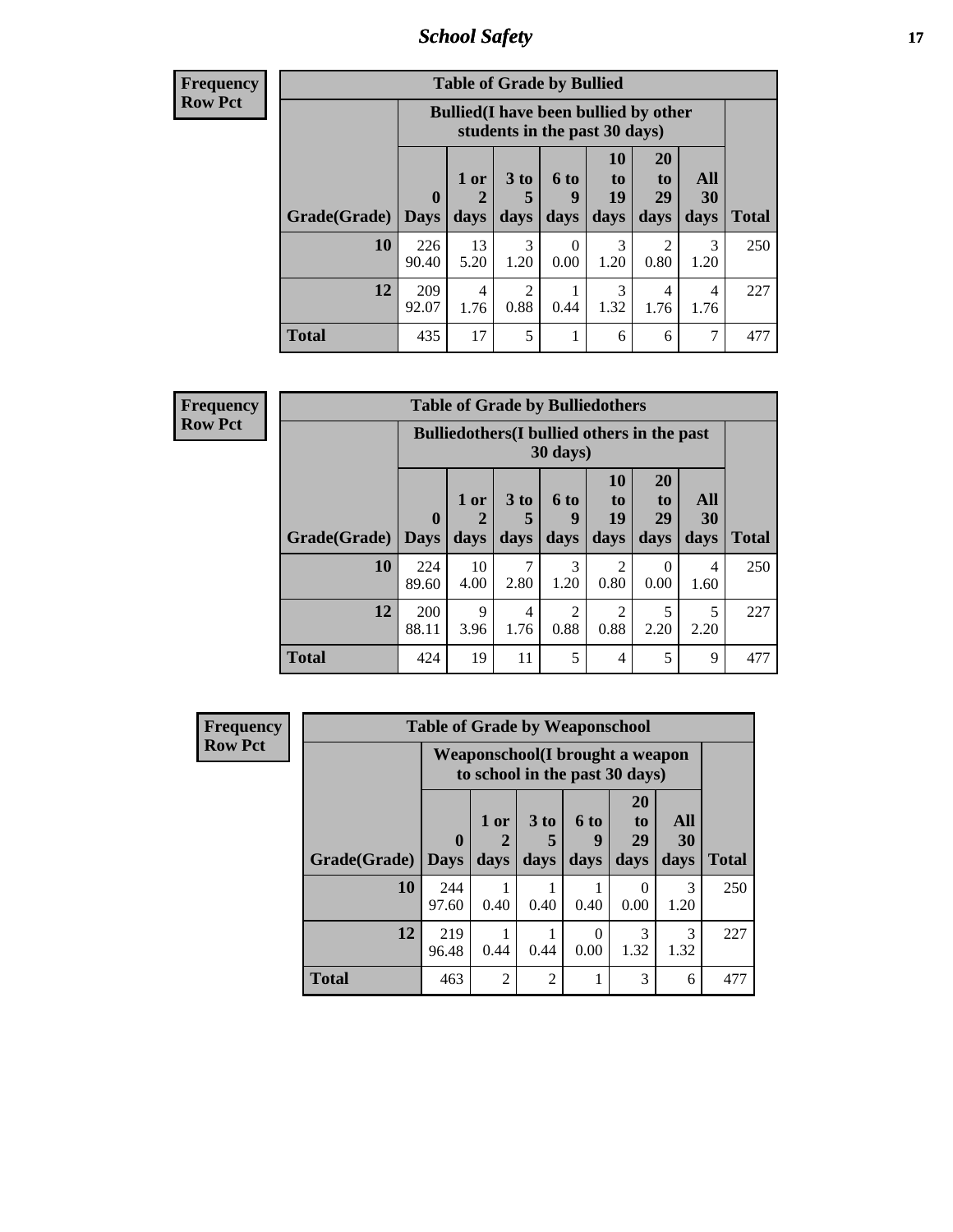*School Safety* **17**

**Frequency Row Pct**

| <b>Table of Grade by Bullied</b> |                        |                                                                               |                              |                   |                        |                               |                          |              |  |  |
|----------------------------------|------------------------|-------------------------------------------------------------------------------|------------------------------|-------------------|------------------------|-------------------------------|--------------------------|--------------|--|--|
|                                  |                        | <b>Bullied</b> (I have been bullied by other<br>students in the past 30 days) |                              |                   |                        |                               |                          |              |  |  |
| Grade(Grade)                     | $\mathbf{0}$<br>  Days | 1 or<br>2<br>days                                                             | 3 <sub>to</sub><br>5<br>days | 6 to<br>9<br>days | 10<br>to<br>19<br>days | <b>20</b><br>to<br>29<br>days | All<br><b>30</b><br>days | <b>Total</b> |  |  |
| <b>10</b>                        | 226<br>90.40           | 13<br>5.20                                                                    | 3<br>1.20                    | 0<br>0.00         | 3<br>1.20              | 2<br>0.80                     | 3<br>1.20                | 250          |  |  |
| 12                               | 209<br>92.07           | 4<br>1.76                                                                     | 2<br>0.88                    | 0.44              | 3<br>1.32              | 4<br>1.76                     | 4<br>1.76                | 227          |  |  |
| <b>Total</b>                     | 435                    | 17                                                                            | 5                            |                   | 6                      | 6                             | 7                        | 477          |  |  |

| <b>Frequency</b> |
|------------------|
| <b>Row Pct</b>   |

| <b>Table of Grade by Bulliedothers</b> |                             |                                                                         |                              |                        |                        |                        |                   |              |  |  |
|----------------------------------------|-----------------------------|-------------------------------------------------------------------------|------------------------------|------------------------|------------------------|------------------------|-------------------|--------------|--|--|
|                                        |                             | <b>Bulliedothers</b> (I bullied others in the past<br>$30 \text{ days}$ |                              |                        |                        |                        |                   |              |  |  |
| Grade(Grade)                           | $\mathbf{0}$<br><b>Days</b> | 1 or<br>$\overline{2}$<br>days                                          | 3 <sub>to</sub><br>5<br>days | 6 to<br>g<br>days      | 10<br>to<br>19<br>days | 20<br>to<br>29<br>days | All<br>30<br>days | <b>Total</b> |  |  |
| 10                                     | 224<br>89.60                | 10<br>4.00                                                              | 2.80                         | 3<br>1.20              | 2<br>0.80              | $\Omega$<br>0.00       | 4<br>1.60         | 250          |  |  |
| 12                                     | 200<br>88.11                | 9<br>3.96                                                               | 4<br>1.76                    | $\overline{c}$<br>0.88 | $\overline{2}$<br>0.88 | 5<br>2.20              | 5<br>2.20         | 227          |  |  |
| <b>Total</b>                           | 424                         | 19                                                                      | 11                           | 5                      | $\overline{4}$         | 5                      | 9                 | 477          |  |  |

| <b>Frequency</b> | <b>Table of Grade by Weaponschool</b> |                         |                                                                    |                             |                   |                                    |                   |              |  |  |  |
|------------------|---------------------------------------|-------------------------|--------------------------------------------------------------------|-----------------------------|-------------------|------------------------------------|-------------------|--------------|--|--|--|
| <b>Row Pct</b>   |                                       |                         | Weaponschool (I brought a weapon<br>to school in the past 30 days) |                             |                   |                                    |                   |              |  |  |  |
|                  | Grade(Grade)                          | $\bf{0}$<br><b>Days</b> | 1 or<br>days                                                       | 3 to<br>days                | 6 to<br>9<br>days | 20<br>t <sub>0</sub><br>29<br>days | All<br>30<br>days | <b>Total</b> |  |  |  |
|                  | <b>10</b>                             | 244<br>97.60            | 0.40                                                               | 0.40                        | 0.40              | $\Omega$<br>0.00                   | 3<br>1.20         | 250          |  |  |  |
|                  | 12                                    | 219<br>96.48            | 0.44                                                               | 0.44                        | 0<br>0.00         | 3<br>1.32                          | 3<br>1.32         | 227          |  |  |  |
|                  | <b>Total</b>                          | 463                     | $\mathfrak{D}$                                                     | $\mathcal{D}_{\mathcal{A}}$ |                   | 3                                  | 6                 | 477          |  |  |  |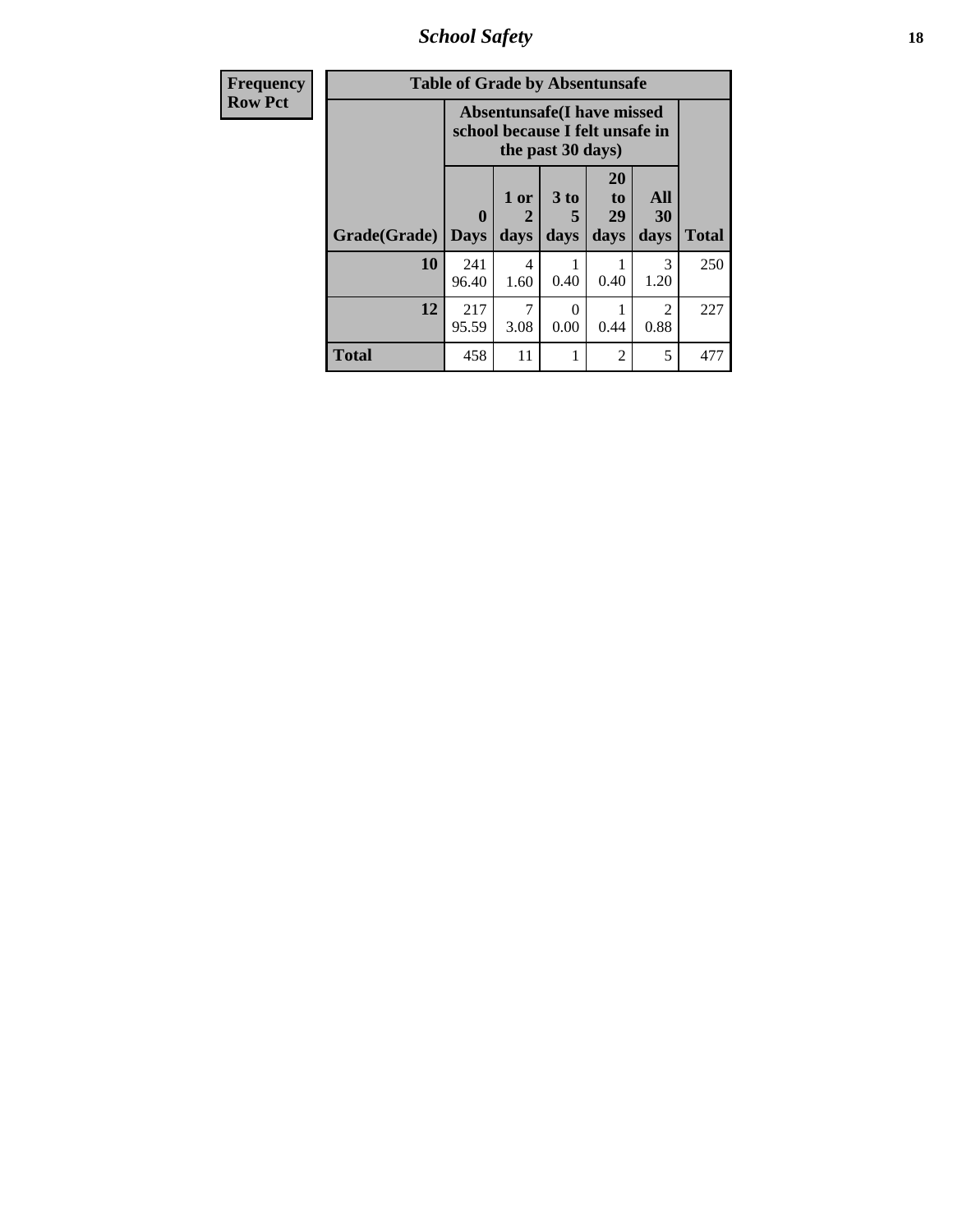*School Safety* **18**

| <b>Frequency</b> | <b>Table of Grade by Absentunsafe</b> |                                                                      |                   |                   |                        |                        |              |  |  |  |
|------------------|---------------------------------------|----------------------------------------------------------------------|-------------------|-------------------|------------------------|------------------------|--------------|--|--|--|
| <b>Row Pct</b>   |                                       | <b>Absentunsafe(I have missed</b><br>school because I felt unsafe in |                   |                   |                        |                        |              |  |  |  |
|                  | Grade(Grade)                          | 0<br><b>Days</b>                                                     | 1 or<br>2<br>days | 3 to<br>5<br>days | 20<br>to<br>29<br>days | All<br>30<br>days      | <b>Total</b> |  |  |  |
|                  | 10                                    | 241<br>96.40                                                         | 4<br>1.60         | 0.40              | 0.40                   | 3<br>1.20              | 250          |  |  |  |
|                  | 12                                    | 217<br>95.59                                                         | 7<br>3.08         | 0<br>0.00         | 0.44                   | $\mathfrak{D}$<br>0.88 | 227          |  |  |  |
|                  | <b>Total</b>                          | 458                                                                  | 11                |                   | $\overline{c}$         | 5                      | 477          |  |  |  |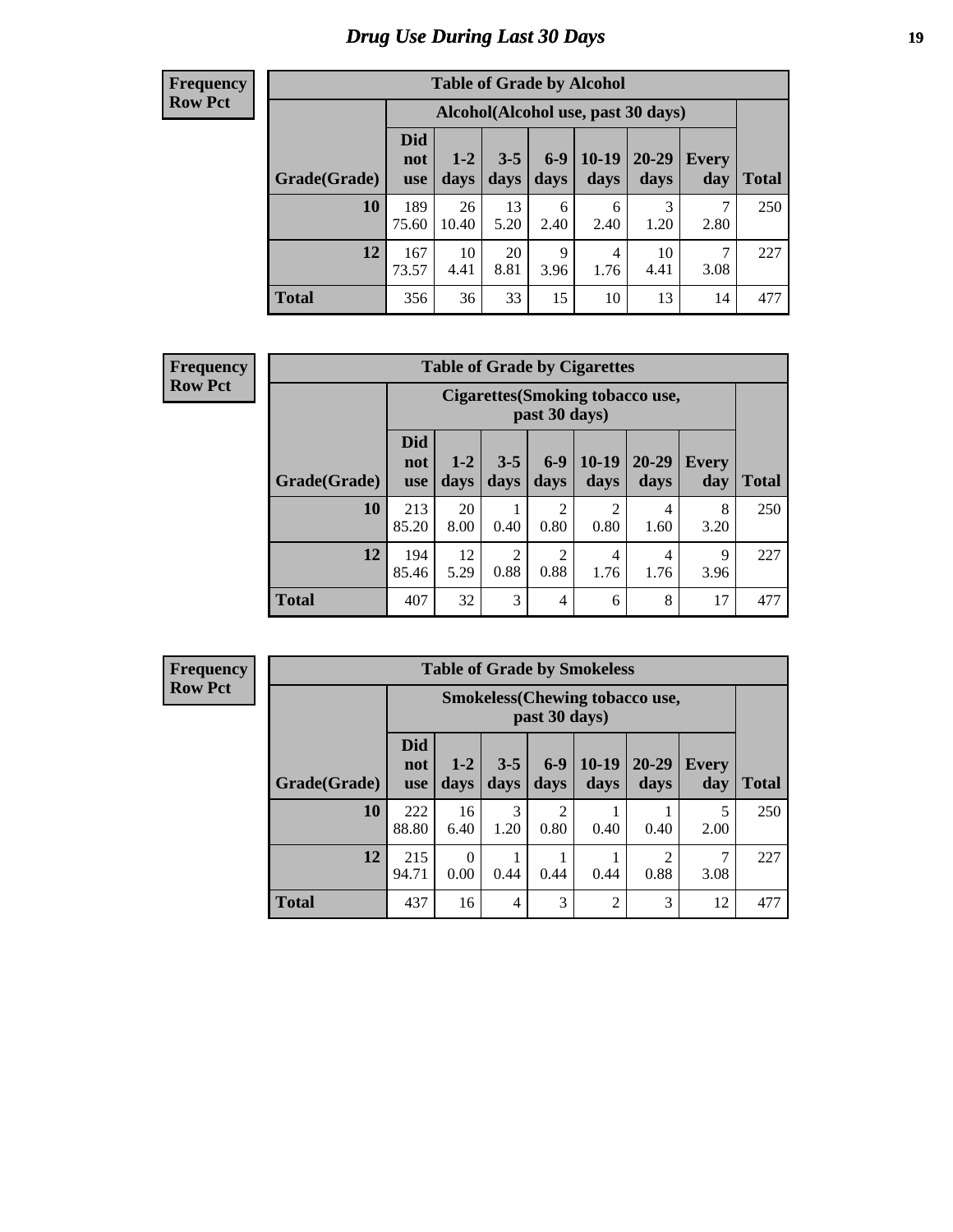# *Drug Use During Last 30 Days* **19**

#### **Frequency Row Pct**

| <b>Table of Grade by Alcohol</b> |                                 |                                     |                 |                 |                 |               |                     |       |  |  |  |
|----------------------------------|---------------------------------|-------------------------------------|-----------------|-----------------|-----------------|---------------|---------------------|-------|--|--|--|
|                                  |                                 | Alcohol (Alcohol use, past 30 days) |                 |                 |                 |               |                     |       |  |  |  |
| Grade(Grade)                     | <b>Did</b><br>not<br><b>use</b> | $1 - 2$<br>days                     | $3 - 5$<br>days | $6 - 9$<br>days | $10-19$<br>days | 20-29<br>days | <b>Every</b><br>day | Total |  |  |  |
| 10                               | 189<br>75.60                    | 26<br>10.40                         | 13<br>5.20      | 6<br>2.40       | 6<br>2.40       | 3<br>1.20     | 7<br>2.80           | 250   |  |  |  |
| 12                               | 167<br>73.57                    | 10<br>4.41                          | 20<br>8.81      | 9<br>3.96       | 4<br>1.76       | 10<br>4.41    | 7<br>3.08           | 227   |  |  |  |
| <b>Total</b>                     | 356                             | 36                                  | 33              | 15              | 10              | 13            | 14                  | 477   |  |  |  |

#### **Frequency Row Pct**

| <b>Table of Grade by Cigarettes</b> |                                 |                                                   |                 |                        |                 |               |                     |              |  |  |
|-------------------------------------|---------------------------------|---------------------------------------------------|-----------------|------------------------|-----------------|---------------|---------------------|--------------|--|--|
|                                     |                                 | Cigarettes (Smoking tobacco use,<br>past 30 days) |                 |                        |                 |               |                     |              |  |  |
| Grade(Grade)                        | <b>Did</b><br>not<br><b>use</b> | $1 - 2$<br>days                                   | $3 - 5$<br>days | $6 - 9$<br>days        | $10-19$<br>days | 20-29<br>days | <b>Every</b><br>day | <b>Total</b> |  |  |
| 10                                  | 213<br>85.20                    | 20<br>8.00                                        | 0.40            | $\overline{2}$<br>0.80 | 2<br>0.80       | 4<br>1.60     | 8<br>3.20           | 250          |  |  |
| 12                                  | 194<br>85.46                    | 12<br>5.29                                        | 2<br>0.88       | $\overline{2}$<br>0.88 | 4<br>1.76       | 4<br>1.76     | 9<br>3.96           | 227          |  |  |
| <b>Total</b>                        | 407                             | 32                                                | 3               | $\overline{4}$         | 6               | 8             | 17                  | 477          |  |  |

**Frequency Row Pct**

| <b>Table of Grade by Smokeless</b> |                                 |                                                        |                 |                        |                 |                 |              |              |  |  |  |
|------------------------------------|---------------------------------|--------------------------------------------------------|-----------------|------------------------|-----------------|-----------------|--------------|--------------|--|--|--|
|                                    |                                 | <b>Smokeless</b> (Chewing tobaccouse,<br>past 30 days) |                 |                        |                 |                 |              |              |  |  |  |
| Grade(Grade)                       | <b>Did</b><br>not<br><b>use</b> | $1 - 2$<br>days                                        | $3 - 5$<br>days | $6-9$<br>days          | $10-19$<br>days | $20-29$<br>days | Every<br>day | <b>Total</b> |  |  |  |
| 10                                 | 222<br>88.80                    | 16<br>6.40                                             | 3<br>1.20       | $\overline{c}$<br>0.80 | 0.40            | 0.40            | 5<br>2.00    | 250          |  |  |  |
| 12                                 | 215<br>94.71                    | 0<br>0.00                                              | 0.44            | 0.44                   | 0.44            | 0.88            | 3.08         | 227          |  |  |  |
| <b>Total</b>                       | 437                             | 16                                                     | 4               | 3                      | $\overline{2}$  | 3               | 12           | 477          |  |  |  |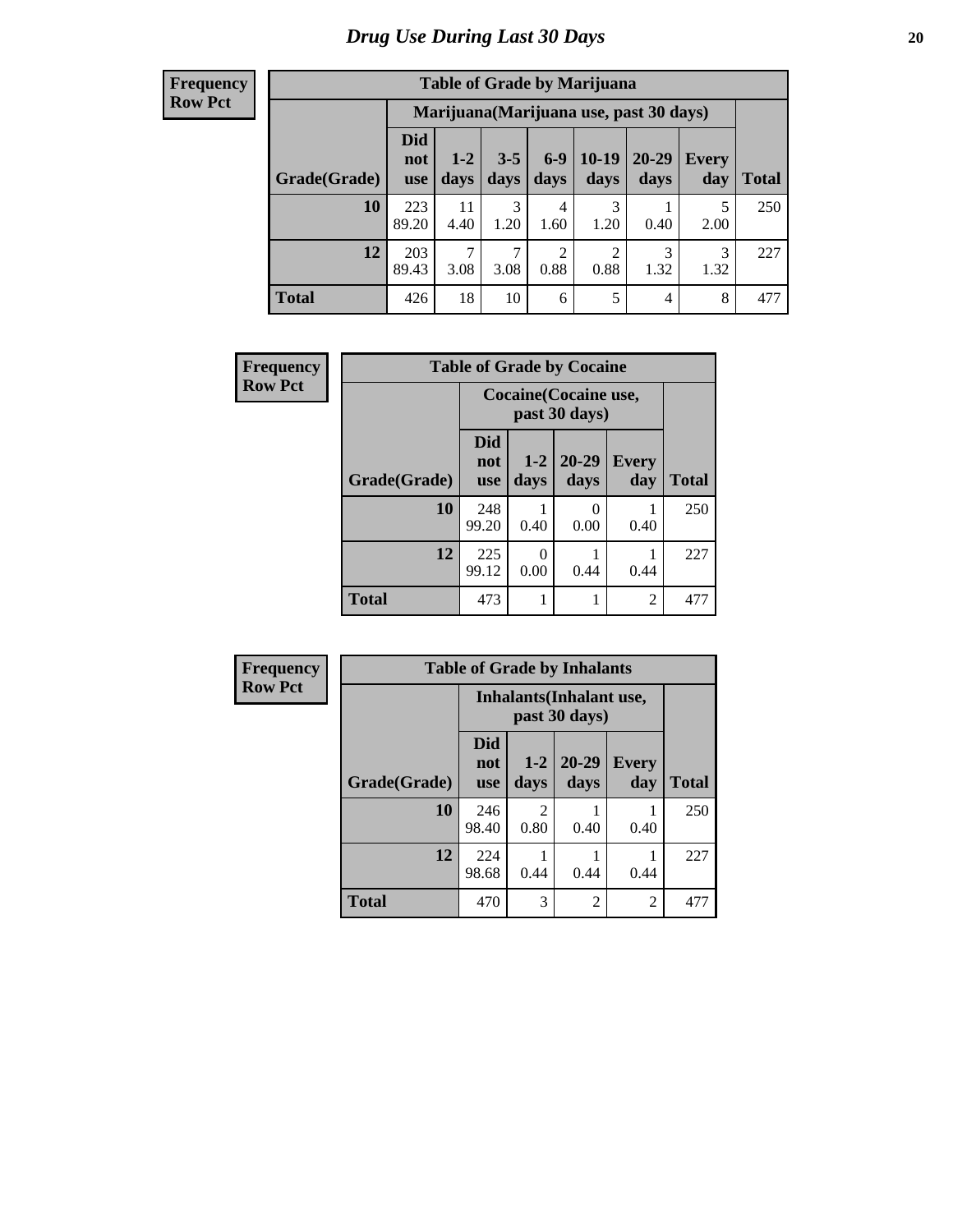#### **Frequency Row Pct**

| <b>Table of Grade by Marijuana</b> |                          |                                                                                                                      |           |           |           |                                         |           |     |  |  |
|------------------------------------|--------------------------|----------------------------------------------------------------------------------------------------------------------|-----------|-----------|-----------|-----------------------------------------|-----------|-----|--|--|
|                                    |                          |                                                                                                                      |           |           |           | Marijuana (Marijuana use, past 30 days) |           |     |  |  |
| Grade(Grade)                       | Did<br>not<br><b>use</b> | $6-9$<br>$10-19$<br>$20 - 29$<br>$3 - 5$<br>$1 - 2$<br>Every<br>days<br>days<br>days<br>Total<br>days<br>day<br>days |           |           |           |                                         |           |     |  |  |
| 10                                 | 223<br>89.20             | 11<br>4.40                                                                                                           | 3<br>1.20 | 4<br>1.60 | 3<br>1.20 | 0.40                                    | 5<br>2.00 | 250 |  |  |
| 12                                 | 203<br>89.43             | $\mathcal{L}$<br>$\overline{c}$<br>$\overline{c}$<br>3<br>3<br>0.88<br>0.88<br>3.08<br>3.08<br>1.32<br>1.32          |           |           |           |                                         |           |     |  |  |
| <b>Total</b>                       | 426                      | 18                                                                                                                   | 10        | 6         | 5         | 4                                       | 8         | 477 |  |  |

| Frequency      | <b>Table of Grade by Cocaine</b> |                                 |               |                                        |                     |              |  |  |  |
|----------------|----------------------------------|---------------------------------|---------------|----------------------------------------|---------------------|--------------|--|--|--|
| <b>Row Pct</b> |                                  |                                 |               | Cocaine (Cocaine use,<br>past 30 days) |                     |              |  |  |  |
|                | Grade(Grade)                     | <b>Did</b><br>not<br><b>use</b> | $1-2$<br>days | 20-29<br>days                          | <b>Every</b><br>day | <b>Total</b> |  |  |  |
|                | 10                               | 248<br>99.20                    | 0.40          | 0<br>0.00                              | 0.40                | 250          |  |  |  |
|                | 12                               | 225<br>99.12                    | 0<br>0.00     | 0.44                                   | 0.44                | 227          |  |  |  |
|                | <b>Total</b>                     | 473                             |               |                                        | $\overline{2}$      | 477          |  |  |  |

| Frequency      |              |                                 |                        | <b>Table of Grade by Inhalants</b>        |                |              |
|----------------|--------------|---------------------------------|------------------------|-------------------------------------------|----------------|--------------|
| <b>Row Pct</b> |              |                                 |                        | Inhalants (Inhalant use,<br>past 30 days) |                |              |
|                | Grade(Grade) | <b>Did</b><br>not<br><b>use</b> | $1 - 2$<br>days        | $20 - 29$<br>days                         | Every<br>day   | <b>Total</b> |
|                | 10           | 246<br>98.40                    | $\mathfrak{D}$<br>0.80 | 0.40                                      | 0.40           | 250          |
|                | 12           | 224<br>98.68                    | 0.44                   | 0.44                                      | 0.44           | 227          |
|                | <b>Total</b> | 470                             | 3                      | $\overline{2}$                            | $\overline{c}$ | 477          |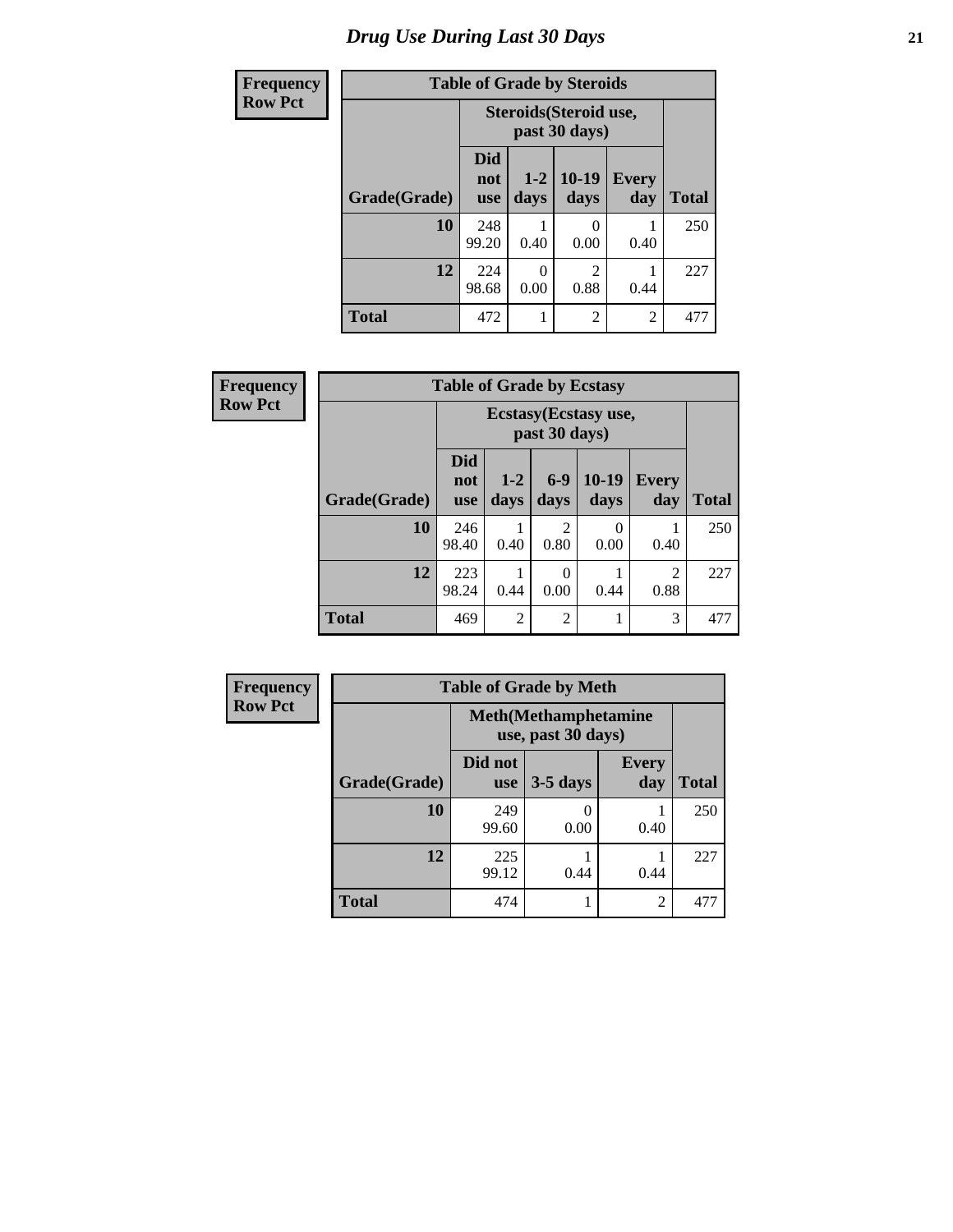# *Drug Use During Last 30 Days* **21**

| <b>Frequency</b> | <b>Table of Grade by Steroids</b> |                          |                                         |                                     |                     |              |  |
|------------------|-----------------------------------|--------------------------|-----------------------------------------|-------------------------------------|---------------------|--------------|--|
| <b>Row Pct</b>   |                                   |                          | Steroids (Steroid use,<br>past 30 days) |                                     |                     |              |  |
|                  | Grade(Grade)                      | Did<br>not<br><b>use</b> | $1 - 2$<br>days                         | $10-19$<br>days                     | <b>Every</b><br>day | <b>Total</b> |  |
|                  | 10                                | 248<br>99.20             | 0.40                                    | 0.00                                | 0.40                | 250          |  |
|                  | 12                                | 224<br>98.68             | 0<br>0.00                               | $\mathcal{D}_{\mathcal{L}}$<br>0.88 | 0.44                | 227          |  |
|                  | <b>Total</b>                      | 472                      |                                         | $\overline{2}$                      | $\overline{c}$      | 477          |  |

| Frequency      |              | <b>Table of Grade by Ecstasy</b><br>Ecstasy (Ecstasy use,<br>past 30 days) |                 |                  |                  |                        |       |
|----------------|--------------|----------------------------------------------------------------------------|-----------------|------------------|------------------|------------------------|-------|
| <b>Row Pct</b> |              |                                                                            |                 |                  |                  |                        |       |
|                | Grade(Grade) | <b>Did</b><br>not<br><b>use</b>                                            | $1 - 2$<br>days | $6 - 9$<br>days  | 10-19<br>days    | Every<br>day           | Total |
|                | 10           | 246<br>98.40                                                               | 0.40            | 2<br>0.80        | $\theta$<br>0.00 | 0.40                   | 250   |
|                | 12           | 223<br>98.24                                                               | 0.44            | $\theta$<br>0.00 | 0.44             | $\overline{2}$<br>0.88 | 227   |
|                | <b>Total</b> | 469                                                                        | $\overline{2}$  | 2                |                  | 3                      | 477   |

| <b>Frequency</b> | <b>Table of Grade by Meth</b> |                                                    |            |                     |              |  |  |
|------------------|-------------------------------|----------------------------------------------------|------------|---------------------|--------------|--|--|
| <b>Row Pct</b>   |                               | <b>Meth</b> (Methamphetamine<br>use, past 30 days) |            |                     |              |  |  |
|                  | Grade(Grade)                  | Did not<br><b>use</b>                              | $3-5$ days | <b>Every</b><br>day | <b>Total</b> |  |  |
|                  | 10                            | 249<br>99.60                                       | 0.00       | 0.40                | 250          |  |  |
|                  | 12                            | 225<br>99.12                                       | 0.44       | 0.44                | 227          |  |  |
|                  | <b>Total</b>                  | 474                                                |            | $\overline{2}$      | 477          |  |  |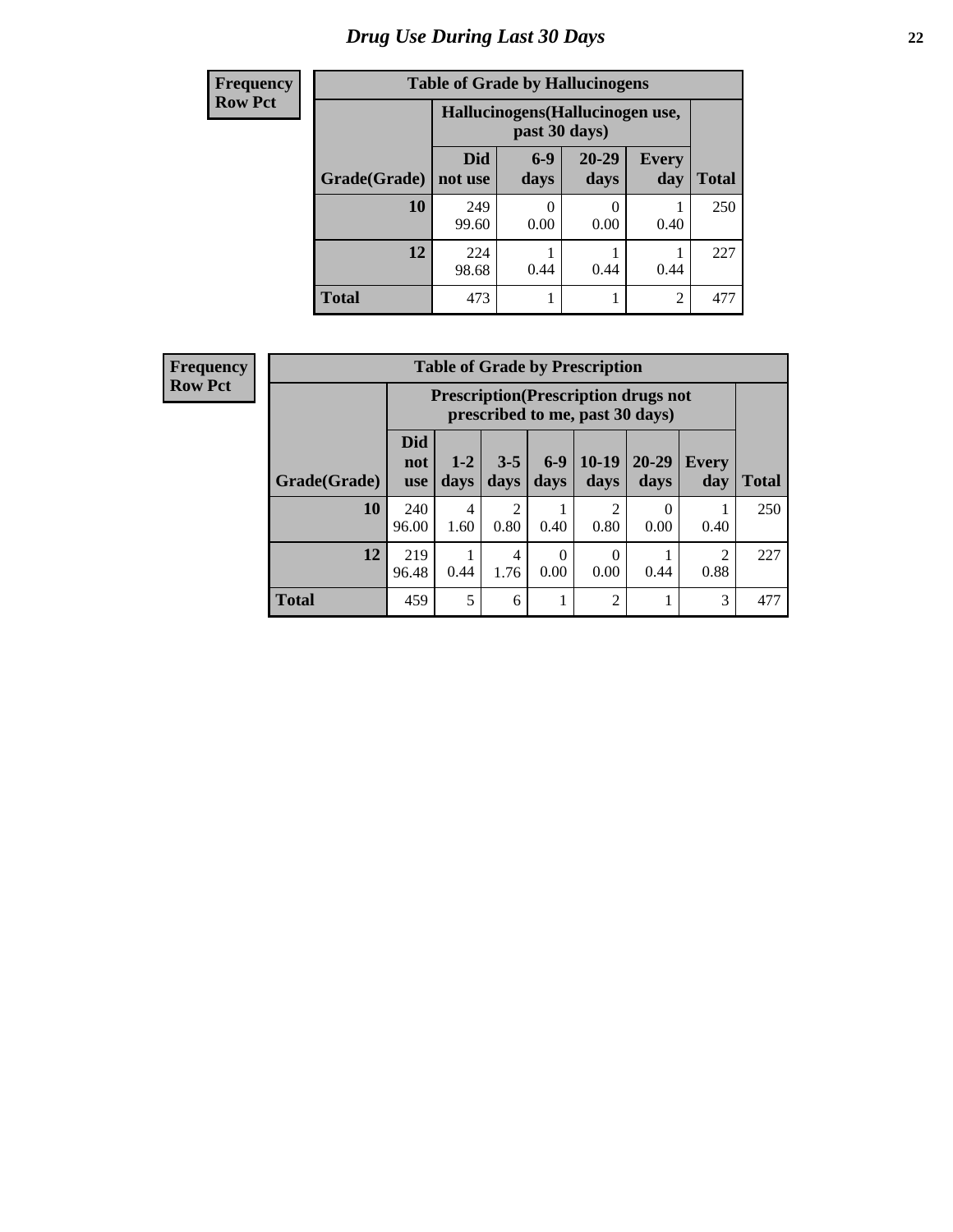# *Drug Use During Last 30 Days* **22**

| <b>Frequency</b> | <b>Table of Grade by Hallucinogens</b> |                       |                                                   |                   |                     |              |  |  |
|------------------|----------------------------------------|-----------------------|---------------------------------------------------|-------------------|---------------------|--------------|--|--|
| <b>Row Pct</b>   |                                        |                       | Hallucinogens (Hallucinogen use,<br>past 30 days) |                   |                     |              |  |  |
|                  | Grade(Grade)                           | <b>Did</b><br>not use | $6-9$<br>days                                     | $20 - 29$<br>days | <b>Every</b><br>day | <b>Total</b> |  |  |
|                  | 10                                     | 249<br>99.60          | 0.00                                              | 0<br>0.00         | 0.40                | 250          |  |  |
|                  | 12                                     | 224<br>98.68          | 0.44                                              | 0.44              | 0.44                | 227          |  |  |
|                  | <b>Total</b>                           | 473                   |                                                   | 1                 | $\overline{2}$      | 477          |  |  |

| <b>Frequency</b> |  |
|------------------|--|
| <b>Row Pct</b>   |  |

| <b>Table of Grade by Prescription</b> |                          |                                                                                                                                  |                        |      |                        |                  |      |     |  |
|---------------------------------------|--------------------------|----------------------------------------------------------------------------------------------------------------------------------|------------------------|------|------------------------|------------------|------|-----|--|
|                                       |                          | <b>Prescription</b> (Prescription drugs not<br>prescribed to me, past 30 days)                                                   |                        |      |                        |                  |      |     |  |
| Grade(Grade)                          | Did<br>not<br><b>use</b> | $6 - 9$<br>$10-19$<br>$3 - 5$<br>20-29<br>$1 - 2$<br><b>Every</b><br><b>Total</b><br>days<br>days<br>days<br>days<br>day<br>days |                        |      |                        |                  |      |     |  |
| 10                                    | 240<br>96.00             | 4<br>1.60                                                                                                                        | $\mathfrak{D}$<br>0.80 | 0.40 | $\mathfrak{D}$<br>0.80 | $\Omega$<br>0.00 | 0.40 | 250 |  |
| 12                                    | 219<br>96.48             | 2<br>$\theta$<br>0<br>4<br>0.88<br>0.00<br>0.00<br>0.44<br>0.44<br>1.76                                                          |                        |      |                        |                  |      |     |  |
| <b>Total</b>                          | 459                      | 5                                                                                                                                | 6                      | 1    | $\overline{2}$         |                  | 3    | 477 |  |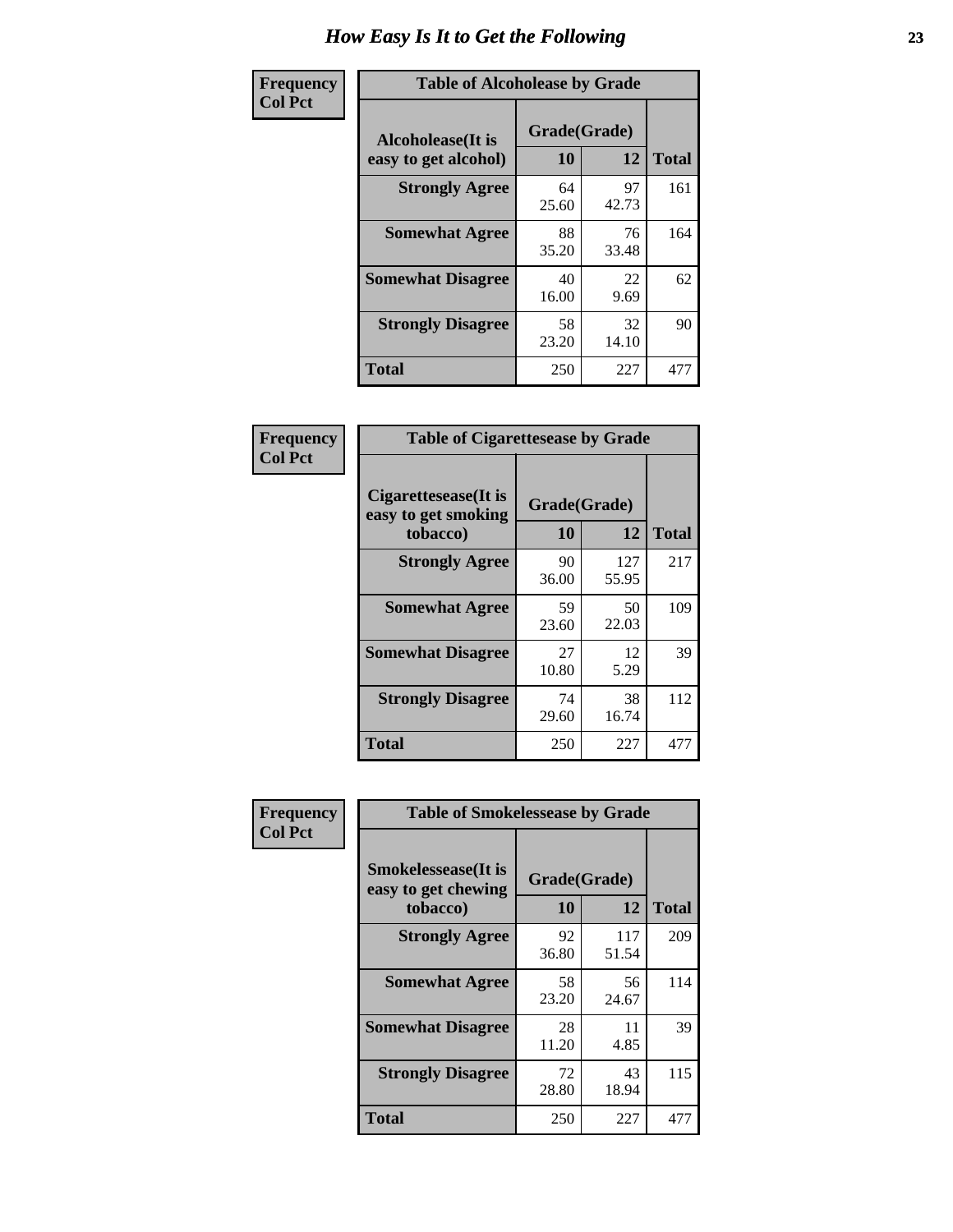| Frequency      | <b>Table of Alcoholease by Grade</b>              |                    |             |              |  |  |
|----------------|---------------------------------------------------|--------------------|-------------|--------------|--|--|
| <b>Col Pct</b> | <b>Alcoholease</b> (It is<br>easy to get alcohol) | Grade(Grade)<br>10 | 12          | <b>Total</b> |  |  |
|                | <b>Strongly Agree</b>                             | 64<br>25.60        | 97<br>42.73 | 161          |  |  |
|                | <b>Somewhat Agree</b>                             | 88<br>35.20        | 76<br>33.48 | 164          |  |  |
|                | <b>Somewhat Disagree</b>                          | 40<br>16.00        | 22<br>9.69  | 62           |  |  |
|                | <b>Strongly Disagree</b>                          | 58<br>23.20        | 32<br>14.10 | 90           |  |  |
|                | <b>Total</b>                                      | 250                | 227         | 477          |  |  |

| Frequency      |                                                          | <b>Table of Cigarettesease by Grade</b> |              |              |  |  |
|----------------|----------------------------------------------------------|-----------------------------------------|--------------|--------------|--|--|
| <b>Col Pct</b> | Cigarettesease (It is<br>easy to get smoking<br>tobacco) | Grade(Grade)<br>10                      | 12           | <b>Total</b> |  |  |
|                | <b>Strongly Agree</b>                                    | 90<br>36.00                             | 127<br>55.95 | 217          |  |  |
|                | <b>Somewhat Agree</b>                                    | 59<br>23.60                             | 50<br>22.03  | 109          |  |  |
|                | <b>Somewhat Disagree</b>                                 | 27<br>10.80                             | 12<br>5.29   | 39           |  |  |
|                | <b>Strongly Disagree</b>                                 | 74<br>29.60                             | 38<br>16.74  | 112          |  |  |
|                | <b>Total</b>                                             | 250                                     | 227          | 477          |  |  |

| Frequency      | <b>Table of Smokelessease by Grade</b>                         |                    |                    |     |  |  |  |  |  |
|----------------|----------------------------------------------------------------|--------------------|--------------------|-----|--|--|--|--|--|
| <b>Col Pct</b> | <b>Smokelessease</b> (It is<br>easy to get chewing<br>tobacco) | Grade(Grade)<br>10 | <b>Total</b>       |     |  |  |  |  |  |
|                | <b>Strongly Agree</b>                                          | 92<br>36.80        | 12<br>117<br>51.54 | 209 |  |  |  |  |  |
|                | <b>Somewhat Agree</b>                                          | 58<br>23.20        | 56<br>24.67        | 114 |  |  |  |  |  |
|                | <b>Somewhat Disagree</b>                                       | 28<br>11.20        | 11<br>4.85         | 39  |  |  |  |  |  |
|                | <b>Strongly Disagree</b>                                       | 72<br>28.80        | 43<br>18.94        | 115 |  |  |  |  |  |
|                | Total                                                          | 250                | 227                | 477 |  |  |  |  |  |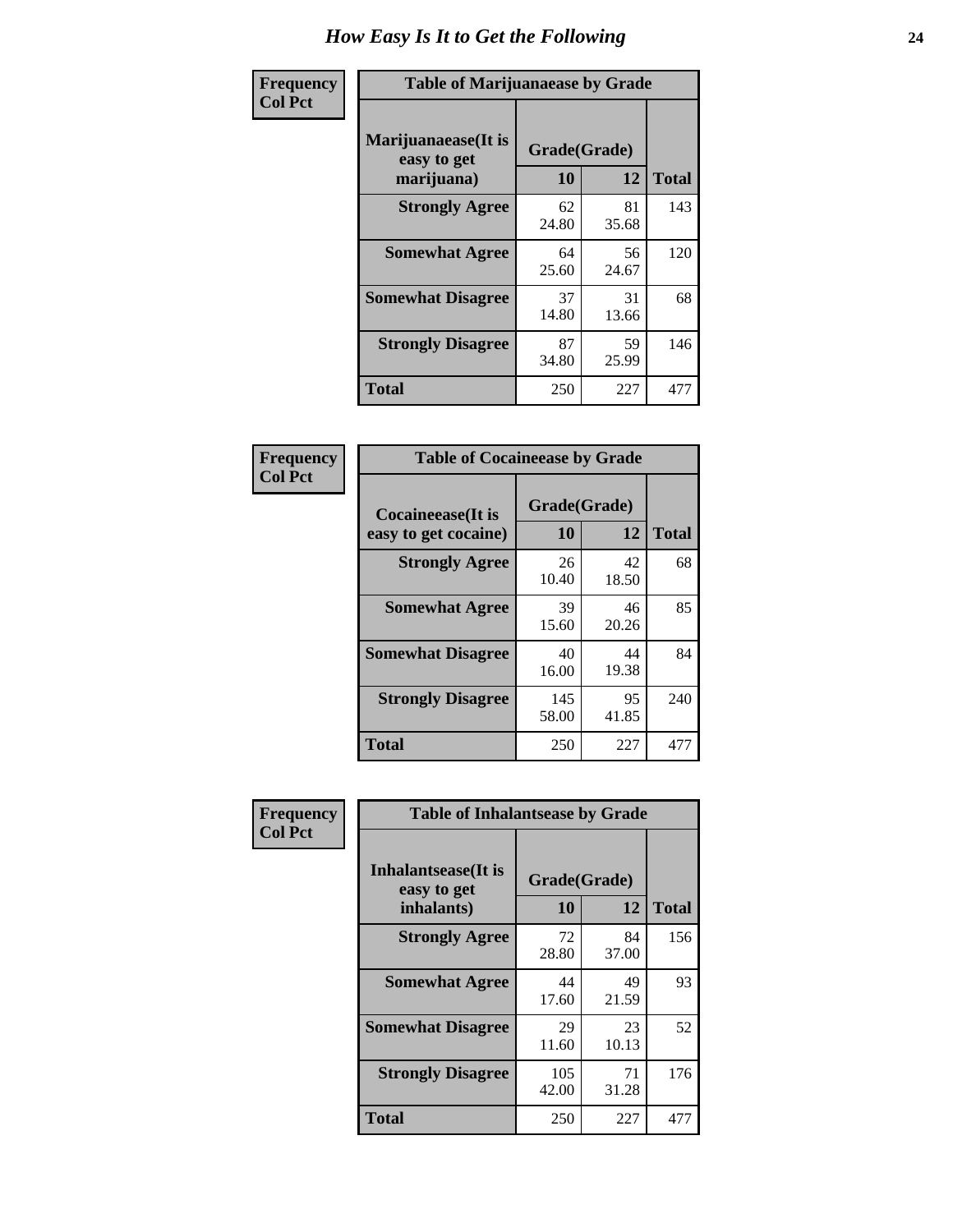| Frequency      | <b>Table of Marijuanaease by Grade</b>           |                    |             |              |  |  |  |  |  |  |
|----------------|--------------------------------------------------|--------------------|-------------|--------------|--|--|--|--|--|--|
| <b>Col Pct</b> | Marijuanaease(It is<br>easy to get<br>marijuana) | Grade(Grade)<br>10 | 12          | <b>Total</b> |  |  |  |  |  |  |
|                | <b>Strongly Agree</b>                            | 62<br>24.80        | 81<br>35.68 | 143          |  |  |  |  |  |  |
|                | <b>Somewhat Agree</b>                            | 64<br>25.60        | 56<br>24.67 | 120          |  |  |  |  |  |  |
|                | <b>Somewhat Disagree</b>                         | 37<br>14.80        | 31<br>13.66 | 68           |  |  |  |  |  |  |
|                | <b>Strongly Disagree</b>                         | 87<br>34.80        | 59<br>25.99 | 146          |  |  |  |  |  |  |
|                | <b>Total</b>                                     | 250                | 227         | 477          |  |  |  |  |  |  |

| <b>Table of Cocaineease by Grade</b> |              |             |              |  |  |  |  |  |  |
|--------------------------------------|--------------|-------------|--------------|--|--|--|--|--|--|
| <b>Cocaineease</b> (It is            | Grade(Grade) |             |              |  |  |  |  |  |  |
| easy to get cocaine)                 | 10           | 12          | <b>Total</b> |  |  |  |  |  |  |
| <b>Strongly Agree</b>                | 26<br>10.40  | 42<br>18.50 | 68           |  |  |  |  |  |  |
| <b>Somewhat Agree</b>                | 39<br>15.60  | 46<br>20.26 | 85           |  |  |  |  |  |  |
| <b>Somewhat Disagree</b>             | 40<br>16.00  | 44<br>19.38 | 84           |  |  |  |  |  |  |
| <b>Strongly Disagree</b>             | 145<br>58.00 | 95<br>41.85 | 240          |  |  |  |  |  |  |
| <b>Total</b>                         | 250          | 227         | 477          |  |  |  |  |  |  |

| Frequency      | <b>Table of Inhalantsease by Grade</b>                   |                    |             | <b>Total</b> |  |  |  |  |  |
|----------------|----------------------------------------------------------|--------------------|-------------|--------------|--|--|--|--|--|
| <b>Col Pct</b> | <b>Inhalantsease</b> (It is<br>easy to get<br>inhalants) | Grade(Grade)<br>10 | 12          |              |  |  |  |  |  |
|                | <b>Strongly Agree</b>                                    | 72<br>28.80        | 84<br>37.00 | 156          |  |  |  |  |  |
|                | <b>Somewhat Agree</b>                                    | 44<br>17.60        | 49<br>21.59 | 93           |  |  |  |  |  |
|                | <b>Somewhat Disagree</b>                                 | 29<br>11.60        | 23<br>10.13 | 52           |  |  |  |  |  |
|                | <b>Strongly Disagree</b>                                 | 105<br>42.00       | 71<br>31.28 | 176          |  |  |  |  |  |
|                | <b>Total</b>                                             | 250                | 227         | 477          |  |  |  |  |  |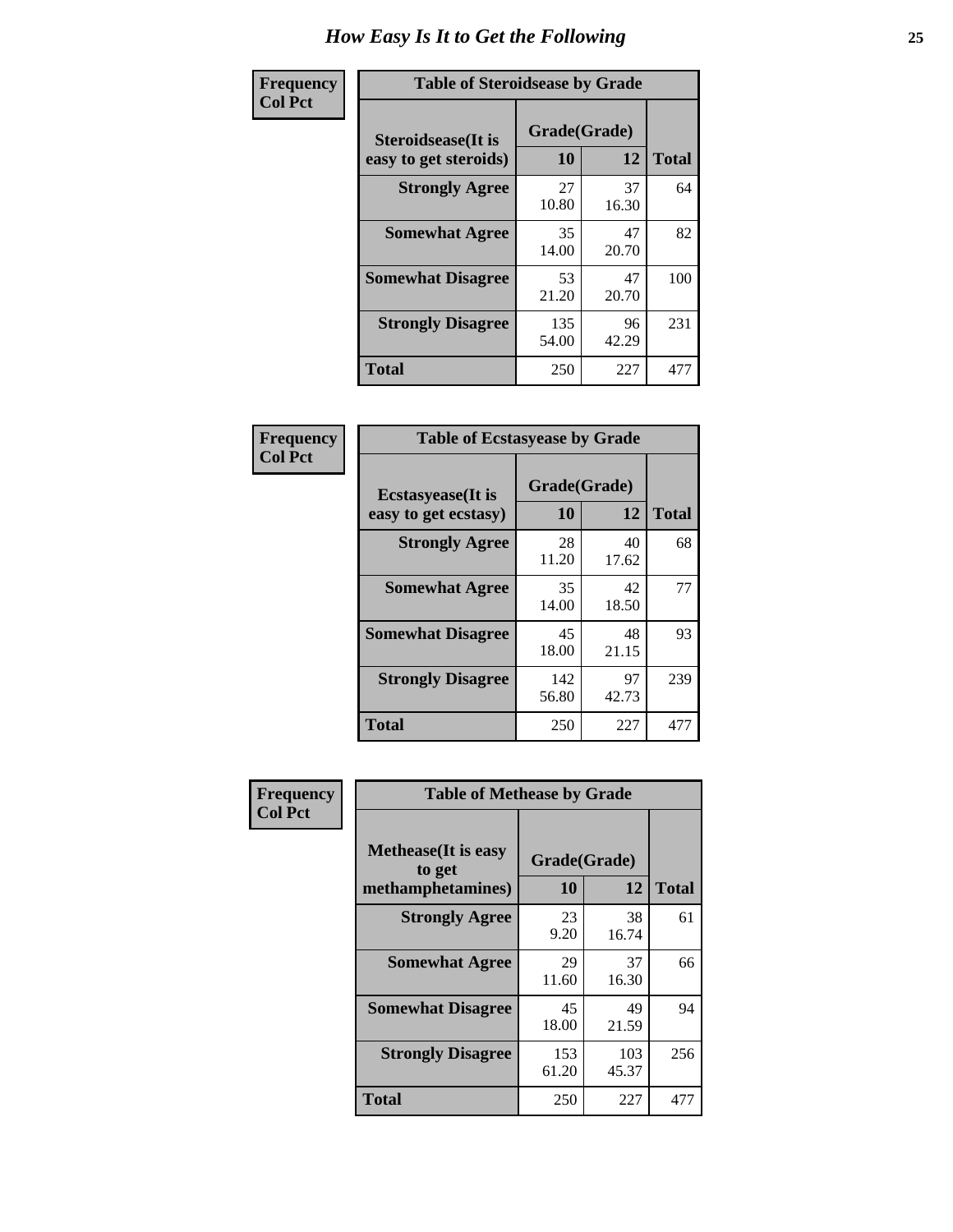| Frequency      | <b>Table of Steroidsease by Grade</b>               |                    |             |                               |  |  |  |
|----------------|-----------------------------------------------------|--------------------|-------------|-------------------------------|--|--|--|
| <b>Col Pct</b> | <b>Steroidsease</b> (It is<br>easy to get steroids) | Grade(Grade)<br>10 | 12          | <b>Total</b>                  |  |  |  |
|                | <b>Strongly Agree</b>                               | 27<br>10.80        | 37<br>16.30 | 64<br>82<br>100<br>231<br>477 |  |  |  |
|                | <b>Somewhat Agree</b>                               | 35<br>14.00        | 47<br>20.70 |                               |  |  |  |
|                | <b>Somewhat Disagree</b>                            | 53<br>21.20        | 47<br>20.70 |                               |  |  |  |
|                | <b>Strongly Disagree</b>                            | 135<br>54.00       | 96<br>42.29 |                               |  |  |  |
|                | <b>Total</b>                                        | 250                | 227         |                               |  |  |  |

| Frequency      | <b>Table of Ecstasyease by Grade</b>              |                    |             |              |
|----------------|---------------------------------------------------|--------------------|-------------|--------------|
| <b>Col Pct</b> | <b>Ecstasyease</b> (It is<br>easy to get ecstasy) | Grade(Grade)<br>10 | 12          | <b>Total</b> |
|                | <b>Strongly Agree</b>                             | 28<br>11.20        | 40<br>17.62 | 68           |
|                | <b>Somewhat Agree</b>                             | 35<br>14.00        | 42<br>18.50 | 77           |
|                | <b>Somewhat Disagree</b>                          | 45<br>18.00        | 48<br>21.15 | 93           |
|                | <b>Strongly Disagree</b>                          | 142<br>56.80       | 97<br>42.73 | 239          |
|                | <b>Total</b>                                      | 250                | 227         | 477          |

| Frequency      | <b>Table of Methease by Grade</b>                          |                    |              |              |
|----------------|------------------------------------------------------------|--------------------|--------------|--------------|
| <b>Col Pct</b> | <b>Methease</b> (It is easy<br>to get<br>methamphetamines) | Grade(Grade)<br>10 | 12           | <b>Total</b> |
|                | <b>Strongly Agree</b>                                      | 23<br>9.20         | 38<br>16.74  | 61           |
|                | <b>Somewhat Agree</b>                                      | 29<br>11.60        | 37<br>16.30  | 66           |
|                | <b>Somewhat Disagree</b>                                   | 45<br>18.00        | 49<br>21.59  | 94           |
|                | <b>Strongly Disagree</b>                                   | 153<br>61.20       | 103<br>45.37 | 256          |
|                | <b>Total</b>                                               | 250                | 227          | 477          |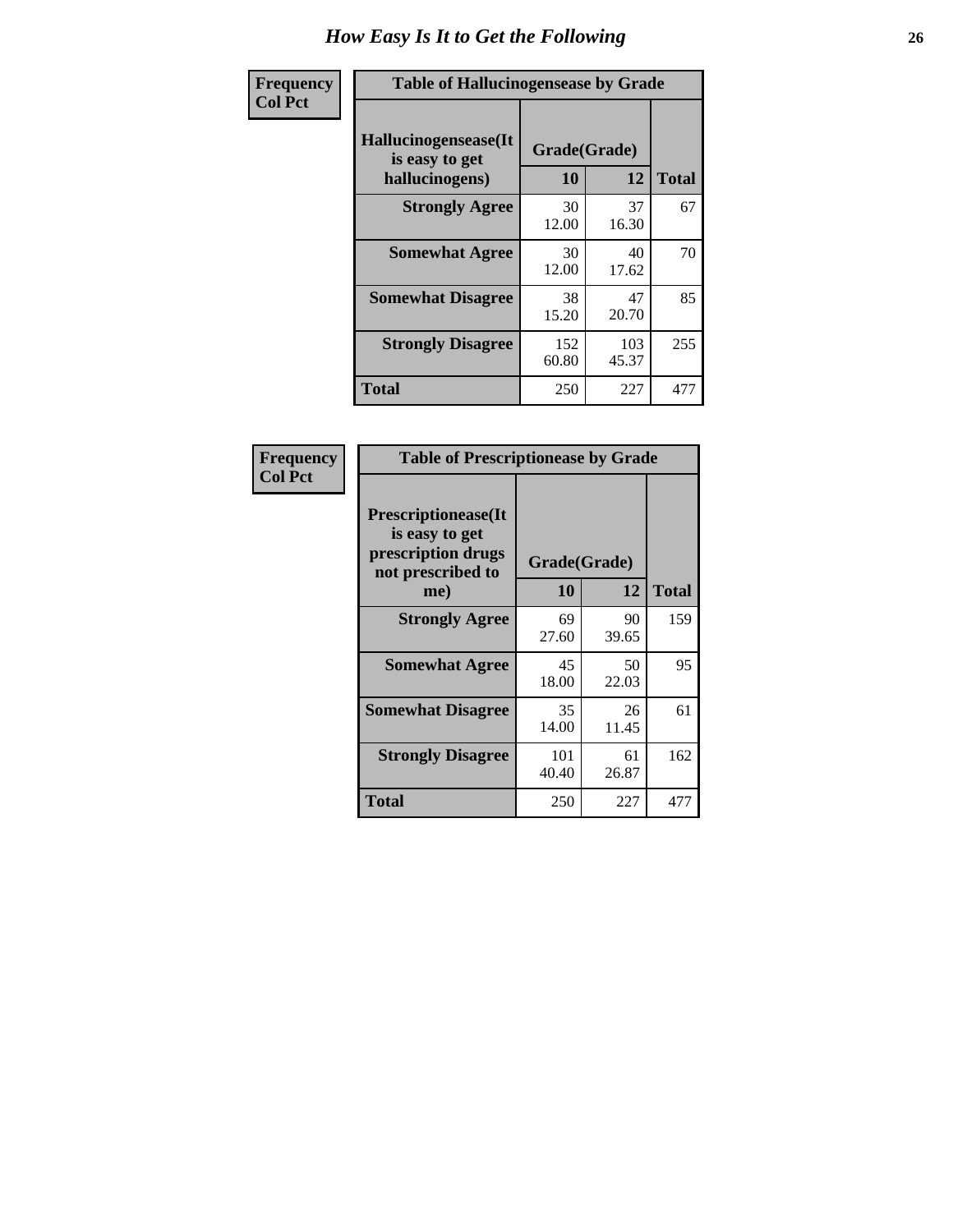| <b>Frequency</b> | <b>Table of Hallucinogensease by Grade</b>               |                    |              |              |  |  |  |  |  |
|------------------|----------------------------------------------------------|--------------------|--------------|--------------|--|--|--|--|--|
| <b>Col Pct</b>   | Hallucinogensease(It<br>is easy to get<br>hallucinogens) | Grade(Grade)<br>10 | 12           | <b>Total</b> |  |  |  |  |  |
|                  | <b>Strongly Agree</b>                                    | 30<br>12.00        | 37<br>16.30  | 67           |  |  |  |  |  |
|                  | <b>Somewhat Agree</b>                                    | 30<br>12.00        | 40<br>17.62  | 70           |  |  |  |  |  |
|                  | <b>Somewhat Disagree</b>                                 | 38<br>15.20        | 47<br>20.70  | 85           |  |  |  |  |  |
|                  | <b>Strongly Disagree</b>                                 | 152<br>60.80       | 103<br>45.37 | 255          |  |  |  |  |  |
|                  | <b>Total</b>                                             | 250                | 227          | 477          |  |  |  |  |  |

| Frequency<br>Col Pct |
|----------------------|
|                      |

| <b>Table of Prescriptionease by Grade</b>                                                |              |              |              |  |  |  |  |  |  |
|------------------------------------------------------------------------------------------|--------------|--------------|--------------|--|--|--|--|--|--|
| <b>Prescriptionease</b> (It<br>is easy to get<br>prescription drugs<br>not prescribed to |              | Grade(Grade) |              |  |  |  |  |  |  |
| me)                                                                                      | 10           | 12           | <b>Total</b> |  |  |  |  |  |  |
| <b>Strongly Agree</b>                                                                    | 69<br>27.60  | 90<br>39.65  | 159          |  |  |  |  |  |  |
| <b>Somewhat Agree</b>                                                                    | 45<br>18.00  | 50<br>22.03  | 95           |  |  |  |  |  |  |
| <b>Somewhat Disagree</b>                                                                 | 35<br>14.00  | 26<br>11.45  | 61           |  |  |  |  |  |  |
| <b>Strongly Disagree</b>                                                                 | 101<br>40.40 | 61<br>26.87  | 162          |  |  |  |  |  |  |
| Total                                                                                    | 250          | 227          | 477          |  |  |  |  |  |  |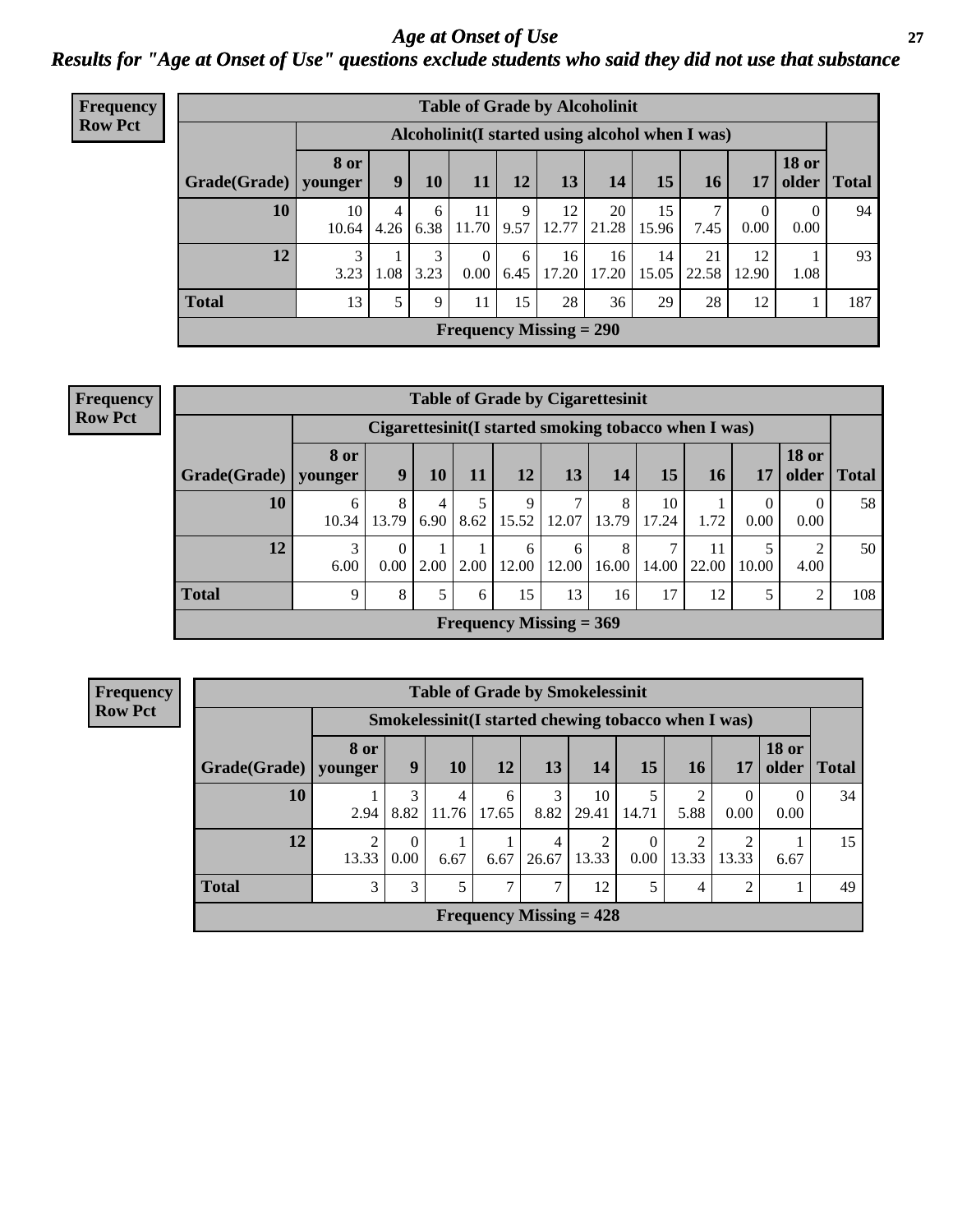#### *Age at Onset of Use* **27** *Results for "Age at Onset of Use" questions exclude students who said they did not use that substance*

| Frequency      | <b>Table of Grade by Alcoholinit</b> |                        |                                                  |           |                           |           |                      |             |             |             |                  |                       |              |
|----------------|--------------------------------------|------------------------|--------------------------------------------------|-----------|---------------------------|-----------|----------------------|-------------|-------------|-------------|------------------|-----------------------|--------------|
| <b>Row Pct</b> |                                      |                        | Alcoholinit (I started using alcohol when I was) |           |                           |           |                      |             |             |             |                  |                       |              |
|                | Grade(Grade)                         | <b>8 or</b><br>younger | $\boldsymbol{9}$                                 | <b>10</b> | $\bf 11$                  | 12        | 13                   | 14          | 15          | <b>16</b>   | 17               | <b>18 or</b><br>older | <b>Total</b> |
|                | 10                                   | 10<br>10.64            | 4.26                                             | 6<br>6.38 | 11<br>11.70               | 9         | 12<br>$9.57$   12.77 | 20<br>21.28 | 15<br>15.96 | 7.45        | $\theta$<br>0.00 | $\theta$<br>0.00      | 94           |
|                | 12                                   | 3<br>3.23              | 1.08                                             | 3<br>3.23 | $\Omega$<br>0.00          | 6<br>6.45 | 16<br>17.20          | 16<br>17.20 | 14<br>15.05 | 21<br>22.58 | 12<br>12.90      | 1.08                  | 93           |
|                | <b>Total</b>                         | 13                     | 5                                                | 9         | 11                        | 15        | 28                   | 36          | 29          | 28          | 12               |                       | 187          |
|                |                                      |                        |                                                  |           | Frequency Missing $= 290$ |           |                      |             |             |             |                  |                       |              |

| <b>Frequency</b> | <b>Table of Grade by Cigarettesinit</b><br>Cigarettesinit(I started smoking tobacco when I was) |                        |                  |           |      |            |                                |            |             |             |                        |                       |       |
|------------------|-------------------------------------------------------------------------------------------------|------------------------|------------------|-----------|------|------------|--------------------------------|------------|-------------|-------------|------------------------|-----------------------|-------|
| <b>Row Pct</b>   |                                                                                                 |                        |                  |           |      |            |                                |            |             |             |                        |                       |       |
|                  | Grade(Grade)                                                                                    | <b>8 or</b><br>vounger | 9                | 10        | 11   | 12         | 13                             | 14         | 15          | 16          | 17                     | <b>18 or</b><br>older | Total |
|                  | 10                                                                                              | 6<br>10.34             | 8<br>13.79       | 4<br>6.90 | 8.62 | 9<br>15.52 | $\overline{7}$<br>12.07        | 8<br>13.79 | 10<br>17.24 | 1.72        | $\overline{0}$<br>0.00 | $\Omega$<br>0.00      | 58    |
|                  | 12                                                                                              | 3<br>6.00              | $\theta$<br>0.00 | 2.00      | 2.00 | 6<br>12.00 | 6<br>12.00                     | 8<br>16.00 | 14.00       | 11<br>22.00 | 5<br>10.00             | ↑<br>4.00             | 50    |
|                  | <b>Total</b>                                                                                    | 9                      | 8                | 5         | 6    | 15         | 13                             | 16         | 17          | 12          | 5                      | 2                     | 108   |
|                  |                                                                                                 |                        |                  |           |      |            | <b>Frequency Missing = 369</b> |            |             |             |                        |                       |       |

**Frequency Row Pct**

| <b>Table of Grade by Smokelessinit</b> |                 |                                                     |            |               |            |                           |                  |                         |                |                       |              |
|----------------------------------------|-----------------|-----------------------------------------------------|------------|---------------|------------|---------------------------|------------------|-------------------------|----------------|-----------------------|--------------|
|                                        |                 | Smokelessinit(I started chewing tobacco when I was) |            |               |            |                           |                  |                         |                |                       |              |
| Grade(Grade)                           | 8 or<br>younger | 9                                                   | <b>10</b>  | 12            | 13         | <b>14</b>                 | 15               | <b>16</b>               | 17             | <b>18 or</b><br>older | <b>Total</b> |
| 10                                     | 2.94            | 3<br>8.82                                           | 4<br>11.76 | 6<br>17.65    | 3<br>8.82  | 10<br>29.41               | 14.71            | 2<br>5.88               | 0<br>0.00      | 0.00                  | 34           |
| 12                                     | 2<br>13.33      | $\Omega$<br>0.00                                    | 6.67       | 6.67          | 4<br>26.67 | 2<br>13.33                | $\Omega$<br>0.00 | $\overline{2}$<br>13.33 | 2<br>13.33     | 6.67                  | 15           |
| <b>Total</b>                           | 3               | 3                                                   | 5          | $\mathcal{I}$ | 7          | 12                        | 5                | 4                       | $\overline{2}$ |                       | 49           |
|                                        |                 |                                                     |            |               |            | Frequency Missing $= 428$ |                  |                         |                |                       |              |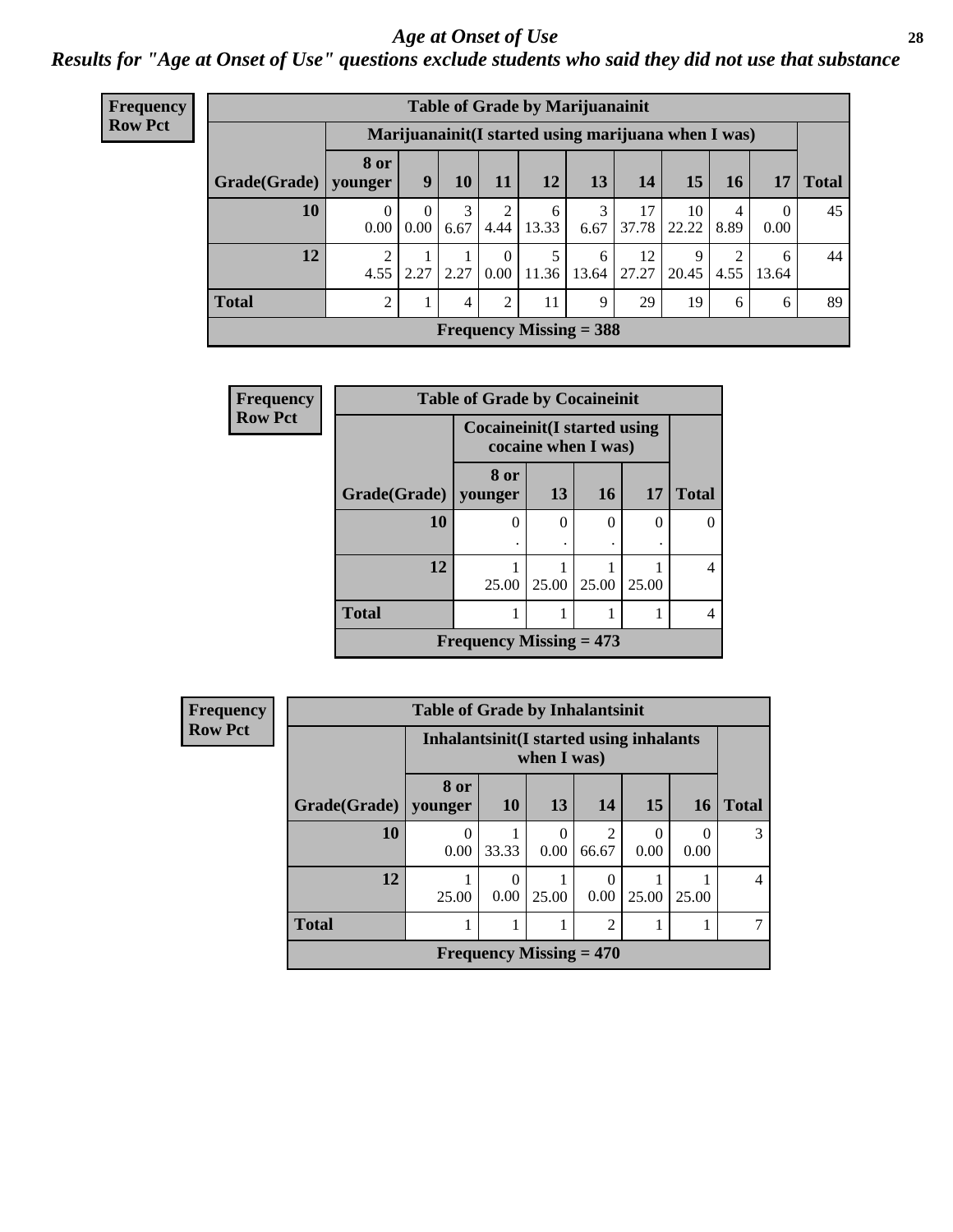#### *Age at Onset of Use* **28**

*Results for "Age at Onset of Use" questions exclude students who said they did not use that substance*

| Frequency      | <b>Table of Grade by Marijuanainit</b> |                        |                                                      |           |                      |            |                           |             |             |           |                  |              |
|----------------|----------------------------------------|------------------------|------------------------------------------------------|-----------|----------------------|------------|---------------------------|-------------|-------------|-----------|------------------|--------------|
| <b>Row Pct</b> |                                        |                        | Marijuanainit (I started using marijuana when I was) |           |                      |            |                           |             |             |           |                  |              |
|                | Grade(Grade)                           | <b>8 or</b><br>younger | 9                                                    | 10        | 11                   | <b>12</b>  | 13                        | 14          | 15          | 16        | 17               | <b>Total</b> |
|                | 10                                     | $\theta$<br>0.00       | $\Omega$<br>0.00                                     | 3<br>6.67 | 2<br>4.44            | 6<br>13.33 | 3<br>6.67                 | 17<br>37.78 | 10<br>22.22 | 4<br>8.89 | $\Omega$<br>0.00 | 45           |
|                | 12                                     | 2<br>4.55              | 2.27                                                 | 2.27      | $\theta$<br>$0.00\,$ | 11.36      | 6<br>13.64                | 12<br>27.27 | 9<br>20.45  | ◠<br>4.55 | 6<br>13.64       | 44           |
|                | <b>Total</b>                           | 2                      |                                                      | 4         | 2                    | 11         | 9                         | 29          | 19          | 6         | 6                | 89           |
|                |                                        |                        |                                                      |           |                      |            | Frequency Missing $=$ 388 |             |             |           |                  |              |

| Frequency      | <b>Table of Grade by Cocaineinit</b> |                                                            |          |           |           |              |
|----------------|--------------------------------------|------------------------------------------------------------|----------|-----------|-----------|--------------|
| <b>Row Pct</b> |                                      | <b>Cocaineinit</b> (I started using<br>cocaine when I was) |          |           |           |              |
|                | Grade(Grade)                         | 8 or<br>younger                                            | 13       | <b>16</b> | <b>17</b> | <b>Total</b> |
|                | 10                                   | 0                                                          | $\theta$ | 0         | 0         |              |
|                | 12                                   | 25.00                                                      | 25.00    | 25.00     | 25.00     | 4            |
|                | <b>Total</b>                         |                                                            |          |           |           | 4            |
|                |                                      | Frequency Missing $= 473$                                  |          |           |           |              |

| <b>Frequency</b> |
|------------------|
| <b>Row Pct</b>   |

| <b>Table of Grade by Inhalantsinit</b> |                 |                                                         |                           |                         |       |       |              |  |
|----------------------------------------|-----------------|---------------------------------------------------------|---------------------------|-------------------------|-------|-------|--------------|--|
|                                        |                 | Inhalantsinit (I started using inhalants<br>when I was) |                           |                         |       |       |              |  |
| Grade(Grade)                           | 8 or<br>younger | <b>10</b>                                               | 13                        | 14                      | 15    | 16    | <b>Total</b> |  |
| 10                                     | 0.00            | 33.33                                                   | 0<br>0.00                 | $\overline{2}$<br>66.67 | 0.00  | 0.00  |              |  |
| 12                                     | 25.00           | $\Omega$<br>0.00                                        | 25.00                     | 0<br>0.00               | 25.00 | 25.00 |              |  |
| <b>Total</b>                           | $\overline{2}$  |                                                         |                           |                         |       |       |              |  |
|                                        |                 |                                                         | Frequency Missing $= 470$ |                         |       |       |              |  |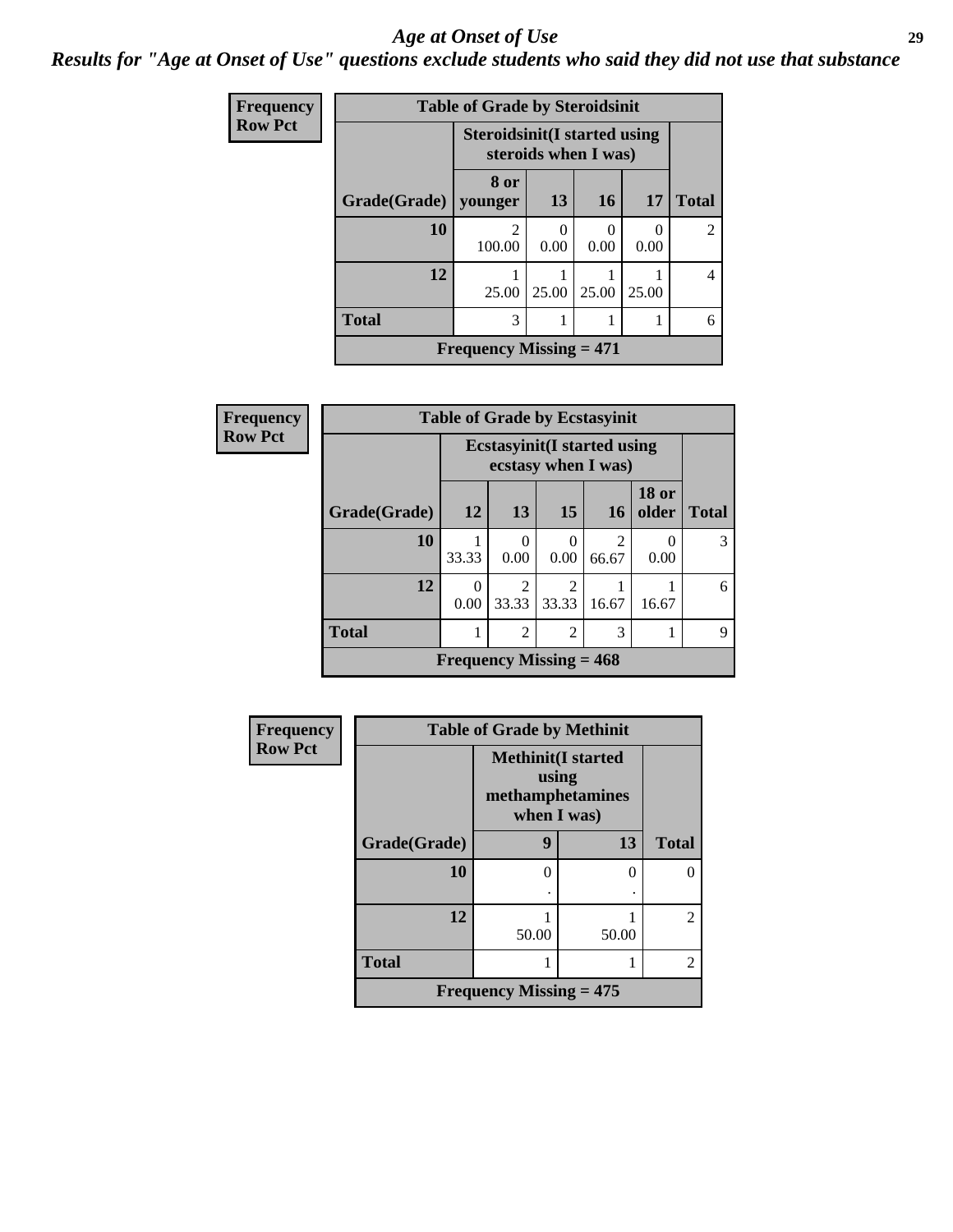#### *Age at Onset of Use* **29**

*Results for "Age at Onset of Use" questions exclude students who said they did not use that substance*

| <b>Frequency</b> | <b>Table of Grade by Steroidsinit</b> |                                             |                                                             |           |       |                |  |  |
|------------------|---------------------------------------|---------------------------------------------|-------------------------------------------------------------|-----------|-------|----------------|--|--|
| <b>Row Pct</b>   |                                       |                                             | <b>Steroidsinit(I started using</b><br>steroids when I was) |           |       |                |  |  |
|                  | Grade(Grade)                          | 8 or<br>younger                             | 13                                                          | 16        | 17    | <b>Total</b>   |  |  |
|                  | 10                                    | 2<br>100.00                                 | 0<br>0.00                                                   | 0<br>0.00 | 0.00  | $\mathfrak{D}$ |  |  |
|                  | 12                                    | 25.00                                       | 25.00                                                       | 25.00     | 25.00 |                |  |  |
|                  | <b>Total</b>                          | 3                                           |                                                             |           |       | 6              |  |  |
|                  |                                       | <b>Frequency Missing <math>= 471</math></b> |                                                             |           |       |                |  |  |

| Frequency      | <b>Table of Grade by Ecstasyinit</b> |           |                                                            |                        |            |                       |              |  |
|----------------|--------------------------------------|-----------|------------------------------------------------------------|------------------------|------------|-----------------------|--------------|--|
| <b>Row Pct</b> |                                      |           | <b>Ecstasyinit</b> (I started using<br>ecstasy when I was) |                        |            |                       |              |  |
|                | Grade(Grade)                         | 12        | 13                                                         | 15                     | <b>16</b>  | <b>18 or</b><br>older | <b>Total</b> |  |
|                | 10                                   | 33.33     | 0<br>0.00                                                  | 0<br>0.00              | 2<br>66.67 | 0.00                  |              |  |
|                | 12                                   | 0<br>0.00 | $\overline{2}$<br>33.33                                    | $\mathcal{L}$<br>33.33 | 16.67      | 16.67                 | 6            |  |
|                | <b>Total</b>                         |           | $\overline{2}$                                             | 2                      | 3          |                       | 9            |  |
|                | Frequency Missing $= 468$            |           |                                                            |                        |            |                       |              |  |

| Frequency      | <b>Table of Grade by Methinit</b> |                                                                       |       |                |  |  |  |  |
|----------------|-----------------------------------|-----------------------------------------------------------------------|-------|----------------|--|--|--|--|
| <b>Row Pct</b> |                                   | <b>Methinit(I started</b><br>using<br>methamphetamines<br>when I was) |       |                |  |  |  |  |
|                | Grade(Grade)                      | 9                                                                     | 13    | <b>Total</b>   |  |  |  |  |
|                | 10                                | $\Omega$                                                              | ∩     | 0              |  |  |  |  |
|                | 12                                | 50.00                                                                 | 50.00 | $\overline{2}$ |  |  |  |  |
|                | <b>Total</b>                      |                                                                       |       | $\overline{2}$ |  |  |  |  |
|                | Frequency Missing $= 475$         |                                                                       |       |                |  |  |  |  |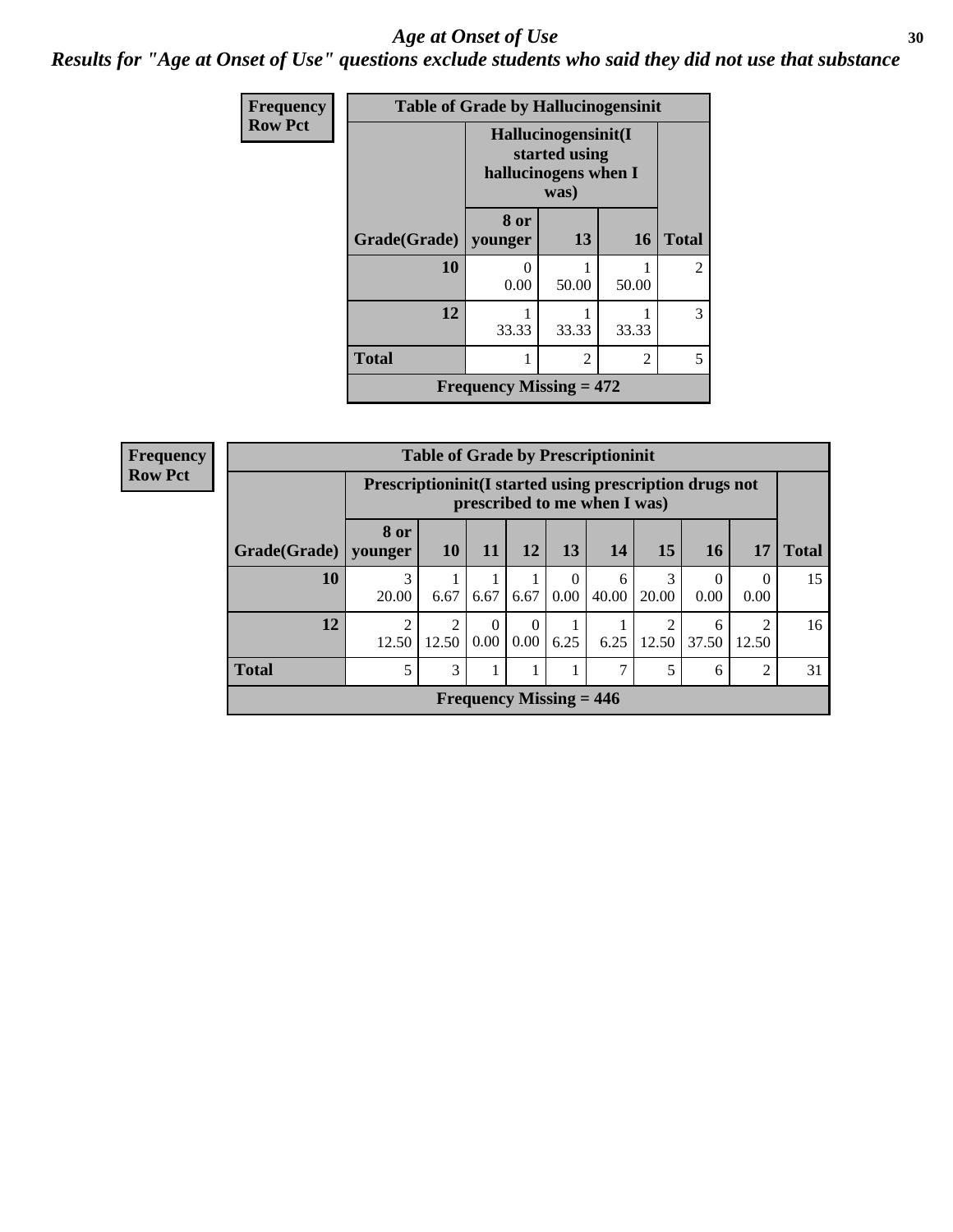#### Age at Onset of Use **30**

*Results for "Age at Onset of Use" questions exclude students who said they did not use that substance*

| Frequency      |              | <b>Table of Grade by Hallucinogensinit</b> |                                                                      |           |                |  |
|----------------|--------------|--------------------------------------------|----------------------------------------------------------------------|-----------|----------------|--|
| <b>Row Pct</b> |              |                                            | Hallucinogensinit(I<br>started using<br>hallucinogens when I<br>was) |           |                |  |
|                | Grade(Grade) | 8 or<br>younger                            | 13                                                                   | <b>16</b> | <b>Total</b>   |  |
|                | 10           | 0.00                                       | 50.00                                                                | 50.00     | $\mathfrak{D}$ |  |
|                | 12           | 33.33                                      | 33.33                                                                | 33.33     | 3              |  |
|                | <b>Total</b> |                                            | 5                                                                    |           |                |  |
|                |              | Frequency Missing $= 472$                  |                                                                      |           |                |  |

| Frequency      | <b>Table of Grade by Prescriptioninit</b> |                 |                                                                                          |                           |                  |      |            |            |            |                                      |              |
|----------------|-------------------------------------------|-----------------|------------------------------------------------------------------------------------------|---------------------------|------------------|------|------------|------------|------------|--------------------------------------|--------------|
| <b>Row Pct</b> |                                           |                 | Prescriptioninit (I started using prescription drugs not<br>prescribed to me when I was) |                           |                  |      |            |            |            |                                      |              |
|                | Grade(Grade)                              | 8 or<br>younger | <b>10</b>                                                                                | 11                        | 12               | 13   | 14         | 15         | 16         | 17                                   | <b>Total</b> |
|                | 10                                        | 3<br>20.00      | 6.67                                                                                     | 6.67                      | 6.67             | 0.00 | 6<br>40.00 | 3<br>20.00 | 0<br>0.00  | 0<br>0.00                            | 15           |
|                | 12                                        | ◠<br>12.50      | $\overline{2}$<br>12.50                                                                  | $\Omega$<br>$0.00\vert$   | $\Omega$<br>0.00 | 6.25 | 6.25       | 2<br>12.50 | 6<br>37.50 | $\mathcal{D}_{\mathcal{A}}$<br>12.50 | 16           |
|                | <b>Total</b>                              | 5               | 3                                                                                        |                           |                  |      | ⇁          | 5          | 6          | 2                                    | 31           |
|                |                                           |                 |                                                                                          | Frequency Missing $= 446$ |                  |      |            |            |            |                                      |              |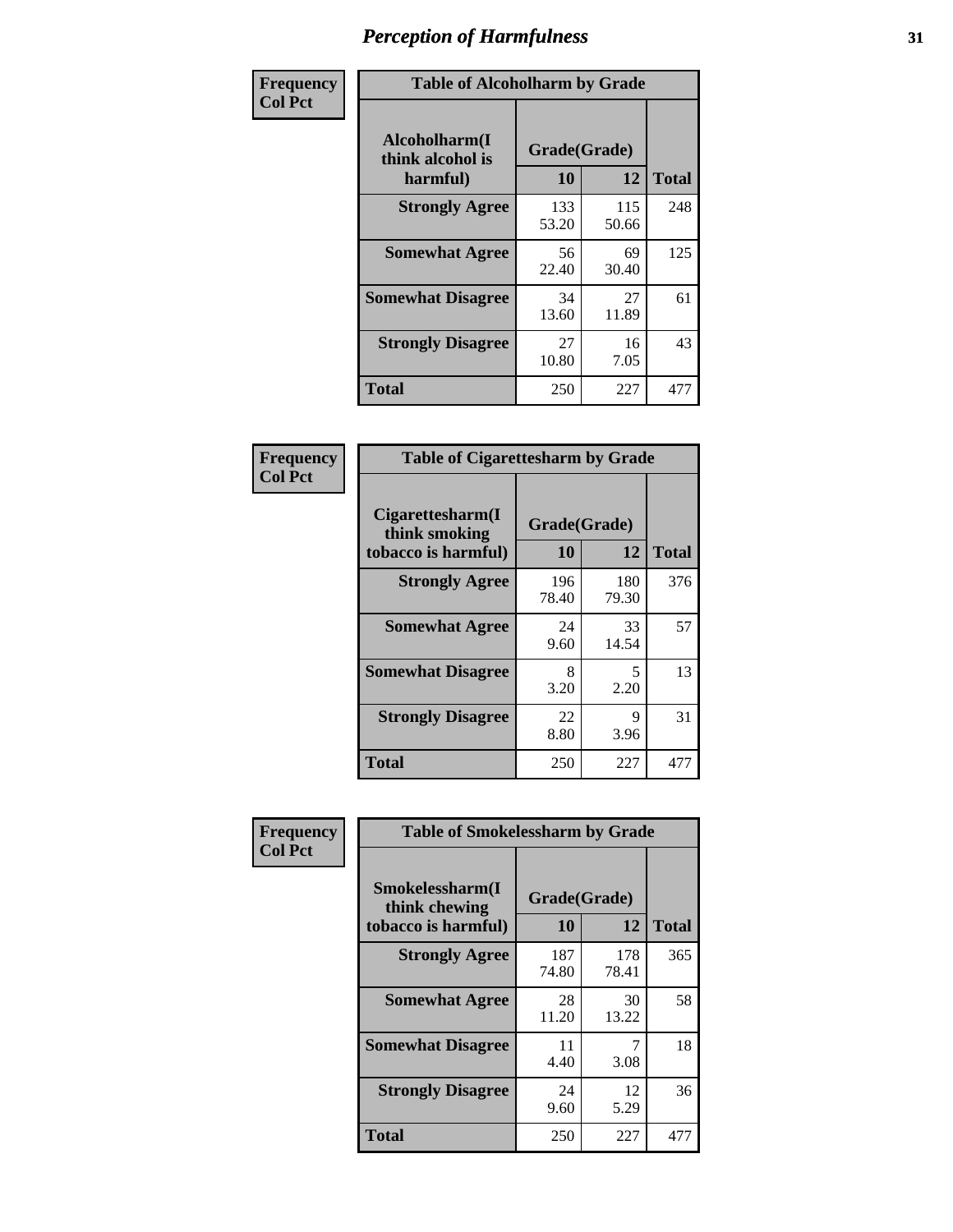| Frequency      | <b>Table of Alcoholharm by Grade</b>          |                    |              |              |  |  |  |
|----------------|-----------------------------------------------|--------------------|--------------|--------------|--|--|--|
| <b>Col Pct</b> | Alcoholharm(I<br>think alcohol is<br>harmful) | Grade(Grade)<br>10 | 12           | <b>Total</b> |  |  |  |
|                | <b>Strongly Agree</b>                         | 133<br>53.20       | 115<br>50.66 | 248          |  |  |  |
|                | <b>Somewhat Agree</b>                         | 56<br>22.40        | 69<br>30.40  | 125          |  |  |  |
|                | <b>Somewhat Disagree</b>                      | 34<br>13.60        | 27<br>11.89  | 61           |  |  |  |
|                | <b>Strongly Disagree</b>                      | 27<br>10.80        | 16<br>7.05   | 43           |  |  |  |
|                | <b>Total</b>                                  | 250                | 227          | 477          |  |  |  |

| <b>Table of Cigarettesharm by Grade</b>                  |                    |              |              |  |  |  |  |  |
|----------------------------------------------------------|--------------------|--------------|--------------|--|--|--|--|--|
| Cigarettesharm(I<br>think smoking<br>tobacco is harmful) | Grade(Grade)<br>10 | 12           | <b>Total</b> |  |  |  |  |  |
| <b>Strongly Agree</b>                                    | 196<br>78.40       | 180<br>79.30 | 376          |  |  |  |  |  |
| <b>Somewhat Agree</b>                                    | 24<br>9.60         | 33<br>14.54  | 57           |  |  |  |  |  |
| <b>Somewhat Disagree</b>                                 | 8<br>3.20          | 5<br>2.20    | 13           |  |  |  |  |  |
| <b>Strongly Disagree</b>                                 | 22<br>8.80         | 9<br>3.96    | 31           |  |  |  |  |  |
| <b>Total</b>                                             | 250                | 227          | 477          |  |  |  |  |  |

| Frequency      | <b>Table of Smokelessharm by Grade</b>                  |                    |                    |     |
|----------------|---------------------------------------------------------|--------------------|--------------------|-----|
| <b>Col Pct</b> | Smokelessharm(I<br>think chewing<br>tobacco is harmful) | Grade(Grade)<br>10 | <b>Total</b>       |     |
|                | <b>Strongly Agree</b>                                   | 187<br>74.80       | 12<br>178<br>78.41 | 365 |
|                | <b>Somewhat Agree</b>                                   | 28<br>11.20        | 30<br>13.22        | 58  |
|                | <b>Somewhat Disagree</b>                                | 11<br>4.40         | 7<br>3.08          | 18  |
|                | <b>Strongly Disagree</b>                                | 24<br>9.60         | 12<br>5.29         | 36  |
|                | <b>Total</b>                                            | 250                | 227                | 477 |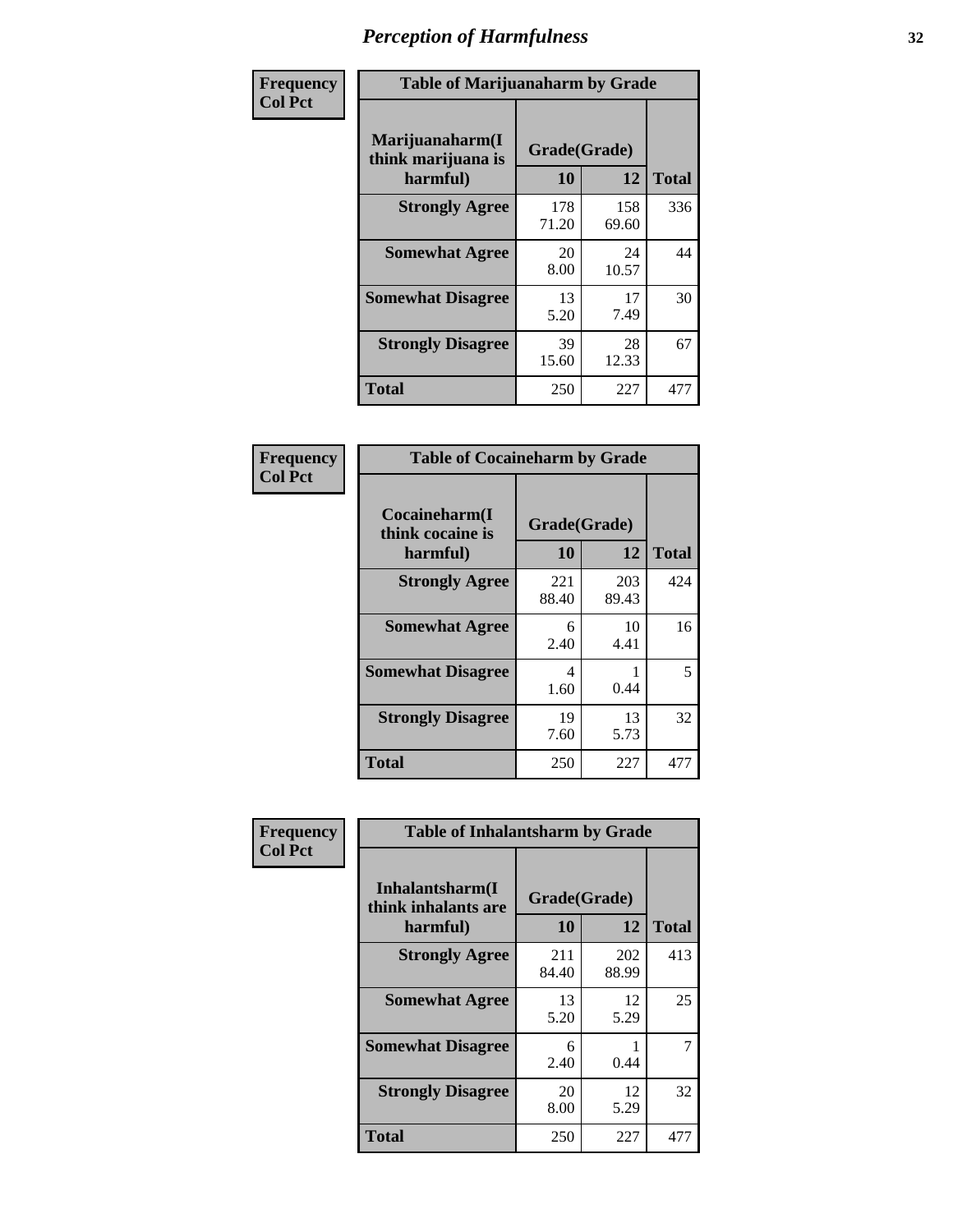| Frequency      |                                                   | <b>Table of Marijuanaharm by Grade</b> |              |              |  |
|----------------|---------------------------------------------------|----------------------------------------|--------------|--------------|--|
| <b>Col Pct</b> | Marijuanaharm(I<br>think marijuana is<br>harmful) | Grade(Grade)<br>10                     | 12           | <b>Total</b> |  |
|                | <b>Strongly Agree</b>                             | 178<br>71.20                           | 158<br>69.60 | 336          |  |
|                | <b>Somewhat Agree</b>                             | 20<br>8.00                             | 24<br>10.57  | 44           |  |
|                | <b>Somewhat Disagree</b>                          | 13<br>5.20                             | 17<br>7.49   | 30           |  |
|                | <b>Strongly Disagree</b>                          | 39<br>15.60                            | 28<br>12.33  | 67           |  |
|                | <b>Total</b>                                      | 250                                    | 227          | 477          |  |

| <b>Table of Cocaineharm by Grade</b>          |                    |              |              |  |
|-----------------------------------------------|--------------------|--------------|--------------|--|
| Cocaineharm(I<br>think cocaine is<br>harmful) | Grade(Grade)<br>10 | 12           | <b>Total</b> |  |
| <b>Strongly Agree</b>                         | 221<br>88.40       | 203<br>89.43 | 424          |  |
| <b>Somewhat Agree</b>                         | 6<br>2.40          | 10<br>4.41   | 16           |  |
| <b>Somewhat Disagree</b>                      | 4<br>1.60          | 0.44         | 5            |  |
| <b>Strongly Disagree</b>                      | 19<br>7.60         | 13<br>5.73   | 32           |  |
| <b>Total</b>                                  | 250                | 227          | 477          |  |

| Frequency      | <b>Table of Inhalantsharm by Grade</b>             |                    |              |              |
|----------------|----------------------------------------------------|--------------------|--------------|--------------|
| <b>Col Pct</b> | Inhalantsharm(I<br>think inhalants are<br>harmful) | Grade(Grade)<br>10 | 12           | <b>Total</b> |
|                | <b>Strongly Agree</b>                              | 211<br>84.40       | 202<br>88.99 | 413          |
|                | <b>Somewhat Agree</b>                              | 13<br>5.20         | 12<br>5.29   | 25           |
|                | <b>Somewhat Disagree</b>                           | 6<br>2.40          | 0.44         | 7            |
|                | <b>Strongly Disagree</b>                           | 20<br>8.00         | 12<br>5.29   | 32           |
|                | Total                                              | 250                | 227          | 477          |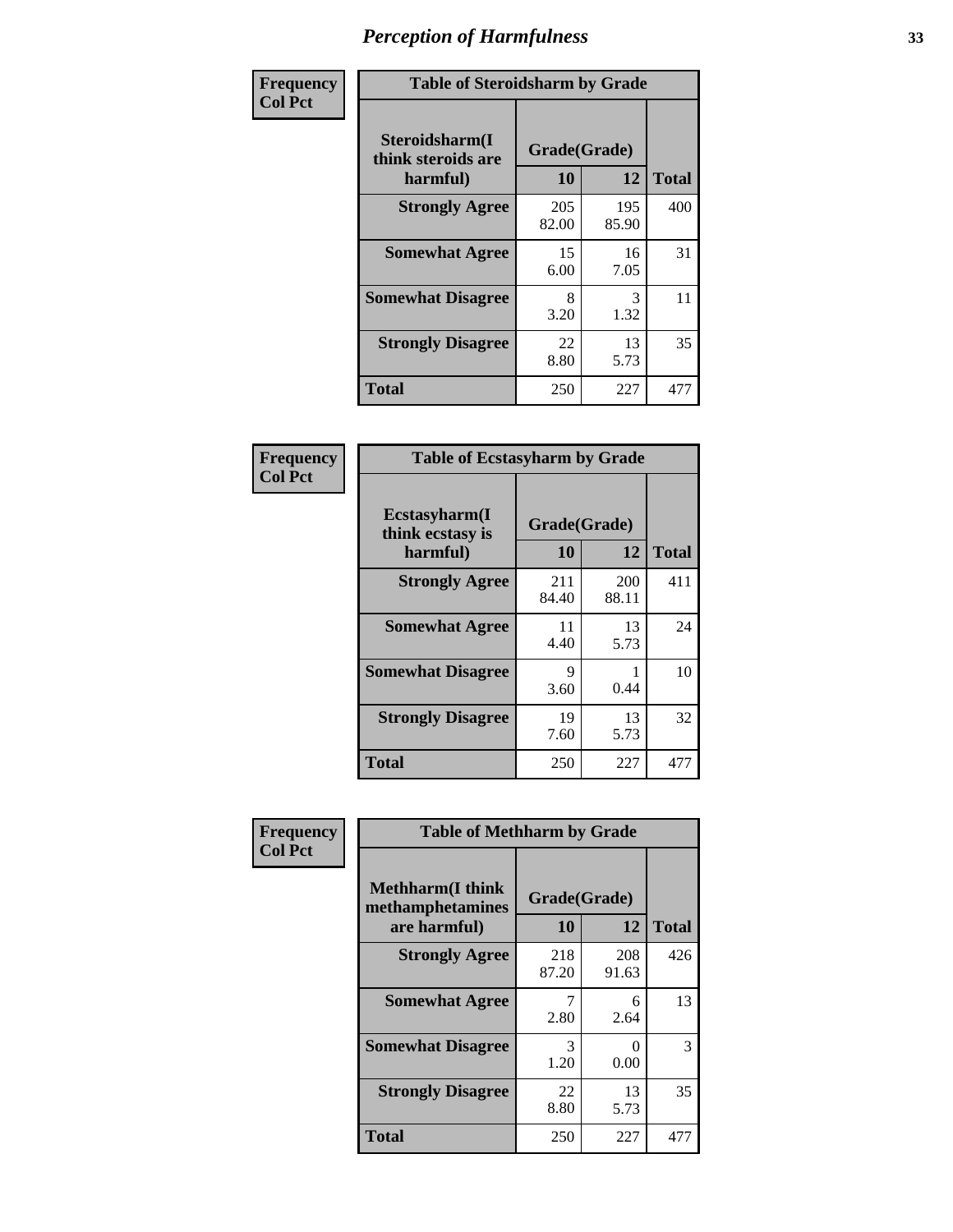| Frequency      | <b>Table of Steroidsharm by Grade</b>            |                    |              |              |
|----------------|--------------------------------------------------|--------------------|--------------|--------------|
| <b>Col Pct</b> | Steroidsharm(I<br>think steroids are<br>harmful) | Grade(Grade)<br>10 | 12           | <b>Total</b> |
|                | <b>Strongly Agree</b>                            | 205<br>82.00       | 195<br>85.90 | 400          |
|                | <b>Somewhat Agree</b>                            | 15<br>6.00         | 16<br>7.05   | 31           |
|                | <b>Somewhat Disagree</b>                         | 8<br>3.20          | 3<br>1.32    | 11           |
|                | <b>Strongly Disagree</b>                         | 22<br>8.80         | 13<br>5.73   | 35           |
|                | <b>Total</b>                                     | 250                | 227          | 477          |

| <b>Table of Ecstasyharm by Grade</b>                |                    |              |              |  |  |
|-----------------------------------------------------|--------------------|--------------|--------------|--|--|
| $E$ cstasyharm $(I$<br>think ecstasy is<br>harmful) | Grade(Grade)<br>10 | 12           | <b>Total</b> |  |  |
| <b>Strongly Agree</b>                               | 211<br>84.40       | 200<br>88.11 | 411          |  |  |
| <b>Somewhat Agree</b>                               | 11<br>4.40         | 13<br>5.73   | 24           |  |  |
| <b>Somewhat Disagree</b>                            | 9<br>3.60          | 1<br>0.44    | 10           |  |  |
| <b>Strongly Disagree</b>                            | 19<br>7.60         | 13<br>5.73   | 32           |  |  |
| <b>Total</b>                                        | 250                | 227          | 477          |  |  |

| Frequency      | <b>Table of Methharm by Grade</b>                            |                    |              |              |
|----------------|--------------------------------------------------------------|--------------------|--------------|--------------|
| <b>Col Pct</b> | <b>Methharm</b> (I think<br>methamphetamines<br>are harmful) | Grade(Grade)<br>10 | 12           | <b>Total</b> |
|                | <b>Strongly Agree</b>                                        | 218<br>87.20       | 208<br>91.63 | 426          |
|                | <b>Somewhat Agree</b>                                        | 2.80               | 6<br>2.64    | 13           |
|                | <b>Somewhat Disagree</b>                                     | 3<br>1.20          | 0<br>0.00    | 3            |
|                | <b>Strongly Disagree</b>                                     | 22<br>8.80         | 13<br>5.73   | 35           |
|                | <b>Total</b>                                                 | 250                | 227          | 477          |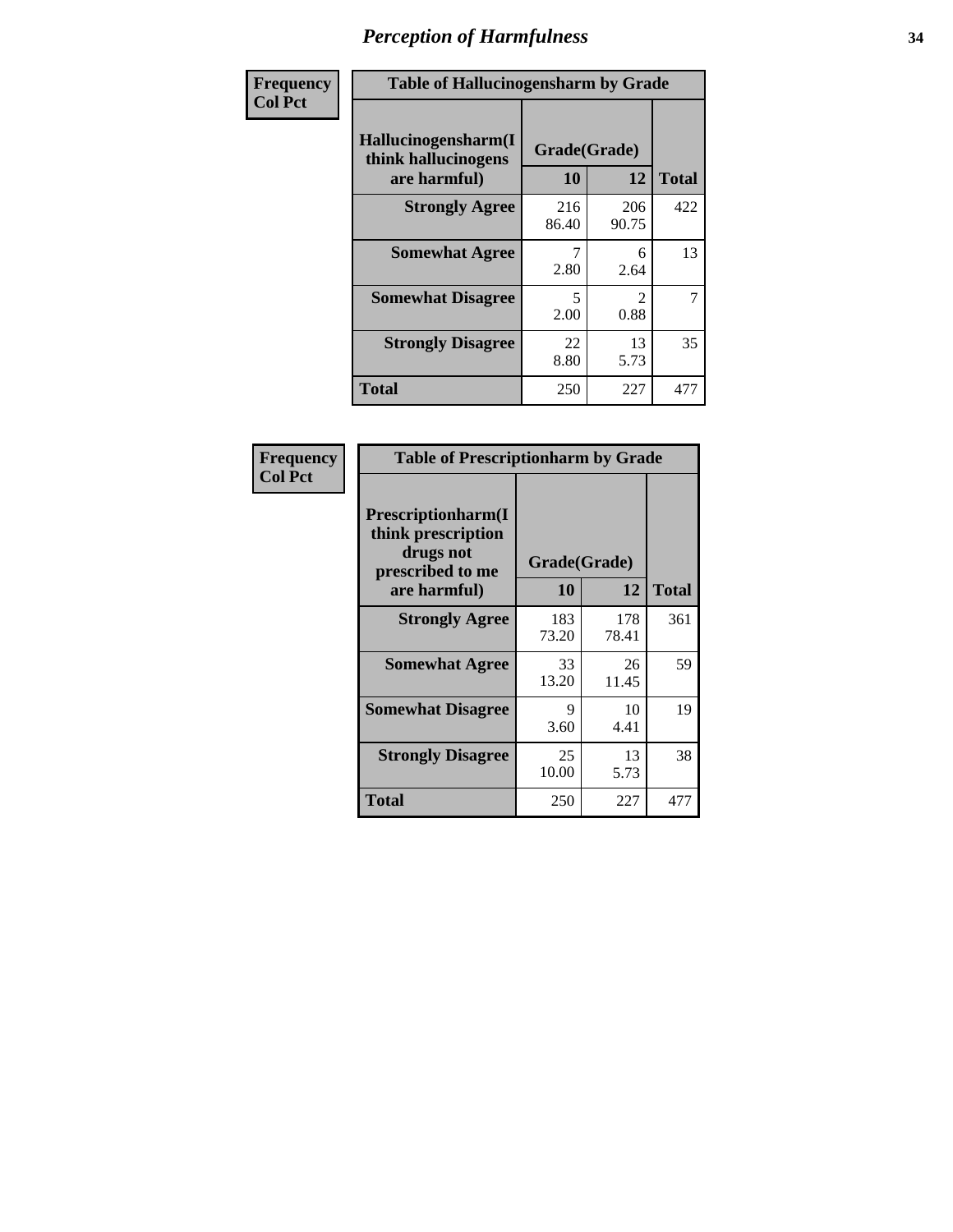| Frequency      | <b>Table of Hallucinogensharm by Grade</b>                 |                                  |                        |                |
|----------------|------------------------------------------------------------|----------------------------------|------------------------|----------------|
| <b>Col Pct</b> | Hallucinogensharm(I<br>think hallucinogens<br>are harmful) | Grade(Grade)<br>10               | 12                     | <b>Total</b>   |
|                | <b>Strongly Agree</b>                                      | 216<br>86.40                     | 206<br>90.75           | 422            |
|                | <b>Somewhat Agree</b>                                      | 2.80                             | 6<br>2.64              | 13             |
|                | <b>Somewhat Disagree</b>                                   | $\overline{\phantom{0}}$<br>2.00 | $\mathfrak{D}$<br>0.88 | $\overline{7}$ |
|                | <b>Strongly Disagree</b>                                   | 22<br>8.80                       | 13<br>5.73             | 35             |
|                | <b>Total</b>                                               | 250                              | 227                    | 477            |

| <b>Table of Prescriptionharm by Grade</b>                                 |              |              |              |  |
|---------------------------------------------------------------------------|--------------|--------------|--------------|--|
| Prescriptionharm(I<br>think prescription<br>drugs not<br>prescribed to me | Grade(Grade) |              |              |  |
| are harmful)                                                              | 10           | 12           | <b>Total</b> |  |
| <b>Strongly Agree</b>                                                     | 183<br>73.20 | 178<br>78.41 | 361          |  |
| <b>Somewhat Agree</b>                                                     | 33<br>13.20  | 26<br>11.45  | 59           |  |
| <b>Somewhat Disagree</b>                                                  | 9<br>3.60    | 10<br>4.41   | 19           |  |
| <b>Strongly Disagree</b>                                                  | 25<br>10.00  | 13<br>5.73   | 38           |  |
| <b>Total</b>                                                              | 250          | 227          | 477          |  |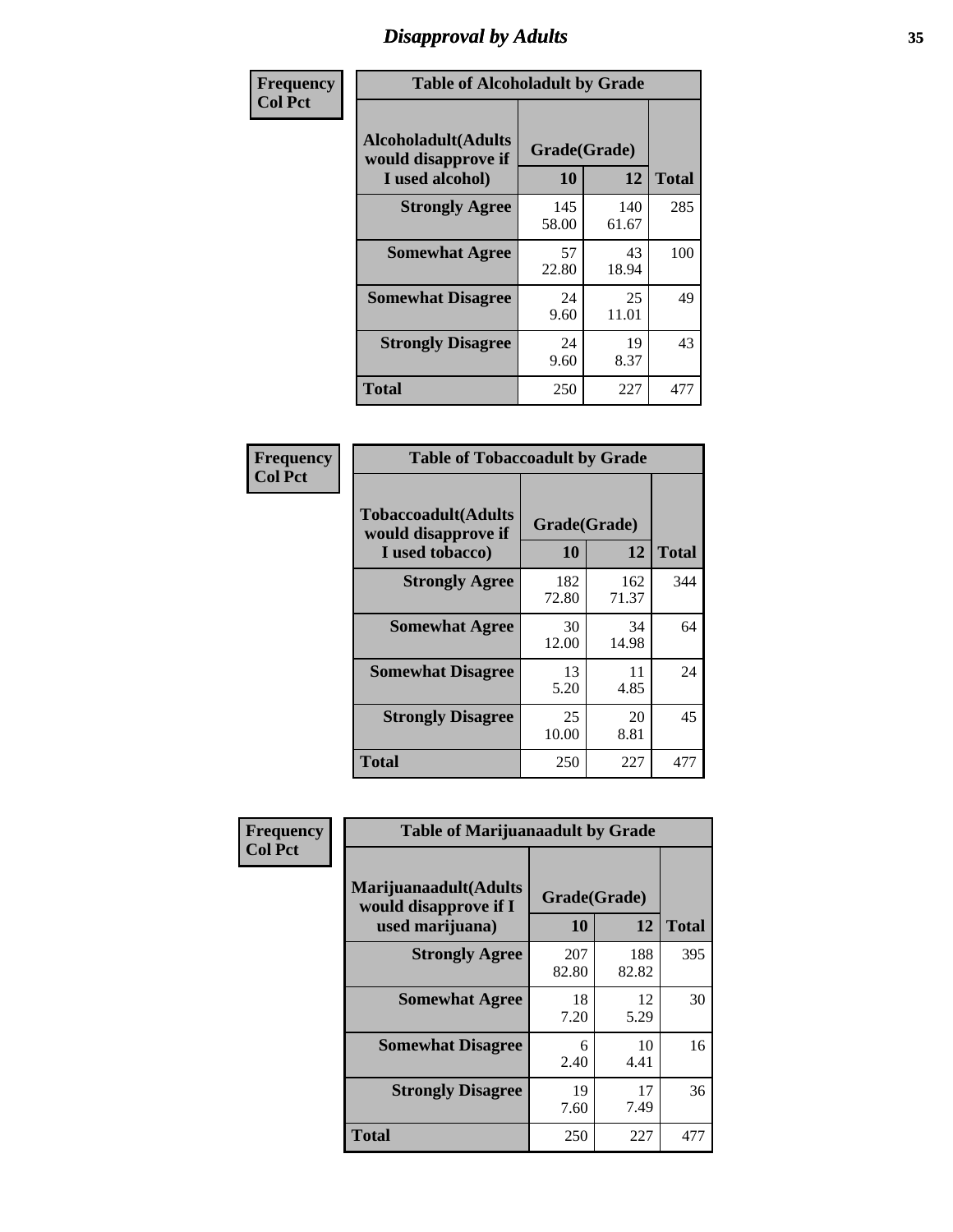# *Disapproval by Adults* **35**

| Frequency      | <b>Table of Alcoholadult by Grade</b>                                 |                    |              |              |
|----------------|-----------------------------------------------------------------------|--------------------|--------------|--------------|
| <b>Col Pct</b> | <b>Alcoholadult</b> (Adults<br>would disapprove if<br>I used alcohol) | Grade(Grade)<br>10 | 12           | <b>Total</b> |
|                | <b>Strongly Agree</b>                                                 | 145<br>58.00       | 140<br>61.67 | 285          |
|                | <b>Somewhat Agree</b>                                                 | 57<br>22.80        | 43<br>18.94  | 100          |
|                | <b>Somewhat Disagree</b>                                              | 24<br>9.60         | 25<br>11.01  | 49           |
|                | <b>Strongly Disagree</b>                                              | 24<br>9.60         | 19<br>8.37   | 43           |
|                | <b>Total</b>                                                          | 250                | 227          | 477          |

| <b>Table of Tobaccoadult by Grade</b>                                |                    |              |              |  |
|----------------------------------------------------------------------|--------------------|--------------|--------------|--|
| <b>Tobaccoadult(Adults</b><br>would disapprove if<br>I used tobacco) | Grade(Grade)<br>10 | 12           | <b>Total</b> |  |
| <b>Strongly Agree</b>                                                | 182<br>72.80       | 162<br>71.37 | 344          |  |
| <b>Somewhat Agree</b>                                                | 30<br>12.00        | 34<br>14.98  | 64           |  |
| <b>Somewhat Disagree</b>                                             | 13<br>5.20         | 11<br>4.85   | 24           |  |
| <b>Strongly Disagree</b>                                             | 25<br>10.00        | 20<br>8.81   | 45           |  |
| <b>Total</b>                                                         | 250                | 227          | 477          |  |

| Frequency<br><b>Col Pct</b> | <b>Table of Marijuanaadult by Grade</b>                           |                    |              |              |
|-----------------------------|-------------------------------------------------------------------|--------------------|--------------|--------------|
|                             | Marijuanaadult(Adults<br>would disapprove if I<br>used marijuana) | Grade(Grade)<br>10 | 12           | <b>Total</b> |
|                             | <b>Strongly Agree</b>                                             | 207<br>82.80       | 188<br>82.82 | 395          |
|                             | <b>Somewhat Agree</b>                                             | 18<br>7.20         | 12<br>5.29   | 30           |
|                             | <b>Somewhat Disagree</b>                                          | 6<br>2.40          | 10<br>4.41   | 16           |
|                             | <b>Strongly Disagree</b>                                          | 19<br>7.60         | 17<br>7.49   | 36           |
|                             | <b>Total</b>                                                      | 250                | 227          | 477          |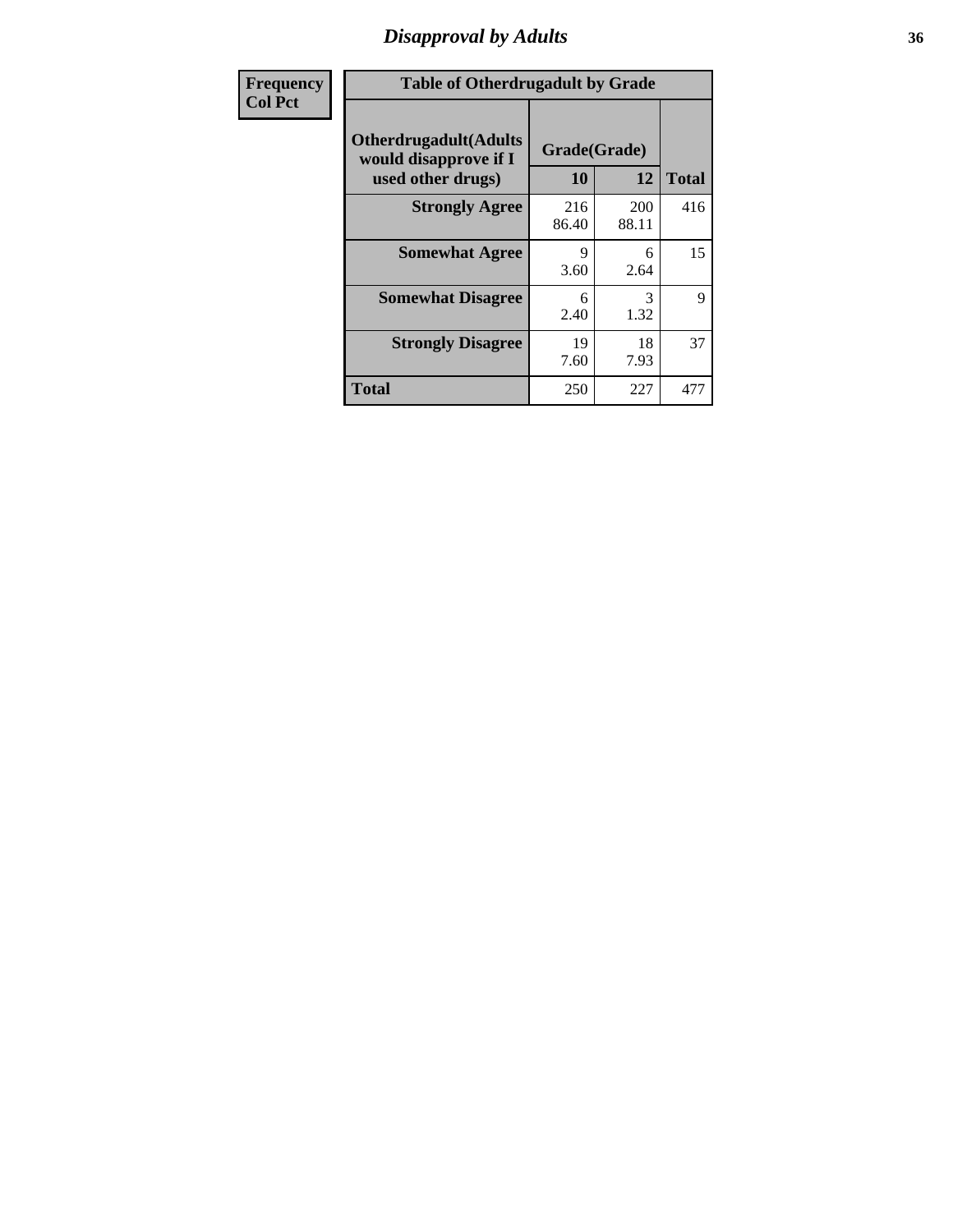### *Disapproval by Adults* **36**

| Frequency      | <b>Table of Otherdrugadult by Grade</b>                                     |                    |              |              |
|----------------|-----------------------------------------------------------------------------|--------------------|--------------|--------------|
| <b>Col Pct</b> | <b>Otherdrugadult</b> (Adults<br>would disapprove if I<br>used other drugs) | Grade(Grade)<br>10 | 12           | <b>Total</b> |
|                | <b>Strongly Agree</b>                                                       | 216<br>86.40       | 200<br>88.11 | 416          |
|                | <b>Somewhat Agree</b>                                                       | Q<br>3.60          | 6<br>2.64    | 15           |
|                | <b>Somewhat Disagree</b>                                                    | 6<br>2.40          | 3<br>1.32    | 9            |
|                | <b>Strongly Disagree</b>                                                    | 19<br>7.60         | 18<br>7.93   | 37           |
|                | <b>Total</b>                                                                | 250                | 227          | 477          |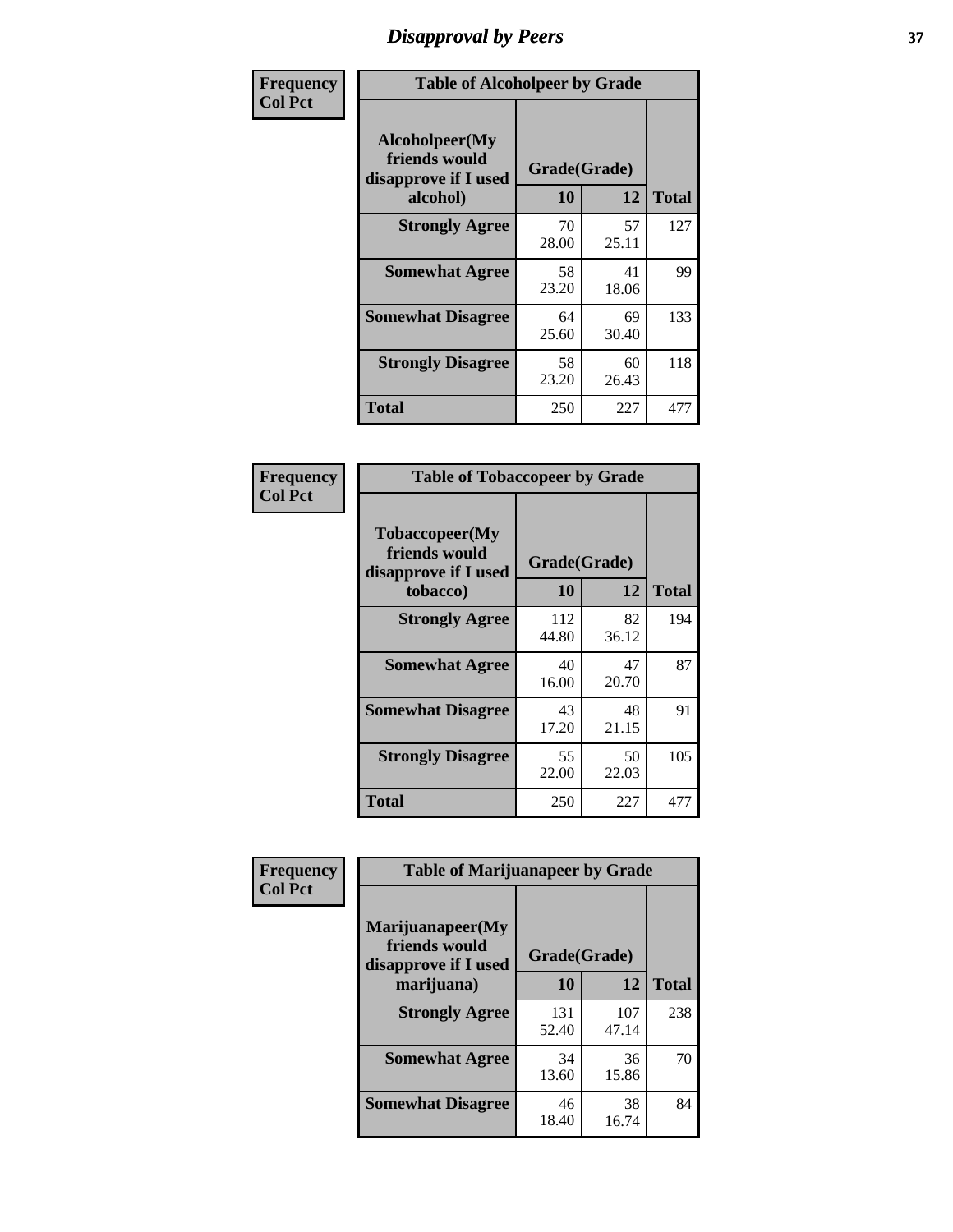# *Disapproval by Peers* **37**

| Frequency      | <b>Table of Alcoholpeer by Grade</b>                    |              |             |              |  |
|----------------|---------------------------------------------------------|--------------|-------------|--------------|--|
| <b>Col Pct</b> | Alcoholpeer(My<br>friends would<br>disapprove if I used | Grade(Grade) |             |              |  |
|                | alcohol)                                                | 10           | 12          | <b>Total</b> |  |
|                | <b>Strongly Agree</b>                                   | 70<br>28.00  | 57<br>25.11 | 127          |  |
|                | <b>Somewhat Agree</b>                                   | 58<br>23.20  | 41<br>18.06 | 99           |  |
|                | <b>Somewhat Disagree</b>                                | 64<br>25.60  | 69<br>30.40 | 133          |  |
|                | <b>Strongly Disagree</b>                                | 58<br>23.20  | 60<br>26.43 | 118          |  |
|                | Total                                                   | 250          | 227         | 477          |  |

| Frequency      | <b>Table of Tobaccopeer by Grade</b>                                |                    |             |              |  |
|----------------|---------------------------------------------------------------------|--------------------|-------------|--------------|--|
| <b>Col Pct</b> | Tobaccopeer(My<br>friends would<br>disapprove if I used<br>tobacco) | Grade(Grade)<br>10 | 12          | <b>Total</b> |  |
|                | <b>Strongly Agree</b>                                               | 112<br>44.80       | 82<br>36.12 | 194          |  |
|                | <b>Somewhat Agree</b>                                               | 40<br>16.00        | 47<br>20.70 | 87           |  |
|                | <b>Somewhat Disagree</b>                                            | 43<br>17.20        | 48<br>21.15 | 91           |  |
|                | <b>Strongly Disagree</b>                                            | 55<br>22.00        | 50<br>22.03 | 105          |  |
|                | Total                                                               | 250                | 227         | 477          |  |

| Frequency      | <b>Table of Marijuanapeer by Grade</b>                    |              |              |              |
|----------------|-----------------------------------------------------------|--------------|--------------|--------------|
| <b>Col Pct</b> | Marijuanapeer(My<br>friends would<br>disapprove if I used | Grade(Grade) |              |              |
|                | marijuana)                                                | 10           | 12           | <b>Total</b> |
|                | <b>Strongly Agree</b>                                     | 131<br>52.40 | 107<br>47.14 | 238          |
|                | <b>Somewhat Agree</b>                                     | 34<br>13.60  | 36<br>15.86  | 70           |
|                | <b>Somewhat Disagree</b>                                  | 46<br>18.40  | 38<br>16.74  | 84           |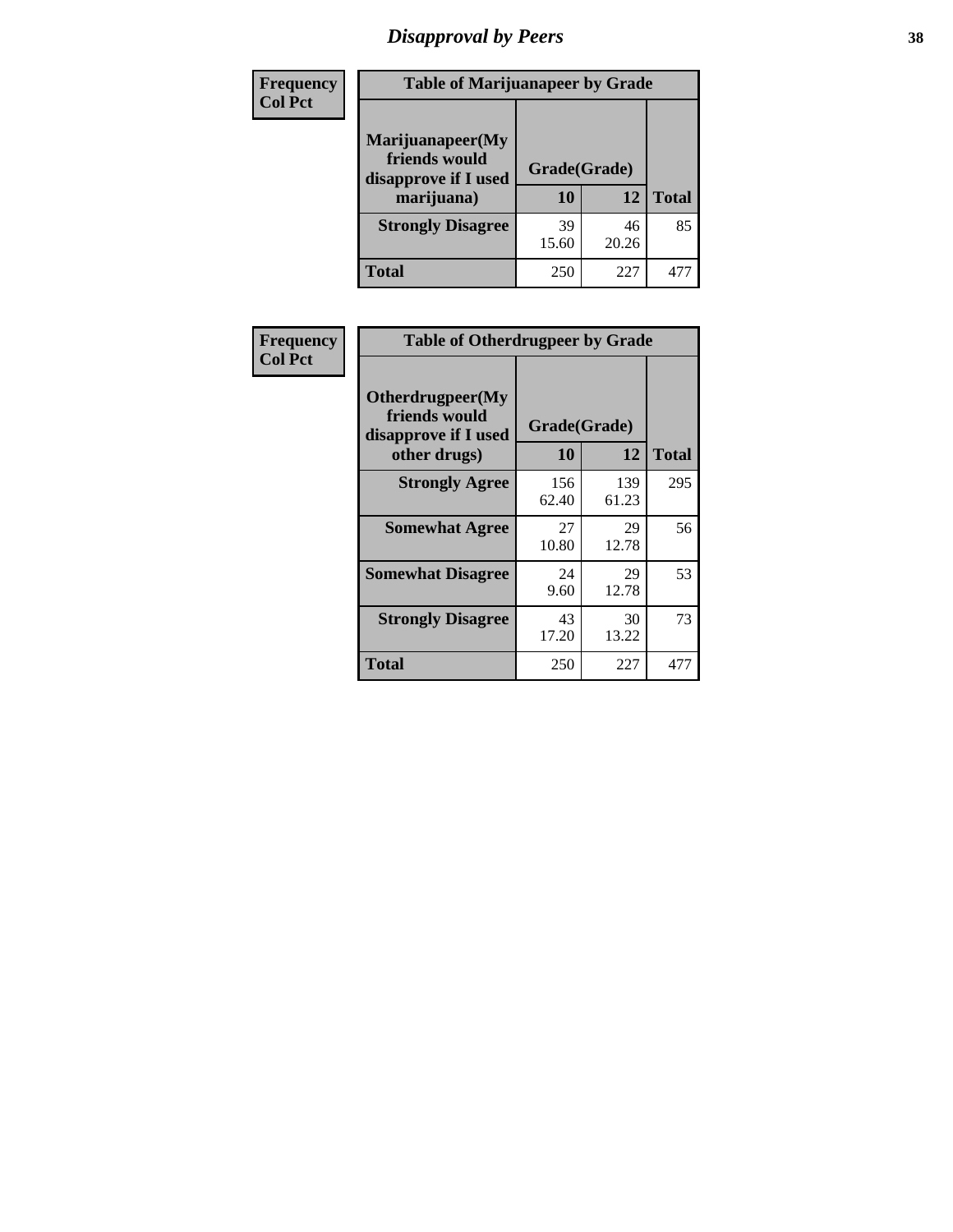# *Disapproval by Peers* **38**

| <b>Frequency</b> | <b>Table of Marijuanapeer by Grade</b>                                  |                           |             |              |  |
|------------------|-------------------------------------------------------------------------|---------------------------|-------------|--------------|--|
| <b>Col Pct</b>   | Marijuanapeer(My<br>friends would<br>disapprove if I used<br>marijuana) | Grade(Grade)<br><b>10</b> | 12          | <b>Total</b> |  |
|                  |                                                                         |                           |             |              |  |
|                  | <b>Strongly Disagree</b>                                                | 39<br>15.60               | 46<br>20.26 | 85           |  |
|                  | <b>Total</b>                                                            | 250                       | 227         | 47           |  |

| Frequency      | <b>Table of Otherdrugpeer by Grade</b>                                    |                    |              |              |
|----------------|---------------------------------------------------------------------------|--------------------|--------------|--------------|
| <b>Col Pct</b> | Otherdrugpeer(My<br>friends would<br>disapprove if I used<br>other drugs) | Grade(Grade)<br>10 | 12           | <b>Total</b> |
|                | <b>Strongly Agree</b>                                                     | 156<br>62.40       | 139<br>61.23 | 295          |
|                | <b>Somewhat Agree</b>                                                     | 27<br>10.80        | 29<br>12.78  | 56           |
|                | <b>Somewhat Disagree</b>                                                  | 24<br>9.60         | 29<br>12.78  | 53           |
|                | <b>Strongly Disagree</b>                                                  | 43<br>17.20        | 30<br>13.22  | 73           |
|                | <b>Total</b>                                                              | 250                | 227          | 477          |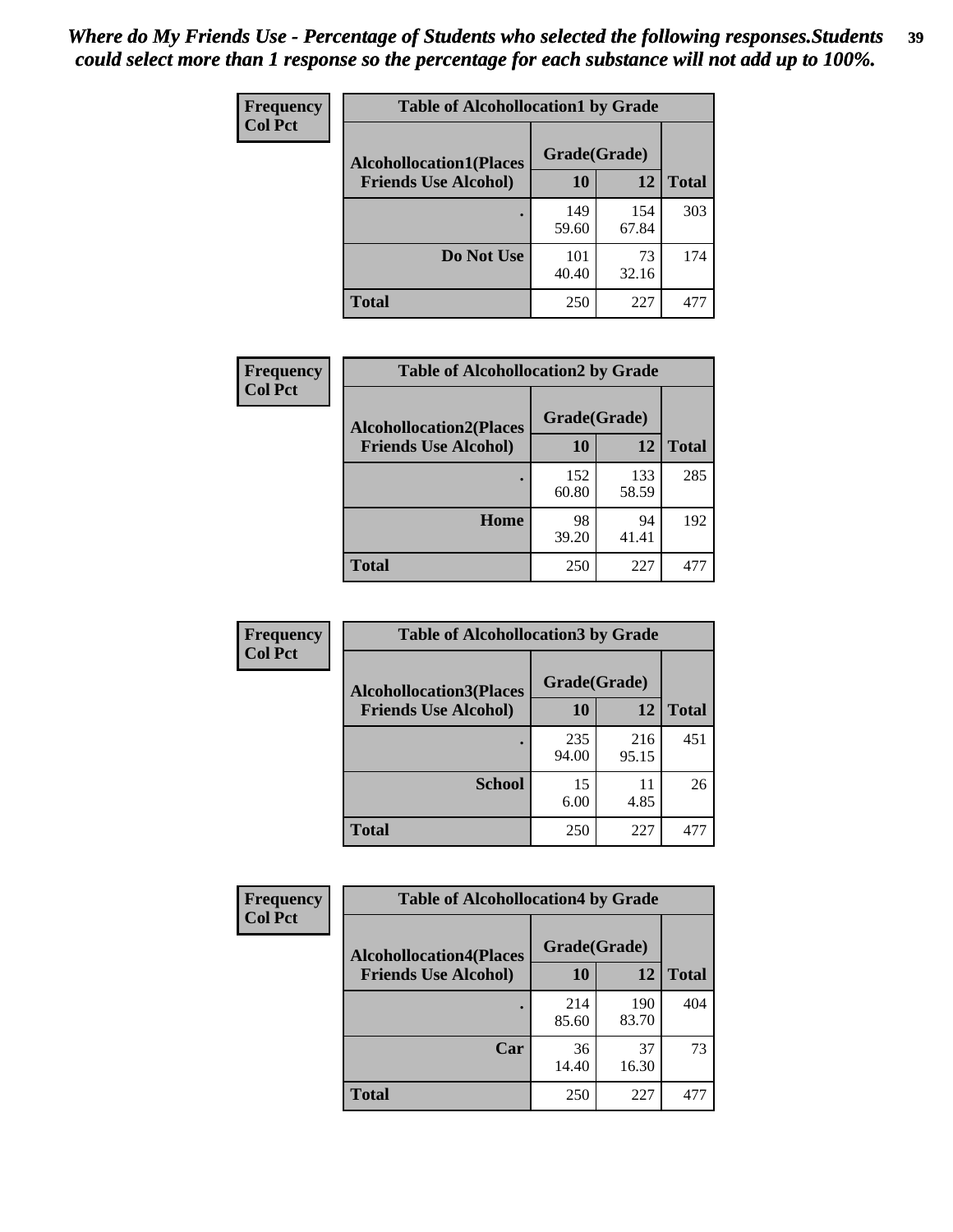| Frequency      | <b>Table of Alcohollocation1 by Grade</b> |              |              |              |
|----------------|-------------------------------------------|--------------|--------------|--------------|
| <b>Col Pct</b> | <b>Alcohollocation1(Places</b>            | Grade(Grade) |              |              |
|                | <b>Friends Use Alcohol)</b>               | 10           | 12           | <b>Total</b> |
|                |                                           | 149<br>59.60 | 154<br>67.84 | 303          |
|                | Do Not Use                                | 101<br>40.40 | 73<br>32.16  | 174          |
|                | <b>Total</b>                              | 250          | 227          | 477          |

| Frequency<br><b>Col Pct</b> | <b>Table of Alcohollocation2 by Grade</b>                     |                    |              |              |
|-----------------------------|---------------------------------------------------------------|--------------------|--------------|--------------|
|                             | <b>Alcohollocation2(Places</b><br><b>Friends Use Alcohol)</b> | Grade(Grade)<br>10 | <b>12</b>    | <b>Total</b> |
|                             |                                                               | 152<br>60.80       | 133<br>58.59 | 285          |
|                             | Home                                                          | 98<br>39.20        | 94<br>41.41  | 192          |
|                             | <b>Total</b>                                                  | 250                | 227          | 477          |

| Frequency<br><b>Col Pct</b> | <b>Table of Alcohollocation 3 by Grade</b>                    |                    |              |              |
|-----------------------------|---------------------------------------------------------------|--------------------|--------------|--------------|
|                             | <b>Alcohollocation3(Places</b><br><b>Friends Use Alcohol)</b> | Grade(Grade)<br>10 | 12           | <b>Total</b> |
|                             |                                                               | 235<br>94.00       | 216<br>95.15 | 451          |
|                             | <b>School</b>                                                 | 15<br>6.00         | 11<br>4.85   | 26           |
|                             | <b>Total</b>                                                  | 250                | 227          | 477          |

| <b>Frequency</b> | <b>Table of Alcohollocation4 by Grade</b> |              |              |              |  |
|------------------|-------------------------------------------|--------------|--------------|--------------|--|
| <b>Col Pct</b>   | <b>Alcohollocation4(Places</b>            | Grade(Grade) |              |              |  |
|                  | <b>Friends Use Alcohol)</b>               | 10           | 12           | <b>Total</b> |  |
|                  |                                           | 214<br>85.60 | 190<br>83.70 | 404          |  |
|                  | Car                                       | 36<br>14.40  | 37<br>16.30  | 73           |  |
|                  | <b>Total</b>                              | 250          | 227          | 477          |  |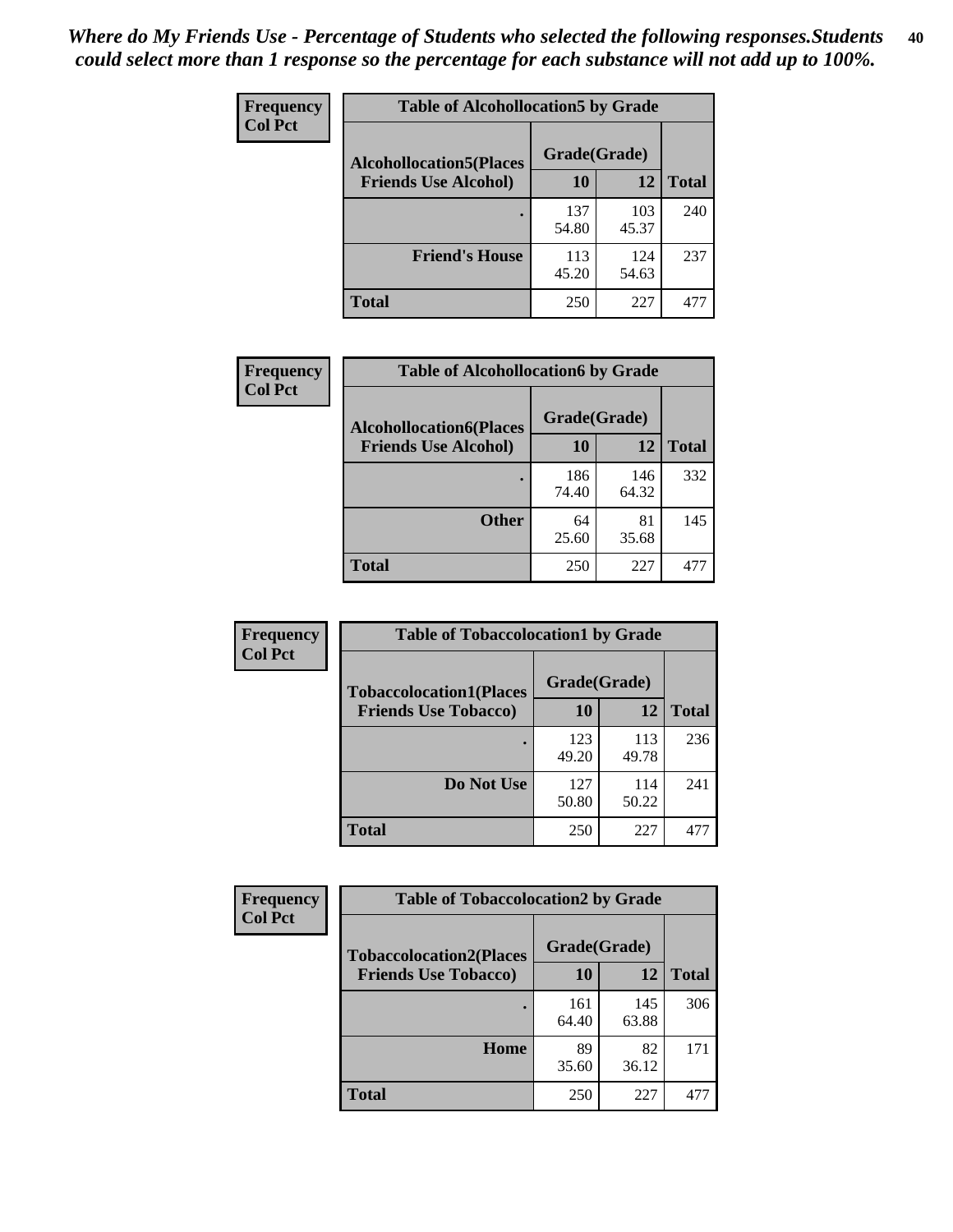| Frequency<br><b>Col Pct</b> | <b>Table of Alcohollocation5 by Grade</b> |              |              |              |  |
|-----------------------------|-------------------------------------------|--------------|--------------|--------------|--|
|                             | <b>Alcohollocation5</b> (Places           | Grade(Grade) |              |              |  |
|                             | <b>Friends Use Alcohol)</b>               | 10           | 12           | <b>Total</b> |  |
|                             |                                           | 137<br>54.80 | 103<br>45.37 | 240          |  |
|                             | <b>Friend's House</b>                     | 113<br>45.20 | 124<br>54.63 | 237          |  |
|                             | <b>Total</b>                              | 250          | 227          | 477          |  |

| <b>Frequency</b> | <b>Table of Alcohollocation6 by Grade</b> |              |              |              |
|------------------|-------------------------------------------|--------------|--------------|--------------|
| <b>Col Pct</b>   | <b>Alcohollocation6(Places</b>            | Grade(Grade) |              |              |
|                  | <b>Friends Use Alcohol)</b>               | 10           | 12           | <b>Total</b> |
|                  |                                           | 186<br>74.40 | 146<br>64.32 | 332          |
|                  | <b>Other</b>                              | 64<br>25.60  | 81<br>35.68  | 145          |
|                  | <b>Total</b>                              | 250          | 227          | 477          |

| Frequency<br><b>Col Pct</b> | <b>Table of Tobaccolocation1 by Grade</b> |              |              |              |
|-----------------------------|-------------------------------------------|--------------|--------------|--------------|
|                             | <b>Tobaccolocation1(Places</b>            | Grade(Grade) |              |              |
|                             | <b>Friends Use Tobacco)</b>               | 10           | <b>12</b>    | <b>Total</b> |
|                             |                                           | 123<br>49.20 | 113<br>49.78 | 236          |
|                             | Do Not Use                                | 127<br>50.80 | 114<br>50.22 | 241          |
|                             | <b>Total</b>                              | 250          | 227          | 477          |

| <b>Frequency</b> | <b>Table of Tobaccolocation2 by Grade</b> |              |              |              |
|------------------|-------------------------------------------|--------------|--------------|--------------|
| <b>Col Pct</b>   | <b>Tobaccolocation2(Places</b>            | Grade(Grade) |              |              |
|                  | <b>Friends Use Tobacco)</b>               | 10           | 12           | <b>Total</b> |
|                  |                                           | 161<br>64.40 | 145<br>63.88 | 306          |
|                  | Home                                      | 89<br>35.60  | 82<br>36.12  | 171          |
|                  | <b>Total</b>                              | 250          | 227          | 477          |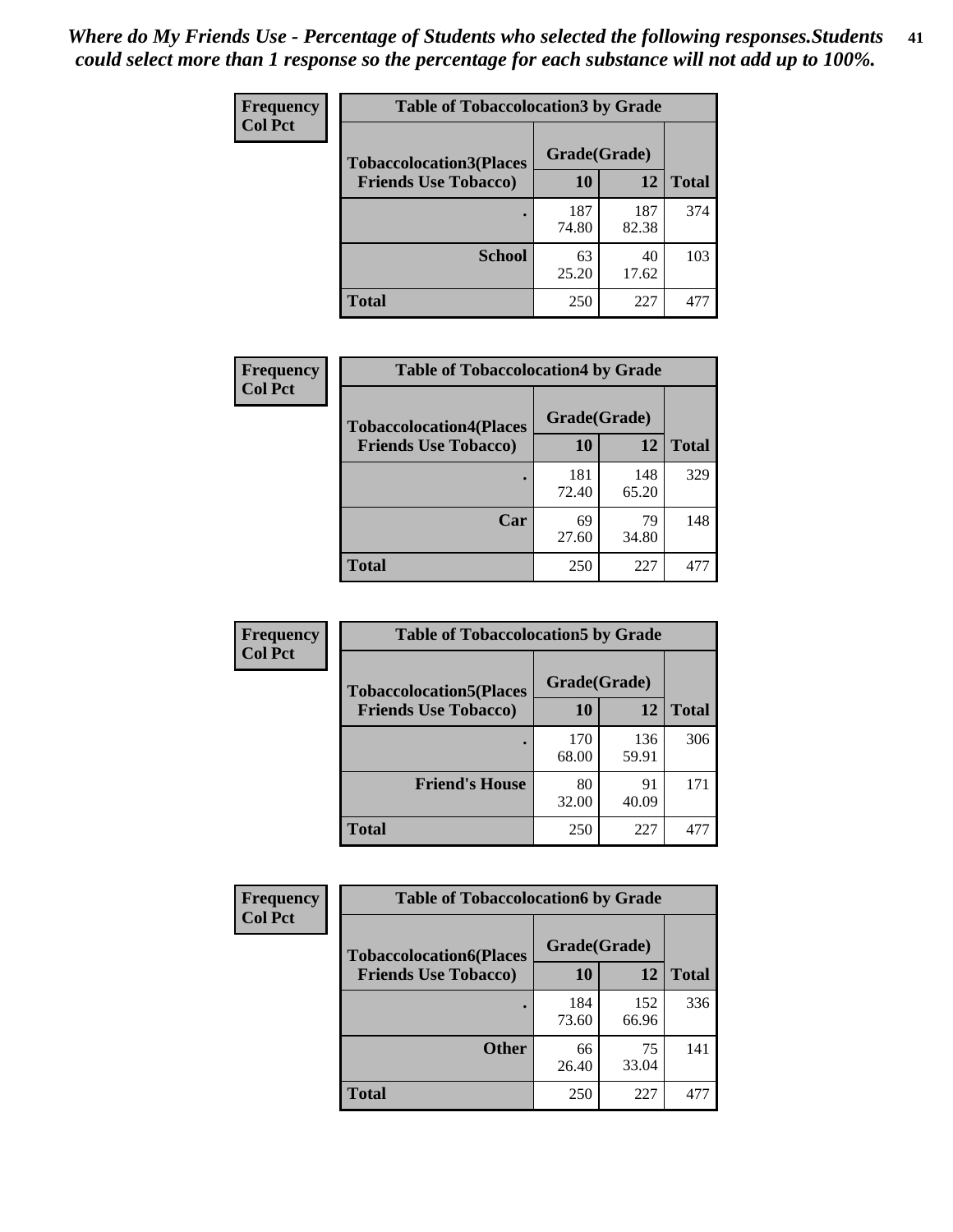| Frequency      | <b>Table of Tobaccolocation 3 by Grade</b> |              |              |              |
|----------------|--------------------------------------------|--------------|--------------|--------------|
| <b>Col Pct</b> | <b>Tobaccolocation3(Places</b>             | Grade(Grade) |              |              |
|                | <b>Friends Use Tobacco)</b>                | 10           | 12           | <b>Total</b> |
|                |                                            | 187<br>74.80 | 187<br>82.38 | 374          |
|                | <b>School</b>                              | 63<br>25.20  | 40<br>17.62  | 103          |
|                | <b>Total</b>                               | 250          | 227          | 477          |

| <b>Frequency</b> | <b>Table of Tobaccolocation4 by Grade</b> |              |              |              |
|------------------|-------------------------------------------|--------------|--------------|--------------|
| <b>Col Pct</b>   | <b>Tobaccolocation4(Places</b>            | Grade(Grade) |              |              |
|                  | <b>Friends Use Tobacco)</b>               | 10           | 12           | <b>Total</b> |
|                  |                                           | 181<br>72.40 | 148<br>65.20 | 329          |
|                  | Car                                       | 69<br>27.60  | 79<br>34.80  | 148          |
|                  | Total                                     | 250          | 227          | 477          |

| Frequency<br><b>Col Pct</b> | <b>Table of Tobaccolocation5 by Grade</b> |              |              |              |
|-----------------------------|-------------------------------------------|--------------|--------------|--------------|
|                             | <b>Tobaccolocation5(Places</b>            | Grade(Grade) |              |              |
|                             | <b>Friends Use Tobacco)</b>               | 10           | 12           | <b>Total</b> |
|                             |                                           | 170<br>68.00 | 136<br>59.91 | 306          |
|                             | <b>Friend's House</b>                     | 80<br>32.00  | 91<br>40.09  | 171          |
|                             | <b>Total</b>                              | 250          | 227          | 477          |

| <b>Frequency</b> | <b>Table of Tobaccolocation6 by Grade</b> |              |              |              |  |
|------------------|-------------------------------------------|--------------|--------------|--------------|--|
| <b>Col Pct</b>   | <b>Tobaccolocation6(Places</b>            | Grade(Grade) |              |              |  |
|                  | <b>Friends Use Tobacco)</b>               | 10           | 12           | <b>Total</b> |  |
|                  |                                           | 184<br>73.60 | 152<br>66.96 | 336          |  |
|                  | <b>Other</b>                              | 66<br>26.40  | 75<br>33.04  | 141          |  |
|                  | <b>Total</b>                              | 250          | 227          | 477          |  |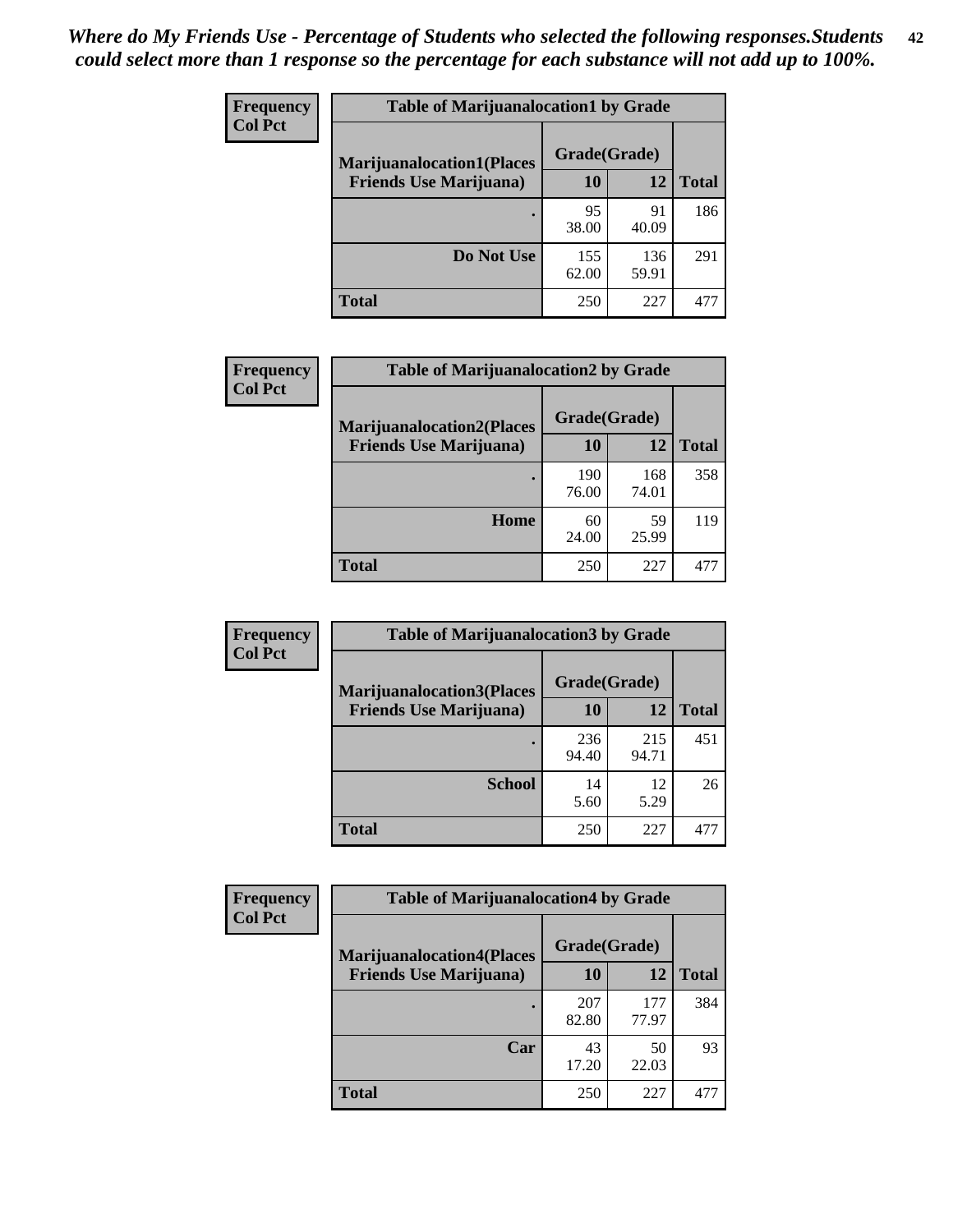| <b>Frequency</b> | <b>Table of Marijuanalocation1 by Grade</b> |              |              |              |
|------------------|---------------------------------------------|--------------|--------------|--------------|
| <b>Col Pct</b>   | <b>Marijuanalocation1(Places</b>            | Grade(Grade) |              |              |
|                  | <b>Friends Use Marijuana</b> )              | <b>10</b>    | 12           | <b>Total</b> |
|                  |                                             | 95<br>38.00  | 91<br>40.09  | 186          |
|                  | Do Not Use                                  | 155<br>62.00 | 136<br>59.91 | 291          |
|                  | <b>Total</b>                                | 250          | 227          | 47'          |

| <b>Frequency</b> | <b>Table of Marijuanalocation2 by Grade</b>                        |                    |              |              |
|------------------|--------------------------------------------------------------------|--------------------|--------------|--------------|
| <b>Col Pct</b>   | <b>Marijuanalocation2(Places</b><br><b>Friends Use Marijuana</b> ) | Grade(Grade)<br>10 | 12           | <b>Total</b> |
|                  |                                                                    |                    |              |              |
|                  |                                                                    | 190<br>76.00       | 168<br>74.01 | 358          |
|                  | Home                                                               | 60<br>24.00        | 59<br>25.99  | 119          |
|                  | <b>Total</b>                                                       | 250                | 227          | 477          |

| Frequency<br><b>Col Pct</b> | <b>Table of Marijuanalocation3 by Grade</b>                         |                    |              |       |
|-----------------------------|---------------------------------------------------------------------|--------------------|--------------|-------|
|                             | <b>Marijuanalocation3</b> (Places<br><b>Friends Use Marijuana</b> ) | Grade(Grade)<br>10 | 12           | Total |
|                             |                                                                     | 236<br>94.40       | 215<br>94.71 | 451   |
|                             | <b>School</b>                                                       | 14<br>5.60         | 12<br>5.29   | 26    |
|                             | <b>Total</b>                                                        | 250                | 227          | 477   |

| <b>Frequency</b> | <b>Table of Marijuanalocation4 by Grade</b> |              |              |              |  |
|------------------|---------------------------------------------|--------------|--------------|--------------|--|
| <b>Col Pct</b>   | <b>Marijuanalocation4(Places</b>            | Grade(Grade) |              |              |  |
|                  | <b>Friends Use Marijuana</b> )              | <b>10</b>    | 12           | <b>Total</b> |  |
|                  |                                             | 207<br>82.80 | 177<br>77.97 | 384          |  |
|                  | Car                                         | 43<br>17.20  | 50<br>22.03  | 93           |  |
|                  | <b>Total</b>                                | 250          | 227          | 471          |  |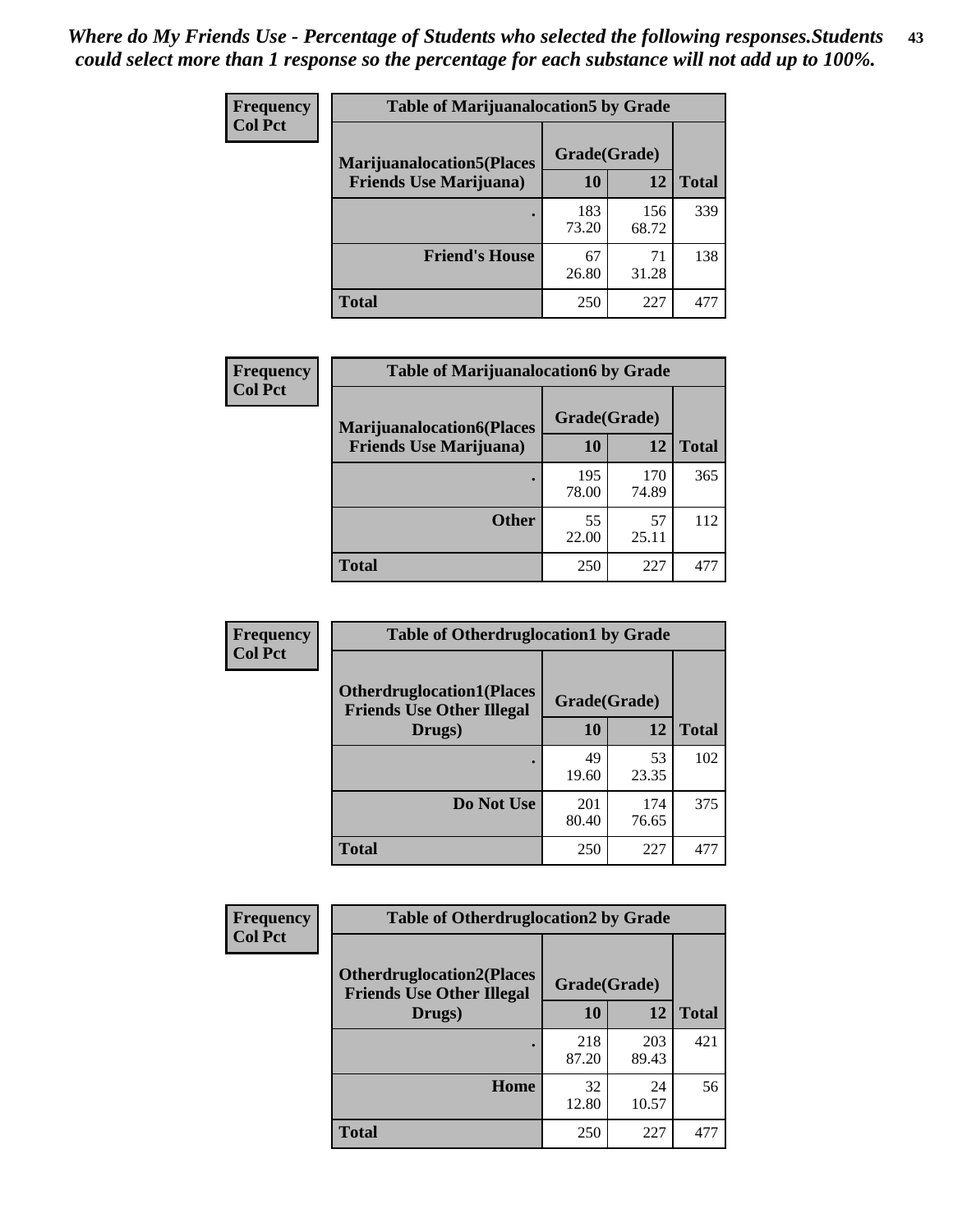| <b>Frequency</b> | <b>Table of Marijuanalocation5 by Grade</b> |              |              |              |
|------------------|---------------------------------------------|--------------|--------------|--------------|
| <b>Col Pct</b>   | <b>Marijuanalocation5</b> (Places           | Grade(Grade) |              |              |
|                  | <b>Friends Use Marijuana</b> )              | 10           | 12           | <b>Total</b> |
|                  |                                             | 183<br>73.20 | 156<br>68.72 | 339          |
|                  | <b>Friend's House</b>                       | 67<br>26.80  | 71<br>31.28  | 138          |
|                  | <b>Total</b>                                | 250          | 227          | 477          |

| <b>Frequency</b> | <b>Table of Marijuanalocation6 by Grade</b>                        |                    |              |              |
|------------------|--------------------------------------------------------------------|--------------------|--------------|--------------|
| <b>Col Pct</b>   | <b>Marijuanalocation6(Places</b><br><b>Friends Use Marijuana</b> ) | Grade(Grade)<br>10 | 12           | <b>Total</b> |
|                  |                                                                    | 195<br>78.00       | 170<br>74.89 | 365          |
|                  | <b>Other</b>                                                       | 55<br>22.00        | 57<br>25.11  | 112          |
|                  | <b>Total</b>                                                       | 250                | 227          | 477          |

| <b>Frequency</b> | <b>Table of Otherdruglocation1 by Grade</b>                          |              |              |              |
|------------------|----------------------------------------------------------------------|--------------|--------------|--------------|
| <b>Col Pct</b>   | <b>Otherdruglocation1(Places</b><br><b>Friends Use Other Illegal</b> | Grade(Grade) |              |              |
|                  | Drugs)                                                               | 10           | 12           | <b>Total</b> |
|                  |                                                                      | 49<br>19.60  | 53<br>23.35  | 102          |
|                  | Do Not Use                                                           | 201<br>80.40 | 174<br>76.65 | 375          |
|                  | <b>Total</b>                                                         | 250          | 227          | 477          |

| Frequency      | <b>Table of Otherdruglocation2 by Grade</b>                          |              |              |              |
|----------------|----------------------------------------------------------------------|--------------|--------------|--------------|
| <b>Col Pct</b> | <b>Otherdruglocation2(Places</b><br><b>Friends Use Other Illegal</b> | Grade(Grade) |              |              |
|                | Drugs)                                                               | 10           | 12           | <b>Total</b> |
|                |                                                                      | 218<br>87.20 | 203<br>89.43 | 421          |
|                | Home                                                                 | 32<br>12.80  | 24<br>10.57  | 56           |
|                | <b>Total</b>                                                         | 250          | 227          | 477          |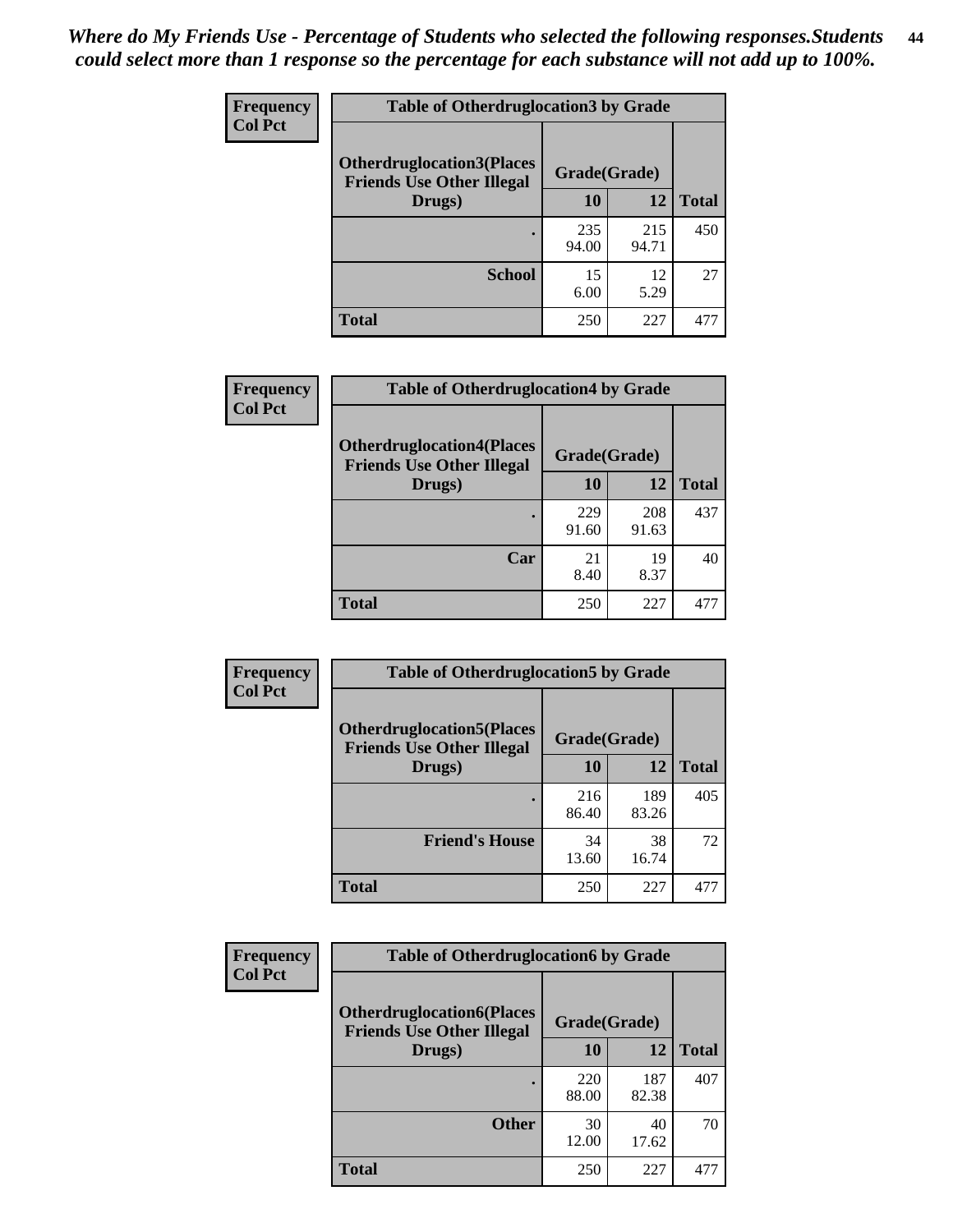| <b>Frequency</b> | <b>Table of Otherdruglocation 3 by Grade</b>                         |              |              |              |
|------------------|----------------------------------------------------------------------|--------------|--------------|--------------|
| <b>Col Pct</b>   | <b>Otherdruglocation3(Places</b><br><b>Friends Use Other Illegal</b> | Grade(Grade) |              |              |
|                  | Drugs)                                                               | 10           | 12           | <b>Total</b> |
|                  |                                                                      | 235<br>94.00 | 215<br>94.71 | 450          |
|                  | <b>School</b>                                                        | 15<br>6.00   | 12<br>5.29   | 27           |
|                  | <b>Total</b>                                                         | 250          | 227          | 477          |

| <b>Frequency</b> | <b>Table of Otherdruglocation4 by Grade</b>                          |              |              |              |
|------------------|----------------------------------------------------------------------|--------------|--------------|--------------|
| <b>Col Pct</b>   | <b>Otherdruglocation4(Places</b><br><b>Friends Use Other Illegal</b> | Grade(Grade) |              |              |
|                  | Drugs)                                                               | 10           | 12           | <b>Total</b> |
|                  |                                                                      | 229<br>91.60 | 208<br>91.63 | 437          |
|                  | Car                                                                  | 21<br>8.40   | 19<br>8.37   | 40           |
|                  | <b>Total</b>                                                         | 250          | 227          |              |

| Frequency      | <b>Table of Otherdruglocation5 by Grade</b>                          |              |              |              |
|----------------|----------------------------------------------------------------------|--------------|--------------|--------------|
| <b>Col Pct</b> | <b>Otherdruglocation5(Places</b><br><b>Friends Use Other Illegal</b> | Grade(Grade) |              |              |
|                | Drugs)                                                               | 10           | 12           | <b>Total</b> |
|                |                                                                      | 216<br>86.40 | 189<br>83.26 | 405          |
|                | <b>Friend's House</b>                                                | 34<br>13.60  | 38<br>16.74  | 72           |
|                | Total                                                                | 250          | 227          | 477          |

| <b>Frequency</b> | <b>Table of Otherdruglocation6 by Grade</b>                           |              |              |              |
|------------------|-----------------------------------------------------------------------|--------------|--------------|--------------|
| <b>Col Pct</b>   | <b>Otherdruglocation6(Places)</b><br><b>Friends Use Other Illegal</b> | Grade(Grade) |              |              |
|                  | Drugs)                                                                | 10           | 12           | <b>Total</b> |
|                  |                                                                       | 220<br>88.00 | 187<br>82.38 | 407          |
|                  | <b>Other</b>                                                          | 30<br>12.00  | 40<br>17.62  | 70           |
|                  | <b>Total</b>                                                          | 250          | 227          | 477          |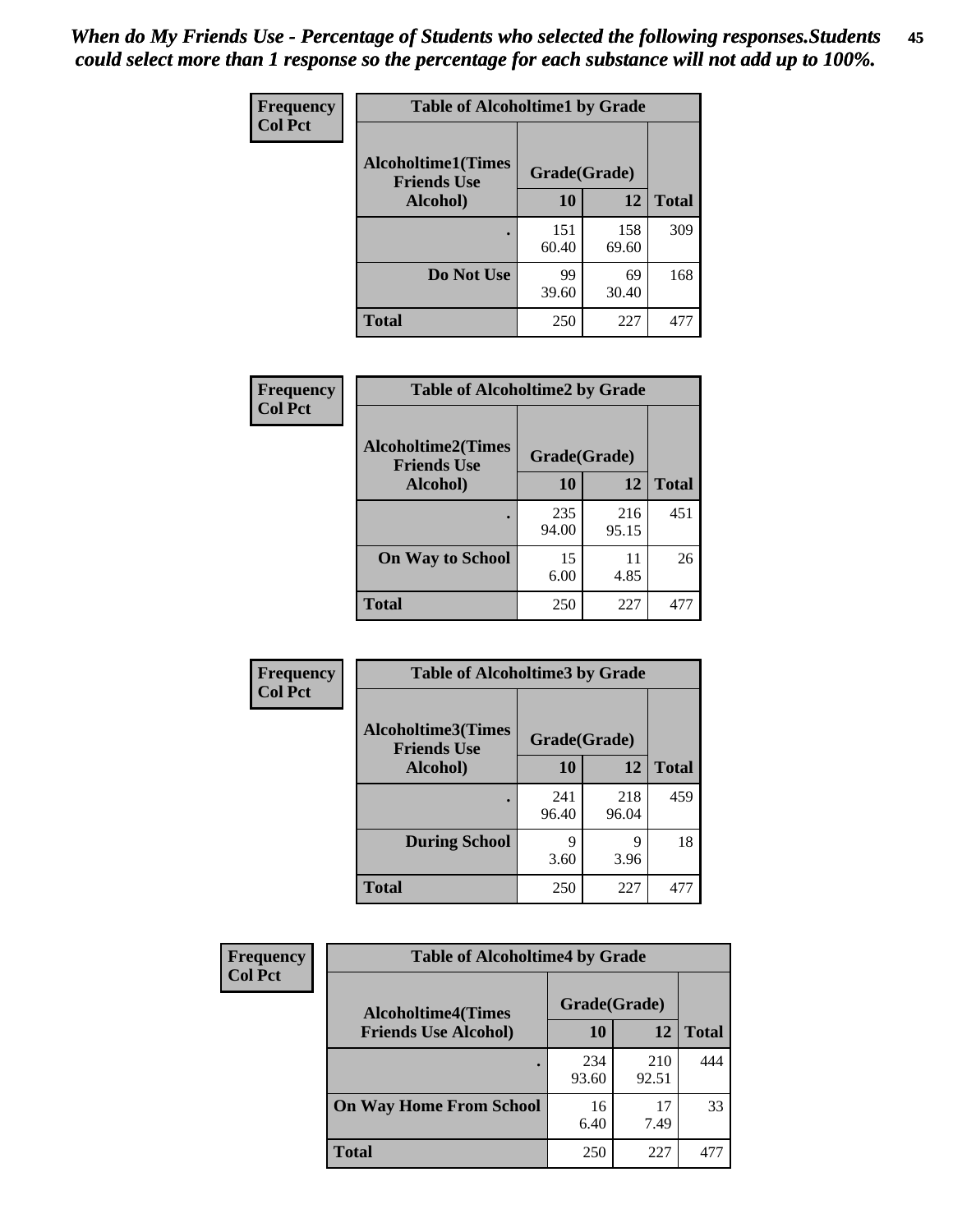| Frequency      | <b>Table of Alcoholtime1 by Grade</b>           |              |              |              |
|----------------|-------------------------------------------------|--------------|--------------|--------------|
| <b>Col Pct</b> | <b>Alcoholtime1(Times</b><br><b>Friends Use</b> | Grade(Grade) |              |              |
|                | Alcohol)                                        | 10           | 12           | <b>Total</b> |
|                |                                                 | 151<br>60.40 | 158<br>69.60 | 309          |
|                | Do Not Use                                      | 99<br>39.60  | 69<br>30.40  | 168          |
|                | <b>Total</b>                                    | 250          | 227          | 477          |

| Frequency      | <b>Table of Alcoholtime2 by Grade</b>           |              |              |              |
|----------------|-------------------------------------------------|--------------|--------------|--------------|
| <b>Col Pct</b> | <b>Alcoholtime2(Times</b><br><b>Friends Use</b> | Grade(Grade) |              |              |
|                | Alcohol)                                        | 10           | 12           | <b>Total</b> |
|                |                                                 | 235<br>94.00 | 216<br>95.15 | 451          |
|                | <b>On Way to School</b>                         | 15<br>6.00   | 11<br>4.85   | 26           |
|                | <b>Total</b>                                    | 250          | 227          | 477          |

| Frequency<br><b>Col Pct</b> | <b>Table of Alcoholtime3 by Grade</b>           |              |              |              |
|-----------------------------|-------------------------------------------------|--------------|--------------|--------------|
|                             | <b>Alcoholtime3(Times</b><br><b>Friends Use</b> | Grade(Grade) |              |              |
|                             | <b>Alcohol</b> )                                | 10           | 12           | <b>Total</b> |
|                             |                                                 | 241<br>96.40 | 218<br>96.04 | 459          |
|                             | <b>During School</b>                            | 9<br>3.60    | 9<br>3.96    | 18           |
|                             | <b>Total</b>                                    | 250          | 227          | 477          |

| <b>Frequency</b><br><b>Col Pct</b> | <b>Table of Alcoholtime4 by Grade</b> |              |              |              |
|------------------------------------|---------------------------------------|--------------|--------------|--------------|
|                                    | <b>Alcoholtime4(Times</b>             | Grade(Grade) |              |              |
|                                    | <b>Friends Use Alcohol)</b>           | 10           | 12           | <b>Total</b> |
|                                    |                                       | 234<br>93.60 | 210<br>92.51 | 444          |
|                                    | <b>On Way Home From School</b>        | 16<br>6.40   | 17<br>7.49   | 33           |
|                                    | <b>Total</b>                          | 250          | 227          | 477          |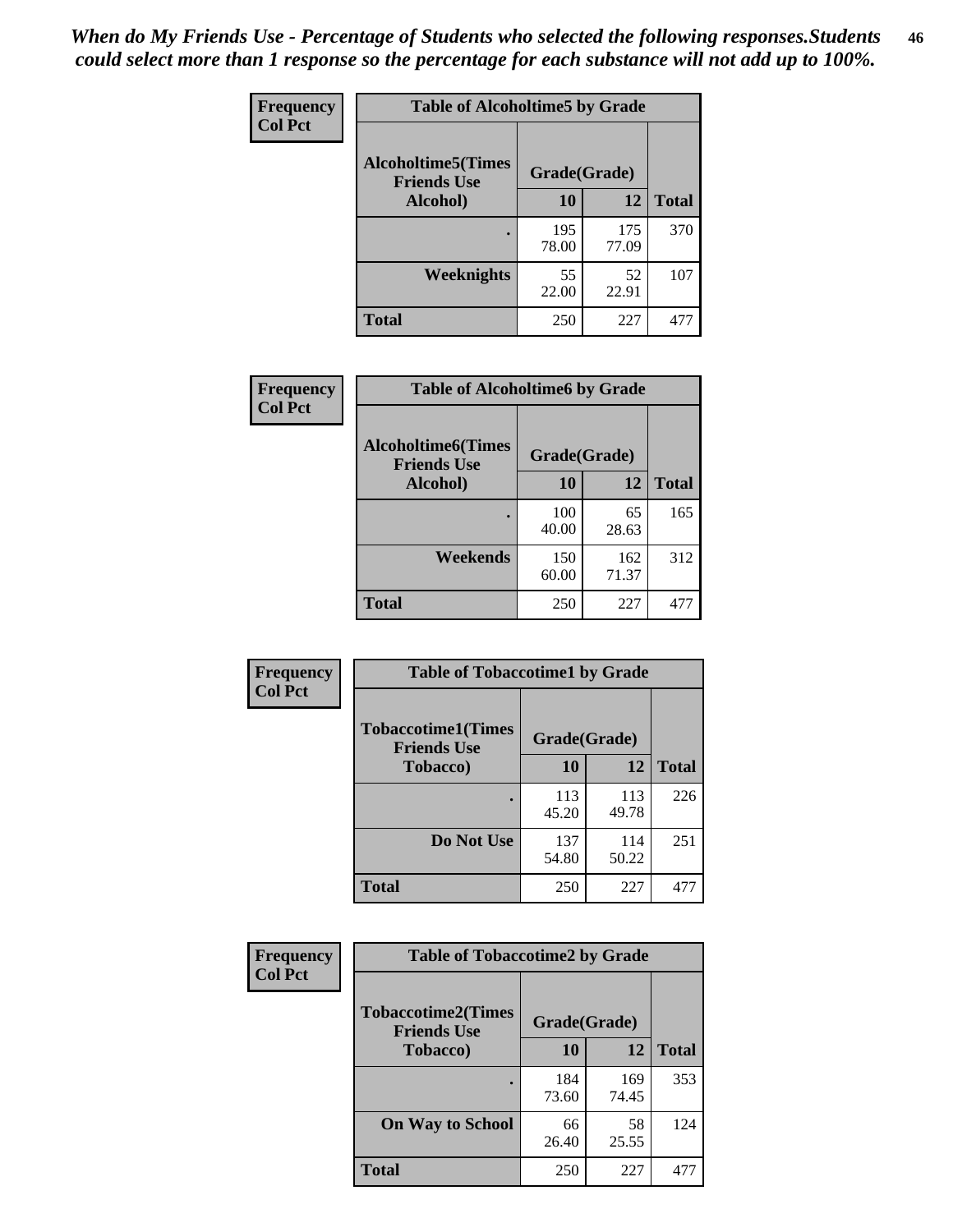*When do My Friends Use - Percentage of Students who selected the following responses.Students could select more than 1 response so the percentage for each substance will not add up to 100%.* **46**

| Frequency      | <b>Table of Alcoholtime5 by Grade</b>            |              |              |              |
|----------------|--------------------------------------------------|--------------|--------------|--------------|
| <b>Col Pct</b> | <b>Alcoholtime5</b> (Times<br><b>Friends Use</b> | Grade(Grade) |              |              |
|                | Alcohol)                                         | 10           | 12           | <b>Total</b> |
|                |                                                  | 195<br>78.00 | 175<br>77.09 | 370          |
|                | Weeknights                                       | 55<br>22.00  | 52<br>22.91  | 107          |
|                | <b>Total</b>                                     | 250          | 227          | 477          |

| Frequency      | <b>Table of Alcoholtime6 by Grade</b>           |              |              |              |
|----------------|-------------------------------------------------|--------------|--------------|--------------|
| <b>Col Pct</b> | <b>Alcoholtime6(Times</b><br><b>Friends Use</b> | Grade(Grade) |              |              |
|                | Alcohol)                                        | 10           | 12           | <b>Total</b> |
|                |                                                 | 100<br>40.00 | 65<br>28.63  | 165          |
|                | Weekends                                        | 150<br>60.00 | 162<br>71.37 | 312          |
|                | <b>Total</b>                                    | 250          | 227          | 477          |

| Frequency      | <b>Table of Tobaccotime1 by Grade</b>                           |              |              |              |
|----------------|-----------------------------------------------------------------|--------------|--------------|--------------|
| <b>Col Pct</b> | <b>Tobaccotime1(Times</b><br>Grade(Grade)<br><b>Friends Use</b> |              |              |              |
|                | <b>Tobacco</b> )                                                | 10           | 12           | <b>Total</b> |
|                |                                                                 | 113<br>45.20 | 113<br>49.78 | 226          |
|                | Do Not Use                                                      | 137<br>54.80 | 114<br>50.22 | 251          |
|                | <b>Total</b>                                                    | 250          | 227          | 477          |

| Frequency      | <b>Table of Tobaccotime2 by Grade</b>           |              |              |              |
|----------------|-------------------------------------------------|--------------|--------------|--------------|
| <b>Col Pct</b> | <b>Tobaccotime2(Times</b><br><b>Friends Use</b> | Grade(Grade) |              |              |
|                | <b>Tobacco</b> )                                | 10           | 12           | <b>Total</b> |
|                |                                                 | 184<br>73.60 | 169<br>74.45 | 353          |
|                | <b>On Way to School</b>                         | 66<br>26.40  | 58<br>25.55  | 124          |
|                | <b>Total</b>                                    | 250          | 227          | 477          |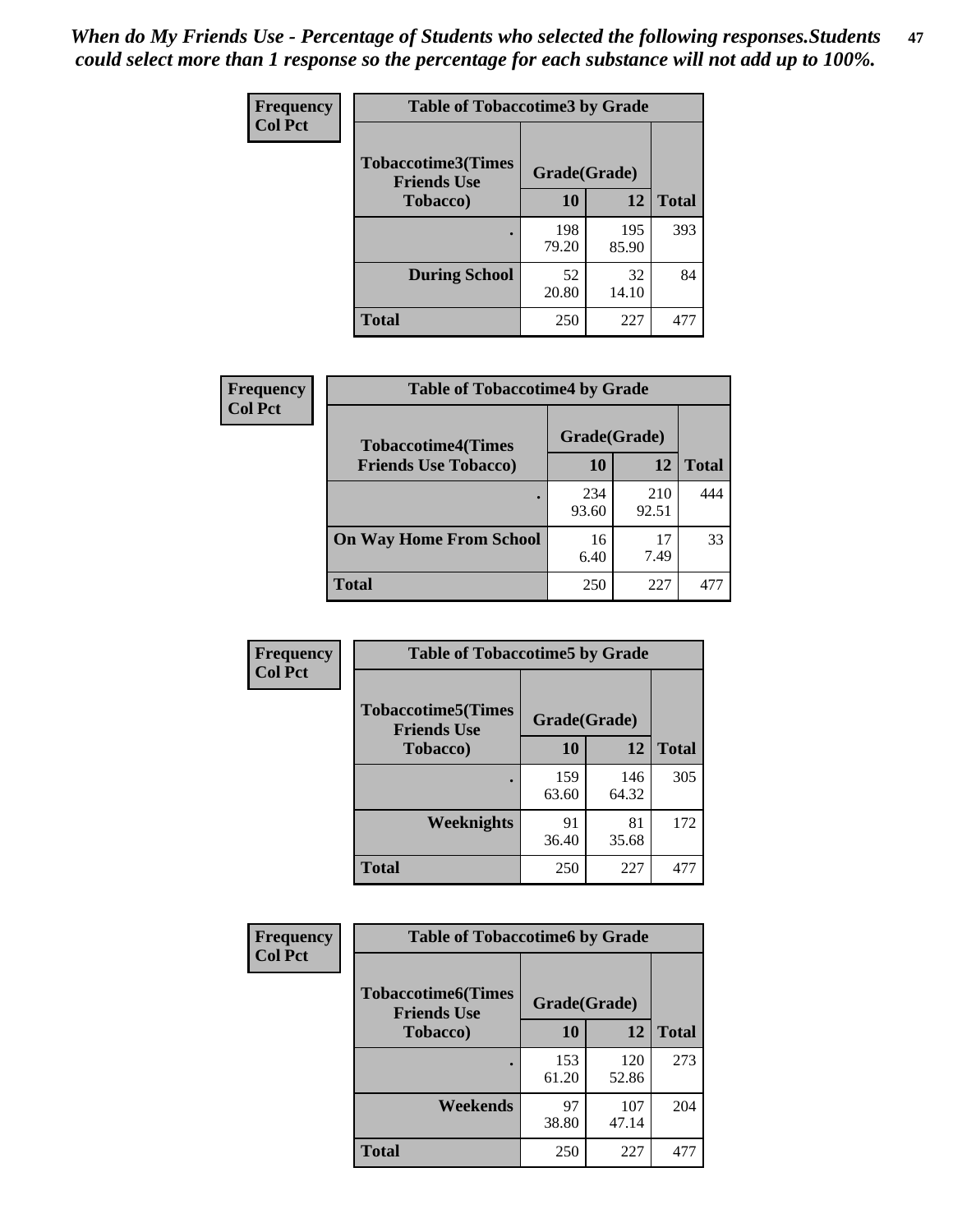*When do My Friends Use - Percentage of Students who selected the following responses.Students could select more than 1 response so the percentage for each substance will not add up to 100%.* **47**

| <b>Frequency</b> | <b>Table of Tobaccotime3 by Grade</b>           |              |              |              |  |
|------------------|-------------------------------------------------|--------------|--------------|--------------|--|
| <b>Col Pct</b>   | <b>Tobaccotime3(Times</b><br><b>Friends Use</b> | Grade(Grade) |              |              |  |
|                  | <b>Tobacco</b> )                                | 10           | 12           | <b>Total</b> |  |
|                  |                                                 | 198<br>79.20 | 195<br>85.90 | 393          |  |
|                  | <b>During School</b>                            | 52<br>20.80  | 32<br>14.10  | 84           |  |
|                  | <b>Total</b>                                    | 250          | 227          | 477          |  |

| <b>Frequency</b><br><b>Col Pct</b> | <b>Table of Tobaccotime4 by Grade</b> |              |              |              |
|------------------------------------|---------------------------------------|--------------|--------------|--------------|
|                                    | <b>Tobaccotime4(Times</b>             | Grade(Grade) |              |              |
|                                    | <b>Friends Use Tobacco)</b>           | 10           | 12           | <b>Total</b> |
|                                    |                                       | 234<br>93.60 | 210<br>92.51 | 444          |
|                                    | <b>On Way Home From School</b>        | 16<br>6.40   | 17<br>7.49   | 33           |
|                                    | <b>Total</b>                          | 250          | 227          | 477          |

| Frequency      | <b>Table of Tobaccotime5 by Grade</b>           |              |              |              |
|----------------|-------------------------------------------------|--------------|--------------|--------------|
| <b>Col Pct</b> | <b>Tobaccotime5(Times</b><br><b>Friends Use</b> | Grade(Grade) |              |              |
|                | <b>Tobacco</b> )                                | 10           | 12           | <b>Total</b> |
|                |                                                 | 159<br>63.60 | 146<br>64.32 | 305          |
|                | Weeknights                                      | 91<br>36.40  | 81<br>35.68  | 172          |
|                | <b>Total</b>                                    | 250          | 227          | 477          |

| <b>Frequency</b> | <b>Table of Tobaccotime6 by Grade</b>           |              |              |              |
|------------------|-------------------------------------------------|--------------|--------------|--------------|
| <b>Col Pct</b>   | <b>Tobaccotime6(Times</b><br><b>Friends Use</b> | Grade(Grade) |              |              |
|                  | <b>Tobacco</b> )                                | 10           | 12           | <b>Total</b> |
|                  | ٠                                               | 153<br>61.20 | 120<br>52.86 | 273          |
|                  | Weekends                                        | 97<br>38.80  | 107<br>47.14 | 204          |
|                  | <b>Total</b>                                    | 250          | 227          | 477          |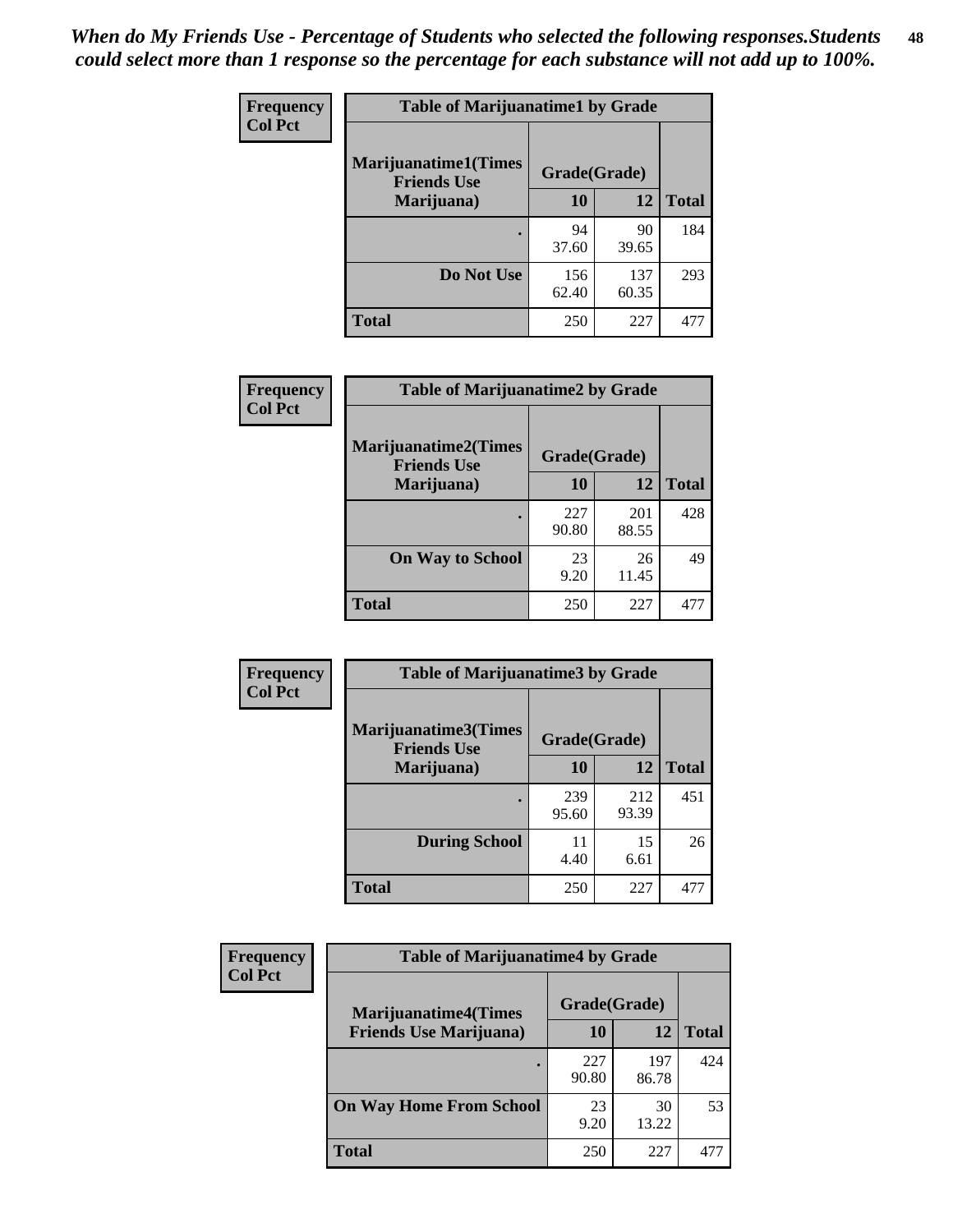| Frequency      | <b>Table of Marijuanatime1 by Grade</b>           |              |              |              |
|----------------|---------------------------------------------------|--------------|--------------|--------------|
| <b>Col Pct</b> | <b>Marijuanatime1(Times</b><br><b>Friends Use</b> | Grade(Grade) |              |              |
|                | Marijuana)                                        | 10           | 12           | <b>Total</b> |
|                |                                                   | 94<br>37.60  | 90<br>39.65  | 184          |
|                | Do Not Use                                        | 156<br>62.40 | 137<br>60.35 | 293          |
|                | <b>Total</b>                                      | 250          | 227          | 477          |

| <b>Frequency</b> | <b>Table of Marijuanatime2 by Grade</b>           |              |              |              |
|------------------|---------------------------------------------------|--------------|--------------|--------------|
| <b>Col Pct</b>   | <b>Marijuanatime2(Times</b><br><b>Friends Use</b> | Grade(Grade) |              |              |
|                  | Marijuana)                                        | 10           | 12           | <b>Total</b> |
|                  |                                                   | 227<br>90.80 | 201<br>88.55 | 428          |
|                  | <b>On Way to School</b>                           | 23<br>9.20   | 26<br>11.45  | 49           |
|                  | <b>Total</b>                                      | 250          | 227          | 477          |

| Frequency      | <b>Table of Marijuanatime3 by Grade</b>    |              |              |              |
|----------------|--------------------------------------------|--------------|--------------|--------------|
| <b>Col Pct</b> | Marijuanatime3(Times<br><b>Friends Use</b> | Grade(Grade) |              |              |
|                | Marijuana)                                 | 10           | 12           | <b>Total</b> |
|                |                                            | 239<br>95.60 | 212<br>93.39 | 451          |
|                | <b>During School</b>                       | 11<br>4.40   | 15<br>6.61   | 26           |
|                | Total                                      | 250          | 227          | 477          |

| <b>Frequency</b><br><b>Col Pct</b> | <b>Table of Marijuanatime4 by Grade</b> |              |              |       |
|------------------------------------|-----------------------------------------|--------------|--------------|-------|
|                                    | <b>Marijuanatime4</b> (Times            | Grade(Grade) |              |       |
|                                    | <b>Friends Use Marijuana</b> )          | 10           | 12           | Total |
|                                    |                                         | 227<br>90.80 | 197<br>86.78 | 424   |
|                                    | <b>On Way Home From School</b>          | 23<br>9.20   | 30<br>13.22  | 53    |
|                                    | <b>Total</b>                            | 250          | 227          |       |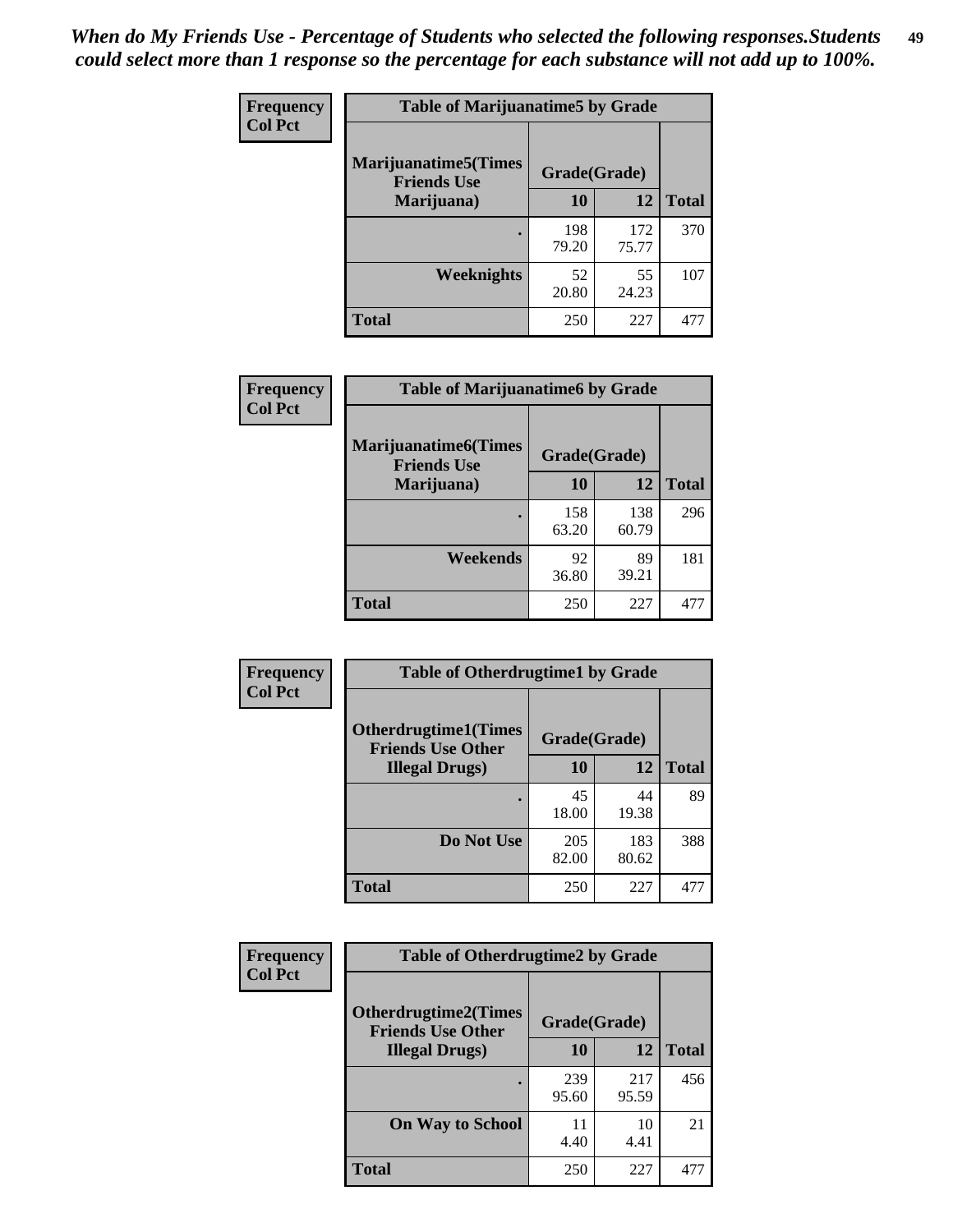| Frequency      | <b>Table of Marijuanatime5 by Grade</b>            |              |              |              |
|----------------|----------------------------------------------------|--------------|--------------|--------------|
| <b>Col Pct</b> | <b>Marijuanatime5</b> (Times<br><b>Friends Use</b> | Grade(Grade) |              |              |
|                | Marijuana)                                         | 10           | 12           | <b>Total</b> |
|                |                                                    | 198<br>79.20 | 172<br>75.77 | 370          |
|                | Weeknights                                         | 52<br>20.80  | 55<br>24.23  | 107          |
|                | <b>Total</b>                                       | 250          | 227          | 477          |

| Frequency      | <b>Table of Marijuanatime6 by Grade</b>            |              |              |              |
|----------------|----------------------------------------------------|--------------|--------------|--------------|
| <b>Col Pct</b> | <b>Marijuanatime6</b> (Times<br><b>Friends Use</b> | Grade(Grade) |              |              |
|                | Marijuana)                                         | 10           | 12           | <b>Total</b> |
|                |                                                    | 158<br>63.20 | 138<br>60.79 | 296          |
|                | Weekends                                           | 92<br>36.80  | 89<br>39.21  | 181          |
|                | <b>Total</b>                                       | 250          | 227          | 477          |

| Frequency<br><b>Col Pct</b> | <b>Table of Otherdrugtime1 by Grade</b>                 |              |              |              |
|-----------------------------|---------------------------------------------------------|--------------|--------------|--------------|
|                             | <b>Otherdrugtime1(Times</b><br><b>Friends Use Other</b> | Grade(Grade) |              |              |
|                             | <b>Illegal Drugs)</b>                                   | 10           | 12           | <b>Total</b> |
|                             |                                                         | 45<br>18.00  | 44<br>19.38  | 89           |
|                             | Do Not Use                                              | 205<br>82.00 | 183<br>80.62 | 388          |
|                             | <b>Total</b>                                            | 250          | 227          | 477          |

| Frequency      | <b>Table of Otherdrugtime2 by Grade</b>                 |              |              |              |  |  |  |
|----------------|---------------------------------------------------------|--------------|--------------|--------------|--|--|--|
| <b>Col Pct</b> | <b>Otherdrugtime2(Times</b><br><b>Friends Use Other</b> | Grade(Grade) |              |              |  |  |  |
|                | <b>Illegal Drugs</b> )                                  | 10           | 12           | <b>Total</b> |  |  |  |
|                |                                                         | 239<br>95.60 | 217<br>95.59 | 456          |  |  |  |
|                | <b>On Way to School</b>                                 | 11<br>4.40   | 10<br>4.41   | 21           |  |  |  |
|                | Total                                                   | 250          | 227          | 477          |  |  |  |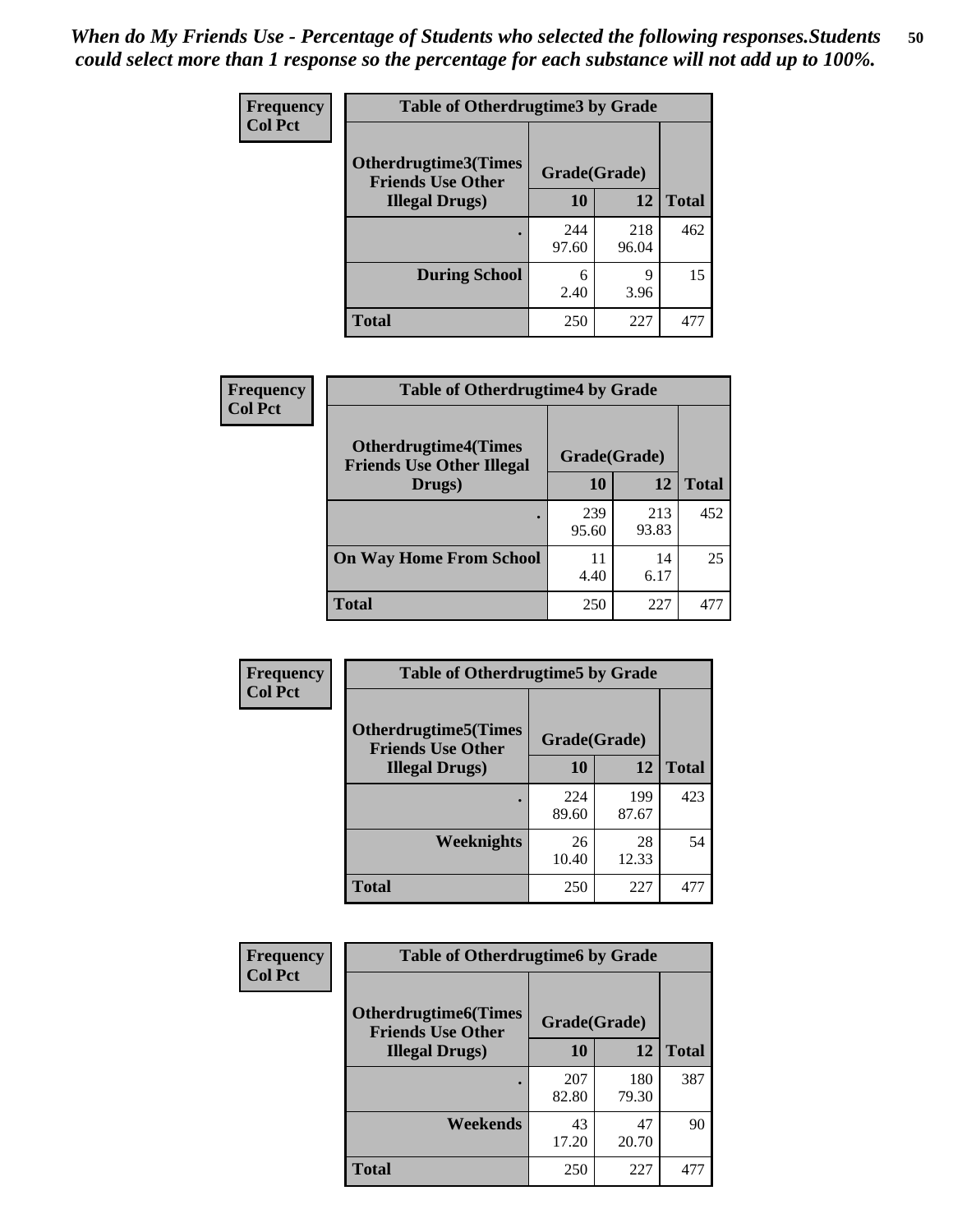| <b>Frequency</b> | <b>Table of Otherdrugtime3 by Grade</b>                 |              |              |              |  |  |
|------------------|---------------------------------------------------------|--------------|--------------|--------------|--|--|
| <b>Col Pct</b>   | <b>Otherdrugtime3(Times</b><br><b>Friends Use Other</b> | Grade(Grade) |              |              |  |  |
|                  | <b>Illegal Drugs</b> )                                  | 10           | 12           | <b>Total</b> |  |  |
|                  |                                                         | 244<br>97.60 | 218<br>96.04 | 462          |  |  |
|                  | <b>During School</b>                                    | 6<br>2.40    | q<br>3.96    | 15           |  |  |
|                  | Total                                                   | 250          | 227          | 477          |  |  |

| Frequency      | <b>Table of Otherdrugtime4 by Grade</b>                         |              |              |              |  |  |  |
|----------------|-----------------------------------------------------------------|--------------|--------------|--------------|--|--|--|
| <b>Col Pct</b> | <b>Otherdrugtime4(Times</b><br><b>Friends Use Other Illegal</b> | Grade(Grade) |              |              |  |  |  |
|                | Drugs)                                                          | 10           | 12           | <b>Total</b> |  |  |  |
|                | ٠                                                               | 239<br>95.60 | 213<br>93.83 | 452          |  |  |  |
|                | <b>On Way Home From School</b>                                  | 11<br>4.40   | 14<br>6.17   | 25           |  |  |  |
|                | Total                                                           | 250          | 227          | 477          |  |  |  |

| <b>Frequency</b><br><b>Col Pct</b> | <b>Table of Otherdrugtime5 by Grade</b>                  |              |              |              |  |  |  |
|------------------------------------|----------------------------------------------------------|--------------|--------------|--------------|--|--|--|
|                                    | <b>Otherdrugtime5</b> (Times<br><b>Friends Use Other</b> | Grade(Grade) |              |              |  |  |  |
|                                    | <b>Illegal Drugs</b> )                                   | 10           | 12           | <b>Total</b> |  |  |  |
|                                    |                                                          | 224<br>89.60 | 199<br>87.67 | 423          |  |  |  |
|                                    | Weeknights                                               | 26<br>10.40  | 28<br>12.33  | 54           |  |  |  |
|                                    | Total                                                    | 250          | 227          | 477          |  |  |  |

| <b>Frequency</b><br><b>Col Pct</b> | <b>Table of Otherdrugtime6 by Grade</b>                 |              |              |              |  |  |  |
|------------------------------------|---------------------------------------------------------|--------------|--------------|--------------|--|--|--|
|                                    | <b>Otherdrugtime6(Times</b><br><b>Friends Use Other</b> | Grade(Grade) |              |              |  |  |  |
|                                    | <b>Illegal Drugs</b> )                                  | 10           | 12           | <b>Total</b> |  |  |  |
|                                    |                                                         | 207<br>82.80 | 180<br>79.30 | 387          |  |  |  |
|                                    | Weekends                                                | 43<br>17.20  | 47<br>20.70  | 90           |  |  |  |
|                                    | Total                                                   | 250          | 227          | 477          |  |  |  |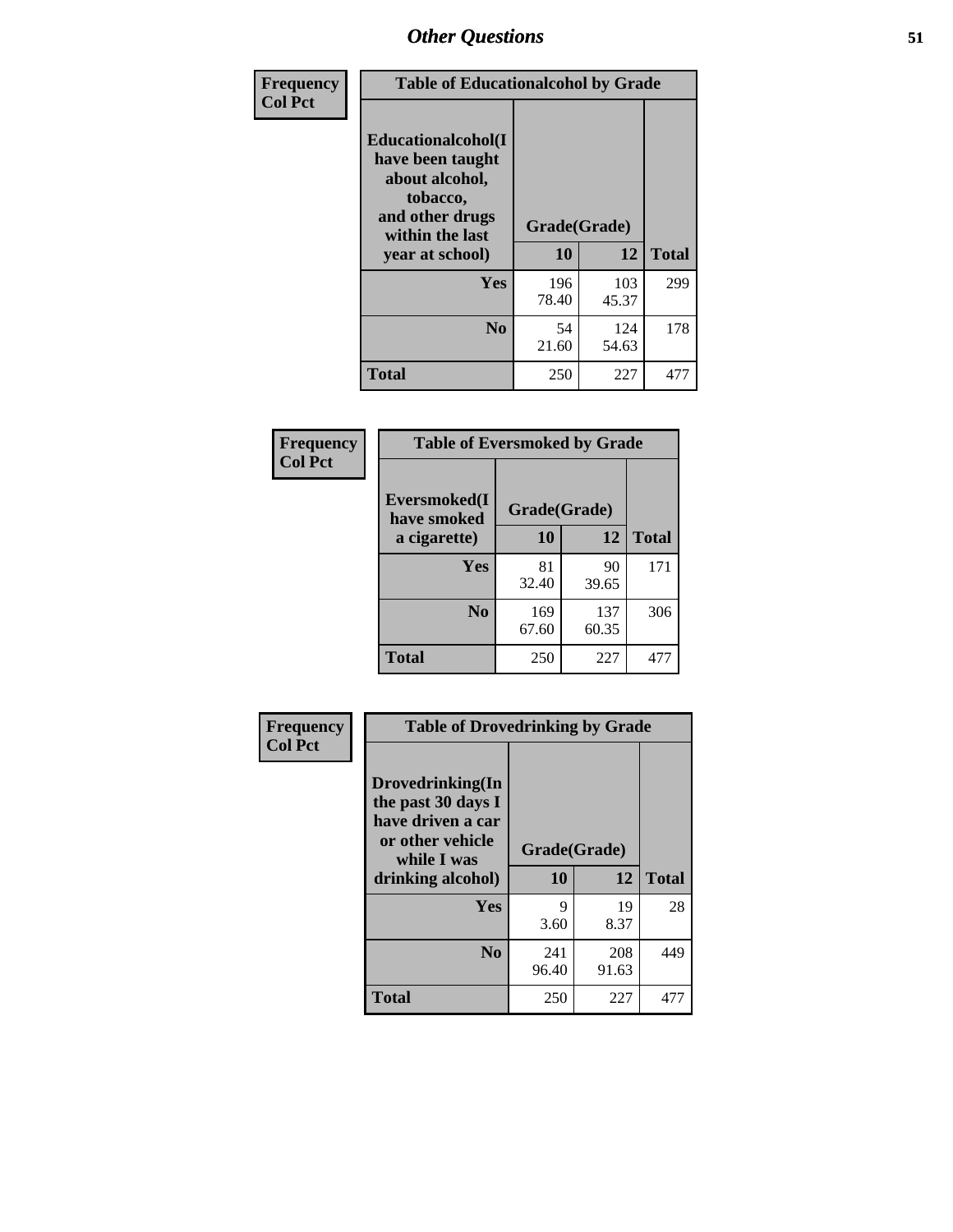| Frequency<br><b>Col Pct</b> | <b>Table of Educationalcohol by Grade</b>                                                                  |              |              |              |  |  |
|-----------------------------|------------------------------------------------------------------------------------------------------------|--------------|--------------|--------------|--|--|
|                             | Educationalcohol(I<br>have been taught<br>about alcohol,<br>tobacco,<br>and other drugs<br>within the last | Grade(Grade) |              |              |  |  |
|                             | vear at school)                                                                                            | 10           | 12           | <b>Total</b> |  |  |
|                             | Yes                                                                                                        | 196<br>78.40 | 103<br>45.37 | 299          |  |  |
|                             | N <sub>0</sub>                                                                                             | 54<br>21.60  | 124<br>54.63 | 178          |  |  |
|                             | <b>Total</b>                                                                                               | 250          | 227          | 477          |  |  |

| Frequency      | <b>Table of Eversmoked by Grade</b> |              |              |              |  |  |  |
|----------------|-------------------------------------|--------------|--------------|--------------|--|--|--|
| <b>Col Pct</b> | Eversmoked(I<br>have smoked         | Grade(Grade) |              |              |  |  |  |
|                | a cigarette)                        | 10           | 12           | <b>Total</b> |  |  |  |
|                | Yes                                 | 81<br>32.40  | 90<br>39.65  | 171          |  |  |  |
|                | N <sub>0</sub>                      | 169<br>67.60 | 137<br>60.35 | 306          |  |  |  |
|                | <b>Total</b>                        | 250          | 227          | 477          |  |  |  |

| Frequency<br><b>Col Pct</b> | <b>Table of Drovedrinking by Grade</b>                                                                              |                    |              |              |  |  |  |
|-----------------------------|---------------------------------------------------------------------------------------------------------------------|--------------------|--------------|--------------|--|--|--|
|                             | Drovedrinking(In<br>the past 30 days I<br>have driven a car<br>or other vehicle<br>while I was<br>drinking alcohol) | Grade(Grade)<br>10 | 12           | <b>Total</b> |  |  |  |
|                             | <b>Yes</b>                                                                                                          | 9<br>3.60          | 19<br>8.37   | 28           |  |  |  |
|                             | N <sub>0</sub>                                                                                                      | 241<br>96.40       | 208<br>91.63 | 449          |  |  |  |
|                             | <b>Total</b>                                                                                                        | 250                | 227          | 477          |  |  |  |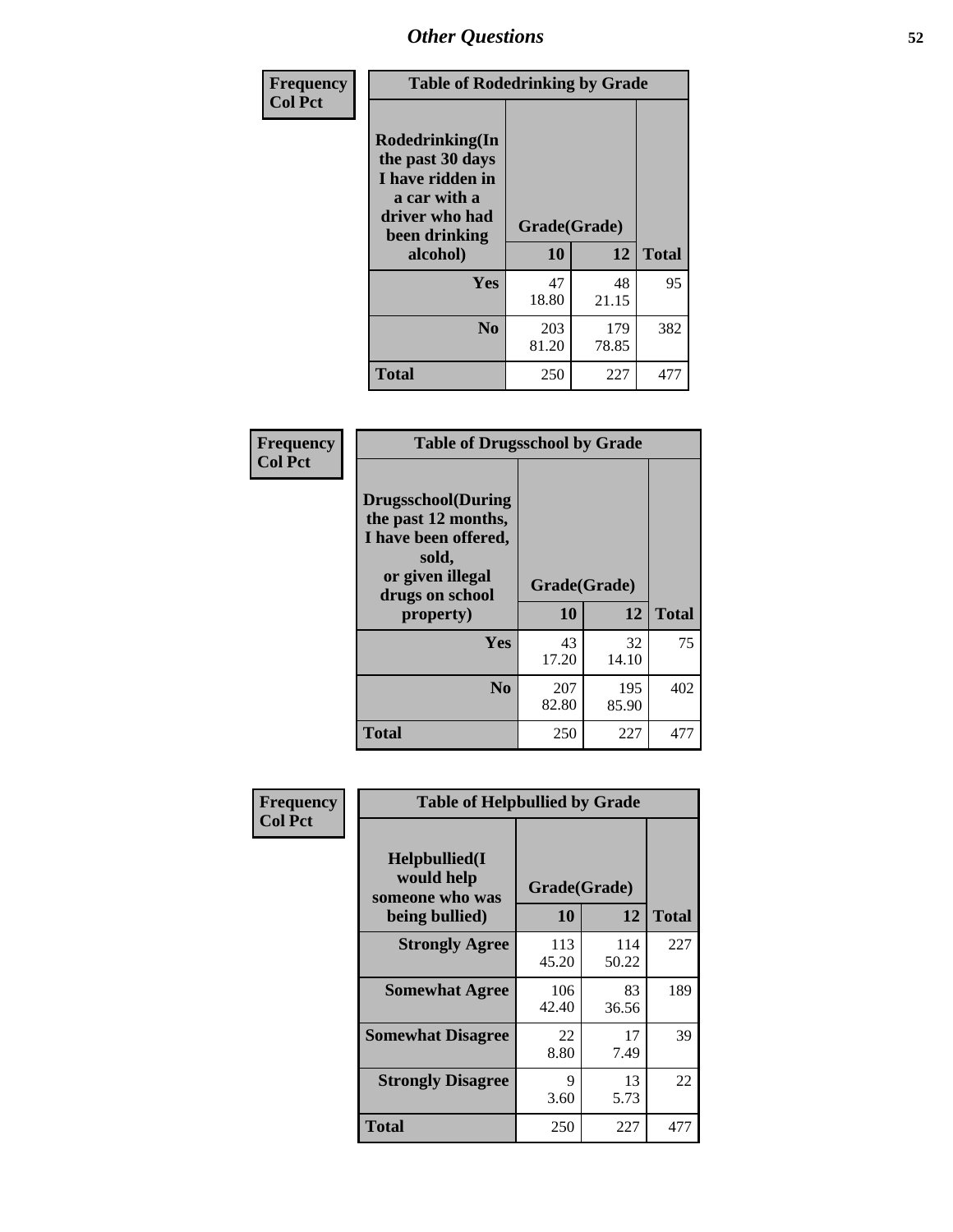| Frequency<br><b>Col Pct</b> | <b>Table of Rodedrinking by Grade</b>                                                                                  |                    |              |     |  |  |
|-----------------------------|------------------------------------------------------------------------------------------------------------------------|--------------------|--------------|-----|--|--|
|                             | Rodedrinking(In<br>the past 30 days<br>I have ridden in<br>a car with a<br>driver who had<br>been drinking<br>alcohol) | Grade(Grade)<br>10 | <b>Total</b> |     |  |  |
|                             |                                                                                                                        |                    | 12           |     |  |  |
|                             | <b>Yes</b>                                                                                                             | 47<br>18.80        | 48<br>21.15  | 95  |  |  |
|                             | N <sub>0</sub>                                                                                                         | 203<br>81.20       | 179<br>78.85 | 382 |  |  |
|                             | <b>Total</b>                                                                                                           | 250                | 227          | 477 |  |  |

#### **Frequency Col Pct**

| <b>Table of Drugsschool by Grade</b>                                                                                      |                    |              |              |  |  |  |
|---------------------------------------------------------------------------------------------------------------------------|--------------------|--------------|--------------|--|--|--|
| <b>Drugsschool</b> (During<br>the past 12 months,<br>I have been offered,<br>sold,<br>or given illegal<br>drugs on school | Grade(Grade)<br>10 | 12           |              |  |  |  |
| property)                                                                                                                 |                    |              | <b>Total</b> |  |  |  |
|                                                                                                                           |                    |              |              |  |  |  |
| Yes                                                                                                                       | 43<br>17.20        | 32<br>14.10  | 75           |  |  |  |
| N <sub>0</sub>                                                                                                            | 207<br>82.80       | 195<br>85.90 | 402          |  |  |  |

| Frequency      | <b>Table of Helpbullied by Grade</b>           |              |              |              |  |  |  |
|----------------|------------------------------------------------|--------------|--------------|--------------|--|--|--|
| <b>Col Pct</b> | Helpbullied(I<br>would help<br>someone who was | Grade(Grade) |              |              |  |  |  |
|                | being bullied)                                 | 10           | 12           | <b>Total</b> |  |  |  |
|                | <b>Strongly Agree</b>                          | 113<br>45.20 | 114<br>50.22 | 227          |  |  |  |
|                | <b>Somewhat Agree</b>                          | 106<br>42.40 | 83<br>36.56  | 189          |  |  |  |
|                | <b>Somewhat Disagree</b>                       | 22<br>8.80   | 17<br>7.49   | 39           |  |  |  |
|                | <b>Strongly Disagree</b>                       | 9<br>3.60    | 13<br>5.73   | 22           |  |  |  |
|                | <b>Total</b>                                   | 250          | 227          | 477          |  |  |  |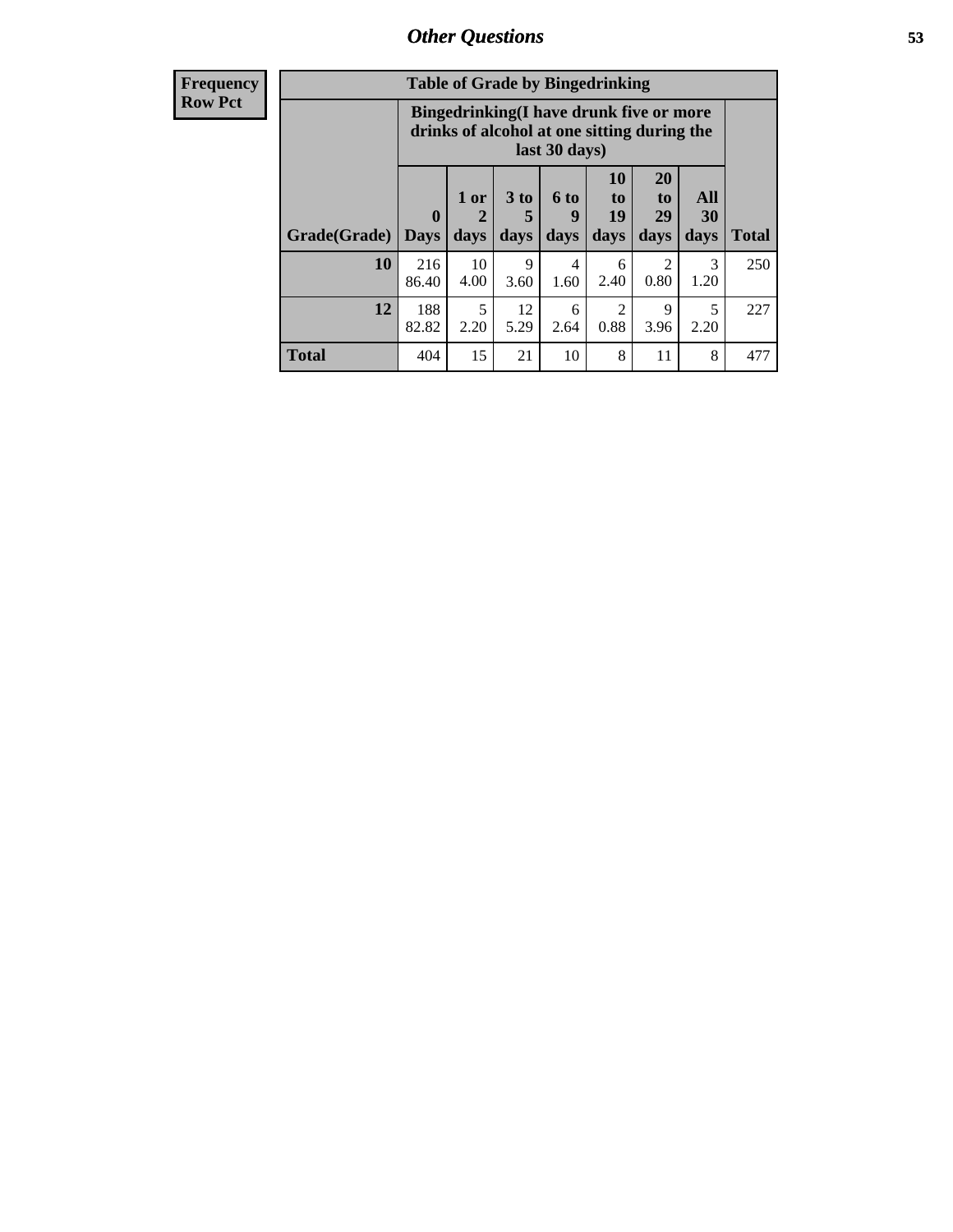| <b>Frequency</b> | <b>Table of Grade by Bingedrinking</b> |                                                                                                         |                                |                     |                          |                        |                        |                          |              |
|------------------|----------------------------------------|---------------------------------------------------------------------------------------------------------|--------------------------------|---------------------|--------------------------|------------------------|------------------------|--------------------------|--------------|
| <b>Row Pct</b>   |                                        | Bingedrinking(I have drunk five or more<br>drinks of alcohol at one sitting during the<br>last 30 days) |                                |                     |                          |                        |                        |                          |              |
|                  | Grade(Grade)                           | $\mathbf{0}$<br><b>Days</b>                                                                             | 1 or<br>$\overline{2}$<br>days | $3$ to<br>5<br>days | <b>6 to</b><br>9<br>days | 10<br>to<br>19<br>days | 20<br>to<br>29<br>days | All<br><b>30</b><br>days | <b>Total</b> |
|                  | 10                                     | 216<br>86.40                                                                                            | 10<br>4.00                     | 9<br>3.60           | $\overline{4}$<br>1.60   | 6<br>2.40              | $\mathfrak{D}$<br>0.80 | 3<br>1.20                | 250          |
|                  | 12                                     | 188<br>82.82                                                                                            | 5<br>2.20                      | 12<br>5.29          | 6<br>2.64                | $\mathfrak{D}$<br>0.88 | 9<br>3.96              | 5<br>2.20                | 227          |
|                  | <b>Total</b>                           | 404                                                                                                     | 15                             | 21                  | 10                       | 8                      | 11                     | 8                        | 477          |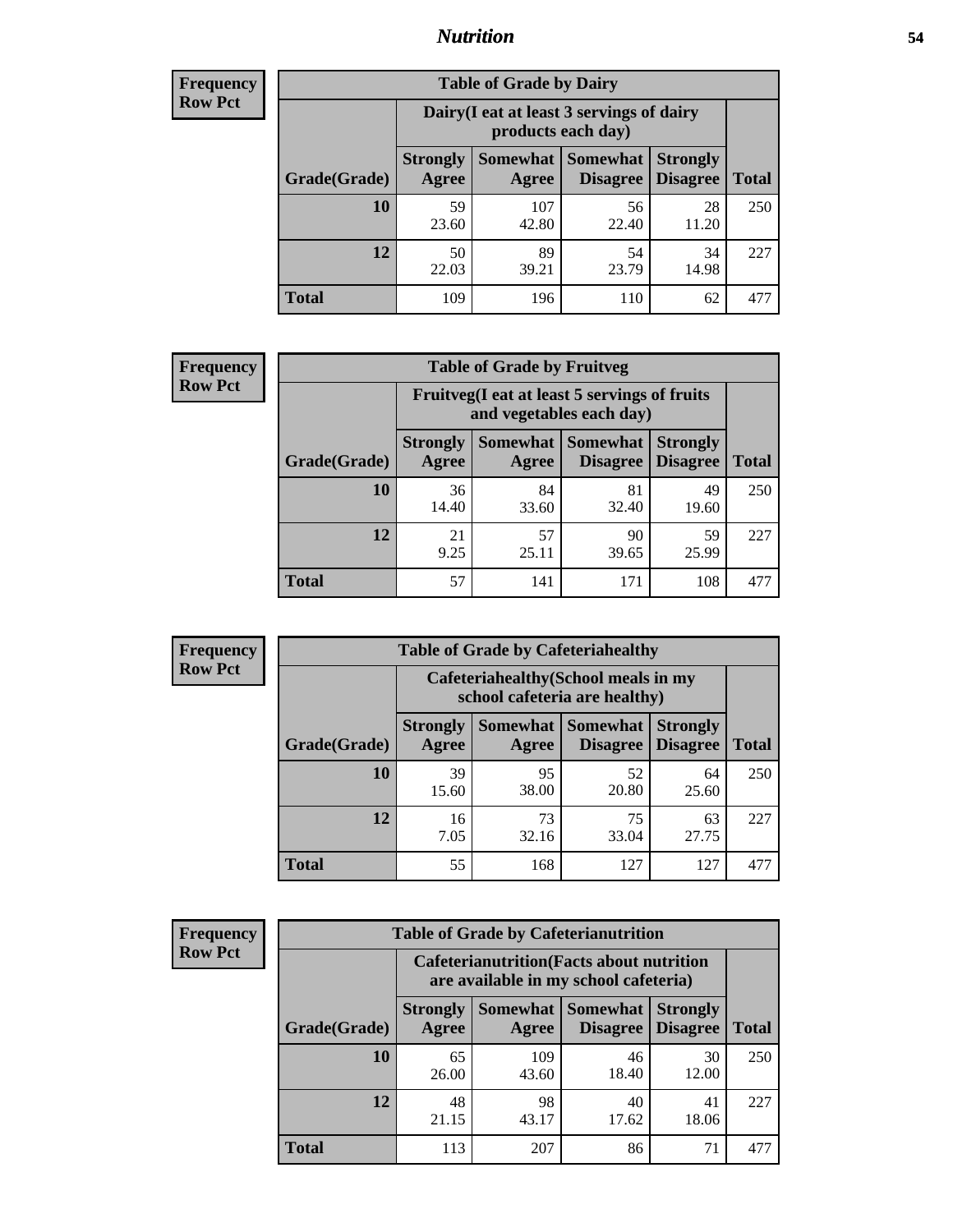#### *Nutrition* **54**

| <b>Frequency</b><br>Row Pct |
|-----------------------------|
|                             |

| <b>Table of Grade by Dairy</b> |                          |                                                                 |                             |                                    |              |  |
|--------------------------------|--------------------------|-----------------------------------------------------------------|-----------------------------|------------------------------------|--------------|--|
|                                |                          | Dairy (I eat at least 3 servings of dairy<br>products each day) |                             |                                    |              |  |
| Grade(Grade)                   | <b>Strongly</b><br>Agree | <b>Somewhat</b><br>Agree                                        | <b>Somewhat</b><br>Disagree | <b>Strongly</b><br><b>Disagree</b> | <b>Total</b> |  |
| 10                             | 59<br>23.60              | 107<br>42.80                                                    | 56<br>22.40                 | 28<br>11.20                        | 250          |  |
| 12                             | 50<br>22.03              | 89<br>39.21                                                     | 54<br>23.79                 | 34<br>14.98                        | 227          |  |
| <b>Total</b>                   | 109                      | 196                                                             | 110                         | 62                                 | 477          |  |

| <b>Frequency</b> |  |
|------------------|--|
| <b>Row Pct</b>   |  |

| <b>Table of Grade by Fruitveg</b>                                        |                          |             |                                        |                                    |              |
|--------------------------------------------------------------------------|--------------------------|-------------|----------------------------------------|------------------------------------|--------------|
| Fruitveg(I eat at least 5 servings of fruits<br>and vegetables each day) |                          |             |                                        |                                    |              |
| Grade(Grade)                                                             | <b>Strongly</b><br>Agree | Agree       | <b>Somewhat   Somewhat</b><br>Disagree | <b>Strongly</b><br><b>Disagree</b> | <b>Total</b> |
| 10                                                                       | 36<br>14.40              | 84<br>33.60 | 81<br>32.40                            | 49<br>19.60                        | 250          |
| 12                                                                       | 21<br>9.25               | 57<br>25.11 | 90<br>39.65                            | 59<br>25.99                        | 227          |
| <b>Total</b>                                                             | 57                       | 141         | 171                                    | 108                                | 477          |

| <b>Frequency</b><br>Row Pct |
|-----------------------------|

| <b>Table of Grade by Cafeteriahealthy</b> |                                                                       |                     |                      |                                    |              |
|-------------------------------------------|-----------------------------------------------------------------------|---------------------|----------------------|------------------------------------|--------------|
|                                           | Cafeteriahealthy (School meals in my<br>school cafeteria are healthy) |                     |                      |                                    |              |
| Grade(Grade)                              | <b>Strongly</b><br>Agree                                              | Somewhat  <br>Agree | Somewhat<br>Disagree | <b>Strongly</b><br><b>Disagree</b> | <b>Total</b> |
| <b>10</b>                                 | 39<br>15.60                                                           | 95<br>38.00         | 52<br>20.80          | 64<br>25.60                        | 250          |
| 12                                        | 16<br>7.05                                                            | 73<br>32.16         | 75<br>33.04          | 63<br>27.75                        | 227          |
| <b>Total</b>                              | 55                                                                    | 168                 | 127                  | 127                                |              |

**Frequency Row Pct**

| <b>Table of Grade by Cafeterianutrition</b> |                                                                                           |                   |                      |                                    |              |
|---------------------------------------------|-------------------------------------------------------------------------------------------|-------------------|----------------------|------------------------------------|--------------|
|                                             | <b>Cafeterianutrition</b> (Facts about nutrition<br>are available in my school cafeteria) |                   |                      |                                    |              |
| Grade(Grade)                                | <b>Strongly</b><br>Agree                                                                  | Somewhat<br>Agree | Somewhat<br>Disagree | <b>Strongly</b><br><b>Disagree</b> | <b>Total</b> |
| 10                                          | 65<br>26.00                                                                               | 109<br>43.60      | 46<br>18.40          | 30<br>12.00                        | 250          |
| 12                                          | 48<br>21.15                                                                               | 98<br>43.17       | 40<br>17.62          | 41<br>18.06                        | 227          |
| <b>Total</b>                                | 113                                                                                       | 207               | 86                   | 71                                 |              |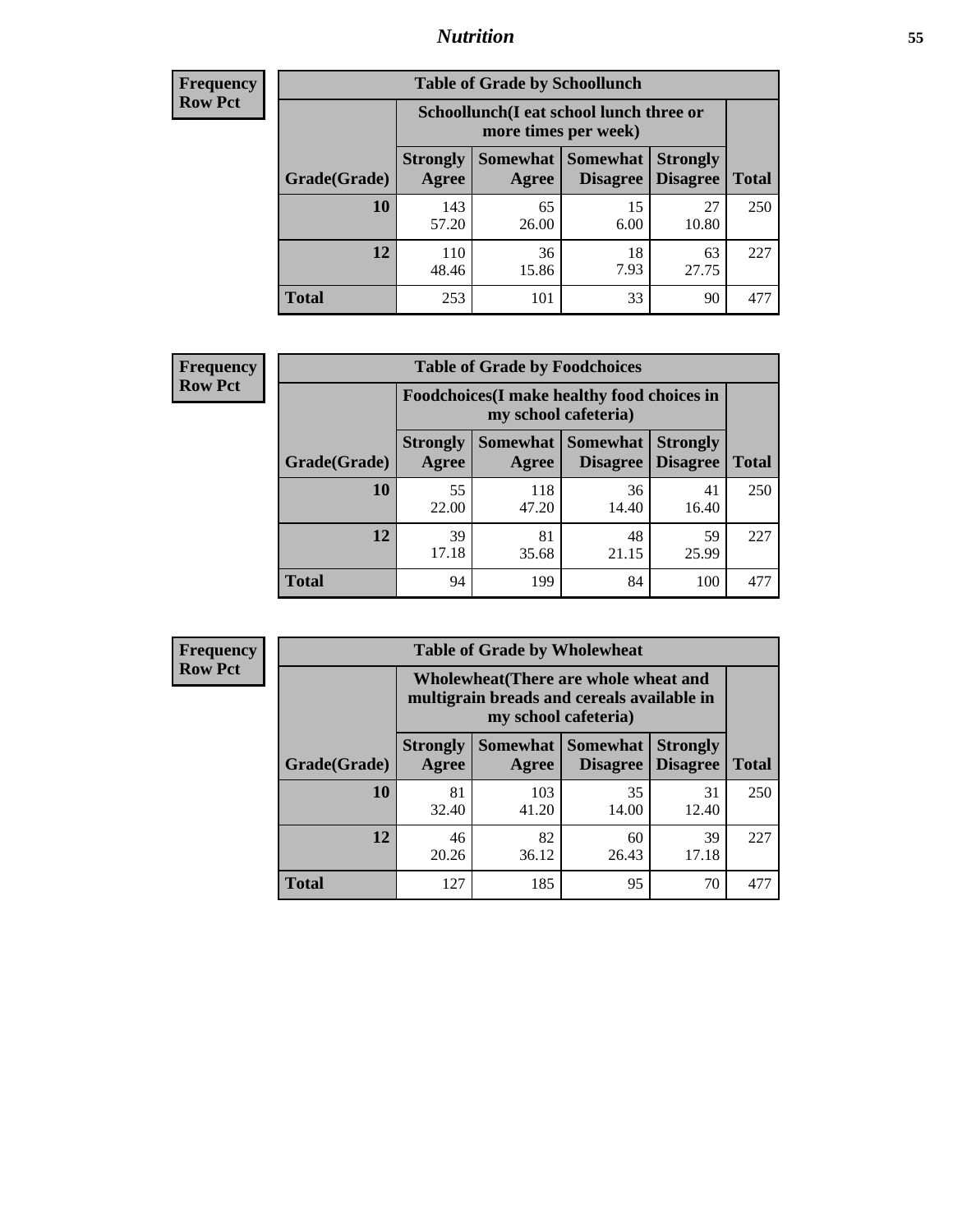### *Nutrition* **55**

| <b>Frequency</b><br>Row Pct |
|-----------------------------|
|                             |

| <b>Table of Grade by Schoollunch</b> |                                                                 |                   |                             |                                    |              |  |
|--------------------------------------|-----------------------------------------------------------------|-------------------|-----------------------------|------------------------------------|--------------|--|
|                                      | Schoollunch(I eat school lunch three or<br>more times per week) |                   |                             |                                    |              |  |
| Grade(Grade)                         | <b>Strongly</b><br>Agree                                        | Somewhat<br>Agree | <b>Somewhat</b><br>Disagree | <b>Strongly</b><br><b>Disagree</b> | <b>Total</b> |  |
| 10                                   | 143<br>57.20                                                    | 65<br>26.00       | 15<br>6.00                  | 27<br>10.80                        | 250          |  |
| 12                                   | 110<br>48.46                                                    | 36<br>15.86       | 18<br>7.93                  | 63<br>27.75                        | 227          |  |
| <b>Total</b>                         | 253                                                             | 101               | 33                          | 90                                 | 477          |  |

| <b>Frequency</b> |  |
|------------------|--|
| <b>Row Pct</b>   |  |

| <b>Table of Grade by Foodchoices</b>                                |                          |              |                     |                                             |              |
|---------------------------------------------------------------------|--------------------------|--------------|---------------------|---------------------------------------------|--------------|
| Foodchoices (I make healthy food choices in<br>my school cafeteria) |                          |              |                     |                                             |              |
| Grade(Grade)                                                        | <b>Strongly</b><br>Agree | Agree        | Somewhat   Somewhat | <b>Strongly</b><br><b>Disagree</b> Disagree | <b>Total</b> |
| 10                                                                  | 55<br>22.00              | 118<br>47.20 | 36<br>14.40         | 41<br>16.40                                 | 250          |
| 12                                                                  | 39<br>17.18              | 81<br>35.68  | 48<br>21.15         | 59<br>25.99                                 | 227          |
| <b>Total</b>                                                        | 94                       | 199          | 84                  | 100                                         | 47'          |

| <b>Frequency</b> |  |
|------------------|--|
| <b>Row Pct</b>   |  |
|                  |  |

| <b>Table of Grade by Wholewheat</b> |                          |                                                                                                             |                                    |                                    |              |  |
|-------------------------------------|--------------------------|-------------------------------------------------------------------------------------------------------------|------------------------------------|------------------------------------|--------------|--|
|                                     |                          | Wholewheat (There are whole wheat and<br>multigrain breads and cereals available in<br>my school cafeteria) |                                    |                                    |              |  |
| Grade(Grade)                        | <b>Strongly</b><br>Agree | Somewhat  <br>Agree                                                                                         | <b>Somewhat</b><br><b>Disagree</b> | <b>Strongly</b><br><b>Disagree</b> | <b>Total</b> |  |
| 10                                  | 81<br>32.40              | 103<br>41.20                                                                                                | 35<br>14.00                        | 31<br>12.40                        | 250          |  |
| 12                                  | 46<br>20.26              | 82<br>36.12                                                                                                 | 60<br>26.43                        | 39<br>17.18                        | 227          |  |
| <b>Total</b>                        | 127                      | 185                                                                                                         | 95                                 | 70                                 | 47'          |  |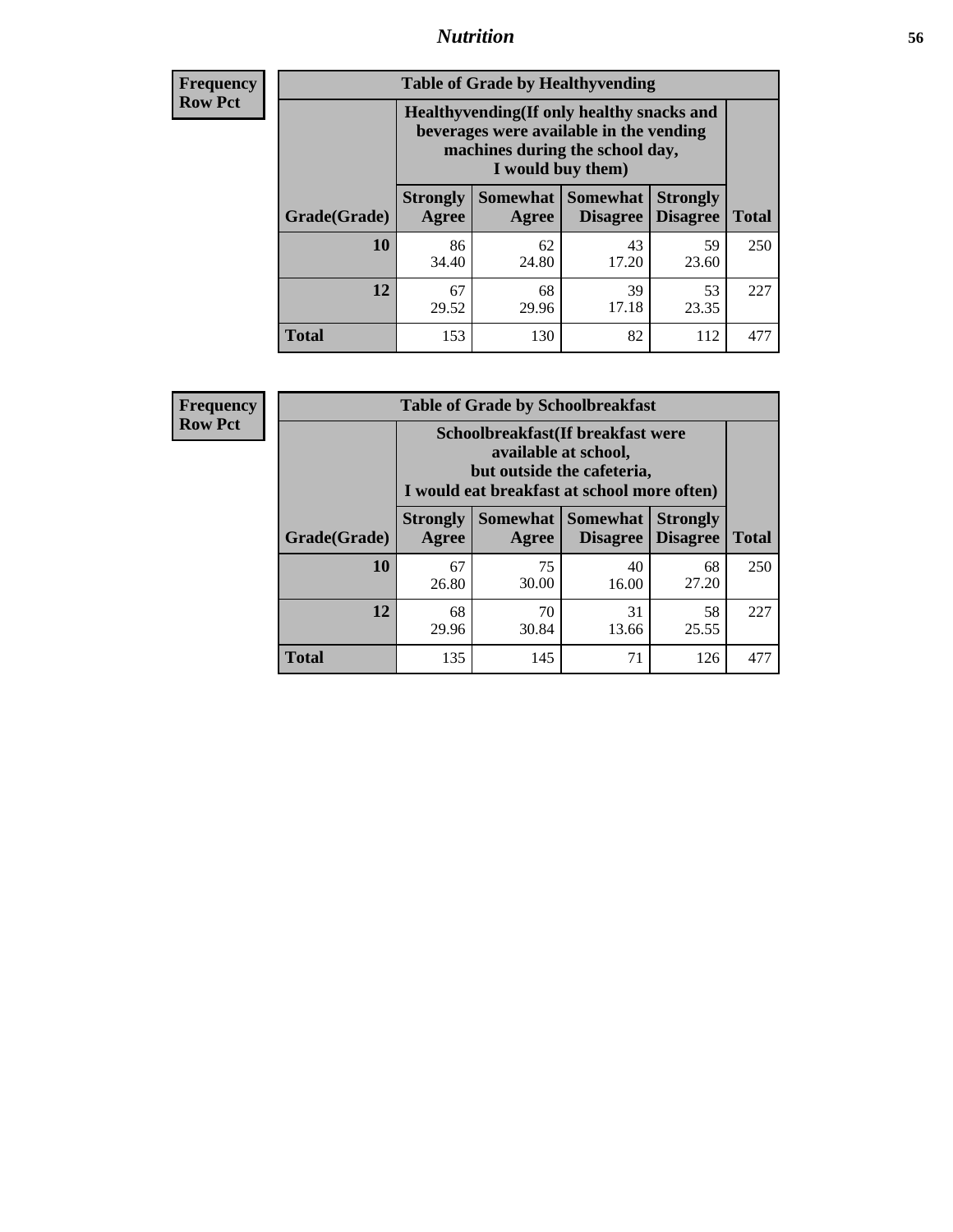### *Nutrition* **56**

**Frequency Row Pct**

| <b>Table of Grade by Healthyvending</b> |                                                                                                                                               |                          |                                    |                                    |              |
|-----------------------------------------|-----------------------------------------------------------------------------------------------------------------------------------------------|--------------------------|------------------------------------|------------------------------------|--------------|
|                                         | Healthyvending (If only healthy snacks and<br>beverages were available in the vending<br>machines during the school day,<br>I would buy them) |                          |                                    |                                    |              |
| Grade(Grade)                            | <b>Strongly</b><br>Agree                                                                                                                      | <b>Somewhat</b><br>Agree | <b>Somewhat</b><br><b>Disagree</b> | <b>Strongly</b><br><b>Disagree</b> | <b>Total</b> |
| 10                                      | 86<br>34.40                                                                                                                                   | 62<br>24.80              | 43<br>17.20                        | 59<br>23.60                        | 250          |
| 12                                      | 67<br>29.52                                                                                                                                   | 68<br>29.96              | 39<br>17.18                        | 53<br>23.35                        | 227          |
| Total                                   | 153                                                                                                                                           | 130                      | 82                                 | 112                                |              |

**Frequency Row Pct**

| <b>Table of Grade by Schoolbreakfast</b> |                                                                                                                                         |             |                                        |                                    |              |  |
|------------------------------------------|-----------------------------------------------------------------------------------------------------------------------------------------|-------------|----------------------------------------|------------------------------------|--------------|--|
|                                          | Schoolbreakfast (If breakfast were<br>available at school,<br>but outside the cafeteria,<br>I would eat breakfast at school more often) |             |                                        |                                    |              |  |
| Grade(Grade)                             | <b>Strongly</b><br>Agree                                                                                                                | Agree       | Somewhat   Somewhat<br><b>Disagree</b> | <b>Strongly</b><br><b>Disagree</b> | <b>Total</b> |  |
| 10                                       | 67<br>26.80                                                                                                                             | 75<br>30.00 | 40<br>16.00                            | 68<br>27.20                        | 250          |  |
| 12                                       | 68<br>29.96                                                                                                                             | 70<br>30.84 | 31<br>13.66                            | 58<br>25.55                        | 227          |  |
| <b>Total</b>                             | 135                                                                                                                                     | 145         | 71                                     | 126                                | 477          |  |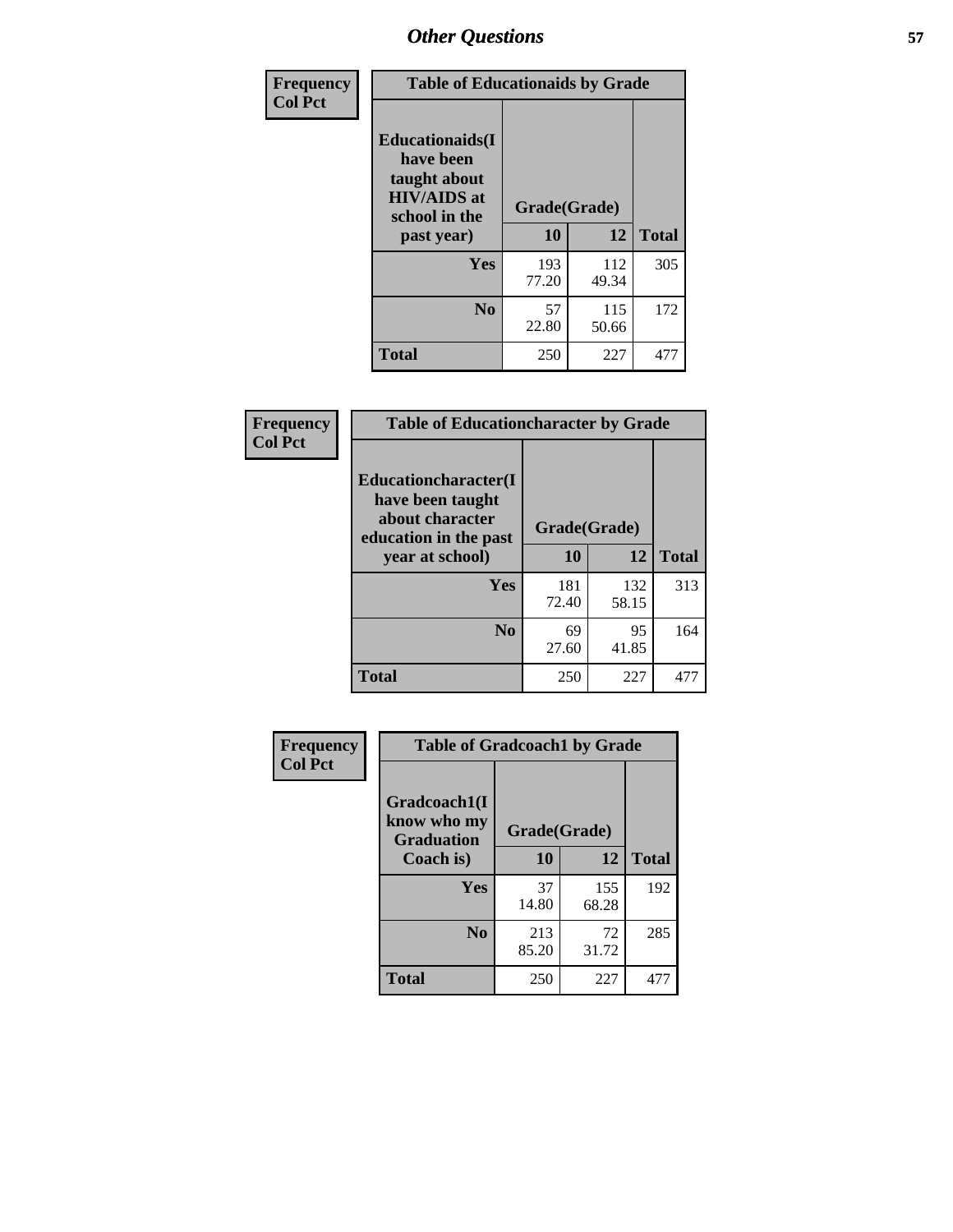| Frequency<br><b>Col Pct</b> | <b>Table of Educationaids by Grade</b>                                                                    |                    |              |              |
|-----------------------------|-----------------------------------------------------------------------------------------------------------|--------------------|--------------|--------------|
|                             | <b>Educationaids</b> (I<br>have been<br>taught about<br><b>HIV/AIDS</b> at<br>school in the<br>past year) | Grade(Grade)<br>10 | 12           | <b>Total</b> |
|                             | Yes                                                                                                       | 193                | 112          | 305          |
|                             |                                                                                                           | 77.20              | 49.34        |              |
|                             | N <sub>0</sub>                                                                                            | 57<br>22.80        | 115<br>50.66 | 172          |
|                             | <b>Total</b>                                                                                              | 250                | 227          | 477          |

| Frequency      | <b>Table of Educationcharacter by Grade</b>                         |              |              |              |  |
|----------------|---------------------------------------------------------------------|--------------|--------------|--------------|--|
| <b>Col Pct</b> | <b>Educationcharacter(I)</b><br>have been taught<br>about character |              |              |              |  |
|                | education in the past                                               | Grade(Grade) |              |              |  |
|                | year at school)                                                     | 10           | 12           | <b>Total</b> |  |
|                | Yes                                                                 | 181<br>72.40 | 132<br>58.15 | 313          |  |
|                | N <sub>0</sub>                                                      | 69<br>27.60  | 95<br>41.85  | 164          |  |
|                | <b>Total</b>                                                        | 250          | 227          | 477          |  |

| Frequency      | <b>Table of Gradcoach1 by Grade</b>              |              |              |              |
|----------------|--------------------------------------------------|--------------|--------------|--------------|
| <b>Col Pct</b> | Gradcoach1(I<br>know who my<br><b>Graduation</b> | Grade(Grade) |              |              |
|                | Coach is)                                        | 10           | 12           | <b>Total</b> |
|                | Yes                                              | 37<br>14.80  | 155<br>68.28 | 192          |
|                | N <sub>0</sub>                                   | 213<br>85.20 | 72<br>31.72  | 285          |
|                | <b>Total</b>                                     | 250          | 227          | 477          |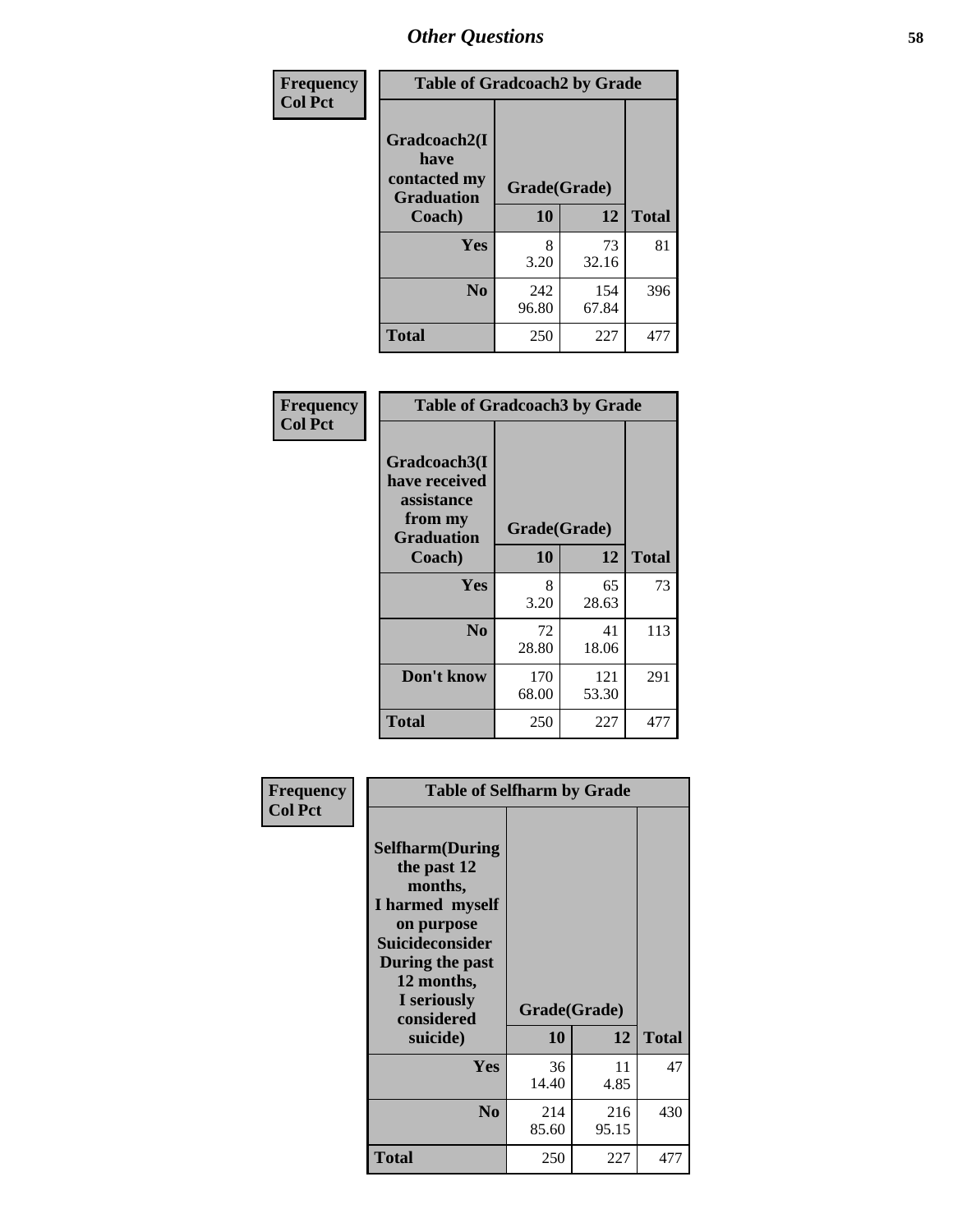| Frequency      | <b>Table of Gradcoach2 by Grade</b>       |              |              |              |
|----------------|-------------------------------------------|--------------|--------------|--------------|
| <b>Col Pct</b> |                                           |              |              |              |
|                | Gradcoach2(I                              |              |              |              |
|                | have<br>contacted my<br><b>Graduation</b> | Grade(Grade) |              |              |
|                | Coach)                                    | 10           | 12           | <b>Total</b> |
|                | Yes                                       | 8<br>3.20    | 73<br>32.16  | 81           |
|                | N <sub>0</sub>                            | 242<br>96.80 | 154<br>67.84 | 396          |
|                | <b>Total</b>                              | 250          | 227          | 477          |

| Frequency<br><b>Col Pct</b> | <b>Table of Gradcoach3 by Grade</b>                                         |              |              |              |
|-----------------------------|-----------------------------------------------------------------------------|--------------|--------------|--------------|
|                             | Gradcoach3(I<br>have received<br>assistance<br>from my<br><b>Graduation</b> | Grade(Grade) |              |              |
|                             | Coach)                                                                      | 10           | 12           | <b>Total</b> |
|                             | Yes                                                                         | 8<br>3.20    | 65<br>28.63  | 73           |
|                             | N <sub>0</sub>                                                              | 72<br>28.80  | 41<br>18.06  | 113          |
|                             | Don't know                                                                  | 170<br>68.00 | 121<br>53.30 | 291          |
|                             | <b>Total</b>                                                                | 250          | 227          | 477          |

| Frequency<br><b>Col Pct</b> | <b>Table of Selfharm by Grade</b><br><b>Selfharm</b> (During<br>the past 12<br>months,<br>I harmed myself<br>on purpose<br><b>Suicideconsider</b> |              |              |              |
|-----------------------------|---------------------------------------------------------------------------------------------------------------------------------------------------|--------------|--------------|--------------|
|                             | During the past                                                                                                                                   |              |              |              |
|                             | 12 months,<br>I seriously<br>considered                                                                                                           | Grade(Grade) |              |              |
|                             | suicide)                                                                                                                                          | 10           | 12           | <b>Total</b> |
|                             | Yes                                                                                                                                               | 36<br>14.40  | 11<br>4.85   | 47           |
|                             | N <sub>0</sub>                                                                                                                                    | 214<br>85.60 | 216<br>95.15 | 430          |
|                             | Total                                                                                                                                             | 250          | 227          | 477          |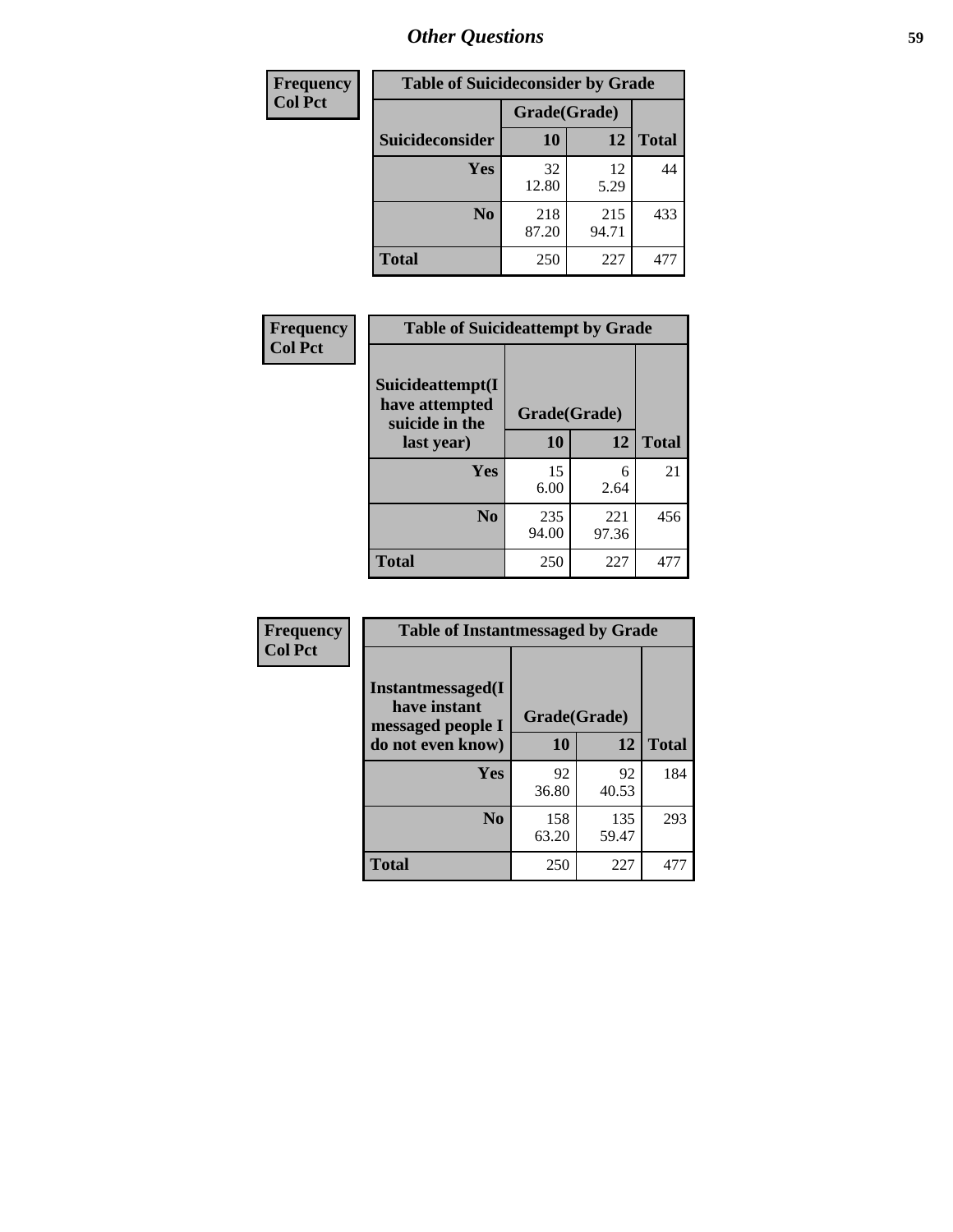| <b>Frequency</b> | <b>Table of Suicideconsider by Grade</b> |              |              |              |
|------------------|------------------------------------------|--------------|--------------|--------------|
| <b>Col Pct</b>   |                                          | Grade(Grade) |              |              |
|                  | <b>Suicideconsider</b>                   | <b>10</b>    | 12           | <b>Total</b> |
|                  | <b>Yes</b>                               | 32<br>12.80  | 12<br>5.29   | 44           |
|                  | N <sub>0</sub>                           | 218<br>87.20 | 215<br>94.71 | 433          |
|                  | <b>Total</b>                             | 250          | 227          | 477          |

| Frequency      | <b>Table of Suicideattempt by Grade</b>                            |              |              |              |
|----------------|--------------------------------------------------------------------|--------------|--------------|--------------|
| <b>Col Pct</b> | Suicideattempt(I<br>have attempted<br>suicide in the<br>last year) | Grade(Grade) |              |              |
|                |                                                                    | 10           | 12           | <b>Total</b> |
|                | Yes                                                                | 15<br>6.00   | 6<br>2.64    | 21           |
|                | N <sub>0</sub>                                                     | 235<br>94.00 | 221<br>97.36 | 456          |
|                | <b>Total</b>                                                       | 250          | 227          | 477          |

| Frequency      | <b>Table of Instantmessaged by Grade</b>                       |              |              |              |
|----------------|----------------------------------------------------------------|--------------|--------------|--------------|
| <b>Col Pct</b> | <b>Instantmessaged</b> (I<br>have instant<br>messaged people I | Grade(Grade) |              |              |
|                | do not even know)                                              | 10           | 12           | <b>Total</b> |
|                | Yes                                                            | 92<br>36.80  | 92<br>40.53  | 184          |
|                | N <sub>0</sub>                                                 | 158<br>63.20 | 135<br>59.47 | 293          |
|                | <b>Total</b>                                                   | 250          | 227          | 477          |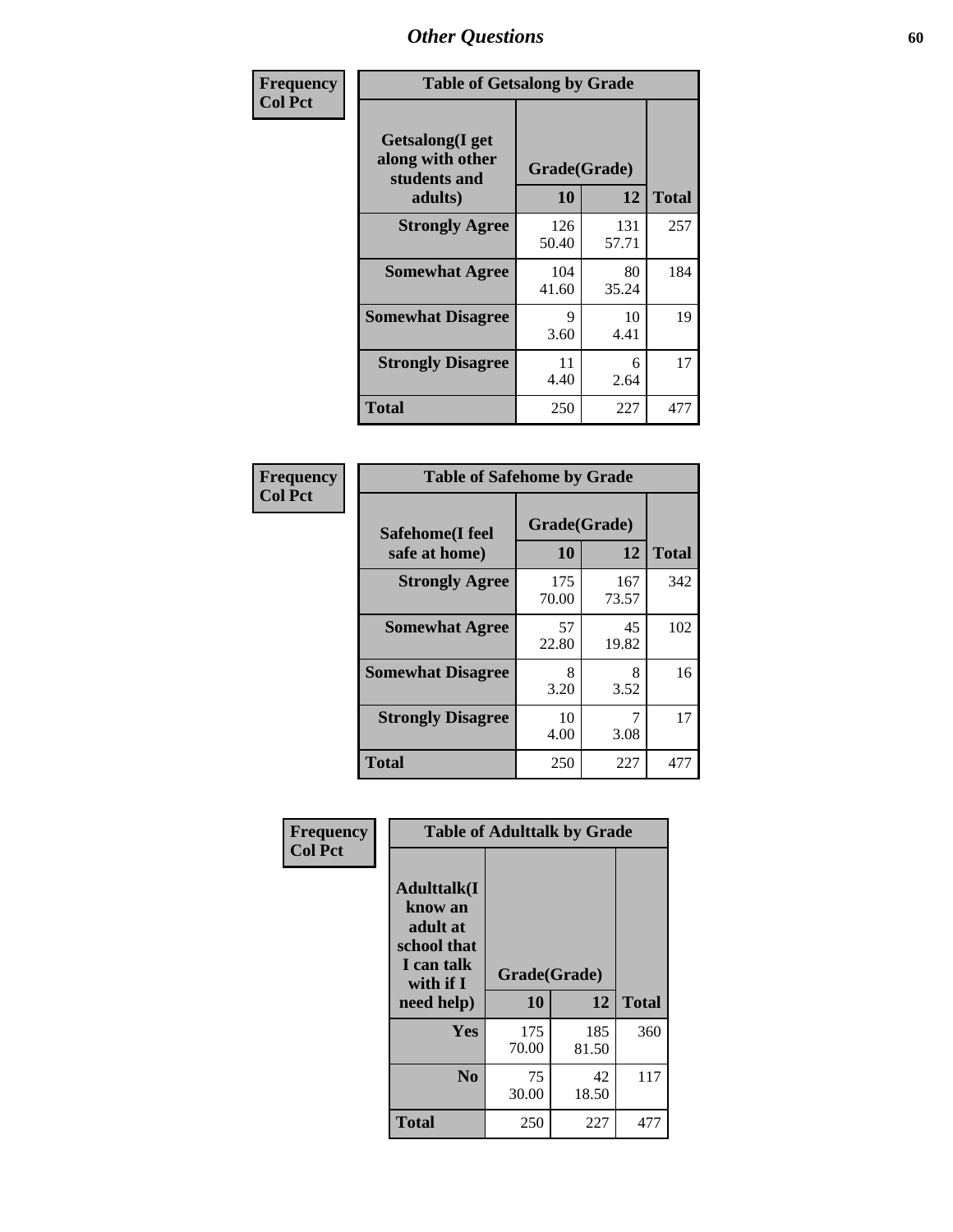| Frequency      | <b>Table of Getsalong by Grade</b>                          |              |              |              |  |  |  |
|----------------|-------------------------------------------------------------|--------------|--------------|--------------|--|--|--|
| <b>Col Pct</b> | <b>Getsalong</b> (I get<br>along with other<br>students and | Grade(Grade) |              |              |  |  |  |
|                | adults)                                                     | 10           | 12           | <b>Total</b> |  |  |  |
|                | <b>Strongly Agree</b>                                       | 126<br>50.40 | 131<br>57.71 | 257          |  |  |  |
|                | <b>Somewhat Agree</b>                                       | 104<br>41.60 | 80<br>35.24  | 184          |  |  |  |
|                | <b>Somewhat Disagree</b>                                    | 9<br>3.60    | 10<br>4.41   | 19           |  |  |  |
|                | <b>Strongly Disagree</b>                                    | 11<br>4.40   | 6<br>2.64    | 17           |  |  |  |
|                | <b>Total</b>                                                | 250          | 227          | 477          |  |  |  |

| Frequency      | <b>Table of Safehome by Grade</b> |                    |              |              |  |  |
|----------------|-----------------------------------|--------------------|--------------|--------------|--|--|
| <b>Col Pct</b> | Safehome(I feel<br>safe at home)  | Grade(Grade)<br>10 | 12           | <b>Total</b> |  |  |
|                | <b>Strongly Agree</b>             | 175<br>70.00       | 167<br>73.57 | 342          |  |  |
|                | <b>Somewhat Agree</b>             | 57<br>22.80        | 45<br>19.82  | 102          |  |  |
|                | <b>Somewhat Disagree</b>          | 8<br>3.20          | 8<br>3.52    | 16           |  |  |
|                | <b>Strongly Disagree</b>          | 10<br>4.00         | 7<br>3.08    | 17           |  |  |
|                | <b>Total</b>                      | 250                | 227          | 477          |  |  |

| Frequency      |                                                                                      | <b>Table of Adulttalk by Grade</b> |              |              |
|----------------|--------------------------------------------------------------------------------------|------------------------------------|--------------|--------------|
| <b>Col Pct</b> | <b>Adulttalk</b> (I<br>know an<br>adult at<br>school that<br>I can talk<br>with if I | Grade(Grade)                       |              |              |
|                | need help)                                                                           | 10                                 | 12           | <b>Total</b> |
|                | <b>Yes</b>                                                                           | 175<br>70.00                       | 185<br>81.50 | 360          |
|                | N <sub>0</sub>                                                                       | 75<br>30.00                        | 42<br>18.50  | 117          |
|                | <b>Total</b>                                                                         | 250                                | 227          | 477          |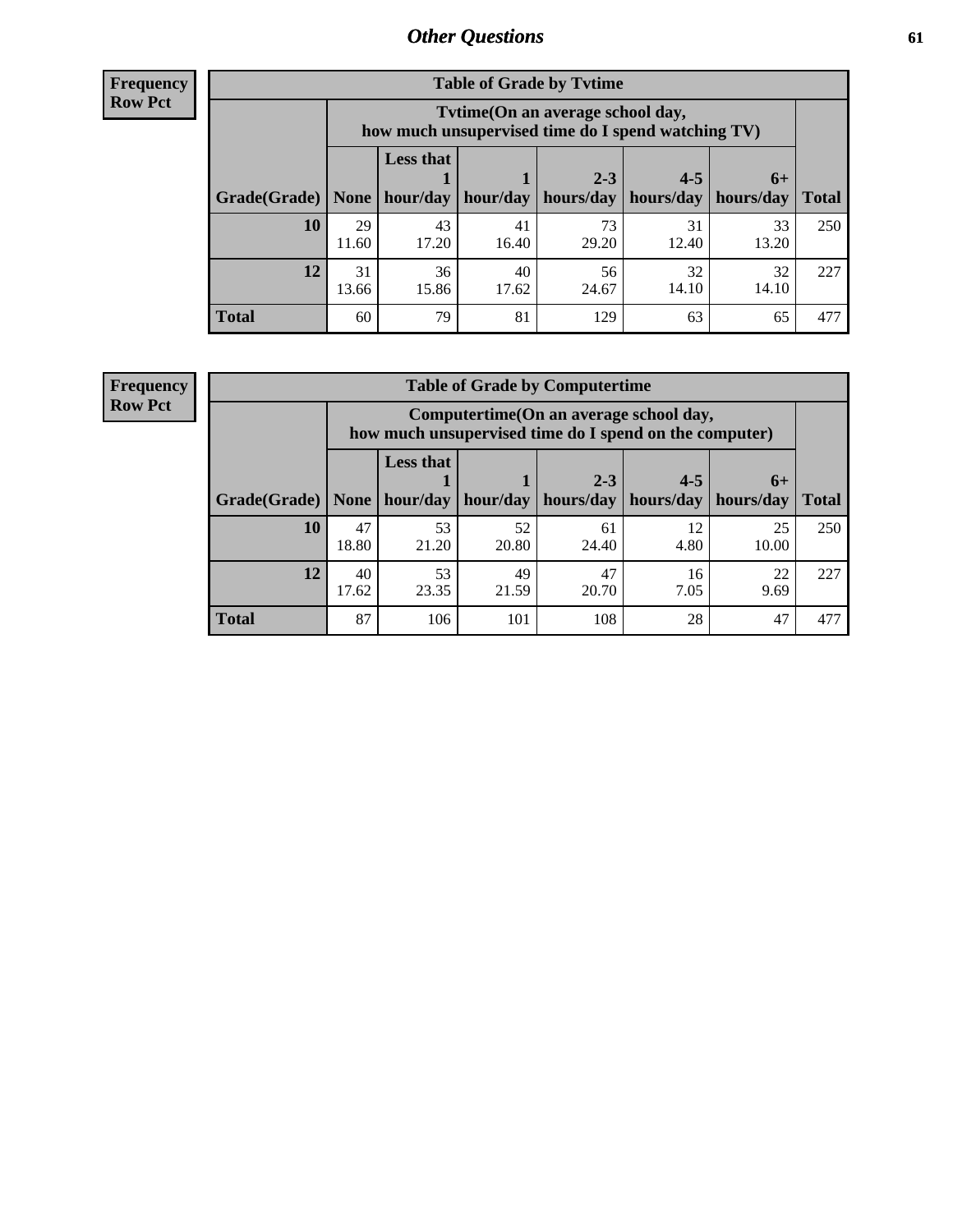**Frequency Row Pct**

| <b>Table of Grade by Tytime</b> |             |                                                                                         |             |             |             |             |              |  |  |  |
|---------------------------------|-------------|-----------------------------------------------------------------------------------------|-------------|-------------|-------------|-------------|--------------|--|--|--|
|                                 |             | Tytime (On an average school day,<br>how much unsupervised time do I spend watching TV) |             |             |             |             |              |  |  |  |
|                                 |             | <b>Less that</b>                                                                        |             | $2 - 3$     | $4 - 5$     | $6+$        |              |  |  |  |
| Grade(Grade)                    | None        | hour/day                                                                                | hour/day    | hours/day   | hours/day   | hours/day   | <b>Total</b> |  |  |  |
| 10                              | 29<br>11.60 | 43<br>17.20                                                                             | 41<br>16.40 | 73<br>29.20 | 31<br>12.40 | 33<br>13.20 | 250          |  |  |  |
| 12                              | 31<br>13.66 | 36<br>15.86                                                                             | 40<br>17.62 | 56<br>24.67 | 32<br>14.10 | 32<br>14.10 | 227          |  |  |  |
| <b>Total</b>                    | 60          | 79                                                                                      | 81          | 129         | 63          | 65          | 477          |  |  |  |

**Frequency Row Pct**

| <b>Table of Grade by Computertime</b> |             |                                                                                                   |             |                      |                      |                   |              |  |  |  |  |
|---------------------------------------|-------------|---------------------------------------------------------------------------------------------------|-------------|----------------------|----------------------|-------------------|--------------|--|--|--|--|
|                                       |             | Computertime (On an average school day,<br>how much unsupervised time do I spend on the computer) |             |                      |                      |                   |              |  |  |  |  |
| Grade(Grade)                          | None        | <b>Less that</b><br>hour/day                                                                      | hour/day    | $2 - 3$<br>hours/day | $4 - 5$<br>hours/day | $6+$<br>hours/day | <b>Total</b> |  |  |  |  |
| 10                                    | 47<br>18.80 | 53<br>21.20                                                                                       | 52<br>20.80 | 61<br>24.40          | 12<br>4.80           | 25<br>10.00       | 250          |  |  |  |  |
| 12                                    | 40<br>17.62 | 53<br>49<br>47<br>22<br>16<br>20.70<br>23.35<br>21.59<br>7.05<br>9.69                             |             |                      |                      |                   |              |  |  |  |  |
| <b>Total</b>                          | 87          | 106                                                                                               | 101         | 108                  | 28                   | 47                | 477          |  |  |  |  |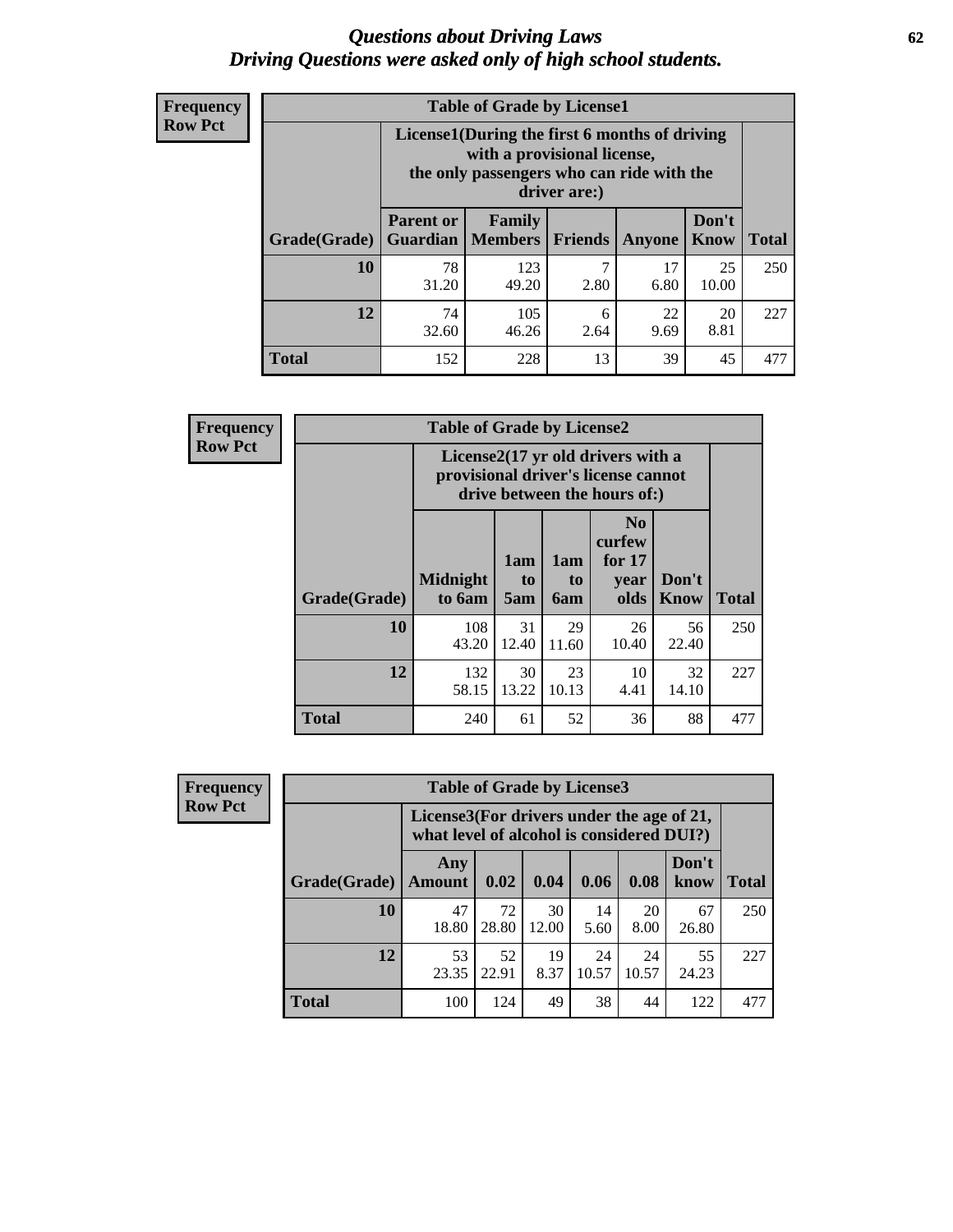#### *Questions about Driving Laws* **62** *Driving Questions were asked only of high school students.*

| <b>Frequency</b> |
|------------------|
| <b>Row Pct</b>   |

| <b>Table of Grade by License1</b> |                                     |                                                                                                                                           |                |            |               |              |  |  |  |  |
|-----------------------------------|-------------------------------------|-------------------------------------------------------------------------------------------------------------------------------------------|----------------|------------|---------------|--------------|--|--|--|--|
|                                   |                                     | License1(During the first 6 months of driving<br>with a provisional license,<br>the only passengers who can ride with the<br>driver are:) |                |            |               |              |  |  |  |  |
| Grade(Grade)                      | <b>Parent or</b><br><b>Guardian</b> | Family<br><b>Members</b>                                                                                                                  | <b>Friends</b> | Anyone     | Don't<br>Know | <b>Total</b> |  |  |  |  |
| 10                                | 78<br>31.20                         | 123<br>49.20                                                                                                                              | ℸ<br>2.80      | 17<br>6.80 | 25<br>10.00   | 250          |  |  |  |  |
| 12                                | 74<br>32.60                         | 105<br>22<br>20<br>6<br>8.81<br>46.26<br>9.69<br>2.64                                                                                     |                |            |               |              |  |  |  |  |
| <b>Total</b>                      | 152                                 | 228                                                                                                                                       | 13             | 39         | 45            | 477          |  |  |  |  |

| <b>Frequency</b> | <b>Table of Grade by License2</b>                                                                        |                           |                  |                              |                                                      |                      |              |  |  |
|------------------|----------------------------------------------------------------------------------------------------------|---------------------------|------------------|------------------------------|------------------------------------------------------|----------------------|--------------|--|--|
| <b>Row Pct</b>   | License2(17 yr old drivers with a<br>provisional driver's license cannot<br>drive between the hours of:) |                           |                  |                              |                                                      |                      |              |  |  |
|                  | Grade(Grade)                                                                                             | <b>Midnight</b><br>to 6am | 1am<br>to<br>5am | 1am<br>t <sub>0</sub><br>6am | N <sub>0</sub><br>curfew<br>for $17$<br>year<br>olds | Don't<br><b>Know</b> | <b>Total</b> |  |  |
|                  | 10                                                                                                       | 108<br>43.20              | 31<br>12.40      | 29<br>11.60                  | 26<br>10.40                                          | 56<br>22.40          | 250          |  |  |
|                  | 12                                                                                                       | 132<br>58.15              | 30<br>13.22      | 23<br>10.13                  | 10<br>4.41                                           | 32<br>14.10          | 227          |  |  |
|                  | <b>Total</b>                                                                                             | 240                       | 61               | 52                           | 36                                                   | 88                   | 477          |  |  |

| <b>Frequency</b> |                                                                                           | <b>Table of Grade by License3</b> |             |             |             |             |               |              |
|------------------|-------------------------------------------------------------------------------------------|-----------------------------------|-------------|-------------|-------------|-------------|---------------|--------------|
| <b>Row Pct</b>   | License3(For drivers under the age of $21$ ,<br>what level of alcohol is considered DUI?) |                                   |             |             |             |             |               |              |
|                  | Grade(Grade)                                                                              | Any<br>Amount                     | 0.02        | 0.04        | 0.06        | 0.08        | Don't<br>know | <b>Total</b> |
|                  | 10                                                                                        | 47<br>18.80                       | 72<br>28.80 | 30<br>12.00 | 14<br>5.60  | 20<br>8.00  | 67<br>26.80   | 250          |
|                  | 12                                                                                        | 53<br>23.35                       | 52<br>22.91 | 19<br>8.37  | 24<br>10.57 | 24<br>10.57 | 55<br>24.23   | 227          |
|                  | Total                                                                                     | 100                               | 124         | 49          | 38          | 44          | 122           | 477          |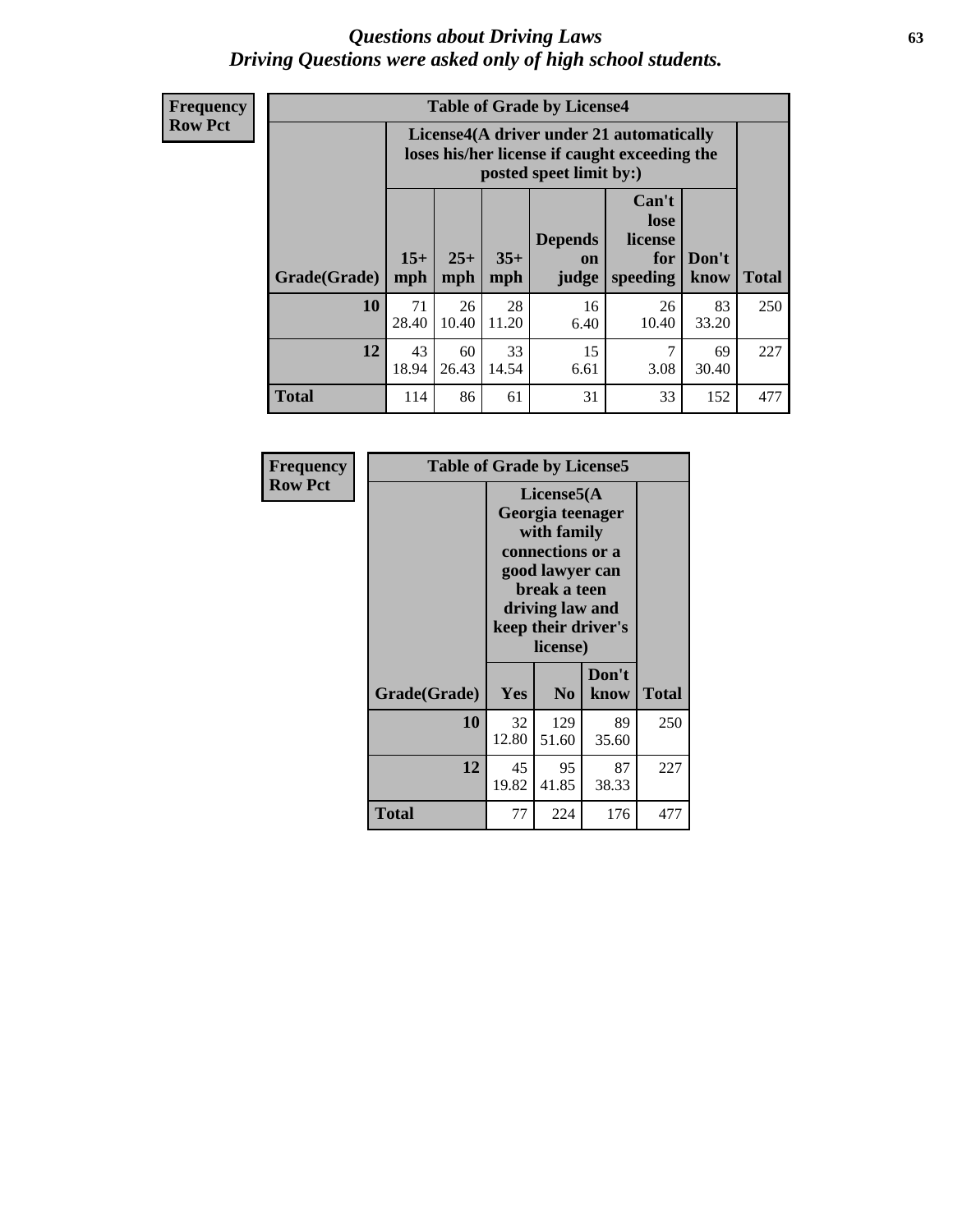#### *Questions about Driving Laws* **63** *Driving Questions were asked only of high school students.*

**Frequency Row Pct**

| <b>Table of Grade by License4</b> |             |                                                                                                                                                                                                                                                                                |             |            |             |             |     |  |  |  |
|-----------------------------------|-------------|--------------------------------------------------------------------------------------------------------------------------------------------------------------------------------------------------------------------------------------------------------------------------------|-------------|------------|-------------|-------------|-----|--|--|--|
|                                   |             | License4(A driver under 21 automatically<br>loses his/her license if caught exceeding the<br>posted speet limit by:)<br>Can't<br>lose<br><b>Depends</b><br>license<br>$15+$<br>$25+$<br>$35+$<br>Don't<br>for<br>on<br>speeding<br><b>Total</b><br>mph<br>mph<br>know<br>judge |             |            |             |             |     |  |  |  |
| Grade(Grade)                      | mph         |                                                                                                                                                                                                                                                                                |             |            |             |             |     |  |  |  |
| 10                                | 71<br>28.40 | 26<br>10.40                                                                                                                                                                                                                                                                    | 28<br>11.20 | 16<br>6.40 | 26<br>10.40 | 83<br>33.20 | 250 |  |  |  |
| 12                                | 43<br>18.94 | 33<br>15<br>7<br>60<br>69<br>26.43<br>14.54<br>6.61<br>3.08<br>30.40                                                                                                                                                                                                           |             |            |             |             |     |  |  |  |
| <b>Total</b>                      | 114         | 86                                                                                                                                                                                                                                                                             | 61          | 31         | 33          | 152         | 477 |  |  |  |

| Frequency      | <b>Table of Grade by License5</b> |             |                                                                                                                                      |                     |       |
|----------------|-----------------------------------|-------------|--------------------------------------------------------------------------------------------------------------------------------------|---------------------|-------|
| <b>Row Pct</b> |                                   |             | License5(A)<br>Georgia teenager<br>with family<br>connections or a<br>good lawyer can<br>break a teen<br>driving law and<br>license) | keep their driver's |       |
|                | Grade(Grade)                      | Yes         | N <sub>0</sub>                                                                                                                       | Don't<br>know       | Total |
|                | <b>10</b>                         | 32<br>12.80 | 129<br>51.60                                                                                                                         | 89<br>35.60         | 250   |
|                | 12                                | 45<br>19.82 | 95<br>41.85                                                                                                                          | 87<br>38.33         | 227   |
|                | <b>Total</b>                      | 77          | 224                                                                                                                                  | 176                 | 477   |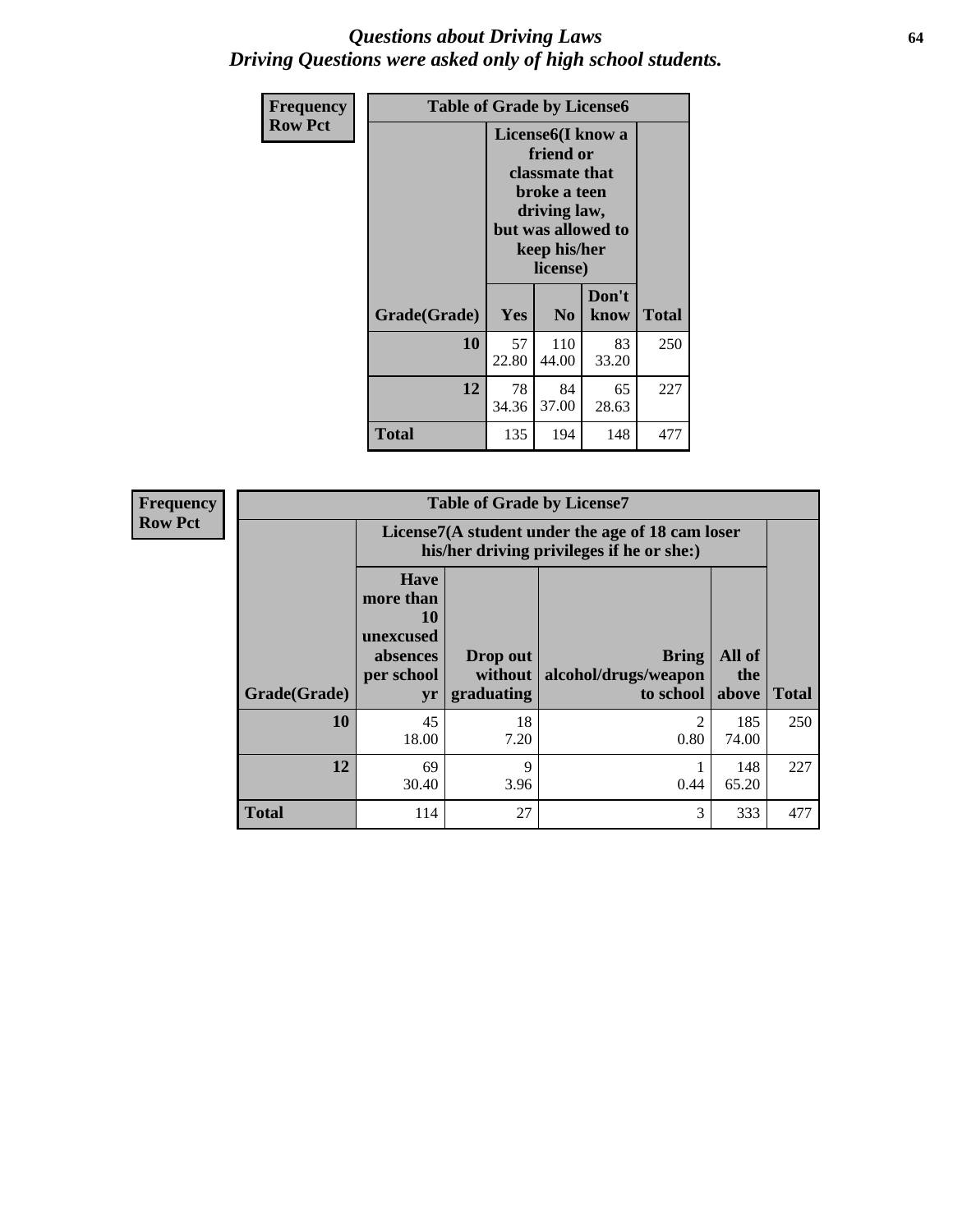#### *Questions about Driving Laws* **64** *Driving Questions were asked only of high school students.*

| <b>Frequency</b> | <b>Table of Grade by License6</b> |             |                                                                                                                                                 |               |              |  |
|------------------|-----------------------------------|-------------|-------------------------------------------------------------------------------------------------------------------------------------------------|---------------|--------------|--|
| <b>Row Pct</b>   |                                   |             | License <sub>6</sub> (I know a<br>friend or<br>classmate that<br>broke a teen<br>driving law,<br>but was allowed to<br>keep his/her<br>license) |               |              |  |
|                  | Grade(Grade)                      | Yes         | N <sub>0</sub>                                                                                                                                  | Don't<br>know | <b>Total</b> |  |
|                  | 10                                | 57<br>22.80 | 110<br>44.00                                                                                                                                    | 83<br>33.20   | 250          |  |
|                  | 12                                | 78<br>34.36 | 84<br>37.00                                                                                                                                     | 65<br>28.63   | 227          |  |
|                  | Total                             | 135         | 194                                                                                                                                             | 148           | 477          |  |

| <b>Frequency</b> | <b>Table of Grade by License7</b> |                                                                                               |                                     |                                                   |                        |              |  |
|------------------|-----------------------------------|-----------------------------------------------------------------------------------------------|-------------------------------------|---------------------------------------------------|------------------------|--------------|--|
| <b>Row Pct</b>   |                                   | License7(A student under the age of 18 cam loser<br>his/her driving privileges if he or she:) |                                     |                                                   |                        |              |  |
|                  | Grade(Grade)                      | <b>Have</b><br>more than<br>10<br>unexcused<br>absences<br>per school<br>yr                   | Drop out<br>without  <br>graduating | <b>Bring</b><br>alcohol/drugs/weapon<br>to school | All of<br>the<br>above | <b>Total</b> |  |
|                  | 10                                | 45<br>18.00                                                                                   | 18<br>7.20                          | $\overline{c}$<br>0.80                            | 185<br>74.00           | 250          |  |
|                  | 12                                | 69<br>30.40                                                                                   | 9<br>3.96                           | 0.44                                              | 148<br>65.20           | 227          |  |
|                  | <b>Total</b>                      | 114                                                                                           | 27                                  | 3                                                 | 333                    | 477          |  |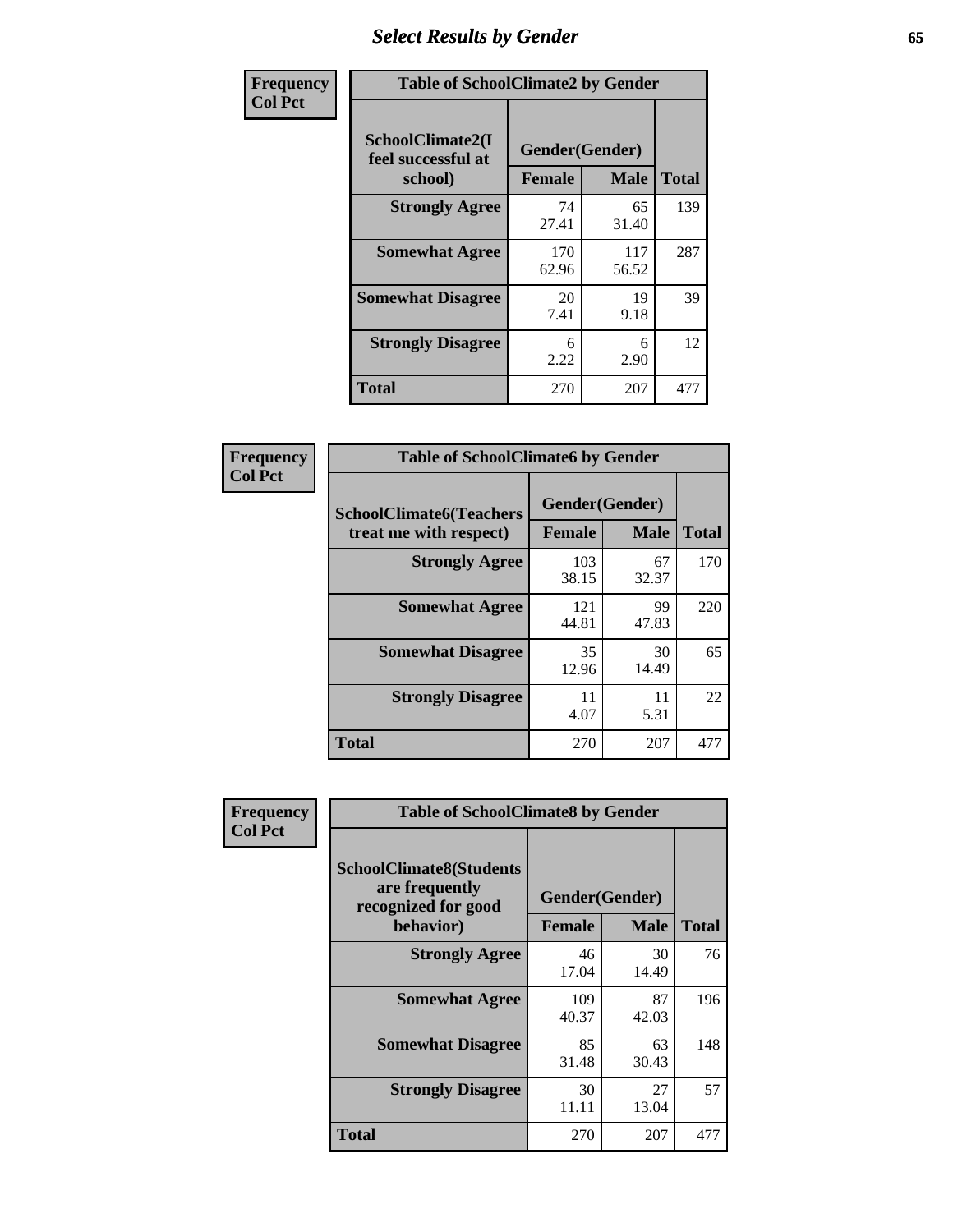# *Select Results by Gender* **65**

| Frequency      | <b>Table of SchoolClimate2 by Gender</b>          |                                 |              |              |
|----------------|---------------------------------------------------|---------------------------------|--------------|--------------|
| <b>Col Pct</b> | SchoolClimate2(I<br>feel successful at<br>school) | Gender(Gender)<br><b>Female</b> | <b>Male</b>  | <b>Total</b> |
|                | <b>Strongly Agree</b>                             | 74<br>27.41                     | 65<br>31.40  | 139          |
|                | <b>Somewhat Agree</b>                             | 170<br>62.96                    | 117<br>56.52 | 287          |
|                | <b>Somewhat Disagree</b>                          | 20<br>7.41                      | 19<br>9.18   | 39           |
|                | <b>Strongly Disagree</b>                          | 6<br>2.22                       | 6<br>2.90    | 12           |
|                | <b>Total</b>                                      | 270                             | 207          | 477          |

| <b>Frequency</b> | <b>Table of SchoolClimate6 by Gender</b>                 |                                 |             |              |  |
|------------------|----------------------------------------------------------|---------------------------------|-------------|--------------|--|
| <b>Col Pct</b>   | <b>SchoolClimate6(Teachers</b><br>treat me with respect) | Gender(Gender)<br><b>Female</b> | <b>Male</b> | <b>Total</b> |  |
|                  | <b>Strongly Agree</b>                                    | 103<br>38.15                    | 67<br>32.37 | 170          |  |
|                  | <b>Somewhat Agree</b>                                    | 121<br>44.81                    | 99<br>47.83 | 220          |  |
|                  | <b>Somewhat Disagree</b>                                 | 35<br>12.96                     | 30<br>14.49 | 65           |  |
|                  | <b>Strongly Disagree</b>                                 | 11<br>4.07                      | 11<br>5.31  | 22           |  |
|                  | <b>Total</b>                                             | 270                             | 207         | 477          |  |

| Frequency      | <b>Table of SchoolClimate8 by Gender</b>                                             |                                 |             |              |
|----------------|--------------------------------------------------------------------------------------|---------------------------------|-------------|--------------|
| <b>Col Pct</b> | <b>SchoolClimate8(Students</b><br>are frequently<br>recognized for good<br>behavior) | Gender(Gender)<br><b>Female</b> | <b>Male</b> | <b>Total</b> |
|                | <b>Strongly Agree</b>                                                                | 46                              | 30          | 76           |
|                |                                                                                      | 17.04                           | 14.49       |              |
|                | <b>Somewhat Agree</b>                                                                | 109<br>40.37                    | 87<br>42.03 | 196          |
|                | <b>Somewhat Disagree</b>                                                             | 85<br>31.48                     | 63<br>30.43 | 148          |
|                | <b>Strongly Disagree</b>                                                             | 30<br>11.11                     | 27<br>13.04 | 57           |
|                | Total                                                                                | 270                             | 207         | 477          |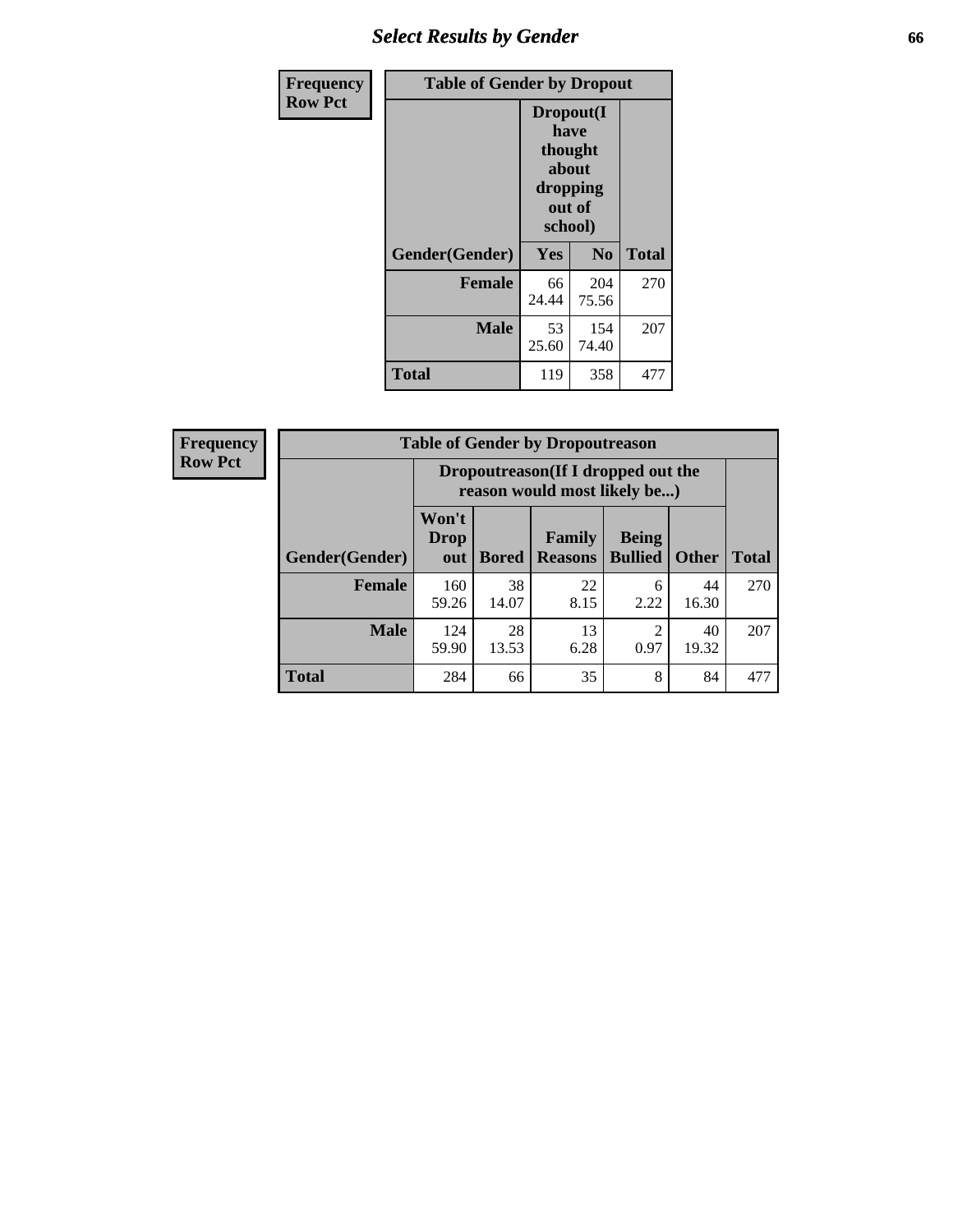## *Select Results by Gender* **66**

| Frequency      | <b>Table of Gender by Dropout</b> |                                                                        |                |              |
|----------------|-----------------------------------|------------------------------------------------------------------------|----------------|--------------|
| <b>Row Pct</b> |                                   | Dropout(I<br>have<br>thought<br>about<br>dropping<br>out of<br>school) |                |              |
|                | Gender(Gender)                    | Yes                                                                    | N <sub>0</sub> | <b>Total</b> |
|                | <b>Female</b>                     | 66<br>24.44                                                            | 204<br>75.56   | 270          |
|                | <b>Male</b>                       | 53<br>25.60                                                            | 154<br>74.40   | 207          |
|                | <b>Total</b>                      | 119                                                                    | 358            | 477          |

| <b>Frequency</b> | <b>Table of Gender by Dropoutreason</b> |                             |              |                                                                    |                                |              |              |
|------------------|-----------------------------------------|-----------------------------|--------------|--------------------------------------------------------------------|--------------------------------|--------------|--------------|
| <b>Row Pct</b>   |                                         |                             |              | Dropoutreason(If I dropped out the<br>reason would most likely be) |                                |              |              |
|                  | Gender(Gender)                          | Won't<br><b>Drop</b><br>out | <b>Bored</b> | Family<br><b>Reasons</b>                                           | <b>Being</b><br><b>Bullied</b> | <b>Other</b> | <b>Total</b> |
|                  | <b>Female</b>                           | 160<br>59.26                | 38<br>14.07  | 22<br>8.15                                                         | 6<br>2.22                      | 44<br>16.30  | 270          |
|                  | <b>Male</b>                             | 124<br>59.90                | 28<br>13.53  | 13<br>6.28                                                         | $\overline{c}$<br>0.97         | 40<br>19.32  | 207          |
|                  | <b>Total</b>                            | 284                         | 66           | 35                                                                 | 8                              | 84           | 477          |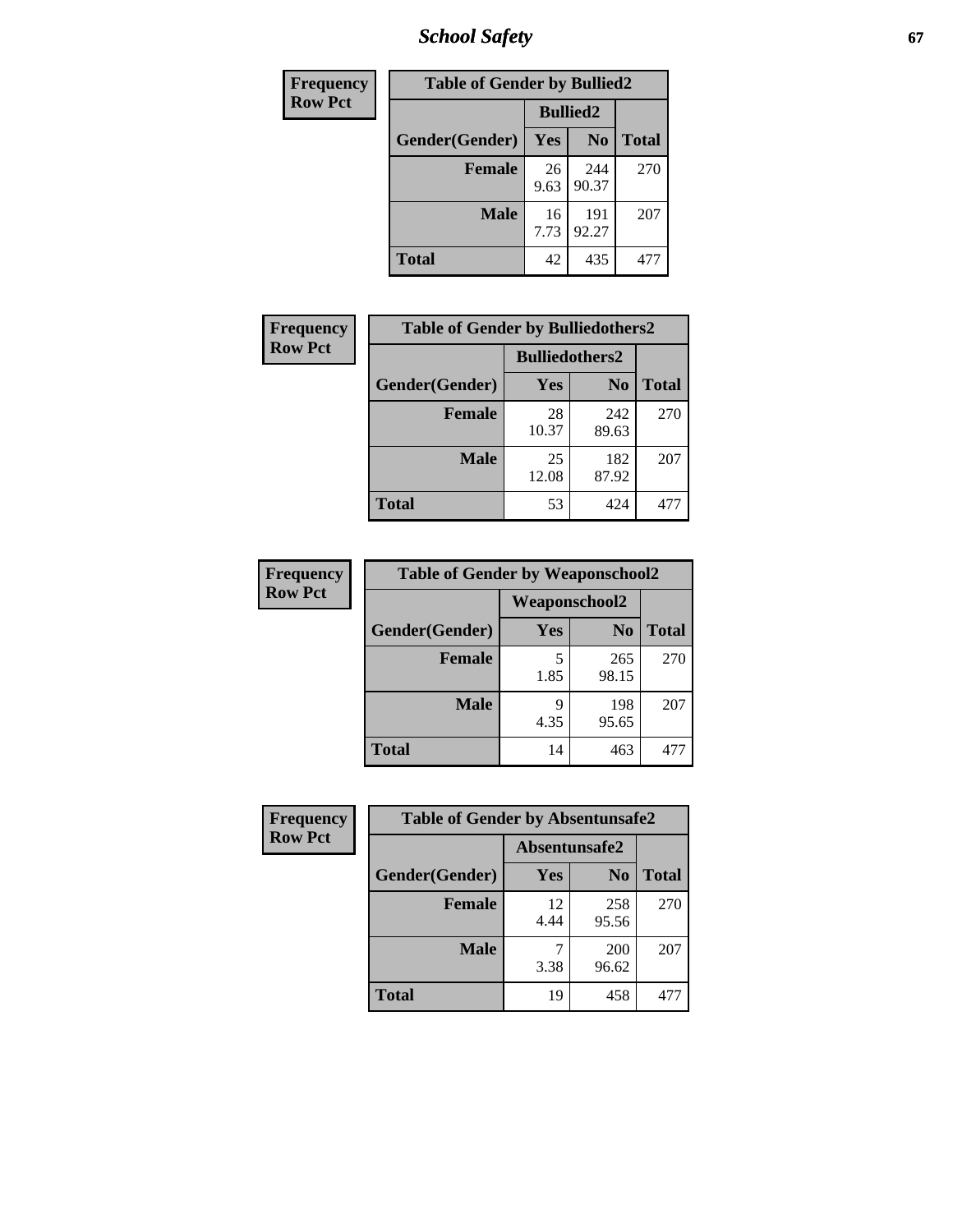*School Safety* **67**

| Frequency      | <b>Table of Gender by Bullied2</b> |                 |                |              |
|----------------|------------------------------------|-----------------|----------------|--------------|
| <b>Row Pct</b> |                                    | <b>Bullied2</b> |                |              |
|                | Gender(Gender)                     | Yes             | N <sub>0</sub> | <b>Total</b> |
|                | Female                             | 26<br>9.63      | 244<br>90.37   | 270          |
|                | <b>Male</b>                        | 16<br>7.73      | 191<br>92.27   | 207          |
|                | <b>Total</b>                       | 42              | 435            | 477          |

| Frequency      | <b>Table of Gender by Bulliedothers2</b> |                       |                |              |
|----------------|------------------------------------------|-----------------------|----------------|--------------|
| <b>Row Pct</b> |                                          | <b>Bulliedothers2</b> |                |              |
|                | Gender(Gender)                           | <b>Yes</b>            | N <sub>0</sub> | <b>Total</b> |
|                | <b>Female</b>                            | 28<br>10.37           | 242<br>89.63   | 270          |
|                | Male                                     | 25<br>12.08           | 182<br>87.92   | 207          |
|                | <b>Total</b>                             | 53                    | 424            | 477          |

| Frequency      | <b>Table of Gender by Weaponschool2</b> |                      |                |              |  |
|----------------|-----------------------------------------|----------------------|----------------|--------------|--|
| <b>Row Pct</b> |                                         | <b>Weaponschool2</b> |                |              |  |
|                | Gender(Gender)                          | <b>Yes</b>           | N <sub>0</sub> | <b>Total</b> |  |
|                | <b>Female</b>                           | 1.85                 | 265<br>98.15   | 270          |  |
|                | <b>Male</b>                             | q<br>4.35            | 198<br>95.65   | 207          |  |
|                | <b>Total</b>                            | 14                   | 463            | 477          |  |

| Frequency      | <b>Table of Gender by Absentunsafe2</b> |               |                |              |  |
|----------------|-----------------------------------------|---------------|----------------|--------------|--|
| <b>Row Pct</b> |                                         | Absentunsafe2 |                |              |  |
|                | Gender(Gender)                          | Yes           | N <sub>0</sub> | <b>Total</b> |  |
|                | <b>Female</b>                           | 12<br>4.44    | 258<br>95.56   | 270          |  |
|                | <b>Male</b>                             | 3.38          | 200<br>96.62   | 207          |  |
|                | <b>Total</b>                            | 19            | 458            | 477          |  |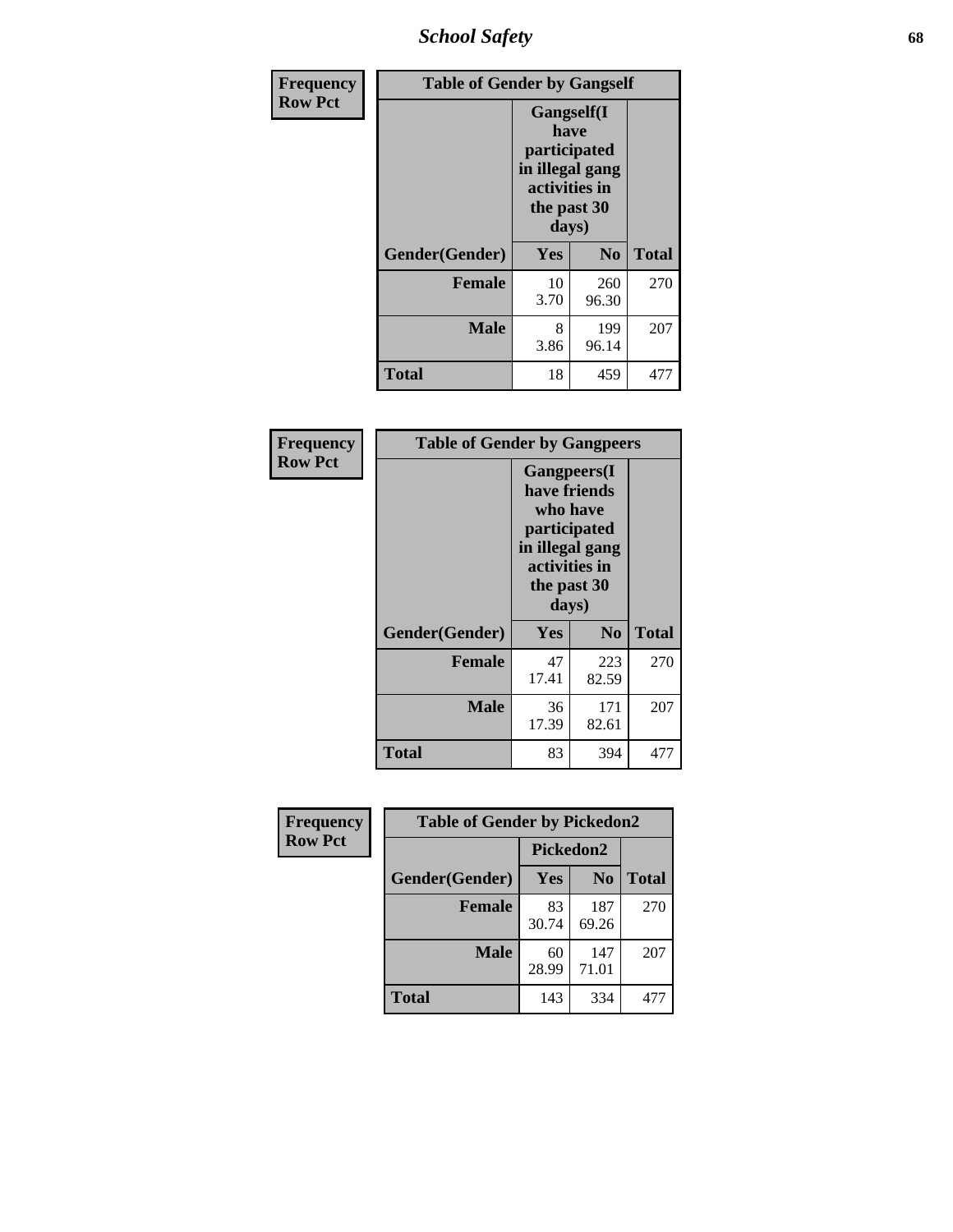*School Safety* **68**

| Frequency      | <b>Table of Gender by Gangself</b> |                                                                                                |                |              |  |
|----------------|------------------------------------|------------------------------------------------------------------------------------------------|----------------|--------------|--|
| <b>Row Pct</b> |                                    | Gangself(I<br>have<br>participated<br>in illegal gang<br>activities in<br>the past 30<br>days) |                |              |  |
|                | Gender(Gender)                     | Yes                                                                                            | N <sub>0</sub> | <b>Total</b> |  |
|                | <b>Female</b>                      | 10<br>3.70                                                                                     | 260<br>96.30   | 270          |  |
|                | <b>Male</b>                        | 8<br>3.86                                                                                      | 199<br>96.14   | 207          |  |
|                | <b>Total</b>                       | 18                                                                                             | 459            | 477          |  |

| Frequency      | <b>Table of Gender by Gangpeers</b> |                                                                                                                             |                |              |  |
|----------------|-------------------------------------|-----------------------------------------------------------------------------------------------------------------------------|----------------|--------------|--|
| <b>Row Pct</b> |                                     | <b>Gangpeers</b> (I<br>have friends<br>who have<br>participated<br>in illegal gang<br>activities in<br>the past 30<br>days) |                |              |  |
|                | Gender(Gender)                      | <b>Yes</b>                                                                                                                  | N <sub>0</sub> | <b>Total</b> |  |
|                | <b>Female</b>                       | 47<br>17.41                                                                                                                 | 223<br>82.59   | 270          |  |
|                | <b>Male</b>                         | 36<br>17.39                                                                                                                 | 171<br>82.61   | 207          |  |
|                | Total                               | 83                                                                                                                          | 394            | 477          |  |

| Frequency      | <b>Table of Gender by Pickedon2</b> |             |                |              |  |
|----------------|-------------------------------------|-------------|----------------|--------------|--|
| <b>Row Pct</b> |                                     | Pickedon2   |                |              |  |
|                | Gender(Gender)                      | Yes         | N <sub>0</sub> | <b>Total</b> |  |
|                | <b>Female</b>                       | 83<br>30.74 | 187<br>69.26   | 270          |  |
|                | <b>Male</b>                         | 60<br>28.99 | 147<br>71.01   | 207          |  |
|                | <b>Total</b>                        | 143         | 334            | 471          |  |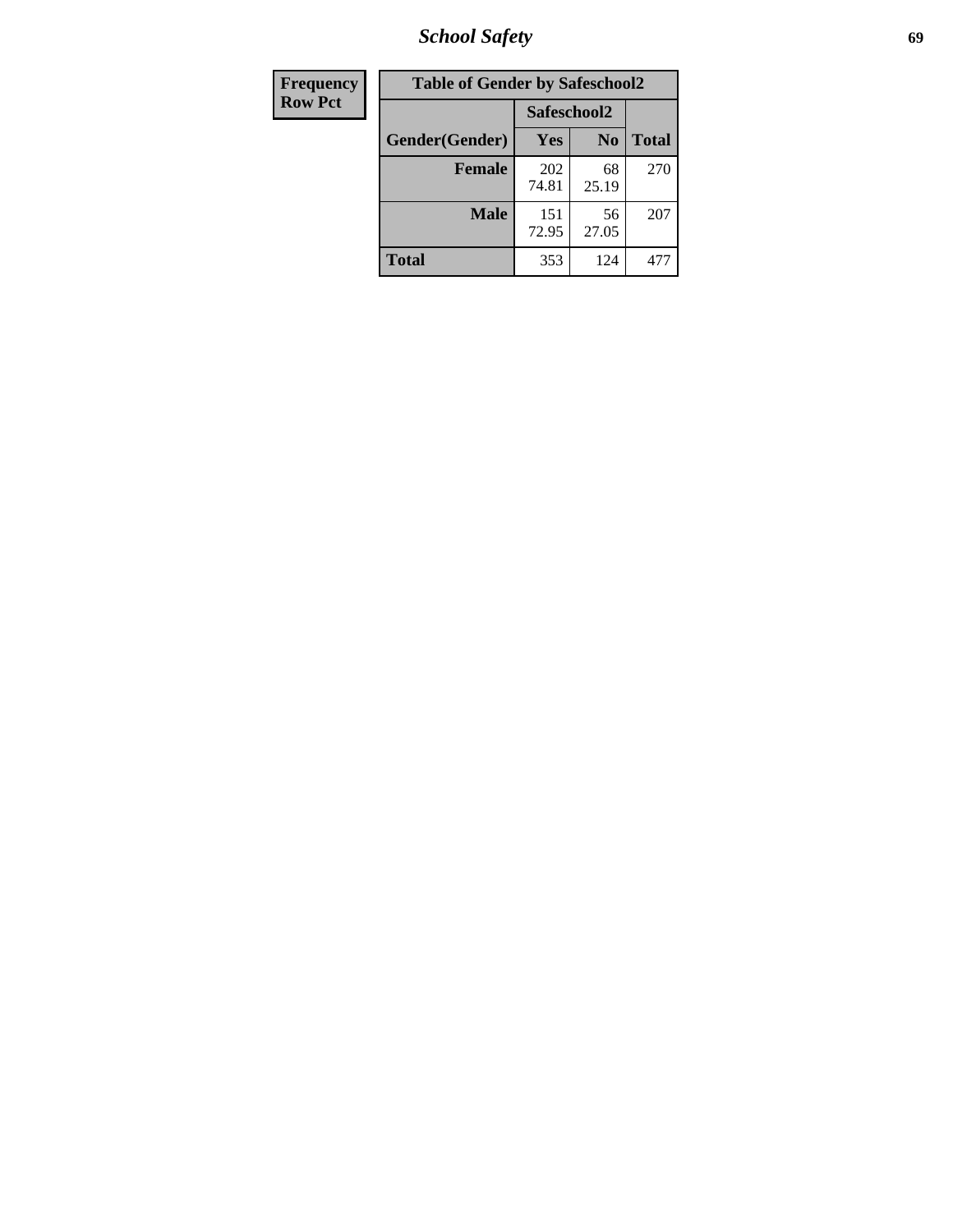*School Safety* **69**

| Frequency      | <b>Table of Gender by Safeschool2</b> |              |                |              |
|----------------|---------------------------------------|--------------|----------------|--------------|
| <b>Row Pct</b> |                                       | Safeschool2  |                |              |
|                | Gender(Gender)                        | <b>Yes</b>   | N <sub>0</sub> | <b>Total</b> |
|                | <b>Female</b>                         | 202<br>74.81 | 68<br>25.19    | 270          |
|                | <b>Male</b>                           | 151<br>72.95 | 56<br>27.05    | 207          |
|                | <b>Total</b>                          | 353          | 124            | 471          |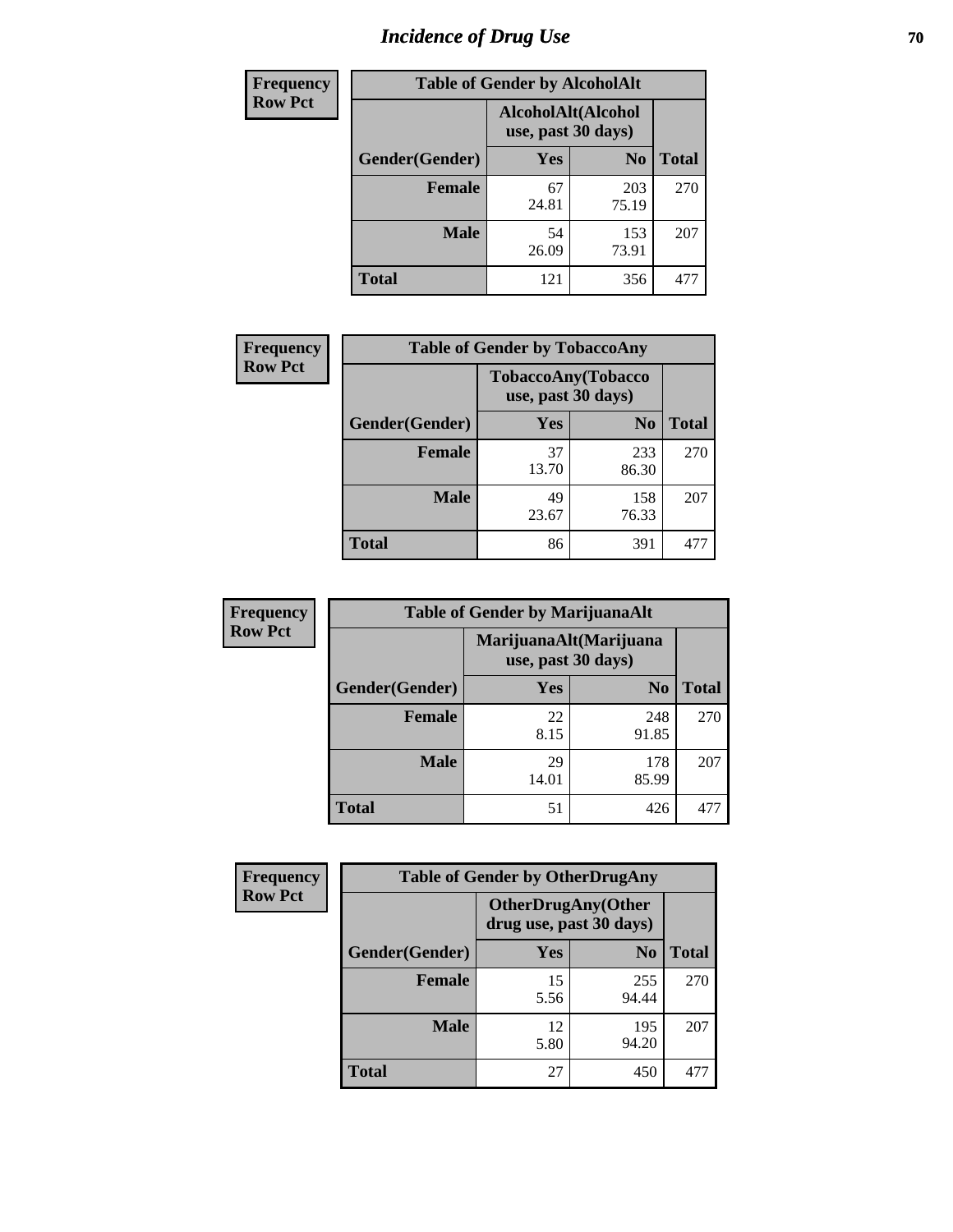# *Incidence of Drug Use* **70**

| <b>Frequency</b> | <b>Table of Gender by AlcoholAlt</b> |                                          |                |              |  |
|------------------|--------------------------------------|------------------------------------------|----------------|--------------|--|
| <b>Row Pct</b>   |                                      | AlcoholAlt(Alcohol<br>use, past 30 days) |                |              |  |
|                  | Gender(Gender)                       | Yes                                      | N <sub>0</sub> | <b>Total</b> |  |
|                  | <b>Female</b>                        | 67<br>24.81                              | 203<br>75.19   | 270          |  |
|                  | <b>Male</b>                          | 54<br>26.09                              | 153<br>73.91   | 207          |  |
|                  | <b>Total</b>                         | 121                                      | 356            | 477          |  |

| <b>Frequency</b> | <b>Table of Gender by TobaccoAny</b> |                    |                    |              |
|------------------|--------------------------------------|--------------------|--------------------|--------------|
| <b>Row Pct</b>   |                                      | use, past 30 days) | TobaccoAny(Tobacco |              |
|                  | Gender(Gender)                       | Yes                | N <sub>0</sub>     | <b>Total</b> |
|                  | <b>Female</b>                        | 37<br>13.70        | 233<br>86.30       | 270          |
|                  | <b>Male</b>                          | 49<br>23.67        | 158<br>76.33       | 207          |
|                  | <b>Total</b>                         | 86                 | 391                |              |

| <b>Frequency</b> | <b>Table of Gender by MarijuanaAlt</b> |             |                                              |              |
|------------------|----------------------------------------|-------------|----------------------------------------------|--------------|
| <b>Row Pct</b>   |                                        |             | MarijuanaAlt(Marijuana<br>use, past 30 days) |              |
|                  | Gender(Gender)                         | <b>Yes</b>  | N <sub>0</sub>                               | <b>Total</b> |
|                  | <b>Female</b>                          | 22<br>8.15  | 248<br>91.85                                 | 270          |
|                  | <b>Male</b>                            | 29<br>14.01 | 178<br>85.99                                 | 207          |
|                  | <b>Total</b>                           | 51          | 426                                          | 477          |

| <b>Frequency</b> | <b>Table of Gender by OtherDrugAny</b> |                                                      |                |              |
|------------------|----------------------------------------|------------------------------------------------------|----------------|--------------|
| <b>Row Pct</b>   |                                        | <b>OtherDrugAny(Other</b><br>drug use, past 30 days) |                |              |
|                  | Gender(Gender)                         | <b>Yes</b>                                           | N <sub>0</sub> | <b>Total</b> |
|                  | <b>Female</b>                          | 15<br>5.56                                           | 255<br>94.44   | 270          |
|                  | <b>Male</b>                            | 12<br>5.80                                           | 195<br>94.20   | 207          |
|                  | <b>Total</b>                           | 27                                                   | 450            | 477          |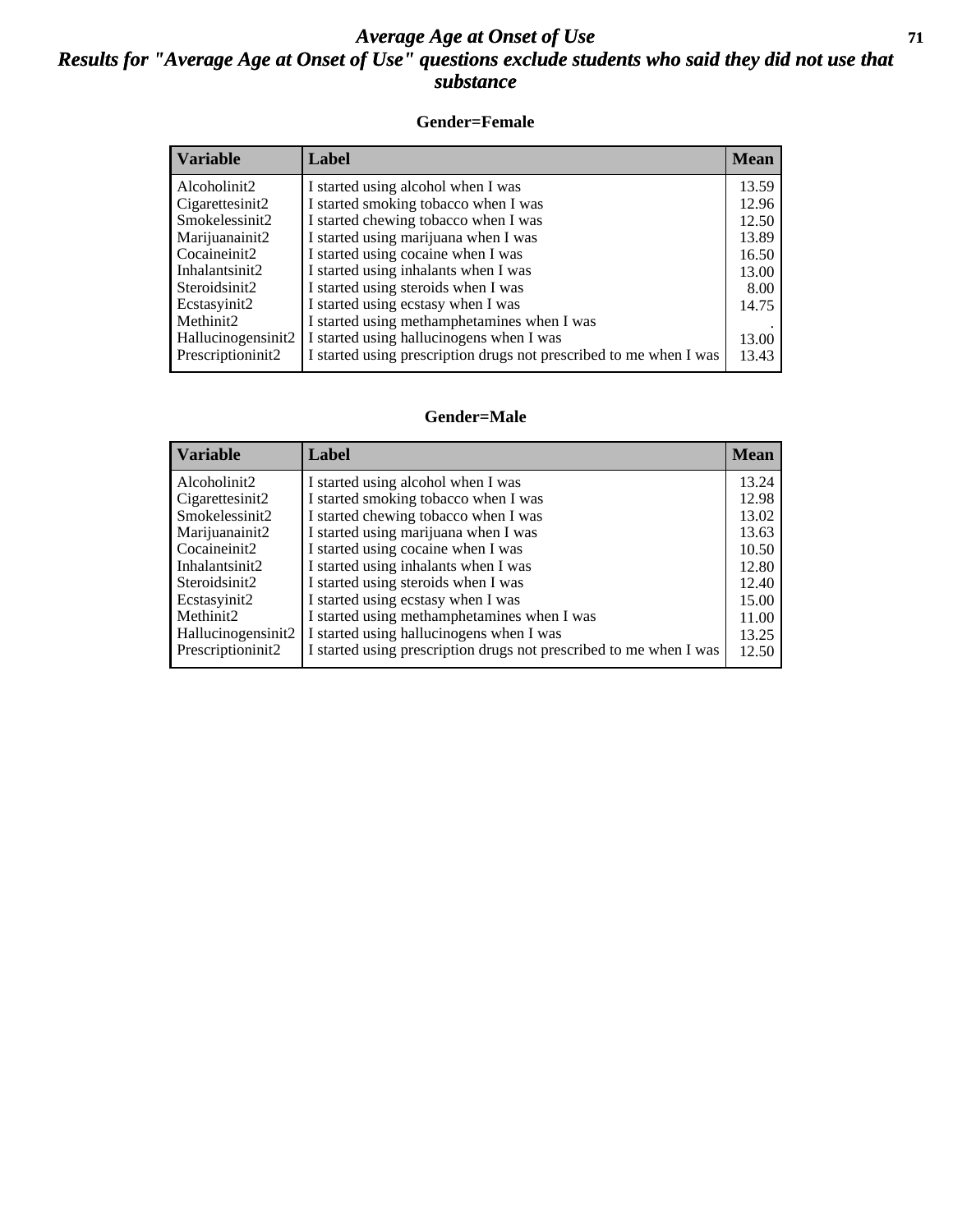#### *Average Age at Onset of Use* **71** *Results for "Average Age at Onset of Use" questions exclude students who said they did not use that substance*

#### **Gender=Female**

| <b>Variable</b>    | <b>Label</b>                                                       | <b>Mean</b> |
|--------------------|--------------------------------------------------------------------|-------------|
| Alcoholinit2       | I started using alcohol when I was                                 | 13.59       |
| Cigarettesinit2    | I started smoking tobacco when I was                               | 12.96       |
| Smokelessinit2     | I started chewing tobacco when I was                               | 12.50       |
| Marijuanainit2     | I started using marijuana when I was                               | 13.89       |
| Cocaineinit2       | I started using cocaine when I was                                 | 16.50       |
| Inhalantsinit2     | I started using inhalants when I was                               | 13.00       |
| Steroidsinit2      | I started using steroids when I was                                | 8.00        |
| Ecstasyinit2       | I started using ecstasy when I was                                 | 14.75       |
| Methinit2          | I started using methamphetamines when I was                        |             |
| Hallucinogensinit2 | I started using hallucinogens when I was                           | 13.00       |
| Prescription in t2 | I started using prescription drugs not prescribed to me when I was | 13.43       |

#### **Gender=Male**

| <b>Variable</b>    | Label                                                              | <b>Mean</b> |
|--------------------|--------------------------------------------------------------------|-------------|
| Alcoholinit2       | I started using alcohol when I was                                 | 13.24       |
| Cigarettesinit2    | I started smoking tobacco when I was                               | 12.98       |
| Smokelessinit2     | I started chewing tobacco when I was                               | 13.02       |
| Marijuanainit2     | I started using marijuana when I was                               | 13.63       |
| Cocaineinit2       | I started using cocaine when I was                                 | 10.50       |
| Inhalantsinit2     | I started using inhalants when I was                               | 12.80       |
| Steroidsinit2      | I started using steroids when I was                                | 12.40       |
| Ecstasyinit2       | I started using ecstasy when I was                                 | 15.00       |
| Methinit2          | I started using methamphetamines when I was                        | 11.00       |
| Hallucinogensinit2 | I started using hallucinogens when I was                           | 13.25       |
| Prescriptioninit2  | I started using prescription drugs not prescribed to me when I was | 12.50       |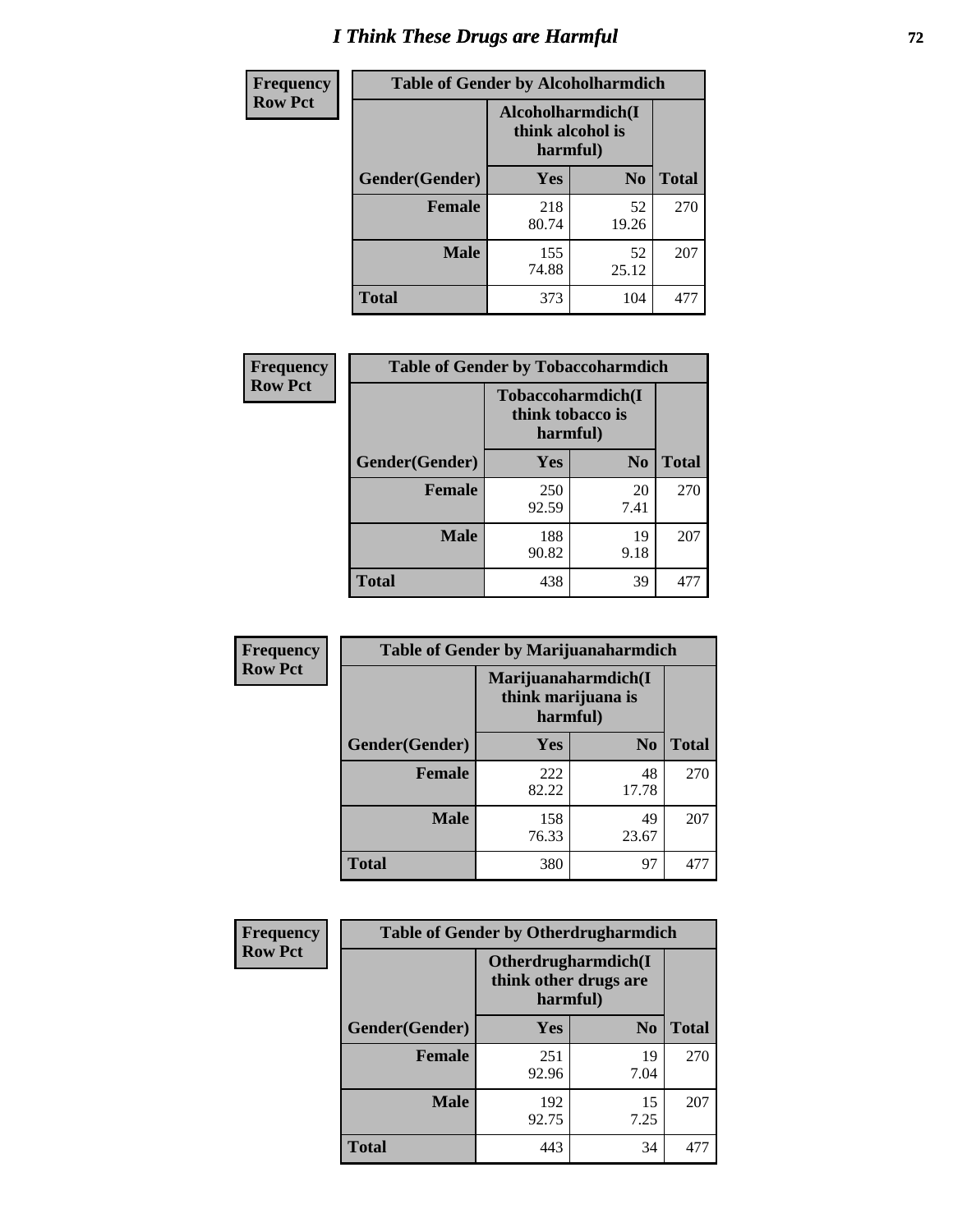# *I Think These Drugs are Harmful* **72**

| Frequency      | <b>Table of Gender by Alcoholharmdich</b> |                                                   |                |              |
|----------------|-------------------------------------------|---------------------------------------------------|----------------|--------------|
| <b>Row Pct</b> |                                           | Alcoholharmdich(I<br>think alcohol is<br>harmful) |                |              |
|                | Gender(Gender)                            | <b>Yes</b>                                        | N <sub>0</sub> | <b>Total</b> |
|                | <b>Female</b>                             | 218<br>80.74                                      | 52<br>19.26    | 270          |
|                | <b>Male</b>                               | 155<br>74.88                                      | 52<br>25.12    | 207          |
|                | <b>Total</b>                              | 373                                               | 104            | 477          |

| Frequency      | <b>Table of Gender by Tobaccoharmdich</b> |                                                   |                |              |
|----------------|-------------------------------------------|---------------------------------------------------|----------------|--------------|
| <b>Row Pct</b> |                                           | Tobaccoharmdich(I<br>think tobacco is<br>harmful) |                |              |
|                | Gender(Gender)                            | Yes                                               | N <sub>0</sub> | <b>Total</b> |
|                | <b>Female</b>                             | 250<br>92.59                                      | 20<br>7.41     | 270          |
|                | <b>Male</b>                               | 188<br>90.82                                      | 19<br>9.18     | 207          |
|                | <b>Total</b>                              | 438                                               | 39             | 477          |

| Frequency      | <b>Table of Gender by Marijuanaharmdich</b> |                                |                     |              |  |
|----------------|---------------------------------------------|--------------------------------|---------------------|--------------|--|
| <b>Row Pct</b> |                                             | think marijuana is<br>harmful) | Marijuanaharmdich(I |              |  |
|                | Gender(Gender)                              | <b>Yes</b>                     | N <sub>0</sub>      | <b>Total</b> |  |
|                | <b>Female</b>                               | 222<br>82.22                   | 48<br>17.78         | 270          |  |
|                | <b>Male</b>                                 | 158<br>76.33                   | 49<br>23.67         | 207          |  |
|                | <b>Total</b>                                | 380                            | 97                  | 477          |  |

| Frequency      | <b>Table of Gender by Otherdrugharmdich</b> |                                                          |                |              |  |
|----------------|---------------------------------------------|----------------------------------------------------------|----------------|--------------|--|
| <b>Row Pct</b> |                                             | Otherdrugharmdich(I<br>think other drugs are<br>harmful) |                |              |  |
|                | Gender(Gender)                              | <b>Yes</b>                                               | N <sub>0</sub> | <b>Total</b> |  |
|                | <b>Female</b>                               | 251<br>92.96                                             | 19<br>7.04     | 270          |  |
|                | <b>Male</b>                                 | 192<br>92.75                                             | 15<br>7.25     | 207          |  |
|                | <b>Total</b>                                | 443                                                      | 34             | 477          |  |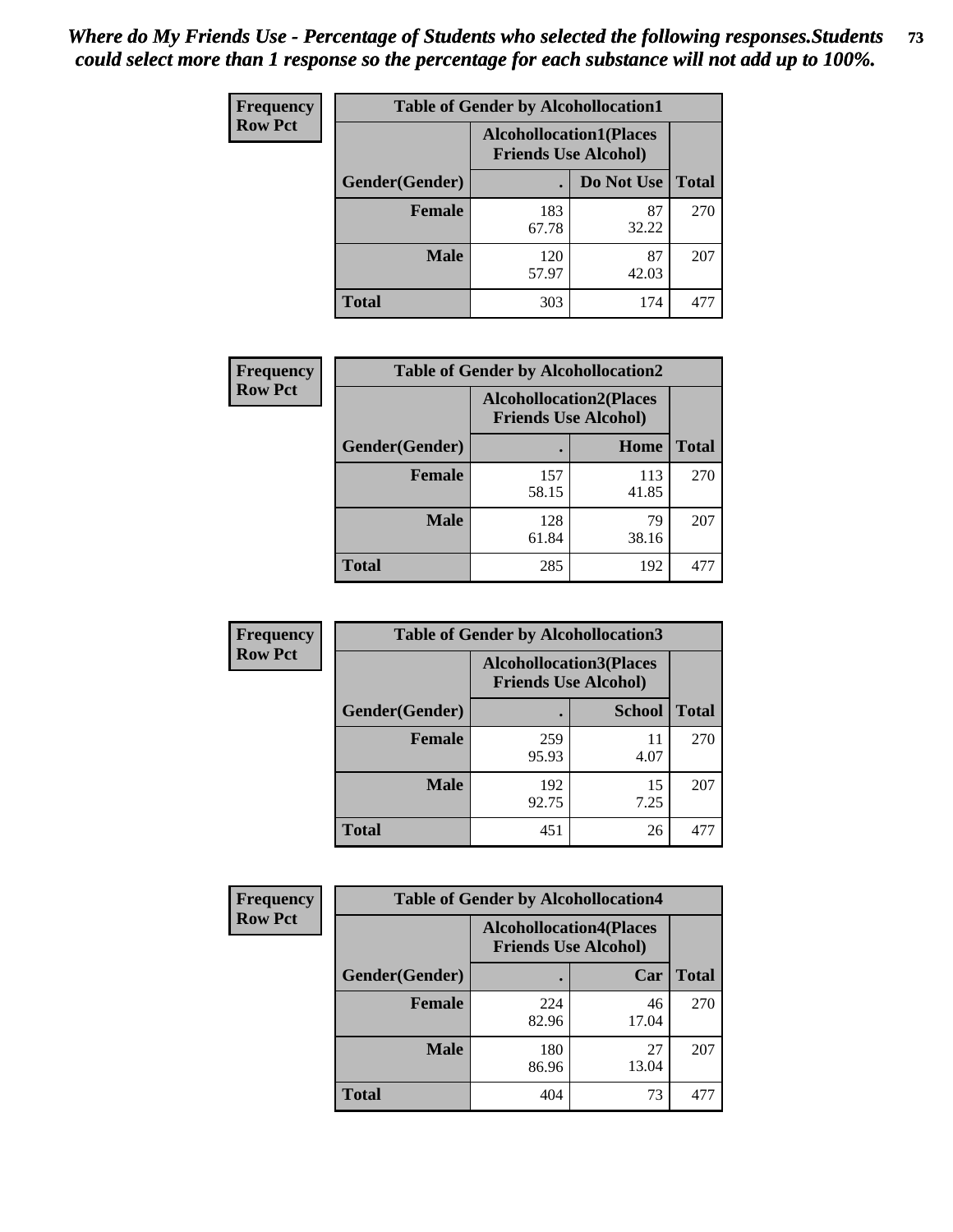| <b>Frequency</b> | <b>Table of Gender by Alcohollocation1</b> |                                                               |             |              |
|------------------|--------------------------------------------|---------------------------------------------------------------|-------------|--------------|
| <b>Row Pct</b>   |                                            | <b>Alcohollocation1(Places</b><br><b>Friends Use Alcohol)</b> |             |              |
|                  | Gender(Gender)                             |                                                               | Do Not Use  | <b>Total</b> |
|                  | <b>Female</b>                              | 183<br>67.78                                                  | 87<br>32.22 | 270          |
|                  | <b>Male</b>                                | 120<br>57.97                                                  | 87<br>42.03 | 207          |
|                  | <b>Total</b>                               | 303                                                           | 174         | 477          |

| <b>Frequency</b> | <b>Table of Gender by Alcohollocation2</b> |              |                                                               |              |
|------------------|--------------------------------------------|--------------|---------------------------------------------------------------|--------------|
| <b>Row Pct</b>   |                                            |              | <b>Alcohollocation2(Places</b><br><b>Friends Use Alcohol)</b> |              |
|                  | Gender(Gender)                             |              | Home                                                          | <b>Total</b> |
|                  | <b>Female</b>                              | 157<br>58.15 | 113<br>41.85                                                  | 270          |
|                  | <b>Male</b>                                | 128<br>61.84 | 79<br>38.16                                                   | 207          |
|                  | <b>Total</b>                               | 285          | 192                                                           | $47^{\circ}$ |

| Frequency      | <b>Table of Gender by Alcohollocation3</b> |              |                                                               |              |
|----------------|--------------------------------------------|--------------|---------------------------------------------------------------|--------------|
| <b>Row Pct</b> |                                            |              | <b>Alcohollocation3(Places</b><br><b>Friends Use Alcohol)</b> |              |
|                | Gender(Gender)                             |              | <b>School</b>                                                 | <b>Total</b> |
|                | <b>Female</b>                              | 259<br>95.93 | 11<br>4.07                                                    | 270          |
|                | <b>Male</b>                                | 192<br>92.75 | 15<br>7.25                                                    | 207          |
|                | <b>Total</b>                               | 451          | 26                                                            | 477          |

| Frequency      | <b>Table of Gender by Alcohollocation4</b> |                                                               |             |              |
|----------------|--------------------------------------------|---------------------------------------------------------------|-------------|--------------|
| <b>Row Pct</b> |                                            | <b>Alcohollocation4(Places</b><br><b>Friends Use Alcohol)</b> |             |              |
|                | <b>Gender</b> (Gender)                     |                                                               | Car         | <b>Total</b> |
|                | <b>Female</b>                              | 224<br>82.96                                                  | 46<br>17.04 | 270          |
|                | <b>Male</b>                                | 180<br>86.96                                                  | 27<br>13.04 | 207          |
|                | <b>Total</b>                               | 404                                                           | 73          | 477          |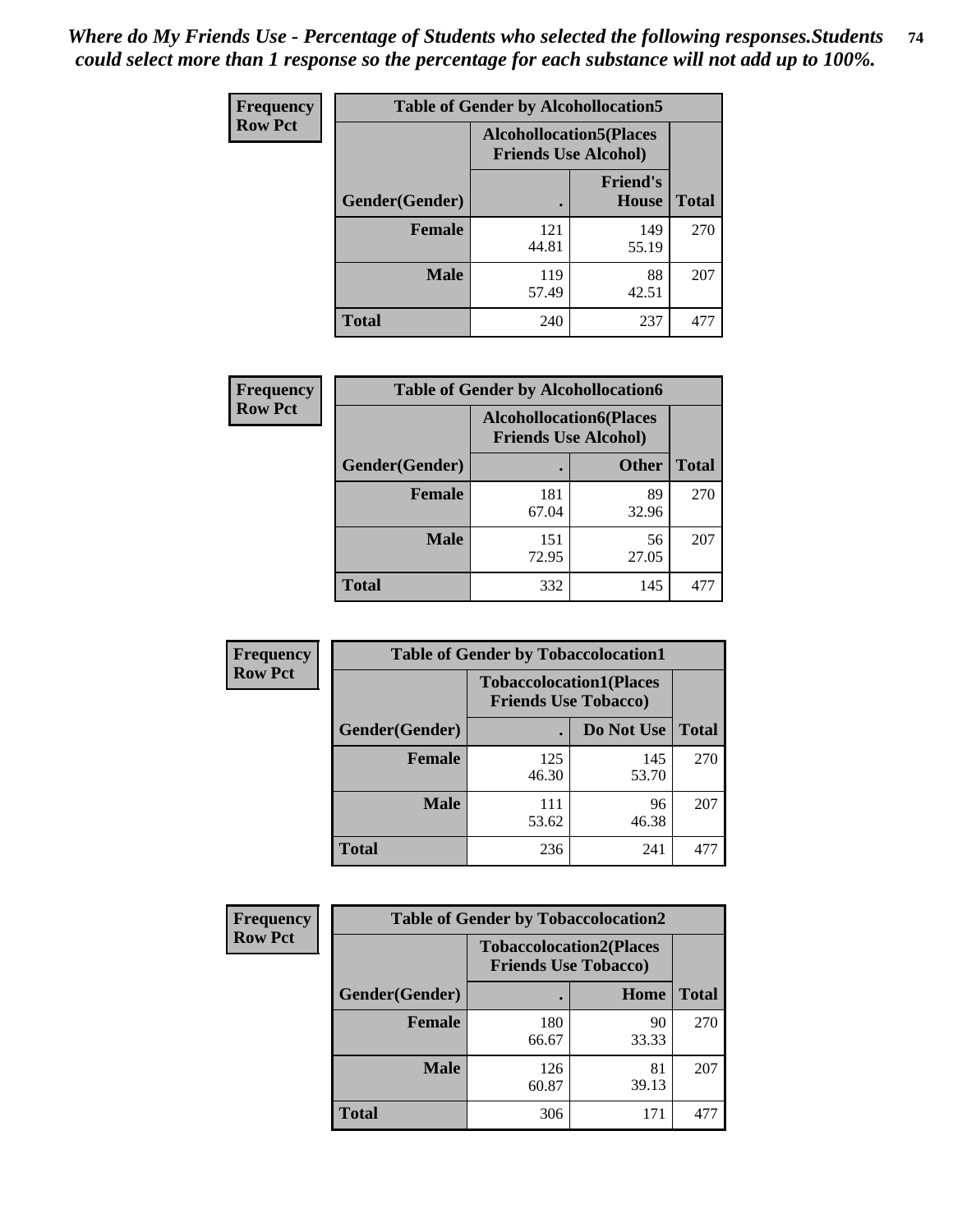| <b>Frequency</b> | <b>Table of Gender by Alcohollocation5</b> |                                                                |                          |              |
|------------------|--------------------------------------------|----------------------------------------------------------------|--------------------------|--------------|
| <b>Row Pct</b>   |                                            | <b>Alcohollocation5</b> (Places<br><b>Friends Use Alcohol)</b> |                          |              |
|                  | Gender(Gender)                             |                                                                | <b>Friend's</b><br>House | <b>Total</b> |
|                  | <b>Female</b>                              | 121<br>44.81                                                   | 149<br>55.19             | 270          |
|                  | <b>Male</b>                                | 119<br>57.49                                                   | 88<br>42.51              | 207          |
|                  | <b>Total</b>                               | 240                                                            | 237                      | 477          |

| <b>Frequency</b> | <b>Table of Gender by Alcohollocation6</b> |                                                               |              |              |
|------------------|--------------------------------------------|---------------------------------------------------------------|--------------|--------------|
| <b>Row Pct</b>   |                                            | <b>Alcohollocation6(Places</b><br><b>Friends Use Alcohol)</b> |              |              |
|                  | <b>Gender</b> (Gender)                     |                                                               | <b>Other</b> | <b>Total</b> |
|                  | <b>Female</b>                              | 181<br>67.04                                                  | 89<br>32.96  | 270          |
|                  | <b>Male</b>                                | 151<br>72.95                                                  | 56<br>27.05  | 207          |
|                  | <b>Total</b>                               | 332                                                           | 145          | 477          |

| Frequency      | <b>Table of Gender by Tobaccolocation1</b> |                                                               |              |              |  |
|----------------|--------------------------------------------|---------------------------------------------------------------|--------------|--------------|--|
| <b>Row Pct</b> |                                            | <b>Tobaccolocation1(Places</b><br><b>Friends Use Tobacco)</b> |              |              |  |
|                | Gender(Gender)                             |                                                               | Do Not Use   | <b>Total</b> |  |
|                | Female                                     | 125<br>46.30                                                  | 145<br>53.70 | 270          |  |
|                | <b>Male</b>                                | 111<br>53.62                                                  | 96<br>46.38  | 207          |  |
|                | <b>Total</b>                               | 236                                                           | 241          | 477          |  |

| <b>Frequency</b> | <b>Table of Gender by Tobaccolocation2</b> |                                                               |             |              |
|------------------|--------------------------------------------|---------------------------------------------------------------|-------------|--------------|
| <b>Row Pct</b>   |                                            | <b>Tobaccolocation2(Places</b><br><b>Friends Use Tobacco)</b> |             |              |
|                  | Gender(Gender)                             |                                                               | Home        | <b>Total</b> |
|                  | Female                                     | 180<br>66.67                                                  | 90<br>33.33 | 270          |
|                  | <b>Male</b>                                | 126<br>60.87                                                  | 81<br>39.13 | 207          |
|                  | <b>Total</b>                               | 306                                                           | 171         | 477          |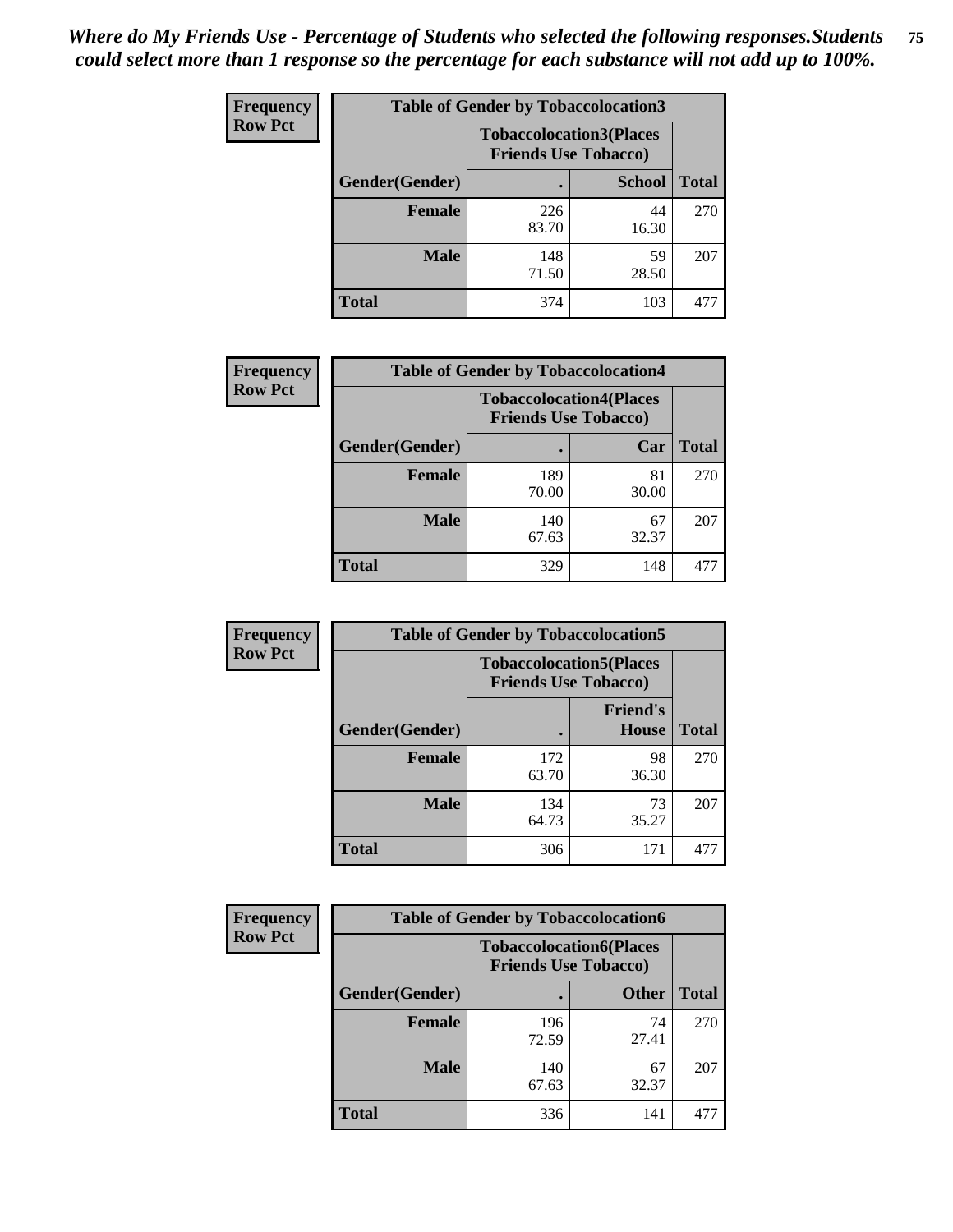| <b>Frequency</b> | <b>Table of Gender by Tobaccolocation3</b> |                                                               |               |              |
|------------------|--------------------------------------------|---------------------------------------------------------------|---------------|--------------|
| <b>Row Pct</b>   |                                            | <b>Tobaccolocation3(Places</b><br><b>Friends Use Tobacco)</b> |               |              |
|                  | Gender(Gender)                             |                                                               | <b>School</b> | <b>Total</b> |
|                  | <b>Female</b>                              | 226<br>83.70                                                  | 44<br>16.30   | 270          |
|                  | <b>Male</b>                                | 148<br>71.50                                                  | 59<br>28.50   | 207          |
|                  | Total                                      | 374                                                           | 103           | 477          |

| <b>Frequency</b> | <b>Table of Gender by Tobaccolocation4</b> |                             |                                |              |
|------------------|--------------------------------------------|-----------------------------|--------------------------------|--------------|
| <b>Row Pct</b>   |                                            | <b>Friends Use Tobacco)</b> | <b>Tobaccolocation4(Places</b> |              |
|                  | Gender(Gender)                             |                             | Car                            | <b>Total</b> |
|                  | <b>Female</b>                              | 189<br>70.00                | 81<br>30.00                    | 270          |
|                  | <b>Male</b>                                | 140<br>67.63                | 67<br>32.37                    | 207          |
|                  | <b>Total</b>                               | 329                         | 148                            | 477          |

| <b>Frequency</b> | <b>Table of Gender by Tobaccolocation5</b> |                                                               |                          |              |
|------------------|--------------------------------------------|---------------------------------------------------------------|--------------------------|--------------|
| <b>Row Pct</b>   |                                            | <b>Tobaccolocation5(Places</b><br><b>Friends Use Tobacco)</b> |                          |              |
|                  | <b>Gender</b> (Gender)                     |                                                               | <b>Friend's</b><br>House | <b>Total</b> |
|                  | <b>Female</b>                              | 172<br>63.70                                                  | 98<br>36.30              | 270          |
|                  | <b>Male</b>                                | 134<br>64.73                                                  | 73<br>35.27              | 207          |
|                  | <b>Total</b>                               | 306                                                           | 171                      | 477          |

| <b>Frequency</b> | <b>Table of Gender by Tobaccolocation6</b> |                                                               |              |              |
|------------------|--------------------------------------------|---------------------------------------------------------------|--------------|--------------|
| <b>Row Pct</b>   |                                            | <b>Tobaccolocation6(Places</b><br><b>Friends Use Tobacco)</b> |              |              |
|                  | Gender(Gender)                             |                                                               | <b>Other</b> | <b>Total</b> |
|                  | Female                                     | 196<br>72.59                                                  | 74<br>27.41  | 270          |
|                  | <b>Male</b>                                | 140<br>67.63                                                  | 67<br>32.37  | 207          |
|                  | <b>Total</b>                               | 336                                                           | 141          | 477          |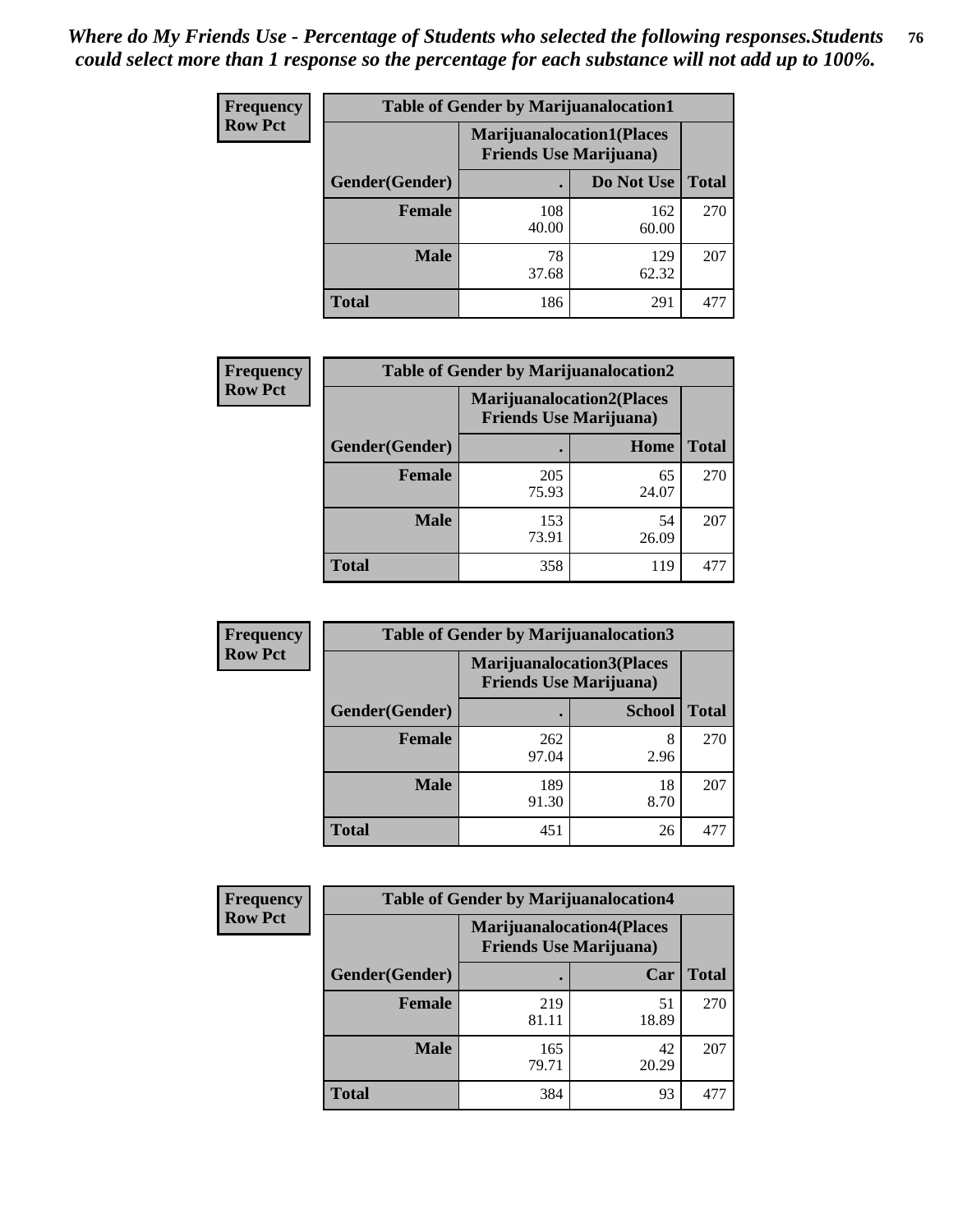| <b>Frequency</b> | <b>Table of Gender by Marijuanalocation1</b> |                                                                    |              |              |
|------------------|----------------------------------------------|--------------------------------------------------------------------|--------------|--------------|
| <b>Row Pct</b>   |                                              | <b>Marijuanalocation1(Places</b><br><b>Friends Use Marijuana</b> ) |              |              |
|                  | Gender(Gender)                               |                                                                    | Do Not Use   | <b>Total</b> |
|                  | <b>Female</b>                                | 108<br>40.00                                                       | 162<br>60.00 | 270          |
|                  | <b>Male</b>                                  | 78<br>37.68                                                        | 129<br>62.32 | 207          |
|                  | <b>Total</b>                                 | 186                                                                | 291          | 477          |

| <b>Frequency</b> | <b>Table of Gender by Marijuanalocation2</b> |                                                                    |             |              |
|------------------|----------------------------------------------|--------------------------------------------------------------------|-------------|--------------|
| <b>Row Pct</b>   |                                              | <b>Marijuanalocation2(Places</b><br><b>Friends Use Marijuana</b> ) |             |              |
|                  | Gender(Gender)                               |                                                                    | Home        | <b>Total</b> |
|                  | Female                                       | 205<br>75.93                                                       | 65<br>24.07 | 270          |
|                  | <b>Male</b>                                  | 153<br>73.91                                                       | 54<br>26.09 | 207          |
|                  | <b>Total</b>                                 | 358                                                                | 119         |              |

| Frequency      | <b>Table of Gender by Marijuanalocation3</b> |              |                                                                    |              |
|----------------|----------------------------------------------|--------------|--------------------------------------------------------------------|--------------|
| <b>Row Pct</b> |                                              |              | <b>Marijuanalocation3(Places</b><br><b>Friends Use Marijuana</b> ) |              |
|                | Gender(Gender)                               |              | <b>School</b>                                                      | <b>Total</b> |
|                | Female                                       | 262<br>97.04 | 8<br>2.96                                                          | 270          |
|                | <b>Male</b>                                  | 189<br>91.30 | 18<br>8.70                                                         | 207          |
|                | <b>Total</b>                                 | 451          | 26                                                                 | 477          |

| Frequency      | <b>Table of Gender by Marijuanalocation4</b> |                                |                                  |              |
|----------------|----------------------------------------------|--------------------------------|----------------------------------|--------------|
| <b>Row Pct</b> |                                              | <b>Friends Use Marijuana</b> ) | <b>Marijuanalocation4(Places</b> |              |
|                | <b>Gender</b> (Gender)                       |                                | Car                              | <b>Total</b> |
|                | <b>Female</b>                                | 219<br>81.11                   | 51<br>18.89                      | 270          |
|                | <b>Male</b>                                  | 165<br>79.71                   | 42<br>20.29                      | 207          |
|                | <b>Total</b>                                 | 384                            | 93                               | 477          |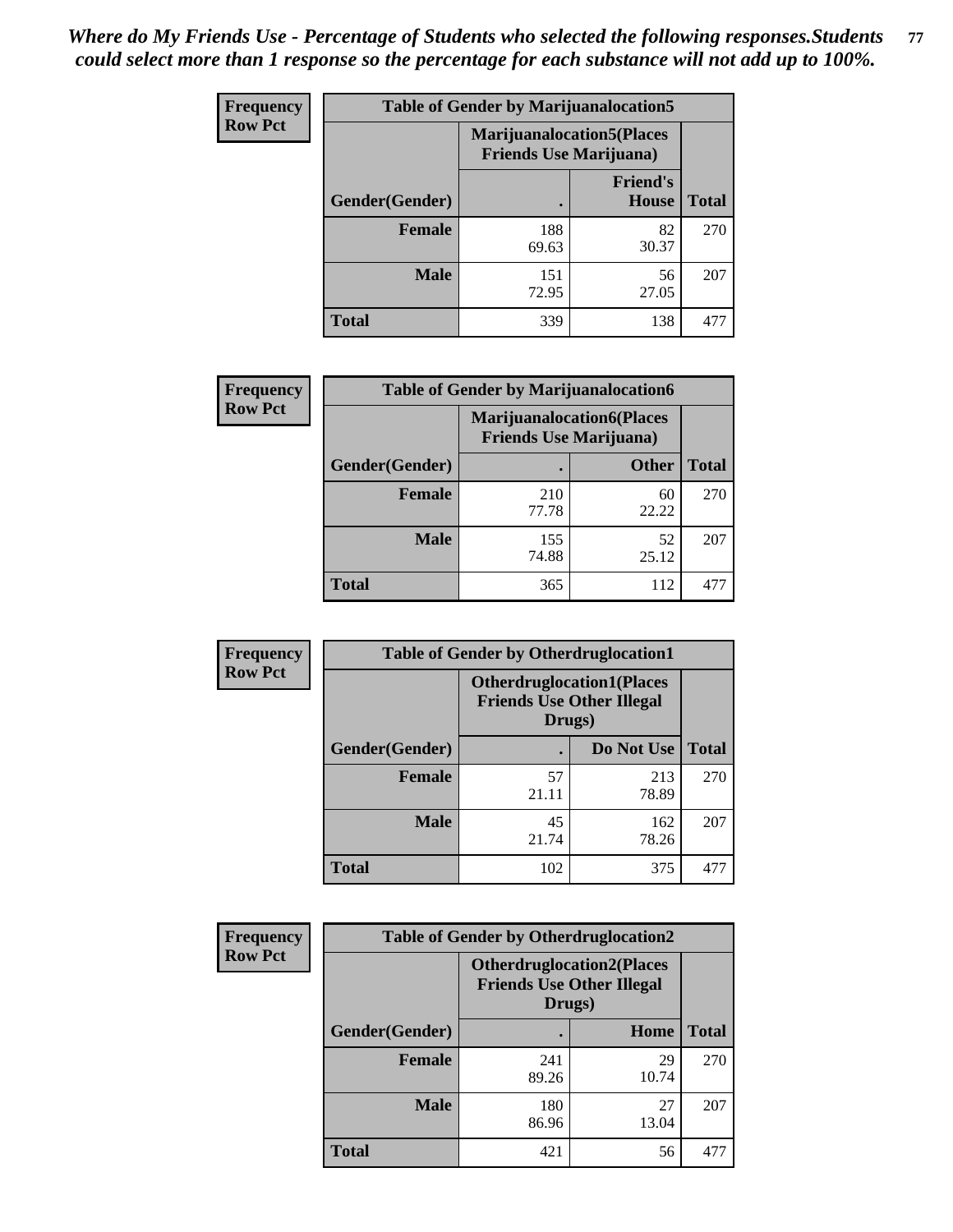| <b>Frequency</b> | <b>Table of Gender by Marijuanalocation5</b> |                                                                     |                                 |              |
|------------------|----------------------------------------------|---------------------------------------------------------------------|---------------------------------|--------------|
| <b>Row Pct</b>   |                                              | <b>Marijuanalocation5</b> (Places<br><b>Friends Use Marijuana</b> ) |                                 |              |
|                  | Gender(Gender)                               |                                                                     | <b>Friend's</b><br><b>House</b> | <b>Total</b> |
|                  | <b>Female</b>                                | 188<br>69.63                                                        | 82<br>30.37                     | 270          |
|                  | <b>Male</b>                                  | 151<br>72.95                                                        | 56<br>27.05                     | 207          |
|                  | <b>Total</b>                                 | 339                                                                 | 138                             | 477          |

| <b>Frequency</b> | <b>Table of Gender by Marijuanalocation6</b> |                                |                                  |              |
|------------------|----------------------------------------------|--------------------------------|----------------------------------|--------------|
| <b>Row Pct</b>   |                                              | <b>Friends Use Marijuana</b> ) | <b>Marijuanalocation6(Places</b> |              |
|                  | <b>Gender</b> (Gender)                       |                                | <b>Other</b>                     | <b>Total</b> |
|                  | <b>Female</b>                                | 210<br>77.78                   | 60<br>22.22                      | 270          |
|                  | <b>Male</b>                                  | 155<br>74.88                   | 52<br>25.12                      | 207          |
|                  | <b>Total</b>                                 | 365                            | 112                              | 471          |

| <b>Frequency</b> | <b>Table of Gender by Otherdruglocation1</b> |                                                                                |              |              |
|------------------|----------------------------------------------|--------------------------------------------------------------------------------|--------------|--------------|
| <b>Row Pct</b>   |                                              | <b>Otherdruglocation1(Places</b><br><b>Friends Use Other Illegal</b><br>Drugs) |              |              |
|                  | <b>Gender</b> (Gender)                       |                                                                                | Do Not Use   | <b>Total</b> |
|                  | <b>Female</b>                                | 57<br>21.11                                                                    | 213<br>78.89 | 270          |
|                  | <b>Male</b>                                  | 45<br>21.74                                                                    | 162<br>78.26 | 207          |
|                  | <b>Total</b>                                 | 102                                                                            | 375          | 477          |

| Frequency      | <b>Table of Gender by Otherdruglocation2</b> |                                                                                |             |              |
|----------------|----------------------------------------------|--------------------------------------------------------------------------------|-------------|--------------|
| <b>Row Pct</b> |                                              | <b>Otherdruglocation2(Places</b><br><b>Friends Use Other Illegal</b><br>Drugs) |             |              |
|                | Gender(Gender)                               |                                                                                | Home        | <b>Total</b> |
|                | Female                                       | 241<br>89.26                                                                   | 29<br>10.74 | 270          |
|                | <b>Male</b>                                  | 180<br>86.96                                                                   | 27<br>13.04 | 207          |
|                | <b>Total</b>                                 | 421                                                                            | 56          | 477          |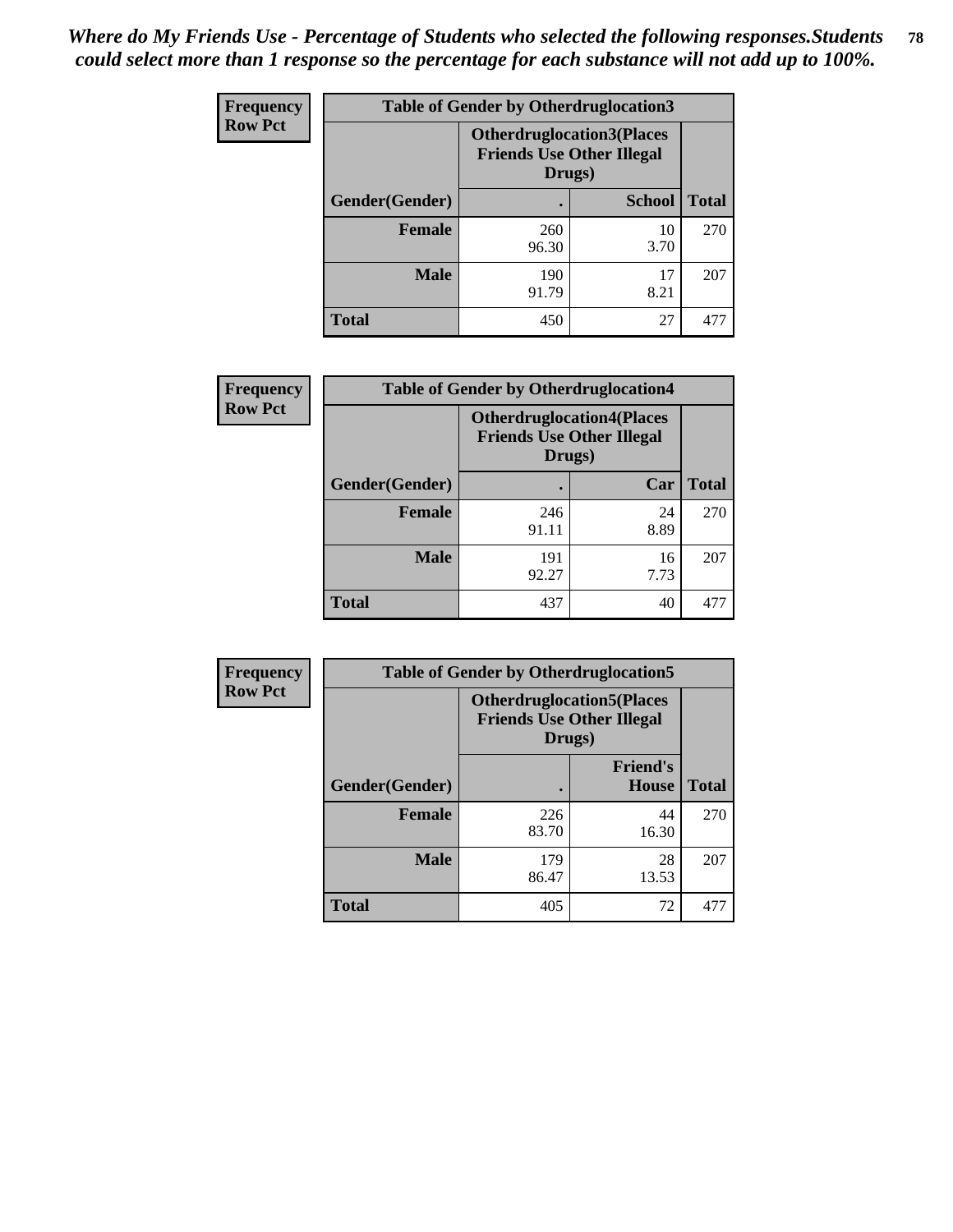| Frequency      | <b>Table of Gender by Otherdruglocation3</b> |                                                                                |               |              |
|----------------|----------------------------------------------|--------------------------------------------------------------------------------|---------------|--------------|
| <b>Row Pct</b> |                                              | <b>Otherdruglocation3(Places</b><br><b>Friends Use Other Illegal</b><br>Drugs) |               |              |
|                | Gender(Gender)                               |                                                                                | <b>School</b> | <b>Total</b> |
|                | <b>Female</b>                                | 260<br>96.30                                                                   | 10<br>3.70    | 270          |
|                | <b>Male</b>                                  | 190<br>91.79                                                                   | 17<br>8.21    | 207          |
|                | <b>Total</b>                                 | 450                                                                            | 27            | 477          |

| Frequency      | <b>Table of Gender by Otherdruglocation4</b> |                                                                                |            |              |
|----------------|----------------------------------------------|--------------------------------------------------------------------------------|------------|--------------|
| <b>Row Pct</b> |                                              | <b>Otherdruglocation4(Places</b><br><b>Friends Use Other Illegal</b><br>Drugs) |            |              |
|                | Gender(Gender)                               |                                                                                | Car        | <b>Total</b> |
|                | <b>Female</b>                                | 246<br>91.11                                                                   | 24<br>8.89 | 270          |
|                | <b>Male</b>                                  | 191<br>92.27                                                                   | 16<br>7.73 | 207          |
|                | <b>Total</b>                                 | 437                                                                            | 40         | 477          |

| Frequency      | <b>Table of Gender by Otherdruglocation5</b> |                                                                                |                                 |              |
|----------------|----------------------------------------------|--------------------------------------------------------------------------------|---------------------------------|--------------|
| <b>Row Pct</b> |                                              | <b>Otherdruglocation5(Places</b><br><b>Friends Use Other Illegal</b><br>Drugs) |                                 |              |
|                | Gender(Gender)                               |                                                                                | <b>Friend's</b><br><b>House</b> | <b>Total</b> |
|                | <b>Female</b>                                | 226<br>83.70                                                                   | 44<br>16.30                     | 270          |
|                | <b>Male</b>                                  | 179<br>86.47                                                                   | 28<br>13.53                     | 207          |
|                | <b>Total</b>                                 | 405                                                                            | 72                              | 477          |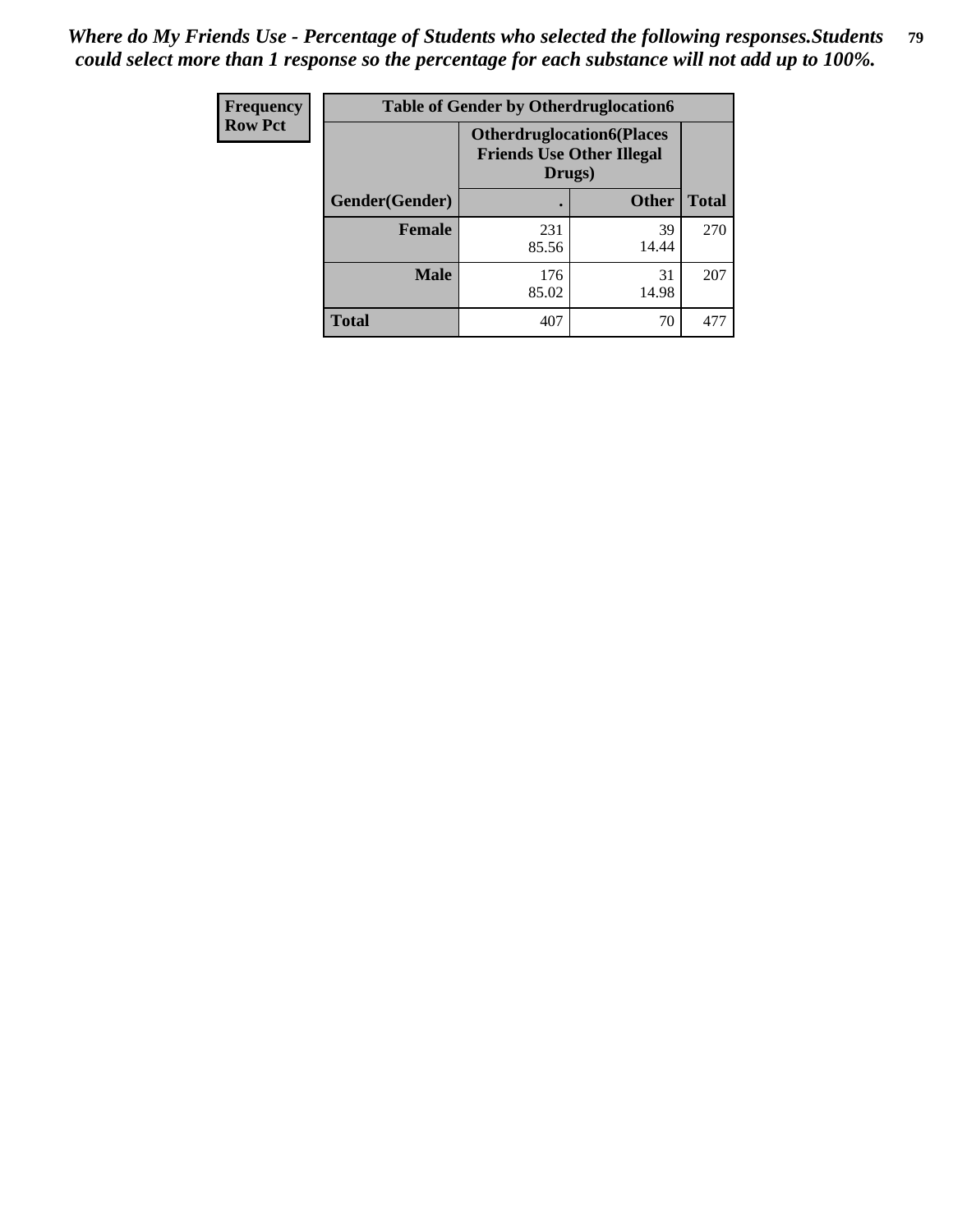| <b>Frequency</b> | <b>Table of Gender by Otherdruglocation6</b> |                                                                                |              |              |
|------------------|----------------------------------------------|--------------------------------------------------------------------------------|--------------|--------------|
| <b>Row Pct</b>   |                                              | <b>Otherdruglocation6(Places</b><br><b>Friends Use Other Illegal</b><br>Drugs) |              |              |
|                  | Gender(Gender)                               |                                                                                | <b>Other</b> | <b>Total</b> |
|                  | <b>Female</b>                                | 231<br>85.56                                                                   | 39<br>14.44  | 270          |
|                  | <b>Male</b>                                  | 176<br>85.02                                                                   | 31<br>14.98  | 207          |
|                  | <b>Total</b>                                 | 407                                                                            | 70           | 477          |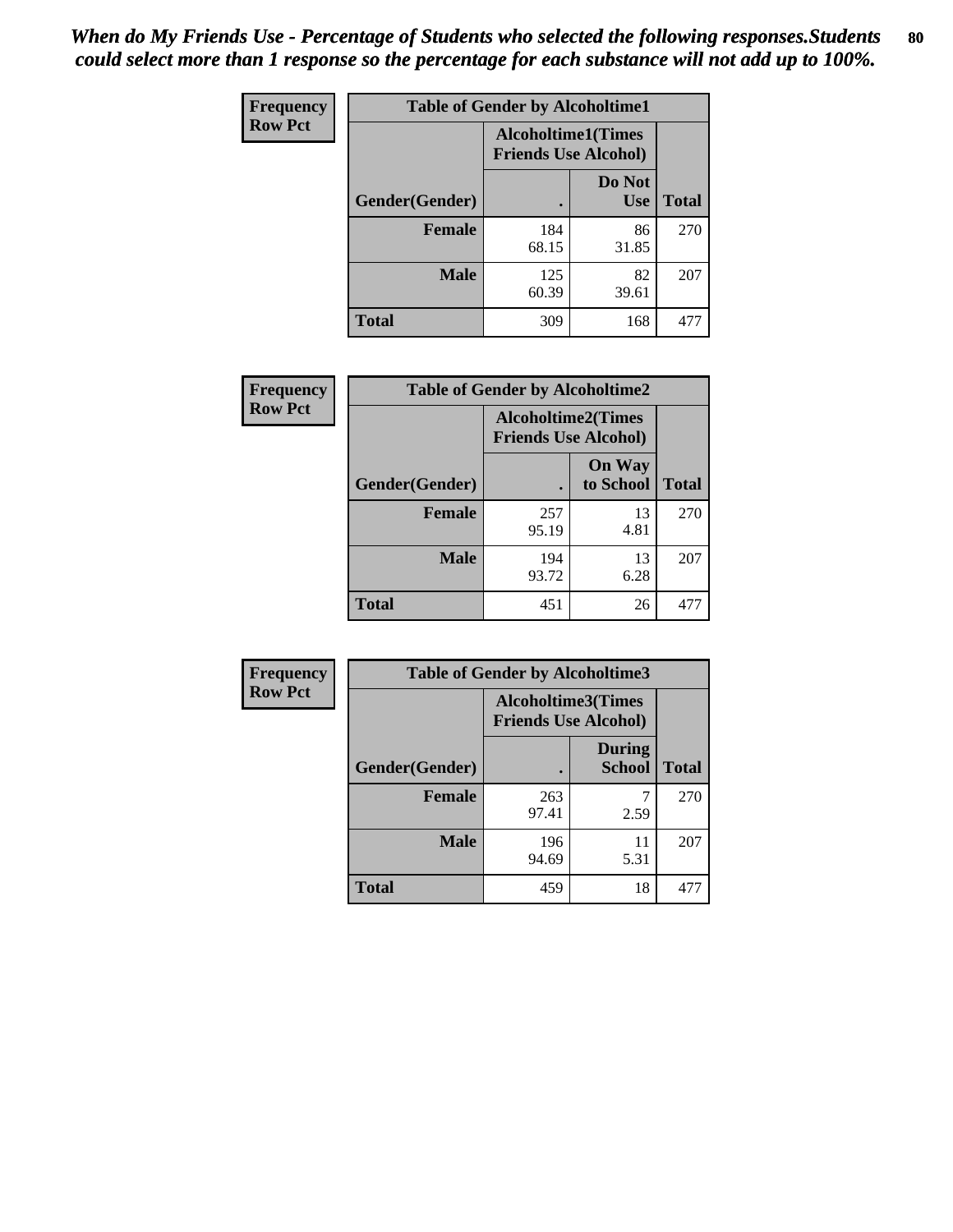| <b>Frequency</b> | <b>Table of Gender by Alcoholtime1</b> |                                                          |                      |              |
|------------------|----------------------------------------|----------------------------------------------------------|----------------------|--------------|
| <b>Row Pct</b>   |                                        | <b>Alcoholtime1(Times</b><br><b>Friends Use Alcohol)</b> |                      |              |
|                  | Gender(Gender)                         | ٠                                                        | Do Not<br><b>Use</b> | <b>Total</b> |
|                  | <b>Female</b>                          | 184<br>68.15                                             | 86<br>31.85          | 270          |
|                  | <b>Male</b>                            | 125<br>60.39                                             | 82<br>39.61          | 207          |
|                  | <b>Total</b>                           | 309                                                      | 168                  | 477          |

| <b>Frequency</b> | <b>Table of Gender by Alcoholtime2</b> |                                                          |                            |              |
|------------------|----------------------------------------|----------------------------------------------------------|----------------------------|--------------|
| <b>Row Pct</b>   |                                        | <b>Alcoholtime2(Times</b><br><b>Friends Use Alcohol)</b> |                            |              |
|                  | Gender(Gender)                         |                                                          | <b>On Way</b><br>to School | <b>Total</b> |
|                  | <b>Female</b>                          | 257<br>95.19                                             | 13<br>4.81                 | 270          |
|                  | <b>Male</b>                            | 194<br>93.72                                             | 13<br>6.28                 | 207          |
|                  | Total                                  | 451                                                      | 26                         | 477          |

| Frequency      | <b>Table of Gender by Alcoholtime3</b> |                                                          |                                |              |
|----------------|----------------------------------------|----------------------------------------------------------|--------------------------------|--------------|
| <b>Row Pct</b> |                                        | <b>Alcoholtime3(Times</b><br><b>Friends Use Alcohol)</b> |                                |              |
|                | Gender(Gender)                         |                                                          | <b>During</b><br><b>School</b> | <b>Total</b> |
|                | Female                                 | 263<br>97.41                                             | 2.59                           | 270          |
|                | <b>Male</b>                            | 196<br>94.69                                             | 11<br>5.31                     | 207          |
|                | <b>Total</b>                           | 459                                                      | 18                             | 477          |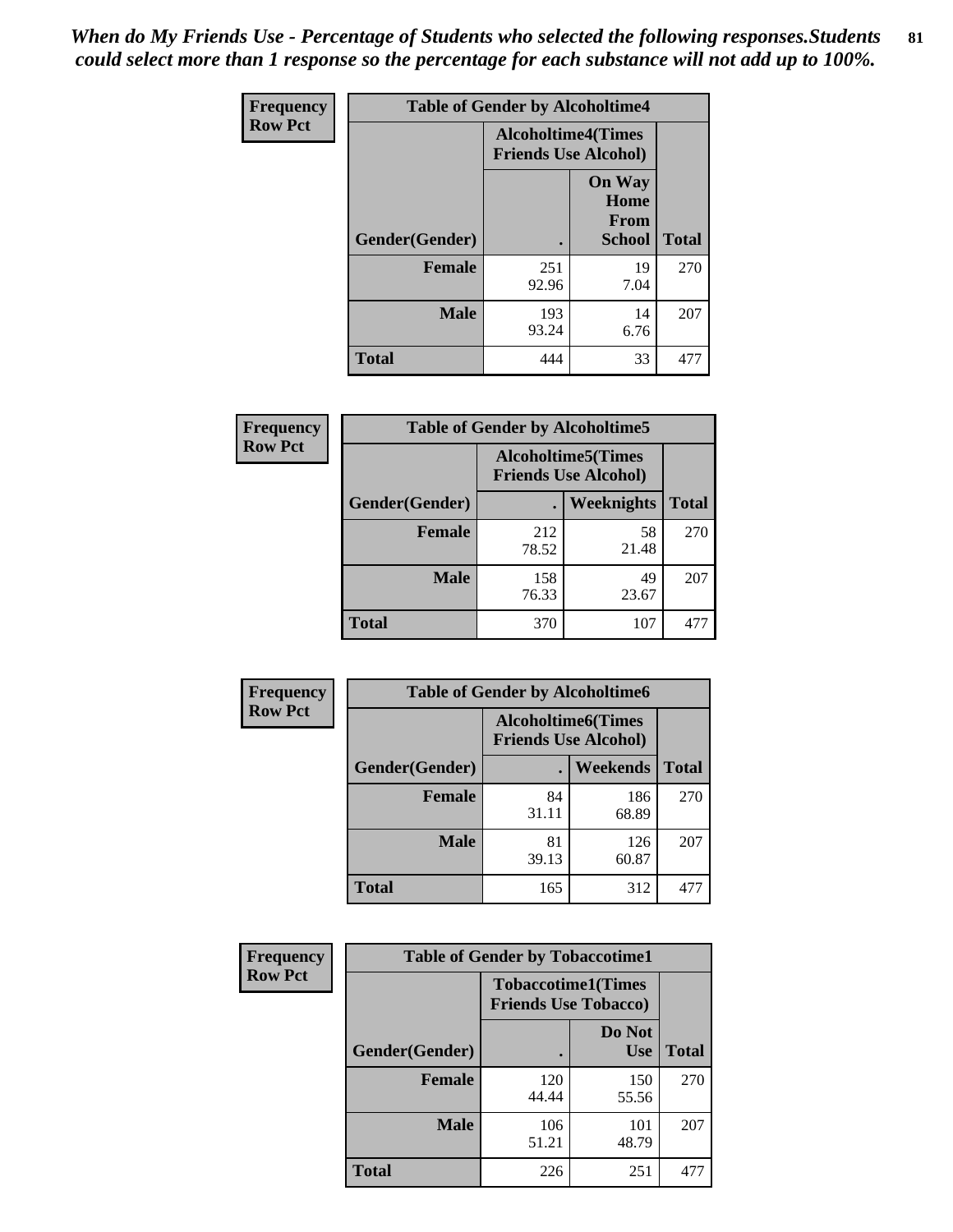*When do My Friends Use - Percentage of Students who selected the following responses.Students could select more than 1 response so the percentage for each substance will not add up to 100%.* **81**

| <b>Frequency</b> | <b>Table of Gender by Alcoholtime4</b> |                                                          |                                                |              |
|------------------|----------------------------------------|----------------------------------------------------------|------------------------------------------------|--------------|
| <b>Row Pct</b>   |                                        | <b>Alcoholtime4(Times</b><br><b>Friends Use Alcohol)</b> |                                                |              |
|                  | Gender(Gender)                         |                                                          | <b>On Way</b><br>Home<br>From<br><b>School</b> | <b>Total</b> |
|                  | <b>Female</b>                          | 251<br>92.96                                             | 19<br>7.04                                     | 270          |
|                  | <b>Male</b>                            | 193<br>93.24                                             | 14<br>6.76                                     | 207          |
|                  | <b>Total</b>                           | 444                                                      | 33                                             | 477          |

| <b>Frequency</b> | <b>Table of Gender by Alcoholtime5</b> |                                                           |                   |              |
|------------------|----------------------------------------|-----------------------------------------------------------|-------------------|--------------|
| <b>Row Pct</b>   |                                        | <b>Alcoholtime5</b> (Times<br><b>Friends Use Alcohol)</b> |                   |              |
|                  | Gender(Gender)                         |                                                           | <b>Weeknights</b> | <b>Total</b> |
|                  | <b>Female</b>                          | 212<br>78.52                                              | 58<br>21.48       | 270          |
|                  | <b>Male</b>                            | 158<br>76.33                                              | 49<br>23.67       | 207          |
|                  | <b>Total</b>                           | 370                                                       | 107               | 477          |

| <b>Frequency</b> | <b>Table of Gender by Alcoholtime6</b> |             |                                                          |              |
|------------------|----------------------------------------|-------------|----------------------------------------------------------|--------------|
| <b>Row Pct</b>   |                                        |             | <b>Alcoholtime6(Times</b><br><b>Friends Use Alcohol)</b> |              |
|                  | Gender(Gender)                         |             | Weekends                                                 | <b>Total</b> |
|                  | Female                                 | 84<br>31.11 | 186<br>68.89                                             | 270          |
|                  | <b>Male</b>                            | 81<br>39.13 | 126<br>60.87                                             | 207          |
|                  | <b>Total</b>                           | 165         | 312                                                      | 477          |

| Frequency      | <b>Table of Gender by Tobaccotime1</b> |                                                          |                      |              |
|----------------|----------------------------------------|----------------------------------------------------------|----------------------|--------------|
| <b>Row Pct</b> |                                        | <b>Tobaccotime1(Times</b><br><b>Friends Use Tobacco)</b> |                      |              |
|                | Gender(Gender)                         |                                                          | Do Not<br><b>Use</b> | <b>Total</b> |
|                | <b>Female</b>                          | 120<br>44.44                                             | 150<br>55.56         | 270          |
|                | <b>Male</b>                            | 106<br>51.21                                             | 101<br>48.79         | 207          |
|                | <b>Total</b>                           | 226                                                      | 251                  | 477          |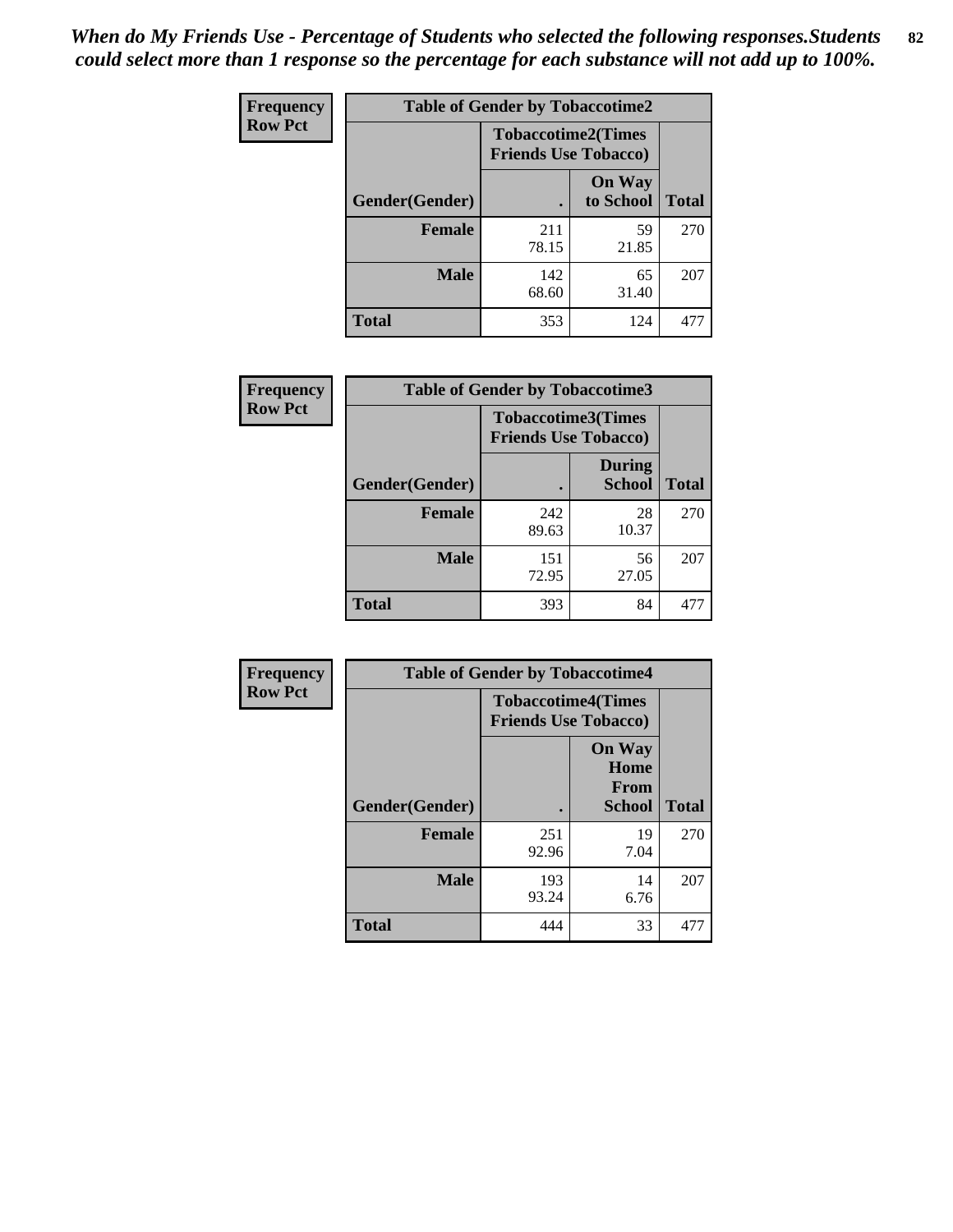*When do My Friends Use - Percentage of Students who selected the following responses.Students could select more than 1 response so the percentage for each substance will not add up to 100%.* **82**

| Frequency      | <b>Table of Gender by Tobaccotime2</b> |                                                          |                            |              |
|----------------|----------------------------------------|----------------------------------------------------------|----------------------------|--------------|
| <b>Row Pct</b> |                                        | <b>Tobaccotime2(Times</b><br><b>Friends Use Tobacco)</b> |                            |              |
|                | Gender(Gender)                         | $\bullet$                                                | <b>On Way</b><br>to School | <b>Total</b> |
|                | Female                                 | 211<br>78.15                                             | 59<br>21.85                | 270          |
|                | <b>Male</b>                            | 142<br>68.60                                             | 65<br>31.40                | 207          |
|                | Total                                  | 353                                                      | 124                        | 477          |

| <b>Frequency</b> | <b>Table of Gender by Tobaccotime3</b> |                                                          |                                |              |
|------------------|----------------------------------------|----------------------------------------------------------|--------------------------------|--------------|
| <b>Row Pct</b>   |                                        | <b>Tobaccotime3(Times</b><br><b>Friends Use Tobacco)</b> |                                |              |
|                  | Gender(Gender)                         |                                                          | <b>During</b><br><b>School</b> | <b>Total</b> |
|                  | <b>Female</b>                          | 242<br>89.63                                             | 28<br>10.37                    | 270          |
|                  | <b>Male</b>                            | 151<br>72.95                                             | 56<br>27.05                    | 207          |
|                  | <b>Total</b>                           | 393                                                      | 84                             |              |

| <b>Frequency</b> | <b>Table of Gender by Tobaccotime4</b> |                                                          |                                                |              |
|------------------|----------------------------------------|----------------------------------------------------------|------------------------------------------------|--------------|
| <b>Row Pct</b>   |                                        | <b>Tobaccotime4(Times</b><br><b>Friends Use Tobacco)</b> |                                                |              |
|                  | Gender(Gender)                         |                                                          | <b>On Way</b><br>Home<br>From<br><b>School</b> | <b>Total</b> |
|                  | <b>Female</b>                          | 251<br>92.96                                             | 19<br>7.04                                     | 270          |
|                  | <b>Male</b>                            | 193<br>93.24                                             | 14<br>6.76                                     | 207          |
|                  | <b>Total</b>                           | 444                                                      | 33                                             | 477          |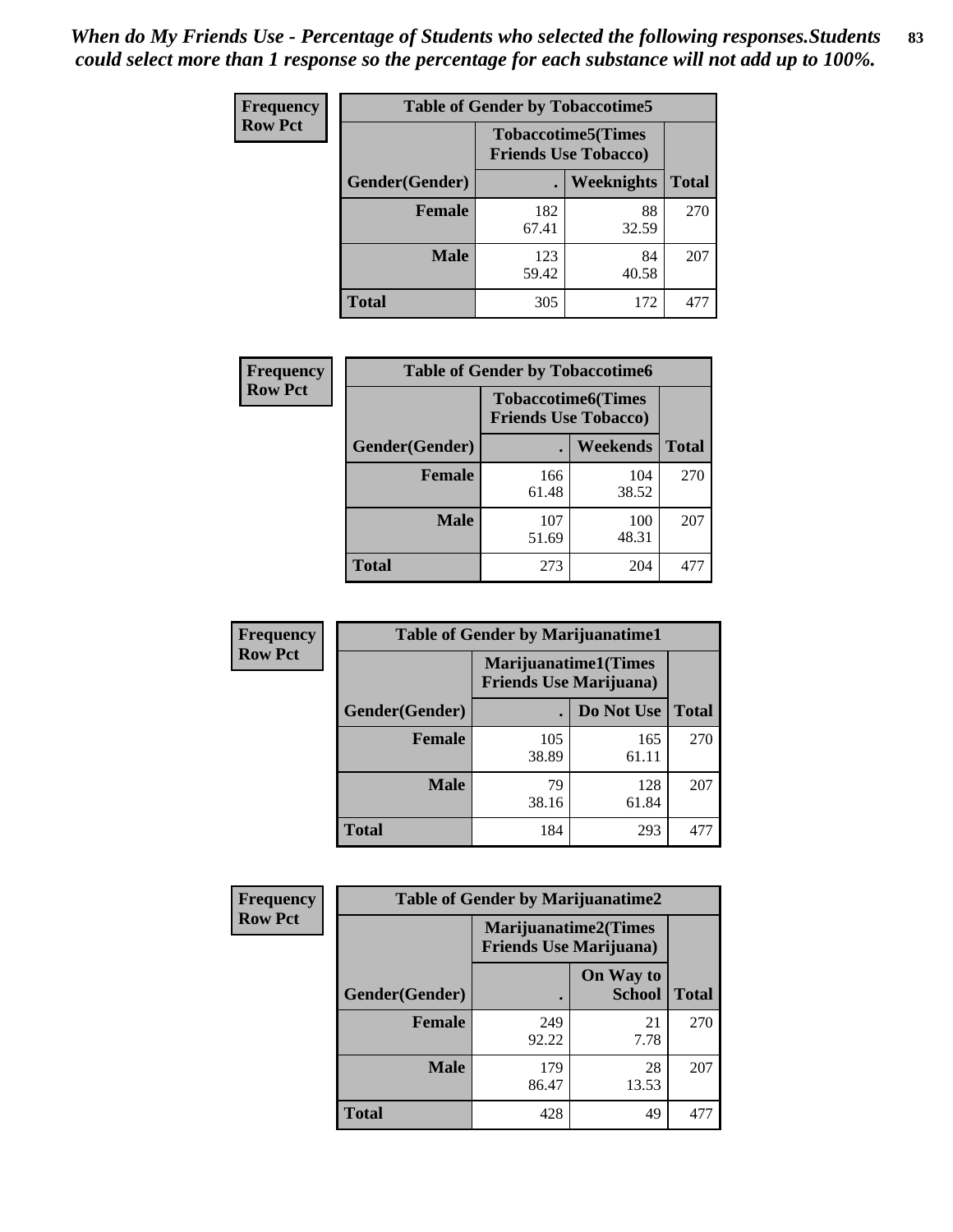| <b>Frequency</b> | <b>Table of Gender by Tobaccotime5</b> |              |                                                          |              |  |
|------------------|----------------------------------------|--------------|----------------------------------------------------------|--------------|--|
| <b>Row Pct</b>   |                                        |              | <b>Tobaccotime5(Times</b><br><b>Friends Use Tobacco)</b> |              |  |
|                  | <b>Gender</b> (Gender)                 |              | <b>Weeknights</b>                                        | <b>Total</b> |  |
|                  | Female                                 | 182<br>67.41 | 88<br>32.59                                              | 270          |  |
|                  | <b>Male</b>                            | 123<br>59.42 | 84<br>40.58                                              | 207          |  |
|                  | <b>Total</b>                           | 305          | 172                                                      | 477          |  |

| Frequency      | <b>Table of Gender by Tobaccotime6</b> |                                                          |                 |              |
|----------------|----------------------------------------|----------------------------------------------------------|-----------------|--------------|
| <b>Row Pct</b> |                                        | <b>Tobaccotime6(Times</b><br><b>Friends Use Tobacco)</b> |                 |              |
|                | Gender(Gender)                         |                                                          | <b>Weekends</b> | <b>Total</b> |
|                | Female                                 | 166<br>61.48                                             | 104<br>38.52    | 270          |
|                | <b>Male</b>                            | 107<br>51.69                                             | 100<br>48.31    | 207          |
|                | <b>Total</b>                           | 273                                                      | 204             | 477          |

| <b>Frequency</b> | <b>Table of Gender by Marijuanatime1</b> |                                |                             |              |
|------------------|------------------------------------------|--------------------------------|-----------------------------|--------------|
| <b>Row Pct</b>   |                                          | <b>Friends Use Marijuana</b> ) | <b>Marijuanatime1(Times</b> |              |
|                  | Gender(Gender)                           |                                | Do Not Use                  | <b>Total</b> |
|                  | <b>Female</b>                            | 105<br>38.89                   | 165<br>61.11                | 270          |
|                  | <b>Male</b>                              | 79<br>38.16                    | 128<br>61.84                | 207          |
|                  | <b>Total</b>                             | 184                            | 293                         | 477          |

| <b>Frequency</b> | <b>Table of Gender by Marijuanatime2</b> |                                                               |                            |              |
|------------------|------------------------------------------|---------------------------------------------------------------|----------------------------|--------------|
| <b>Row Pct</b>   |                                          | <b>Marijuanatime2(Times</b><br><b>Friends Use Marijuana</b> ) |                            |              |
|                  | Gender(Gender)                           |                                                               | On Way to<br><b>School</b> | <b>Total</b> |
|                  | Female                                   | 249<br>92.22                                                  | 21<br>7.78                 | 270          |
|                  | <b>Male</b>                              | 179<br>86.47                                                  | 28<br>13.53                | 207          |
|                  | <b>Total</b>                             | 428                                                           | 49                         | 477          |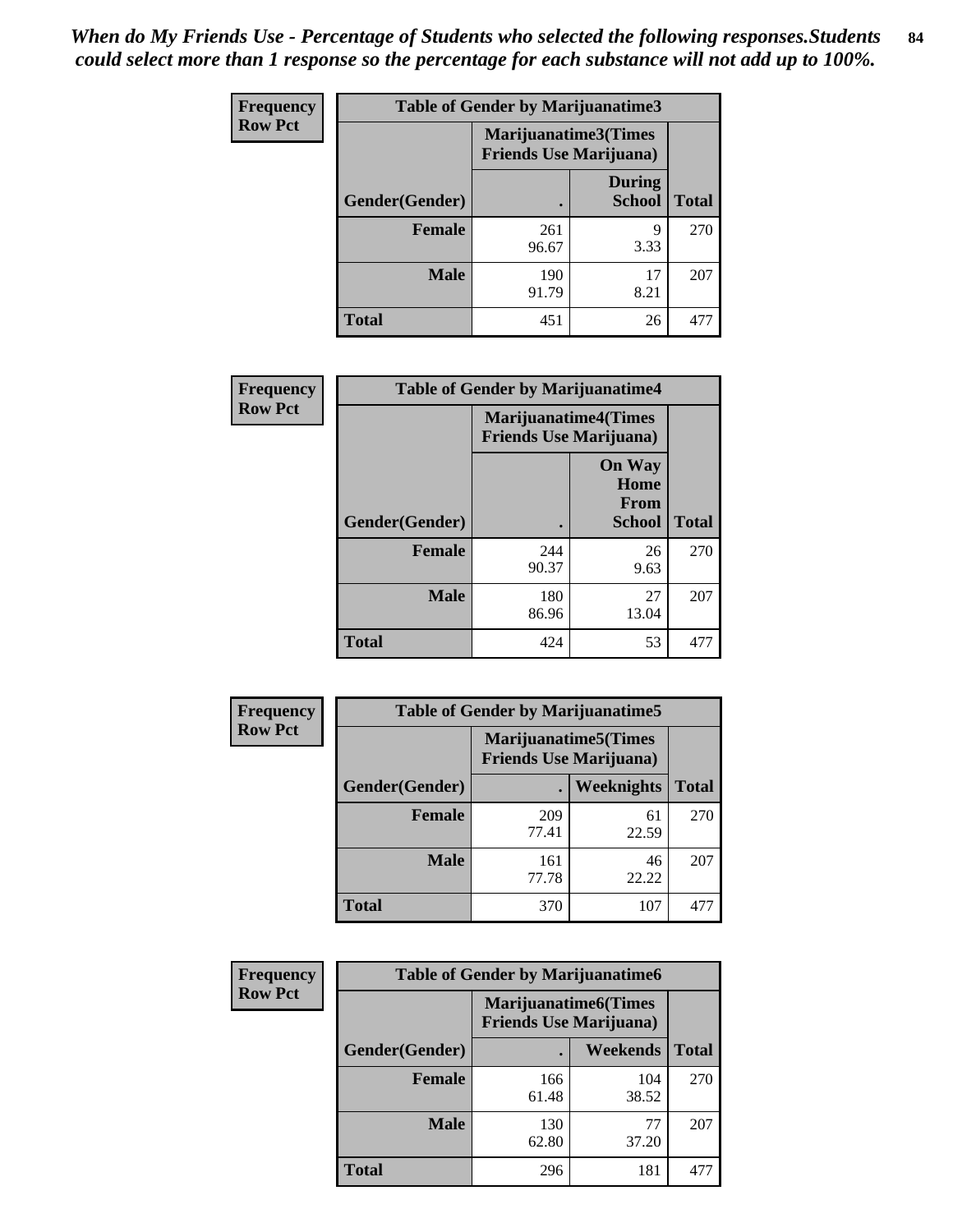*When do My Friends Use - Percentage of Students who selected the following responses.Students could select more than 1 response so the percentage for each substance will not add up to 100%.* **84**

| <b>Frequency</b> | Table of Gender by Marijuanatime3 |                                                        |                                |              |
|------------------|-----------------------------------|--------------------------------------------------------|--------------------------------|--------------|
| <b>Row Pct</b>   |                                   | Marijuanatime3(Times<br><b>Friends Use Marijuana</b> ) |                                |              |
|                  | Gender(Gender)                    |                                                        | <b>During</b><br><b>School</b> | <b>Total</b> |
|                  | <b>Female</b>                     | 261<br>96.67                                           | 9<br>3.33                      | 270          |
|                  | <b>Male</b>                       | 190<br>91.79                                           | 17<br>8.21                     | 207          |
|                  | <b>Total</b>                      | 451                                                    | 26                             | 477          |

| Frequency      | <b>Table of Gender by Marijuanatime4</b> |              |                                                               |              |
|----------------|------------------------------------------|--------------|---------------------------------------------------------------|--------------|
| <b>Row Pct</b> |                                          |              | <b>Marijuanatime4(Times</b><br><b>Friends Use Marijuana</b> ) |              |
|                | Gender(Gender)                           |              | <b>On Way</b><br>Home<br>From<br><b>School</b>                | <b>Total</b> |
|                | <b>Female</b>                            | 244<br>90.37 | 26<br>9.63                                                    | 270          |
|                | <b>Male</b>                              | 180<br>86.96 | 27<br>13.04                                                   | 207          |
|                | <b>Total</b>                             | 424          | 53                                                            | 477          |

| Frequency      | <b>Table of Gender by Marijuanatime5</b> |              |                                                                |              |
|----------------|------------------------------------------|--------------|----------------------------------------------------------------|--------------|
| <b>Row Pct</b> |                                          |              | <b>Marijuanatime5</b> (Times<br><b>Friends Use Marijuana</b> ) |              |
|                | Gender(Gender)                           | ٠            | Weeknights                                                     | <b>Total</b> |
|                | <b>Female</b>                            | 209<br>77.41 | 61<br>22.59                                                    | 270          |
|                | <b>Male</b>                              | 161<br>77.78 | 46<br>22.22                                                    | 207          |
|                | <b>Total</b>                             | 370          | 107                                                            | 477          |

| <b>Frequency</b> | <b>Table of Gender by Marijuanatime6</b> |                                                               |              |              |
|------------------|------------------------------------------|---------------------------------------------------------------|--------------|--------------|
| <b>Row Pct</b>   |                                          | <b>Marijuanatime6(Times</b><br><b>Friends Use Marijuana</b> ) |              |              |
|                  | Gender(Gender)                           |                                                               | Weekends     | <b>Total</b> |
|                  | <b>Female</b>                            | 166<br>61.48                                                  | 104<br>38.52 | 270          |
|                  | <b>Male</b>                              | 130<br>62.80                                                  | 77<br>37.20  | 207          |
|                  | <b>Total</b>                             | 296                                                           | 181          | 477          |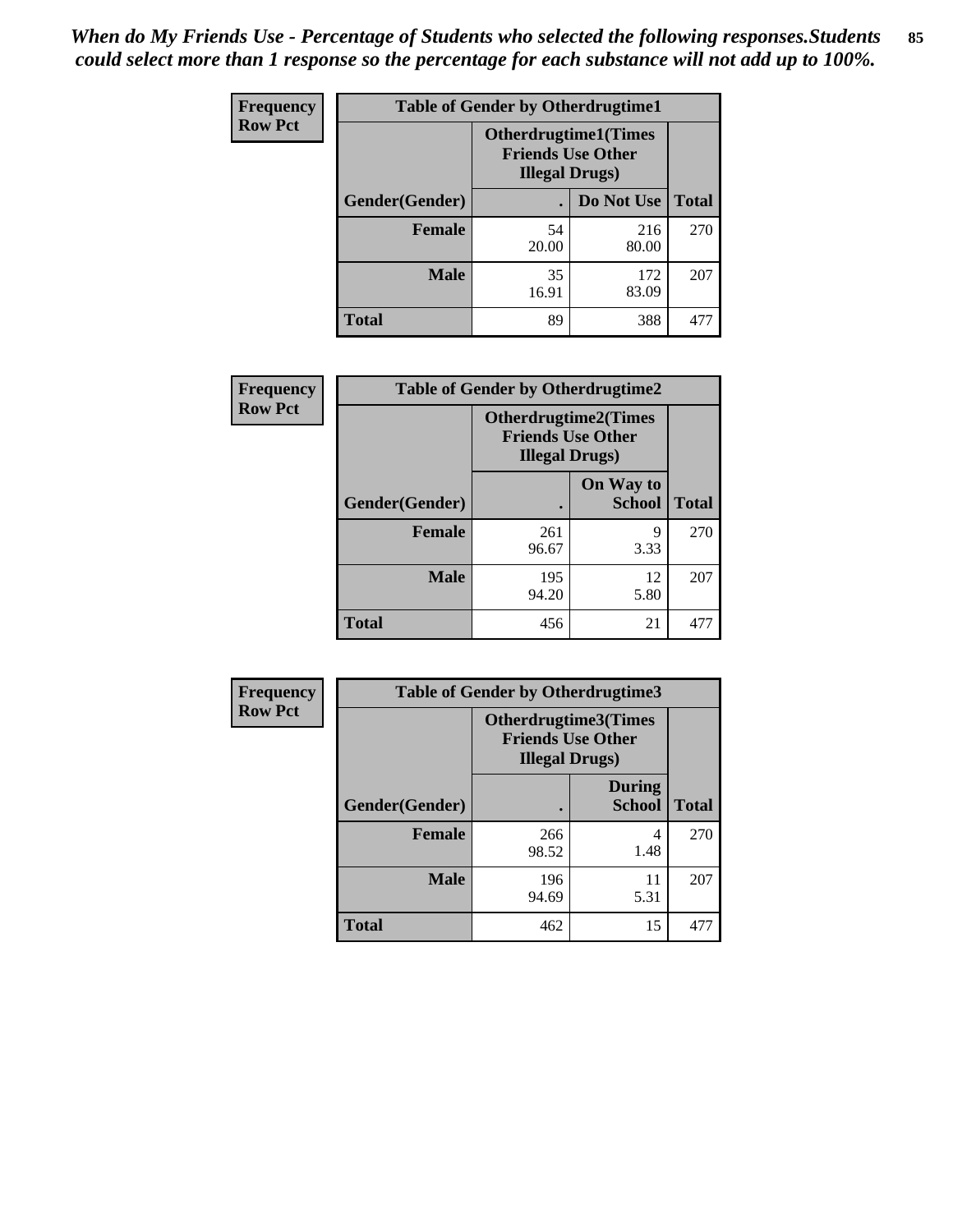| <b>Frequency</b> | <b>Table of Gender by Otherdrugtime1</b> |                                                                                    |              |              |
|------------------|------------------------------------------|------------------------------------------------------------------------------------|--------------|--------------|
| <b>Row Pct</b>   |                                          | <b>Otherdrugtime1</b> (Times<br><b>Friends Use Other</b><br><b>Illegal Drugs</b> ) |              |              |
|                  | Gender(Gender)                           |                                                                                    | Do Not Use   | <b>Total</b> |
|                  | <b>Female</b>                            | 54<br>20.00                                                                        | 216<br>80.00 | 270          |
|                  | <b>Male</b>                              | 35<br>16.91                                                                        | 172<br>83.09 | 207          |
|                  | <b>Total</b>                             | 89                                                                                 | 388          | 477          |

| Frequency      |                | <b>Table of Gender by Otherdrugtime2</b>                                          |                            |              |
|----------------|----------------|-----------------------------------------------------------------------------------|----------------------------|--------------|
| <b>Row Pct</b> |                | <b>Otherdrugtime2(Times</b><br><b>Friends Use Other</b><br><b>Illegal Drugs</b> ) |                            |              |
|                | Gender(Gender) |                                                                                   | On Way to<br><b>School</b> | <b>Total</b> |
|                | <b>Female</b>  | 261<br>96.67                                                                      | 9<br>3.33                  | 270          |
|                | <b>Male</b>    | 195<br>94.20                                                                      | 12<br>5.80                 | 207          |
|                | <b>Total</b>   | 456                                                                               | 21                         | 477          |

| <b>Frequency</b> | <b>Table of Gender by Otherdrugtime3</b> |                        |                                                  |              |
|------------------|------------------------------------------|------------------------|--------------------------------------------------|--------------|
| <b>Row Pct</b>   |                                          | <b>Illegal Drugs</b> ) | Otherdrugtime3(Times<br><b>Friends Use Other</b> |              |
|                  | Gender(Gender)                           |                        | <b>During</b><br><b>School</b>                   | <b>Total</b> |
|                  | <b>Female</b>                            | 266<br>98.52           | 4<br>1.48                                        | 270          |
|                  | <b>Male</b>                              | 196<br>94.69           | 11<br>5.31                                       | 207          |
|                  | <b>Total</b>                             | 462                    | 15                                               | 477          |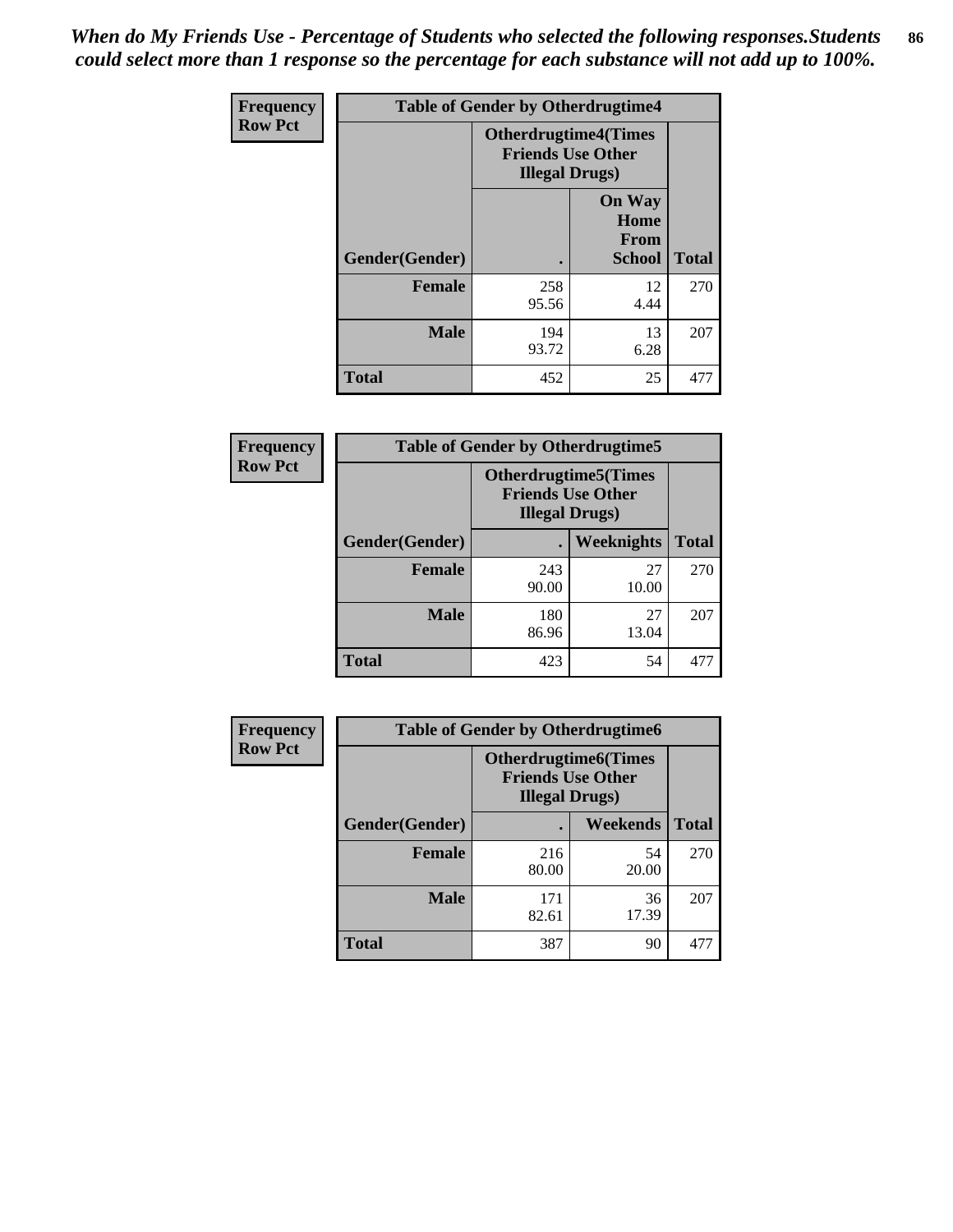*When do My Friends Use - Percentage of Students who selected the following responses.Students could select more than 1 response so the percentage for each substance will not add up to 100%.* **86**

| <b>Frequency</b> | <b>Table of Gender by Otherdrugtime4</b> |                        |                                                         |              |
|------------------|------------------------------------------|------------------------|---------------------------------------------------------|--------------|
| <b>Row Pct</b>   |                                          | <b>Illegal Drugs</b> ) | <b>Otherdrugtime4(Times</b><br><b>Friends Use Other</b> |              |
|                  | Gender(Gender)                           |                        | <b>On Way</b><br>Home<br><b>From</b><br><b>School</b>   | <b>Total</b> |
|                  | <b>Female</b>                            | 258<br>95.56           | 12<br>4.44                                              | 270          |
|                  | <b>Male</b>                              | 194<br>93.72           | 13<br>6.28                                              | 207          |
|                  | <b>Total</b>                             | 452                    | 25                                                      | 477          |

| Frequency      | <b>Table of Gender by Otherdrugtime5</b> |                                                                                    |             |              |
|----------------|------------------------------------------|------------------------------------------------------------------------------------|-------------|--------------|
| <b>Row Pct</b> |                                          | <b>Otherdrugtime5</b> (Times<br><b>Friends Use Other</b><br><b>Illegal Drugs</b> ) |             |              |
|                | Gender(Gender)                           |                                                                                    | Weeknights  | <b>Total</b> |
|                | <b>Female</b>                            | 243<br>90.00                                                                       | 27<br>10.00 | 270          |
|                | <b>Male</b>                              | 180<br>86.96                                                                       | 27<br>13.04 | 207          |
|                | <b>Total</b>                             | 423                                                                                | 54          | 477          |

| <b>Frequency</b> | <b>Table of Gender by Otherdrugtime6</b> |                                                                                    |             |              |
|------------------|------------------------------------------|------------------------------------------------------------------------------------|-------------|--------------|
| <b>Row Pct</b>   |                                          | <b>Otherdrugtime6</b> (Times<br><b>Friends Use Other</b><br><b>Illegal Drugs</b> ) |             |              |
|                  | Gender(Gender)                           |                                                                                    | Weekends    | <b>Total</b> |
|                  | <b>Female</b>                            | 216<br>80.00                                                                       | 54<br>20.00 | 270          |
|                  | <b>Male</b>                              | 171<br>82.61                                                                       | 36<br>17.39 | 207          |
|                  | <b>Total</b>                             | 387                                                                                | 90          | 477          |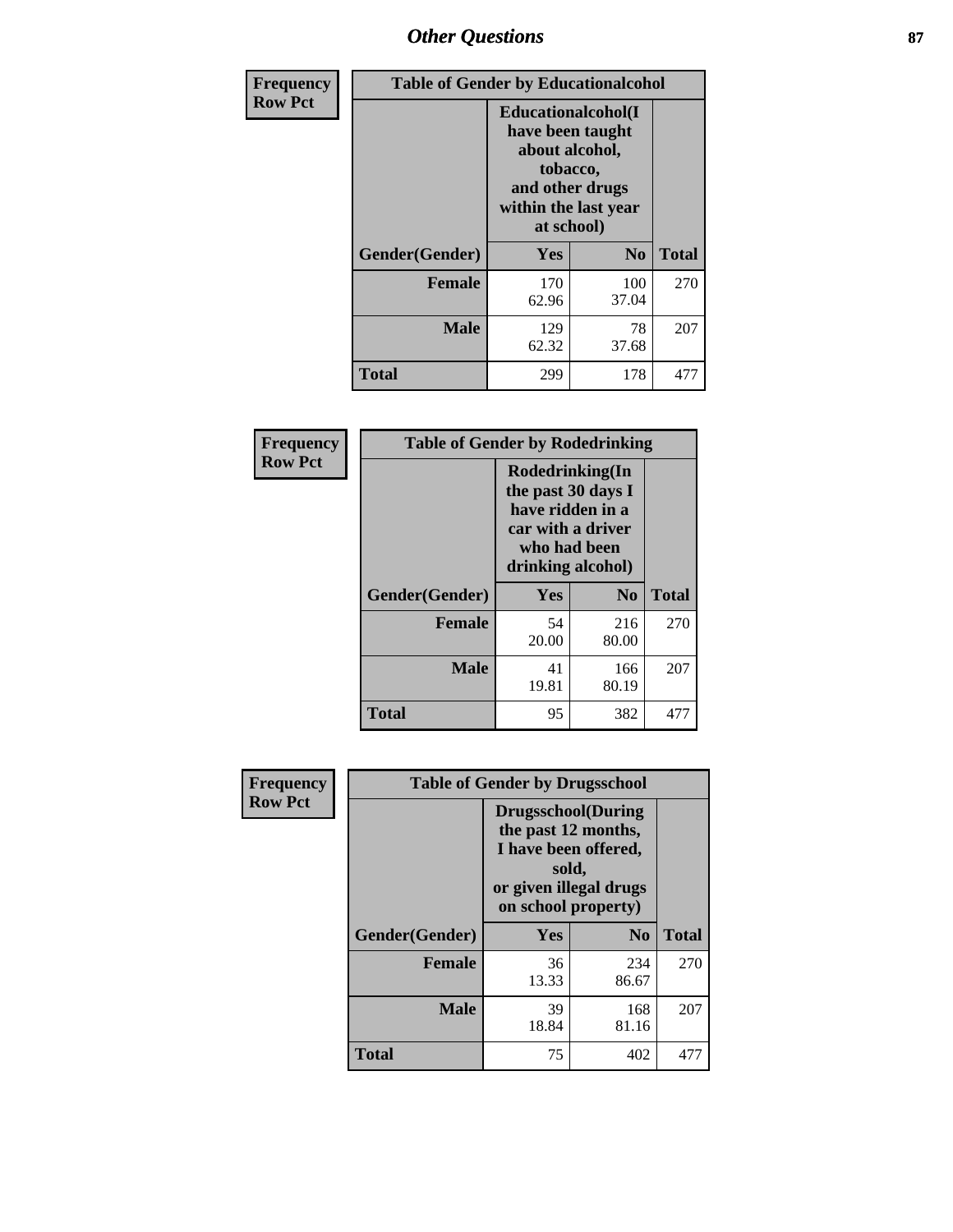# *Other Questions* **87**

| <b>Frequency</b> | <b>Table of Gender by Educationalcohol</b> |                                                                                                                                       |              |              |  |
|------------------|--------------------------------------------|---------------------------------------------------------------------------------------------------------------------------------------|--------------|--------------|--|
| <b>Row Pct</b>   |                                            | <b>Educationalcohol</b> (I<br>have been taught<br>about alcohol,<br>tobacco,<br>and other drugs<br>within the last year<br>at school) |              |              |  |
|                  | Gender(Gender)                             | Yes                                                                                                                                   | No           | <b>Total</b> |  |
|                  | <b>Female</b>                              | 170<br>62.96                                                                                                                          | 100<br>37.04 | 270          |  |
|                  | <b>Male</b>                                | 129<br>62.32                                                                                                                          | 78<br>37.68  | 207          |  |
|                  | <b>Total</b>                               | 299                                                                                                                                   | 178          | 477          |  |

| Frequency      | <b>Table of Gender by Rodedrinking</b> |                                                                                                                     |                |              |  |
|----------------|----------------------------------------|---------------------------------------------------------------------------------------------------------------------|----------------|--------------|--|
| <b>Row Pct</b> |                                        | Rodedrinking(In<br>the past 30 days I<br>have ridden in a<br>car with a driver<br>who had been<br>drinking alcohol) |                |              |  |
|                | Gender(Gender)                         | Yes                                                                                                                 | N <sub>0</sub> | <b>Total</b> |  |
|                | <b>Female</b>                          | 54<br>20.00                                                                                                         | 216<br>80.00   | 270          |  |
|                | <b>Male</b>                            | 41<br>19.81                                                                                                         | 166<br>80.19   | 207          |  |
|                | <b>Total</b>                           | 95                                                                                                                  | 382            | 477          |  |

| Frequency      | <b>Table of Gender by Drugsschool</b> |                                                                                                                                     |                |              |  |
|----------------|---------------------------------------|-------------------------------------------------------------------------------------------------------------------------------------|----------------|--------------|--|
| <b>Row Pct</b> |                                       | <b>Drugsschool</b> (During<br>the past 12 months,<br>I have been offered,<br>sold,<br>or given illegal drugs<br>on school property) |                |              |  |
|                | Gender(Gender)                        | <b>Yes</b>                                                                                                                          | N <sub>0</sub> | <b>Total</b> |  |
|                | <b>Female</b>                         | 36<br>13.33                                                                                                                         | 234<br>86.67   | 270          |  |
|                | <b>Male</b>                           | 39<br>18.84                                                                                                                         | 168<br>81.16   | 207          |  |
|                | <b>Total</b>                          | 75                                                                                                                                  | 402            | 477          |  |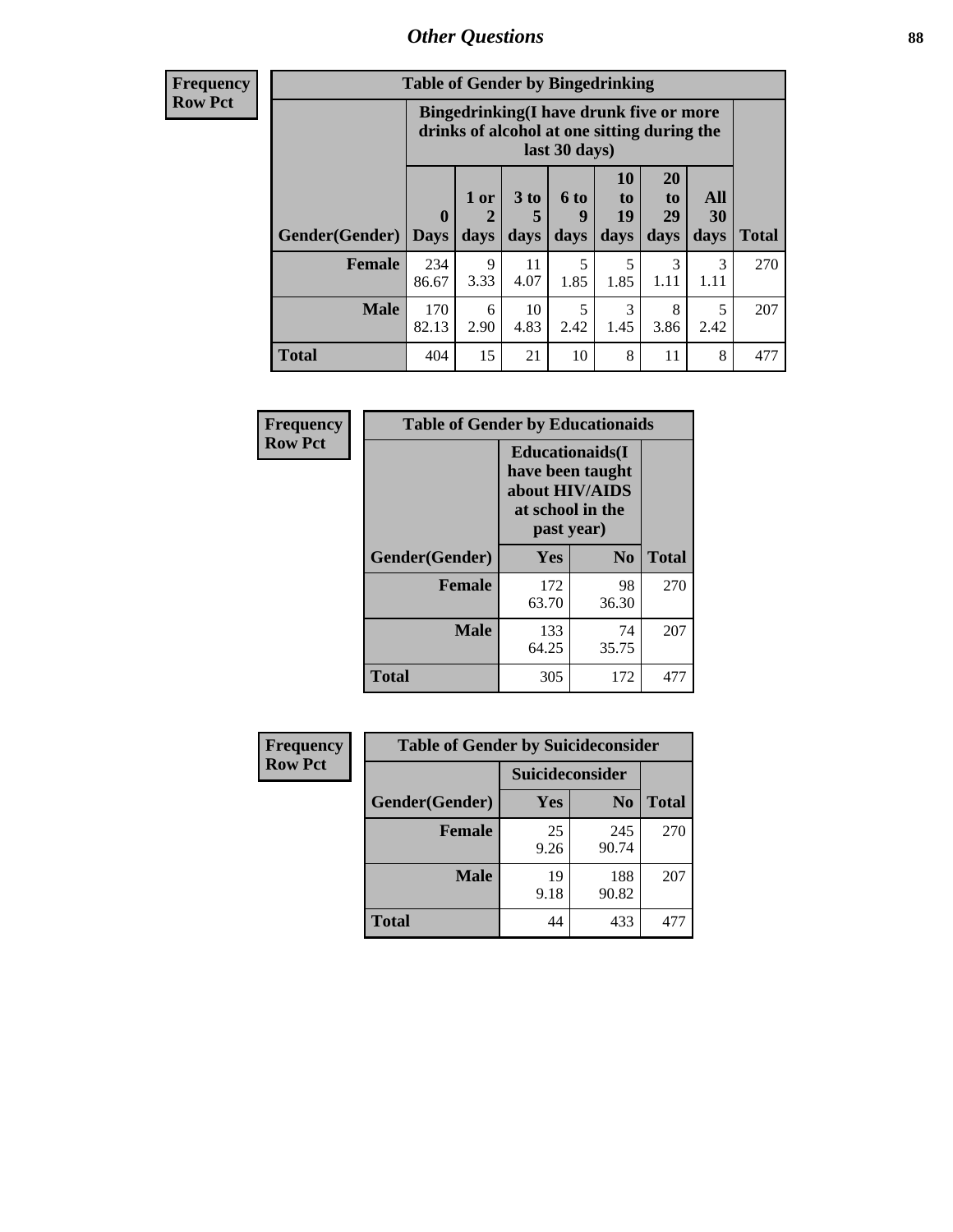## *Other Questions* **88**

**Frequency Row Pct**

| <b>Table of Gender by Bingedrinking</b> |              |                                                                                                         |                   |                   |                        |                               |                          |              |
|-----------------------------------------|--------------|---------------------------------------------------------------------------------------------------------|-------------------|-------------------|------------------------|-------------------------------|--------------------------|--------------|
|                                         |              | Bingedrinking(I have drunk five or more<br>drinks of alcohol at one sitting during the<br>last 30 days) |                   |                   |                        |                               |                          |              |
| <b>Gender</b> (Gender)   Days           | $\mathbf 0$  | 1 or<br>days                                                                                            | 3 to<br>5<br>days | 6 to<br>q<br>days | 10<br>to<br>19<br>days | <b>20</b><br>to<br>29<br>days | All<br><b>30</b><br>days | <b>Total</b> |
|                                         |              |                                                                                                         |                   |                   |                        |                               |                          |              |
| <b>Female</b>                           | 234<br>86.67 | 9<br>3.33                                                                                               | 11<br>4.07        | 5<br>1.85         | 5<br>1.85              | 3<br>1.11                     | 3<br>1.11                | 270          |
| <b>Male</b>                             | 170<br>82.13 | 6<br>2.90                                                                                               | 10<br>4.83        | 5<br>2.42         | 3<br>1.45              | 8<br>3.86                     | 5<br>2.42                | 207          |

| Frequency      | <b>Table of Gender by Educationaids</b> |                                                                                                 |                |              |
|----------------|-----------------------------------------|-------------------------------------------------------------------------------------------------|----------------|--------------|
| <b>Row Pct</b> |                                         | <b>Educationaids</b> (I<br>have been taught<br>about HIV/AIDS<br>at school in the<br>past year) |                |              |
|                | Gender(Gender)                          | Yes                                                                                             | N <sub>0</sub> | <b>Total</b> |
|                | <b>Female</b>                           | 172<br>63.70                                                                                    | 98<br>36.30    | 270          |
|                | <b>Male</b>                             | 133<br>64.25                                                                                    | 74<br>35.75    | 207          |
|                | <b>Total</b>                            | 305                                                                                             | 172            | 477          |

| Frequency      | <b>Table of Gender by Suicideconsider</b> |                 |                |       |  |
|----------------|-------------------------------------------|-----------------|----------------|-------|--|
| <b>Row Pct</b> |                                           | Suicideconsider |                |       |  |
|                | Gender(Gender)                            | Yes             | N <sub>0</sub> | Total |  |
|                | <b>Female</b>                             | 25<br>9.26      | 245<br>90.74   | 270   |  |
|                | <b>Male</b>                               | 19<br>9.18      | 188<br>90.82   | 207   |  |
|                | <b>Total</b>                              | 44              | 433            | 477   |  |